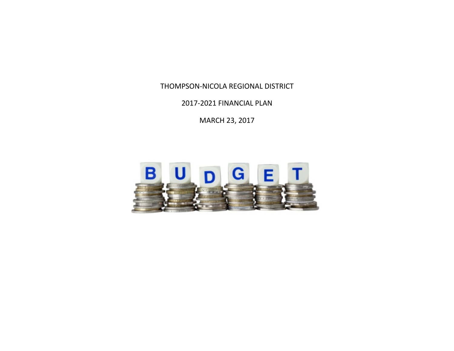2017-2021 FINANCIAL PLAN

MARCH 23, 2017

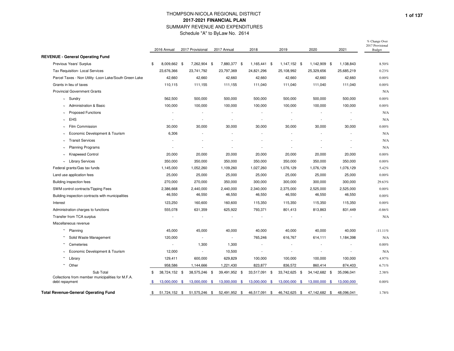|                                                                     | 2016 Annual              | 2017 Provisional         | 2017 Annual              | 2018                     | 2019                     | 2020                     | 2021       | 2017 Provisional<br><b>Budget</b> |
|---------------------------------------------------------------------|--------------------------|--------------------------|--------------------------|--------------------------|--------------------------|--------------------------|------------|-----------------------------------|
| <b>REVENUE - General Operating Fund</b>                             |                          |                          |                          |                          |                          |                          |            |                                   |
| Previous Years' Surplus                                             | \$<br>8,009,662 \$       | 7,262,904 \$             | 7,880,377 \$             | 1,165,441 \$             | 1,147,152 \$             | 1,142,909 \$             | 1,138,843  | 8.50%                             |
| Tax Requisition- Local Services                                     | 23,676,366               | 23,741,792               | 23,797,369               | 24,821,296               | 25,108,992               | 25,329,656               | 25,685,219 | 0.23%                             |
| Parcel Taxes - Non Utility - Loon Lake/South Green Lake             | 42,660                   | 42,660                   | 42,660                   | 42,660                   | 42,660                   | 42,660                   | 42,660     | 0.00%                             |
| Grants in lieu of taxes                                             | 110,115                  | 111,155                  | 111,155                  | 111,040                  | 111,040                  | 111,040                  | 111,040    | $0.00\%$                          |
| <b>Provincial Government Grants</b>                                 |                          |                          |                          |                          |                          |                          |            | N/A                               |
| $\sim$ Sundry                                                       | 562,500                  | 500,000                  | 500,000                  | 500,000                  | 500,000                  | 500,000                  | 500,000    | $0.00\%$                          |
| <b>Administration &amp; Basic</b>                                   | 100,000                  | 100,000                  | 100,000                  | 100,000                  | 100,000                  | 100,000                  | 100,000    | $0.00\%$                          |
| <b>Proposed Functions</b>                                           |                          |                          |                          | $\overline{a}$           |                          |                          |            | N/A                               |
| EHS<br>$\sim$                                                       | $\overline{\phantom{a}}$ |                          | $\overline{\phantom{a}}$ | $\overline{\phantom{a}}$ | $\overline{a}$           | $\overline{\phantom{a}}$ |            | N/A                               |
| Film Commission<br>$\tilde{\phantom{a}}$                            | 30,000                   | 30,000                   | 30,000                   | 30,000                   | 30,000                   | 30,000                   | 30,000     | $0.00\%$                          |
| Economic Development & Tourism                                      | 6,306                    | ÷                        |                          | $\overline{a}$           | $\overline{\phantom{a}}$ |                          |            | N/A                               |
| <b>Transit Services</b>                                             | $\overline{\phantom{a}}$ |                          |                          |                          | $\overline{\phantom{a}}$ |                          |            | N/A                               |
| <b>Planning Programs</b><br>$\tilde{\phantom{a}}$                   |                          | ÷                        | $\overline{\phantom{a}}$ | $\overline{\phantom{a}}$ | $\overline{\phantom{a}}$ | $\overline{a}$           |            | N/A                               |
| <b>Knapweed Control</b><br>$\sim$                                   | 20,000                   | 20,000                   | 20,000                   | 20,000                   | 20,000                   | 20,000                   | 20,000     | 0.00%                             |
| <b>Library Services</b><br>$\sim$                                   | 350,000                  | 350,000                  | 350,000                  | 350,000                  | 350,000                  | 350,000                  | 350,000    | $0.00\%$                          |
| Federal grants/Gas tax funds                                        | 1,145,000                | 1,052,260                | 1,109,260                | 1,027,260                | 1,076,129                | 1,076,129                | 1,076,129  | 5.42%                             |
| Land use application fees                                           | 25,000                   | 25,000                   | 25,000                   | 25,000                   | 25,000                   | 25,000                   | 25,000     | 0.00%                             |
| Building inspection fees                                            | 270,000                  | 270,000                  | 350,000                  | 300,000                  | 300,000                  | 300,000                  | 300,000    | 29.63%                            |
| SWM control contracts/Tipping Fees                                  | 2,386,668                | 2,440,000                | 2,440,000                | 2,340,000                | 2,375,000                | 2,525,000                | 2,525,000  | $0.00\%$                          |
| Building inspection contracts with municipalities                   | 46,550                   | 46,550                   | 46,550                   | 46,550                   | 46,550                   | 46,550                   | 46,550     | 0.00%                             |
| Interest                                                            | 123,250                  | 160,600                  | 160,600                  | 115,350                  | 115,350                  | 115,350                  | 115,350    | $0.00\%$                          |
| Administration charges to functions                                 | 555,078                  | 631,359                  | 625,922                  | 793,371                  | 801,413                  | 813,863                  | 831,449    | $-0.86%$                          |
| Transfer from TCA surplus                                           |                          |                          |                          | $\overline{\phantom{a}}$ |                          |                          |            | N/A                               |
| Miscellaneous revenue                                               |                          |                          |                          |                          |                          |                          |            |                                   |
| $\sim$<br>Planning                                                  | 45,000                   | 45,000                   | 40,000                   | 40,000                   | 40,000                   | 40,000                   | 40,000     | $-11.11%$                         |
| Solid Waste Management                                              | 120,000                  | $\overline{\phantom{a}}$ | $\overline{\phantom{a}}$ | 765,246                  | 616,767                  | 614,111                  | 1,184,398  | N/A                               |
| Cemeteries                                                          | $\overline{\phantom{a}}$ | 1,300                    | 1,300                    | $\overline{\phantom{a}}$ |                          |                          |            | 0.00%                             |
| Economic Development & Tourism<br>$\tilde{\phantom{a}}$             | 12,000                   | $\overline{\phantom{a}}$ | 10,500                   | $\overline{\phantom{a}}$ | $\overline{\phantom{a}}$ |                          |            | N/A                               |
| $\sim$<br>Library                                                   | 129,411                  | 600,000                  | 629,829                  | 100,000                  | 100,000                  | 100,000                  | 100,000    | 4.97%                             |
| $\sim$ Other                                                        | 958,586                  | 1,144,666                | 1,221,430                | 823,877                  | 836,572                  | 860,414                  | 874,403    | 6.71%                             |
| Sub Total                                                           | \$<br>38,724,152 \$      | 38,575,246 \$            | 39,491,952 \$            | 33,517,091 \$            | 33,742,625 \$            | 34,142,682 \$            | 35,096,041 | 2.38%                             |
| Collections from member municipalities for M.F.A.<br>debt repayment | \$<br>13,000,000 \$      | 13,000,000 \$            | 13,000,000 \$            | 13,000,000 \$            | 13,000,000 \$            | 13,000,000 \$            | 13,000,000 | 0.00%                             |
| Total Revenue-General Operating Fund                                | \$<br>51,724,152 \$      | 51,575,246 \$            | 52,491,952 \$            | 46,517,091 \$            | 46,742,625 \$            | 47,142,682 \$            | 48,096,041 | 1.78%                             |

% Change Over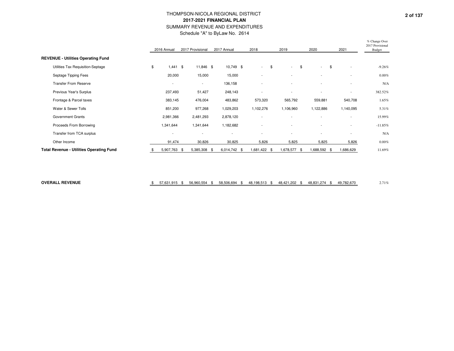|                                                 |     | 2016 Annual              | 2017 Provisional |                          | 2017 Annual              | 2018                     | 2019                     |      | 2020                     | 2021                           | % Change Over<br>2017 Provisional<br><b>Budget</b> |
|-------------------------------------------------|-----|--------------------------|------------------|--------------------------|--------------------------|--------------------------|--------------------------|------|--------------------------|--------------------------------|----------------------------------------------------|
| <b>REVENUE - Utilities Operating Fund</b>       |     |                          |                  |                          |                          |                          |                          |      |                          |                                |                                                    |
| Utilities Tax Requisition-Septage               | \$  | $1,441$ \$               |                  | 11,846 \$                | 10,749 \$                | $\sim$                   | \$<br>$\sim$             | - \$ | $\sim$                   | \$<br>$\overline{\phantom{a}}$ | $-9.26%$                                           |
| Septage Tipping Fees                            |     | 20,000                   |                  | 15,000                   | 15,000                   | $\overline{\phantom{a}}$ | $\overline{\phantom{a}}$ |      | -                        | $\overline{\phantom{a}}$       | $0.00\%$                                           |
| <b>Transfer From Reserve</b>                    |     | $\overline{\phantom{a}}$ |                  | $\sim$                   | 136,158                  | $\overline{\phantom{a}}$ | $\overline{\phantom{a}}$ |      | $\overline{a}$           | $\overline{\phantom{a}}$       | N/A                                                |
| Previous Year's Surplus                         |     | 237,493                  |                  | 51,427                   | 248,143                  |                          | $\overline{\phantom{a}}$ |      | -                        | $\overline{\phantom{a}}$       | 382.52%                                            |
| Frontage & Parcel taxes                         |     | 383,145                  |                  | 476,004                  | 483,862                  | 573,320                  | 565,792                  |      | 559,881                  | 540,708                        | 1.65%                                              |
| Water & Sewer Tolls                             |     | 851,200                  |                  | 977,268                  | 1,029,203                | 1,102,276                | 1,106,960                |      | 1,122,886                | 1,140,095                      | 5.31%                                              |
| <b>Government Grants</b>                        |     | 2,981,366                |                  | 2,481,293                | 2,878,120                | $\overline{\phantom{a}}$ |                          |      |                          |                                | 15.99%                                             |
| Proceeds From Borrowing                         |     | 1,341,644                |                  | 1,341,644                | 1,182,682                | $\overline{\phantom{a}}$ | $\overline{\phantom{a}}$ |      | $\overline{\phantom{a}}$ | $\overline{\phantom{a}}$       | $-11.85%$                                          |
| Transfer from TCA surplus                       |     | $\overline{\phantom{a}}$ |                  | $\overline{\phantom{a}}$ | $\overline{\phantom{a}}$ | $\overline{\phantom{a}}$ | $\overline{\phantom{a}}$ |      | $\overline{\phantom{a}}$ | $\overline{\phantom{a}}$       | N/A                                                |
| Other Income                                    |     | 91,474                   |                  | 30,826                   | 30,825                   | 5,826                    | 5,825                    |      | 5,825                    | 5,826                          | $0.00\%$                                           |
| <b>Total Revenue - Utilities Operating Fund</b> | \$. | 5,907,763                | - \$             | 5,385,308 \$             | 6,014,742 \$             | \$1,422.                 | 1,678,577 \$             |      | 1,688,592 \$             | ,686,629                       | 11.69%                                             |

**OVERALL REVENUE**

 $\frac{1}{3}$  57,631,915 \$ 56,960,554 \$ 58,506,694 \$ 48,198,513 \$ 48,421,202 \$ 48,831,274 \$ 49,782,670 2.71%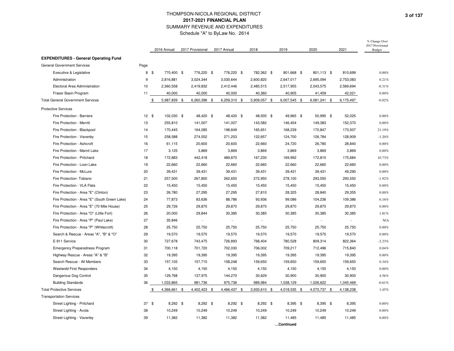|                                               |              |      | 2016 Annual  | 2017 Provisional | 2017 Annual  | 2018         | 2019         | 2020         |           | 2021      | % Change Over<br>2017 Provisional<br><b>Budget</b> |
|-----------------------------------------------|--------------|------|--------------|------------------|--------------|--------------|--------------|--------------|-----------|-----------|----------------------------------------------------|
| <b>EXPENDITURES - General Operating Fund</b>  |              |      |              |                  |              |              |              |              |           |           |                                                    |
| <b>General Government Services</b>            | Page         |      |              |                  |              |              |              |              |           |           |                                                    |
| Executive & Legislative                       |              | 8 \$ | 770,400 \$   | 776,220 \$       | 776,220 \$   | 782,362 \$   | 801,668 \$   | 801,113 \$   |           | 810,699   | $0.00\%$                                           |
| Administration                                | 9            |      | 2,816,881    | 3,024,344        | 3,030,644    | 2,600,820    | 2,647,017    | 2,695,094    |           | 2,753,083 | 0.21%                                              |
| Electoral Area Administration                 | 10           |      | 2,360,558    | 2,419,832        | 2,412,446    | 2,485,515    | 2,517,955    | 2,543,575    |           | 2,569,694 | $-0.31%$                                           |
| Fraser Basin Program                          | 11           |      | 40,000       | 40,000           | 40,000       | 40,360       | 40,905       | 41,459       |           | 42,021    | $0.00\%$                                           |
| <b>Total General Government Services</b>      |              | \$   | 5,987,839 \$ | 6,260,396 \$     | 6,259,310 \$ | 5,909,057 \$ | 6,007,545 \$ | 6,081,241    | <b>\$</b> | 6,175,497 | $-0.02%$                                           |
| <b>Protective Services</b>                    |              |      |              |                  |              |              |              |              |           |           |                                                    |
| Fire Protection - Barriere                    | $12 \quad $$ |      | 102,030 \$   | 48,420 \$        | 48,420 \$    | 48,935 \$    | 49,965 \$    | 50,995 \$    |           | 52,025    | 0.00%                                              |
| Fire Protection - Merritt                     | 13           |      | 255,810      | 141,007          | 141,007      | 143,582      | 146,454      | 149,383      |           | 152,370   | $0.00\%$                                           |
| Fire Protection - Blackpool                   | 14           |      | 170,445      | 164,085          | 198,849      | 165,651      | 168,239      | 170,847      |           | 173,507   | 21.19%                                             |
| Fire Protection - Vavenby                     | 15           |      | 258,588      | 274,552          | 271,253      | 122,657      | 124,700      | 126,784      |           | 128,909   | $-1.20%$                                           |
| Fire Protection - Ashcroft                    | 16           |      | 61,115       | 20,600           | 20,600       | 22,660       | 24,720       | 26,780       |           | 28,840    | $0.00\%$                                           |
| Fire Protection - Mamit Lake                  | 17           |      | 3,125        | 3,869            | 3,869        | 3,869        | 3,869        | 3,869        |           | 3,869     | 0.00%                                              |
| Fire Protection - Pritchard                   | 18           |      | 172,883      | 442,418          | 489,870      | 167,230      | 169,992      | 172,810      |           | 175,684   | 10.73%                                             |
| Fire Protection - Loon Lake                   | 19           |      | 22,660       | 22,660           | 22,660       | 22,660       | 22,660       | 22,660       |           | 22,660    | $0.00\%$                                           |
| Fire Protection - McLure                      | 20           |      | 39,431       | 39,431           | 39,431       | 39,431       | 39,431       | 39,431       |           | 49,290    | $0.00\%$                                           |
| Fire Protection- Tobiano                      | 21           |      | 257,500      | 267,800          | 262,650      | 272,950      | 278,100      | 293,550      |           | 293,550   | $-1.92%$                                           |
| Fire Protection - VLA Flats                   | 22           |      | 15,450       | 15,450           | 15,450       | 15,450       | 15,450       | 15,450       |           | 15,450    | $0.00\%$                                           |
| Fire Protection - Area "E" (Clinton)          | 23           |      | 26,780       | 27,295           | 27,295       | 27,810       | 28,325       | 28,840       |           | 29,355    | $0.00\%$                                           |
| Fire Protection - Area "E" (South Green Lake) | 24           |      | 77,873       | 83,636           | 88,786       | 93,936       | 99,086       | 104,236      |           | 109,386   | 6.16%                                              |
| Fire Protection - Area "E" (70 Mile House)    | 25           |      | 29,726       | 29,870           | 29,870       | 29,870       | 29,870       | 29,870       |           | 29,870    | 0.00%                                              |
| Fire Protection - Area "O" (Little Fort)      | 26           |      | 20,000       | 29,844           | 30,385       | 30,385       | 30,385       | 30,385       |           | 30,385    | 1.81%                                              |
| Fire Protection - Area "P" (Paul Lake)        | 27           |      | 35,846       |                  |              |              |              |              |           |           | N/A                                                |
| Fire Protection - Area "P" (Whitecroft)       | 28           |      | 25,750       | 25,750           | 25,750       | 25,750       | 25,750       | 25,750       |           | 25,750    | $0.00\%$                                           |
| Search & Rescue - Areas "A", "B" & "O"        | 29           |      | 19,570       | 19,570           | 19,570       | 19,570       | 19,570       | 19,570       |           | 19,570    | $0.00\%$                                           |
| E-911 Service                                 | 30           |      | 727,678      | 743,475          | 726,893      | 768,404      | 780,528      | 809,314      |           | 822,364   | $-2.23%$                                           |
| Emergency Preparedness Program                | 31           |      | 700,118      | 701,720          | 702,030      | 706,002      | 709,217      | 712,496      |           | 715,840   | 0.04%                                              |
| Highway Rescue - Areas "A" & "B"              | 32           |      | 19,395       | 19,395           | 19,395       | 19,395       | 19,395       | 19,395       |           | 19,395    | $0.00\%$                                           |
| Search Rescue - All Members                   | 33           |      | 157,105      | 157,715          | 158,248      | 159,650      | 159,650      | 159,650      |           | 159,650   | 0.34%                                              |
| <b>Westwold First Responders</b>              | 34           |      | 4,150        | 4,150            | 4,150        | 4,150        | 4,150        | 4,150        |           | 4,150     | $0.00\%$                                           |
| Dangerous Dog Control                         | 35           |      | 129,768      | 137,975          | 144,270      | 30,629       | 30,900       | 30,900       |           | 30,900    | 4.56%                                              |
| <b>Building Standards</b>                     | 36           |      | 1,033,865    | 981,736          | 975,736      | 989,984      | 1,038,129    | 1,026,622    |           | 1,045,469 | $-0.61%$                                           |
| <b>Total Protective Services</b>              |              | \$   | 4,366,661 \$ | 4,402,423 \$     | 4,466,437 \$ | 3,930,610 \$ | 4,018,535 \$ | 4,073,737 \$ |           | 4,138,238 | 1.45%                                              |
| <b>Transportation Services</b>                |              |      |              |                  |              |              |              |              |           |           |                                                    |
| Street Lighting - Pritchard                   | 37S          |      | 8,292 \$     | 8,292 \$         | 8,292 \$     | 8,292 \$     | 8,395 \$     | 8,395 \$     |           | 8,395     | $0.00\%$                                           |
| Street Lighting - Avola                       | 38           |      | 10,249       | 10,249           | 10,249       | 10,249       | 10,249       | 10,249       |           | 10,249    | $0.00\%$                                           |
| Street Lighting - Vavenby                     | 39           |      | 11,382       | 11,382           | 11,382       | 11,382       | 11,485       | 11,485       |           | 11,485    | $0.00\%$                                           |
|                                               |              |      |              |                  |              |              | Continued    |              |           |           |                                                    |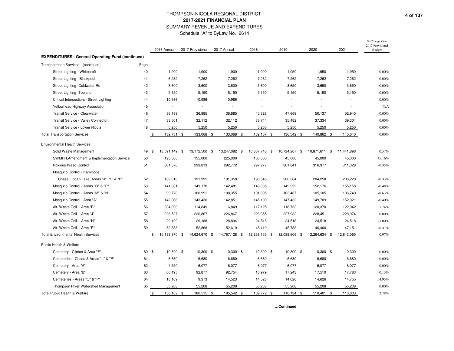|                                                          |       | 2016 Annual          | 2017 Provisional | 2017 Annual    | 2018          | 2019          |            | 2020          | 2021                     | % Change Over<br>2017 Provisional<br><b>Budget</b> |
|----------------------------------------------------------|-------|----------------------|------------------|----------------|---------------|---------------|------------|---------------|--------------------------|----------------------------------------------------|
| <b>EXPENDITURES - General Operating Fund (continued)</b> |       |                      |                  |                |               |               |            |               |                          |                                                    |
| Transportation Services - (continued)                    | Page  |                      |                  |                |               |               |            |               |                          |                                                    |
| Street Lighting - Whitecroft                             | 40    | 1,900                | 1,900            | 1,900          | 1,900         | 1,950         |            | 1,950         | 1,950                    | 0.00%                                              |
| Street Lighting - Blackpool                              | 41    | 6,232                | 7,262            | 7,262          | 7,262         | 7,262         |            | 7,262         | 7,262                    | $0.00\%$                                           |
| Street Lighting- Coldwater Rd                            | 42    | 3,600                | 3,600            | 3,600          | 3,600         | 3,650         |            | 3,650         | 3,650                    | $0.00\%$                                           |
| Street Lighting- Tobiano                                 | 43    | 5,150                | 5,150            | 5,150          | 5,150         | 5,150         |            | 5,150         | 5,150                    | $0.00\%$                                           |
| Critical Intersections- Street Lighting                  | 44    | 10,986               | 10,986           | 10,986         |               |               |            |               |                          | $0.00\%$                                           |
| Yellowhead Highway Association                           | 45    |                      | $\sim$           | $\overline{a}$ |               |               |            |               | $\overline{\phantom{a}}$ | N/A                                                |
| Transit Service - Clearwater                             | 46    | 36,189               | 36,885           | 36,885         | 45,328        | 47,669        |            | 50,137        | 52,945                   | $0.00\%$                                           |
| Transit Service - Valley Connector                       | 47    | 33,501               | 32,112           | 32,112         | 33,744        | 35,482        |            | 37,334        | 39,304                   | $0.00\%$                                           |
| Transit Service - Lower Nicola                           | 48    | 5,250                | 5,250            | 5,250          | 5,250         | 5,250         |            | 5,250         | 5,250                    | 0.00%                                              |
| <b>Total Transportation Services</b>                     |       | \$<br>132,731 \$     | 133,068 \$       | 133,068 \$     | 132,157 \$    |               | 136,542 \$ | 140,862 \$    | 145,640                  | $0.00\%$                                           |
| <b>Environmental Health Services</b>                     |       |                      |                  |                |               |               |            |               |                          |                                                    |
| Solid Waste Management                                   | 49    | 13,591,149 \$<br>-\$ | 13,172,500 \$    | 13,247,082 \$  | 10,837,746 \$ | 10,724,267 \$ |            | 10,871,611 \$ | 11,441,898               | 0.57%                                              |
| SWMPR, Amendment & Implementation Service                | 50    | 125,000              | 155,000          | 225,000        | 100,000       | 45,000        |            | 45,000        | 45,000                   | 45.16%                                             |
| Noxious Weed Control                                     | 51    | 301,376              | 293,813          | 292,772        | 297,277       | 301,841       |            | 316,977       | 311,328                  | $-0.35%$                                           |
| Mosquito Control - Kamloops,                             |       |                      |                  |                |               |               |            |               |                          |                                                    |
| Chase, Logan Lake, Areas "J", "L" & "P"                  | 52    | 189,016              | 191,995          | 191,358        | 196,546       | 200,364       |            | 204,258       | 208,228                  | $-0.33%$                                           |
| Mosquito Control - Areas "O" & "P"                       | 53    | 141,681              | 143,170          | 142,481        | 146,385       | 149,252       |            | 152,176       | 155,158                  | $-0.48%$                                           |
| Mosquito Control - Areas "M" & "N"                       | 54    | 99,778               | 100,991          | 100,355        | 101,895       | 103,487       |            | 105,105       | 106,749                  | $-0.63%$                                           |
| Mosquito Control - Area "A"                              | 55    | 142,866              | 143,430          | 142,851        | 145,190       | 147,432       |            | 149,709       | 152,021                  | $-0.40%$                                           |
| Alt. Waste Coll. - Area "B"                              | 56    | 234,390              | 114,849          | 116,849        | 117,125       | 118,732       |            | 120,370       | 122,042                  | 1.74%                                              |
| Alt. Waste Coll. - Area "J"                              | 57    | 226,527              | 226,867          | 226,867        | 226,355       | 227,932       |            | 228,451       | 228,974                  | 0.00%                                              |
| Alt. Waste Coll. - Area "N"                              | 58    | 29,199               | 29,188           | 28,894         | 24,518        | 24,518        |            | 24,518        | 24,518                   | $-1.00%$                                           |
| Alt. Waste Coll. - Area "P"                              | 59    | 52,888               | 52,868           | 52,619         | 45,119        | 45,783        |            | 46,460        | 47,151                   | $-0.47%$                                           |
| <b>Total Environmental Health Services</b>               |       | \$<br>15,133,870 \$  | 14,624,670 \$    | 14,767,128 \$  | 12,238,155 \$ | 12,088,606 \$ |            | 12,264,634 \$ | 12,843,065               | 0.97%                                              |
| Public Health & Welfare                                  |       |                      |                  |                |               |               |            |               |                          |                                                    |
| Cemetery - Clinton & Area "E"                            | 60 \$ | 10,300 \$            | 10,300 \$        | 10,300 \$      | 10,300 \$     |               | 10,300 \$  | 10,300 \$     | 10,300                   | 0.00%                                              |
| Cemeteries - Chase & Areas "L" & "P"                     | 61    | 6,680                | 6,680            | 6,680          | 6,680         | 6,680         |            | 6,680         | 6,680                    | 0.00%                                              |
| Cemetery - Area "A"                                      | 62    | 4,550                | 6,077            | 6,077          | 6,077         | 6,077         |            | 6,077         | 6,077                    | 0.00%                                              |
| Cemetery - Area "B"                                      | 63    | 66,195               | 92,877           | 92,754         | 16,979        | 17,243        |            | 17,510        | 17,783                   | $-0.13%$                                           |
| Cemeteries - Areas "O" & "P"                             | 64    | 13,169               | 9,373            | 14,523         | 14,528        | 14,626        |            | 14,626        | 14,755                   | 54.95%                                             |
| Thompson River Watershed Management                      | 65    | 55,208               | 55,208           | 55,208         | 55,208        | 55,208        |            | 55,208        | 55,208                   | 0.00%                                              |
| Total Public Health & Welfare                            |       | \$<br>156,102 \$     | 180,515 \$       | 185,542 \$     | 109,772 \$    |               | 110,134 \$ | 110,401       | \$<br>110,803            | 2.78%                                              |

**…Continued**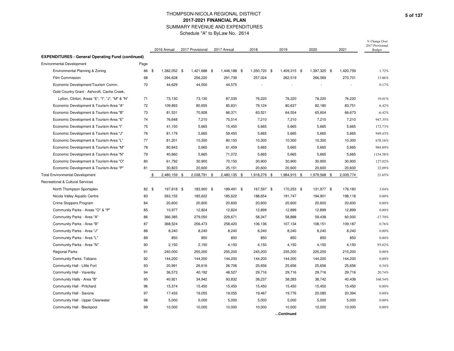|                                                          |       | 2016 Annual         | 2017 Provisional | 2017 Annual  | 2018         | 2019         | 2020         |      | 2021      | % Change Over<br>2017 Provisional<br>Budget |
|----------------------------------------------------------|-------|---------------------|------------------|--------------|--------------|--------------|--------------|------|-----------|---------------------------------------------|
| <b>EXPENDITURES - General Operating Fund (continued)</b> |       |                     |                  |              |              |              |              |      |           |                                             |
| <b>Environmental Development</b>                         | Page  |                     |                  |              |              |              |              |      |           |                                             |
| Environmental Planning & Zoning                          | 66    | 1,382,052 \$<br>-\$ | 1,421,688 \$     | 1,446,188 \$ | 1,350,720 \$ | 1,409,315 \$ | 1,397,325    | - \$ | 1,420,759 | 1.72%                                       |
| Film Commission                                          | 68    | 294,628             | 256,220          | 291,739      | 257,024      | 262,519      | 266,569      |      | 270,701   | 13.86%                                      |
| Economic Development/Tourism Comm.                       | 70    | 44,629              | 44,500           | 44,575       |              |              |              |      |           | 0.17%                                       |
| Gold Country Grant - Ashcroft, Cache Creek,              |       |                     |                  |              |              |              |              |      |           |                                             |
| Lytton, Clinton, Areas "E", "I", "J", "M" & "N"          | 71    | 73,130              | 73,130           | 87,035       | 76,220       | 76,220       | 76,220       |      | 76,220    | 19.01%                                      |
| Economic Development & Tourism-Area "A"                  | 72    | 109,893             | 80,655           | 85,831       | 79,124       | 80,637       | 82,180       |      | 83,751    | 6.42%                                       |
| Economic Development & Tourism-Area "B"                  | 73    | 81,531              | 70,928           | 66,371       | 63,521       | 64,554       | 65,604       |      | 66,673    | $-6.42%$                                    |
| Economic Development & Tourism-Area "E"                  | 74    | 76,648              | 7,210            | 75,514       | 7,210        | 7,210        | 7,210        |      | 7,210     | 947.35%                                     |
| Economic Development & Tourism-Area "I"                  | 75    | 41,150              | 5,665            | 15,450       | 5,665        | 5,665        | 5,665        |      | 5,665     | 172.73%                                     |
| Economic Development & Tourism-Area "J"                  | 76    | 81,179              | 5,665            | 59,450       | 5,665        | 5,665        | 5,665        |      | 5,665     | 949.43%                                     |
| Economic Development & Tourism-Area "L"                  | 77    | 81,201              | 10,300           | 80,150       | 10,300       | 10,300       | 10,300       |      | 10,300    | 678.16%                                     |
| Economic Development & Tourism-Area "M"                  | 78    | 80,843              | 5,665            | 61,459       | 5,665        | 5,665        | 5,665        |      | 5,665     | 984.89%                                     |
| Economic Development & Tourism-Area "N"                  | 79    | 40,660              | 5,665            | 71,072       | 5,665        | 5,665        | 5,665        |      | 5,665     | 1154.58%                                    |
| Economic Development & Tourism-Area "O"                  | 80    | 61,792              | 30,900           | 70,150       | 30,900       | 30,900       | 30,900       |      | 30,900    | 127.02%                                     |
| Economic Development & Tourism-Area "P"                  | 81    | 30,823              | 20,600           | 25,151       | 20,600       | 20,600       | 20,600       |      | 20,600    | 22.09%                                      |
| <b>Total Environmental Development</b>                   |       | 2,480,159 \$<br>\$  | 2,038,791 \$     | 2,480,135 \$ | 1,918,279 \$ | 1,984,915 \$ | 1,979,568 \$ |      | 2,009,774 | 21.65%                                      |
| Recreational & Cultural Services                         |       |                     |                  |              |              |              |              |      |           |                                             |
| North Thompson Sportsplex                                | 82 \$ | 197,818 \$          | 183,900 \$       | 189,491 \$   | 167,597 \$   | 170,253 \$   | 131,977 \$   |      | 176,160   | 3.04%                                       |
| Nicola Valley Aquatic Centre                             | 83    | 263,155             | 185,622          | 185,622      | 188,654      | 191,747      | 194,901      |      | 198,118   | 0.00%                                       |
| Crime Stoppers Program                                   | 84    | 20,600              | 20,600           | 20,600       | 20,600       | 20,600       | 20,600       |      | 20,600    | $0.00\%$                                    |
| Community Parks - Areas "O" & "P"                        | 85    | 10,977              | 12,824           | 12,824       | 12,899       | 12,899       | 12,899       |      | 12,899    | 0.00%                                       |
| Community Parks - Area "A"                               | 86    | 366,385             | 279,050          | 229,671      | 58,347       | 58,888       | 59,438       |      | 60,000    | $-17.70%$                                   |
| Community Parks - Area "B"                               | 87    | 368,524             | 256,473          | 258,420      | 106,136      | 107,134      | 108,151      |      | 109,187   | 0.76%                                       |
| Community Parks - Area "J"                               | 88    | 8,240               | 8,240            | 8,240        | 8,240        | 8,240        | 8,240        |      | 8,240     | 0.00%                                       |
| Community Parks - Area "L"                               | 89    | 850                 | 850              | 850          | 850          | 850          | 850          |      | 850       | 0.00%                                       |
| Community Parks - Area "N"                               | 90    | 2,150               | 2,150            | 4,150        | 4,150        | 4,150        | 4,150        |      | 4,150     | 93.02%                                      |
| <b>Regional Parks</b>                                    | 91    | 240,000             | 255,200          | 255,200      | 245,200      | 235,200      | 225,200      |      | 215,200   | 0.00%                                       |
| Community Parks: Tobiano                                 | 92    | 144,200             | 144,200          | 144,200      | 144,200      | 144,200      | 144,200      |      | 144,200   | 0.00%                                       |
| Community Hall - Little Fort                             | 93    | 20,991              | 26,616           | 26,706       | 25,656       | 25,656       | 25,656       |      | 25,656    | 0.34%                                       |
| Community Hall - Vavenby                                 | 94    | 36,573              | 40,192           | 48,527       | 29,716       | 29,716       | 29,716       |      | 29,716    | 20.74%                                      |
| Community Halls - Area "B"                               | 95    | 40,921              | 34,942           | 93,832       | 38,237       | 38,283       | 38,742       |      | 40,438    | 168.54%                                     |
| Community Hall - Pritchard                               | 96    | 15,374              | 15,450           | 15,450       | 15,450       | 15,450       | 15,450       |      | 15,450    | 0.00%                                       |
| Community Hall - Savona                                  | 97    | 17,433              | 19,055           | 19,055       | 19,467       | 19,776       | 20,085       |      | 20,394    | $0.00\%$                                    |
| Community Hall - Upper Clearwater                        | 98    | 5,000               | 5,000            | 5,000        | 5,000        | 5,000        | 5,000        |      | 5,000     | $0.00\%$                                    |
| Community Hall - Blackpool                               | 99    | 10,000              | 10,000           | 10,000       | 10,000       | 10,000       | 10,000       |      | 10,000    | 0.00%                                       |
|                                                          |       |                     |                  |              |              | Continued    |              |      |           |                                             |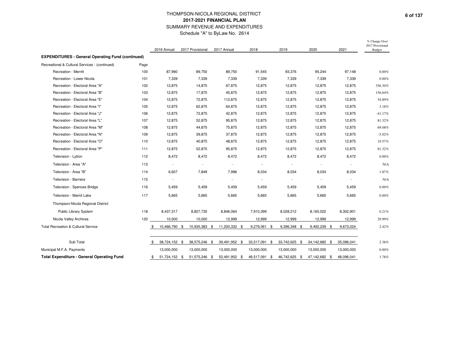|                                                          |      | 2016 Annual              | 2017 Provisional         | 2017 Annual              | 2018                     | 2019                     | 2020                     | 2021                     | % Change Over<br>2017 Provisional<br><b>Budget</b> |
|----------------------------------------------------------|------|--------------------------|--------------------------|--------------------------|--------------------------|--------------------------|--------------------------|--------------------------|----------------------------------------------------|
| <b>EXPENDITURES - General Operating Fund (continued)</b> |      |                          |                          |                          |                          |                          |                          |                          |                                                    |
| Recreational & Cultural Services - (continued)           | Page |                          |                          |                          |                          |                          |                          |                          |                                                    |
| Recreation - Merritt                                     | 100  | 87,990                   | 89,750                   | 89,750                   | 91,545                   | 93,376                   | 95,244                   | 97,148                   | 0.00%                                              |
| Recreation - Lower Nicola                                | 101  | 7.339                    | 7.339                    | 7,339                    | 7,339                    | 7,339                    | 7.339                    | 7,339                    | 0.00%                                              |
| Recreation - Electoral Area "A"                          | 102  | 12,875                   | 14,875                   | 67,875                   | 12,875                   | 12,875                   | 12,875                   | 12,875                   | 356.30%                                            |
| Recreation - Electoral Area "B"                          | 103  | 12,875                   | 17,875                   | 45,875                   | 12,875                   | 12,875                   | 12,875                   | 12,875                   | 156.64%                                            |
| Recreation - Electoral Area "E"                          | 104  | 12,875                   | 72,875                   | 112,875                  | 12,875                   | 12,875                   | 12,875                   | 12,875                   | 54.89%                                             |
| Recreation - Electoral Area "I"                          | 105  | 12,875                   | 62,875                   | 64,875                   | 12,875                   | 12,875                   | 12,875                   | 12,875                   | 3.18%                                              |
| Recreation - Electoral Area "J"                          | 106  | 12,875                   | 72,875                   | 42,875                   | 12,875                   | 12,875                   | 12,875                   | 12,875                   | $-41.17%$                                          |
| Recreation - Electoral Area "L"                          | 107  | 12,875                   | 52,875                   | 95,875                   | 12,875                   | 12,875                   | 12,875                   | 12,875                   | 81.32%                                             |
| Recreation - Electoral Area "M"                          | 108  | 12,875                   | 44,875                   | 75,875                   | 12,875                   | 12,875                   | 12,875                   | 12,875                   | 69.08%                                             |
| Recreation - Electoral Area "N"                          | 109  | 12,875                   | 39,875                   | 37,875                   | 12,875                   | 12,875                   | 12,875                   | 12,875                   | $-5.02%$                                           |
| Recreation - Electoral Area "O"                          | 110  | 12,875                   | 40,875                   | 48,875                   | 12,875                   | 12,875                   | 12,875                   | 12,875                   | 19.57%                                             |
| Recreation - Electoral Area "P"                          | 111  | 12,875                   | 52,875                   | 95,875                   | 12,875                   | 12,875                   | 12,875                   | 12,875                   | 81.32%                                             |
| Television - Lytton                                      | 112  | 8,472                    | 8,472                    | 8,472                    | 8,472                    | 8,472                    | 8,472                    | 8,472                    | 0.00%                                              |
| Television - Area "A"                                    | 113  | $\overline{\phantom{a}}$ | $\sim$                   | $\overline{\phantom{a}}$ | $\overline{\phantom{a}}$ | $\overline{\phantom{a}}$ | $\overline{\phantom{a}}$ | $\overline{\phantom{a}}$ | N/A                                                |
| Television - Area "B"                                    | 114  | 6,607                    | 7,849                    | 7,996                    | 8,034                    | 8,034                    | 8,034                    | 8,034                    | 1.87%                                              |
| Television - Barriere                                    | 115  | $\overline{\phantom{a}}$ | $\overline{\phantom{a}}$ | $\blacksquare$           | $\overline{\phantom{a}}$ |                          | $\overline{\phantom{a}}$ | $\overline{a}$           | N/A                                                |
| Television - Spences Bridge                              | 116  | 5,459                    | 5,459                    | 5,459                    | 5,459                    | 5,459                    | 5,459                    | 5,459                    | 0.00%                                              |
| Television - Mamit Lake                                  | 117  | 5,665                    | 5,665                    | 5,665                    | 5,665                    | 5,665                    | 5,665                    | 5,665                    | 0.00%                                              |
| Thompson-Nicola Regional District                        |      |                          |                          |                          |                          |                          |                          |                          |                                                    |
| Public Library System                                    | 118  | 8,437,317                | 8,827,735                | 8,846,064                | 7,910,399                | 8,028,212                | 8,165,022                | 8,302,901                | 0.21%                                              |
| Nicola Valley Archives                                   | 120  | 10,000                   | 10,000                   | 12,999                   | 12,999                   | 12,999                   | 12,999                   | 12,999                   | 29.99%                                             |
| <b>Total Recreation &amp; Cultural Service</b>           |      | 10,466,790 \$<br>\$      | 10,935,383 \$            | 11,200,332 \$            | 9,279,061 \$             | 9,396,348 \$             | 9,492,239 \$             | 9,673,024                | 2.42%                                              |
|                                                          |      |                          |                          |                          |                          |                          |                          |                          |                                                    |
| Sub Total                                                |      | 38,724,152 \$<br>\$      | 38,575,246 \$            | 39,491,952 \$            | 33,517,091 \$            | 33,742,625 \$            | 34,142,682 \$            | 35,096,041               | 2.38%                                              |
| Municipal M.F.A. Payments                                |      | 13,000,000               | 13,000,000               | 13,000,000               | 13,000,000               | 13,000,000               | 13,000,000               | 13,000,000               | 0.00%                                              |
| <b>Total Expenditure - General Operating Fund</b>        |      | 51,724,152 \$<br>\$      | 51,575,246 \$            | 52,491,952 \$            | 46,517,091 \$            | 46,742,625 \$            | 47,142,682 \$            | 48,096,041               | 1.78%                                              |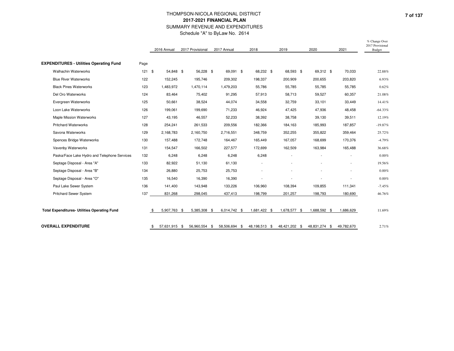|                                                     |      | 2016 Annual         | 2017 Provisional | 2017 Annual  | 2018                |           | 2019          | 2020          | 2021       | % Change Over<br>2017 Provisional<br>Budget |
|-----------------------------------------------------|------|---------------------|------------------|--------------|---------------------|-----------|---------------|---------------|------------|---------------------------------------------|
| <b>EXPENDITURES - Utilities Operating Fund</b>      | Page |                     |                  |              |                     |           |               |               |            |                                             |
| <b>Walhachin Waterworks</b>                         | 121S | 54,848 \$           | 56,228 \$        | 69,091 \$    |                     | 68,232 \$ | 68,593 \$     | 69,312 \$     | 70,033     | 22.88%                                      |
| <b>Blue River Waterworks</b>                        | 122  | 152,245             | 195,746          | 209,302      | 198,337             |           | 200,909       | 200,655       | 203,820    | 6.93%                                       |
| <b>Black Pines Waterworks</b>                       | 123  | 1,483,972           | 1,470,114        | 1,479,203    | 55,786              |           | 55,785        | 55,785        | 55,785     | 0.62%                                       |
| Del Oro Waterworks                                  | 124  | 83,464              | 75,402           | 91,295       | 57,913              |           | 58,713        | 59,527        | 60,357     | 21.08%                                      |
| Evergreen Waterworks                                | 125  | 50,661              | 38,524           | 44,074       | 34,558              |           | 32,759        | 33,101        | 33,449     | 14.41%                                      |
| Loon Lake Waterworks                                | 126  | 199,061             | 199,690          | 71,233       | 46,924              |           | 47,425        | 47,936        | 48,458     | $-64.33%$                                   |
| <b>Maple Mission Waterworks</b>                     | 127  | 43,195              | 46,557           | 52,233       | 38,392              |           | 38,758        | 39,130        | 39,511     | 12.19%                                      |
| <b>Pritchard Waterworks</b>                         | 128  | 254,241             | 261,533          | 209,556      | 182,366             |           | 184,163       | 185,993       | 187,857    | $-19.87%$                                   |
| Savona Waterworks                                   | 129  | 2,168,783           | 2,160,750        | 2,716,551    | 348,759             |           | 352,255       | 355,822       | 359,464    | 25.72%                                      |
| Spences Bridge Waterworks                           | 130  | 157,488             | 172,748          | 164,467      | 165,449             |           | 167,057       | 168,699       | 170,376    | $-4.79%$                                    |
| Vavenby Waterworks                                  | 131  | 154,547             | 166,502          | 227,577      | 172,699             |           | 162,509       | 163,984       | 165,488    | 36.68%                                      |
| Paska/Face Lake Hydro and Telephone Services        | 132  | 6,248               | 6,248            | 6,248        |                     | 6,248     |               |               |            | $0.00\%$                                    |
| Septage Disposal - Area "A"                         | 133  | 82,922              | 51,130           | 61,130       |                     |           |               |               |            | 19.56%                                      |
| Septage Disposal - Area "B"                         | 134  | 26,880              | 25,753           | 25,753       |                     |           |               |               |            | $0.00\%$                                    |
| Septage Disposal - Area "O"                         | 135  | 16,540              | 16,390           | 16,390       |                     |           |               |               |            | $0.00\%$                                    |
| Paul Lake Sewer System                              | 136  | 141,400             | 143,948          | 133,226      | 106,960             |           | 108,394       | 109,855       | 111,341    | $-7.45%$                                    |
| Pritchard Sewer System                              | 137  | 831,268             | 298,045          | 437,413      | 198,799             |           | 201,257       | 198,793       | 180,690    | 46.76%                                      |
| <b>Total Expenditures- Utilities Operating Fund</b> |      | 5,907,763 \$        | 5,385,308 \$     | 6,014,742 \$ | 1,681,422 \$        |           | 1,678,577 \$  | 1,688,592 \$  | 1,686,629  | 11.69%                                      |
| <b>OVERALL EXPENDITURE</b>                          |      | 57,631,915 \$<br>\$ | 56,960,554 \$    | 58,506,694   | \$<br>48,198,513 \$ |           | 48,421,202 \$ | 48,831,274 \$ | 49,782,670 | 2.71%                                       |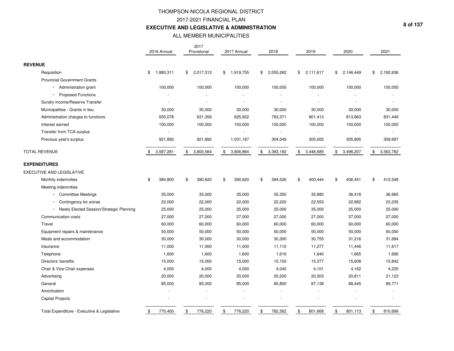# THOMPSON-NICOLA REGIONAL DISTRICT2017-2021 FINANCIAL PLAN**EXECUTIVE AND LEGISLATIVE & ADMINISTRATION**

## ALL MEMBER MUNICIPALITIES

|                                             | 2016 Annual     | 2017<br>Provisional | 2017 Annual     | 2018            | 2019            | 2020            | 2021                        |
|---------------------------------------------|-----------------|---------------------|-----------------|-----------------|-----------------|-----------------|-----------------------------|
|                                             |                 |                     |                 |                 |                 |                 |                             |
| <b>REVENUE</b>                              |                 |                     |                 |                 |                 |                 |                             |
| Requisition                                 | 1,880,311<br>\$ | 2,017,313<br>\$     | \$<br>1,919,755 | \$<br>2,055,262 | 2,111,617<br>\$ | \$<br>2,146,449 | \$<br>2,192,636             |
| <b>Provincial Government Grants</b>         |                 |                     |                 |                 |                 |                 |                             |
| $~\sim~$ Administration grant               | 100,000         | 100,000             | 100,000         | 100,000         | 100,000         | 100,000         | 100,000                     |
| ~ Proposed Functions                        |                 |                     |                 |                 |                 |                 |                             |
| Sundry income/Reserve Transfer              |                 | $\blacksquare$      |                 | $\overline{a}$  |                 |                 |                             |
| Municipalities - Grants in lieu             | 30,000          | 30,000              | 30,000          | 30,000          | 30,000          | 30,000          | 30,000                      |
| Administration charges to functions         | 555,078         | 631,359             | 625,922         | 793,371         | 801,413         | 813,863         | 831,449                     |
| Interest earned                             | 100,000         | 100,000             | 100,000         | 100,000         | 100,000         | 100,000         | 100,000                     |
| Transfer from TCA surplus                   |                 |                     |                 | $\omega$        |                 |                 |                             |
| Previous year's surplus                     | 921,892         | 921,892             | 1,031,187       | 304,549         | 305,655         | 305,895         | 309,697                     |
| <b>TOTAL REVENUE</b>                        | \$<br>3,587,281 | \$<br>3,800,564     | \$<br>3,806,864 | \$<br>3,383,182 | \$<br>3,448,685 | \$<br>3,496,207 | $\mathfrak{S}$<br>3,563,782 |
| <b>EXPENDITURES</b>                         |                 |                     |                 |                 |                 |                 |                             |
| EXECUTIVE AND LEGISLATIVE                   |                 |                     |                 |                 |                 |                 |                             |
| Monthly indemnities                         | 384,800<br>\$   | 390,620<br>\$       | \$<br>390,620   | \$<br>394,526   | \$<br>400,444   | \$<br>406,451   | \$<br>412,548               |
| Meeting indemnities                         |                 |                     |                 |                 |                 |                 |                             |
| <b>Committee Meetings</b><br>$\sim$         | 35,000          | 35,000              | 35,000          | 35,350          | 35,880          | 36,418          | 36,965                      |
| Contingency for extras                      | 22,000          | 22,000              | 22,000          | 22,220          | 22,553          | 22,892          | 23,235                      |
| Newly Elected Session/Strategic Planning    | 25,000          | 25,000              | 25,000          | 25,000          | 35,000          | 25,000          | 25,000                      |
| Communication costs                         | 27,000          | 27,000              | 27,000          | 27,000          | 27,000          | 27,000          | 27,000                      |
| Travel                                      | 60,000          | 60,000              | 60,000          | 60,000          | 60,000          | 60,000          | 60,000                      |
| Equipment repairs & maintenance             | 50,000          | 50,000              | 50,000          | 50,000          | 50,000          | 50,000          | 50,000                      |
| Meals and accommodation                     | 30,000          | 30,000              | 30,000          | 30,300          | 30,755          | 31,216          | 31,684                      |
| Insurance                                   | 11,000          | 11,000              | 11,000          | 11,110          | 11,277          | 11,446          | 11,617                      |
| Telephone                                   | 1,600           | 1,600               | 1,600           | 1,616           | 1,640           | 1,665           | 1,690                       |
| Directors' benefits                         | 15,000          | 15,000              | 15,000          | 15,150          | 15,377          | 15,608          | 15,842                      |
| Chair & Vice-Chair expenses                 | 4,000           | 4,000               | 4,000           | 4,040           | 4,101           | 4,162           | 4,225                       |
| Advertising                                 | 20,000          | 20,000              | 20,000          | 20,200          | 20,503          | 20,811          | 21,123                      |
| General                                     | 85,000          | 85,000              | 85,000          | 85,850          | 87,138          | 88,445          | 89,771                      |
| Amortization                                |                 |                     |                 |                 |                 |                 |                             |
| <b>Capital Projects</b>                     |                 |                     |                 |                 |                 |                 |                             |
| Total Expenditure - Executive & Legislative | \$<br>770,400   | \$<br>776,220       | \$<br>776,220   | \$<br>782,362   | \$<br>801,668   | \$<br>801,113   | \$<br>810,699               |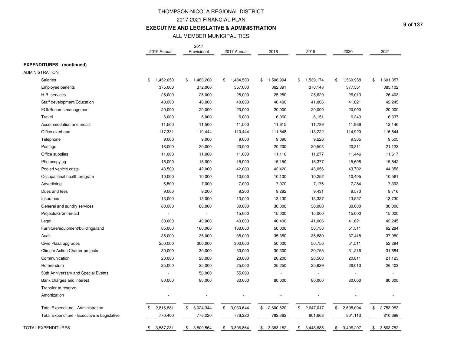## THOMPSON-NICOLA REGIONAL DISTRICT2017-2021 FINANCIAL PLAN**EXECUTIVE AND LEGISLATIVE & ADMINISTRATION**

## ALL MEMBER MUNICIPALITIES

|                                             | 2016 Annual     | 2017<br>Provisional | 2017 Annual              | 2018            | 2019            | 2020            | 2021            |
|---------------------------------------------|-----------------|---------------------|--------------------------|-----------------|-----------------|-----------------|-----------------|
| <b>EXPENDITURES - (continued)</b>           |                 |                     |                          |                 |                 |                 |                 |
| <b>ADMINISTRATION</b>                       |                 |                     |                          |                 |                 |                 |                 |
| Salaries                                    | \$<br>1,452,050 | \$<br>1,483,200     | \$<br>1,484,500          | \$<br>1,508,994 | 1,539,174<br>\$ | \$<br>1,569,958 | 1,601,357<br>\$ |
| Employee benefits                           | 375,000         | 372,000             | 357,000                  | 362,891         | 370,148         | 377,551         | 385,102         |
| H.R. services                               | 25,000          | 25,000              | 25,000                   | 25,250          | 25,629          | 26,013          | 26,403          |
| Staff development/Education                 | 40,000          | 40,000              | 40,000                   | 40,400          | 41,006          | 41,621          | 42,245          |
| FOI/Records management                      | 20,000          | 20,000              | 20,000                   | 20,000          | 20,000          | 20,000          | 20,000          |
| Travel                                      | 6,000           | 6,000               | 6,000                    | 6,060           | 6,151           | 6,243           | 6,337           |
| Accommodation and meals                     | 11,500          | 11,500              | 11,500                   | 11,615          | 11,789          | 11,966          | 12,146          |
| Office overhead                             | 117,331         | 110,444             | 110,444                  | 111,548         | 113,222         | 114,920         | 116,644         |
| Telephone                                   | 9,000           | 9,000               | 9,000                    | 9,090           | 9,226           | 9,365           | 9,505           |
| Postage                                     | 18,000          | 20,000              | 20,000                   | 20,200          | 20,503          | 20,811          | 21,123          |
| Office supplies                             | 11,000          | 11,000              | 11,000                   | 11,110          | 11,277          | 11,446          | 11,617          |
| Photocopying                                | 15,000          | 15,000              | 15,000                   | 15,150          | 15,377          | 15,608          | 15,842          |
| Pooled vehicle costs                        | 43,500          | 42,000              | 42,000                   | 42,420          | 43,056          | 43,702          | 44,358          |
| Occupational health program                 | 10,000          | 10,000              | 10,000                   | 10,100          | 10,252          | 10,405          | 10,561          |
| Advertising                                 | 6,500           | 7,000               | 7,000                    | 7,070           | 7,176           | 7,284           | 7,393           |
| Dues and fees                               | 9,000           | 9,200               | 9,200                    | 9,292           | 9,431           | 9,573           | 9,716           |
| Insurance                                   | 13,000          | 13,000              | 13,000                   | 13,130          | 13,327          | 13,527          | 13,730          |
| General and sundry services                 | 80,000          | 80,000              | 80,000                   | 30,000          | 30,000          | 30,000          | 30,000          |
| Projects/Grant-in-aid                       | ÷.              | $\sim$              | 15,000                   | 15,000          | 15,000          | 15,000          | 15,000          |
| Legal                                       | 30,000          | 40,000              | 40,000                   | 40,400          | 41,006          | 41,621          | 42,245          |
| Furniture/equipment/buildings/land          | 85,000          | 160,000             | 160,000                  | 50,000          | 50,750          | 51,511          | 62,284          |
| Audit                                       | 35,000          | 35,000              | 35,000                   | 35,350          | 35,880          | 37,418          | 37,980          |
| Civic Plaza upgrades                        | 250,000         | 300,000             | 300,000                  | 50,000          | 50,750          | 51,511          | 52,284          |
| Climate Action Charter projects             | 30,000          | 30,000              | 30,000                   | 30,300          | 30,755          | 31,216          | 31,684          |
| Communication                               | 20,000          | 20,000              | 20,000                   | 20,200          | 20,503          | 20,811          | 21,123          |
| Referendum                                  | 25,000          | 25,000              | 25,000                   | 25,250          | 25,629          | 26,013          | 26,403          |
| 50th Anniversary and Special Events         |                 | 50,000              | 55,000                   |                 |                 |                 |                 |
| Bank charges and interest                   | 80,000          | 80,000              | 80,000                   | 80,000          | 80,000          | 80,000          | 80,000          |
| Transfer to reserve                         |                 |                     |                          |                 |                 |                 |                 |
| Amortization                                |                 |                     | $\overline{\phantom{a}}$ |                 |                 |                 |                 |
| Total Expenditure - Administration          | 2,816,881<br>\$ | \$<br>3,024,344     | \$<br>3,030,644          | \$<br>2,600,820 | 2,647,017<br>\$ | \$<br>2,695,094 | \$<br>2,753,083 |
| Total Expenditure - Executive & Legislative | 770,400         | 776,220             | 776,220                  | 782,362         | 801,668         | 801,113         | 810,699         |
| <b>TOTAL EXPENDITURES</b>                   | 3,587,281<br>\$ | 3,800,564<br>\$     | 3,806,864<br>\$          | 3,383,182<br>\$ | 3,448,685<br>\$ | 3,496,207<br>\$ | 3,563,782<br>\$ |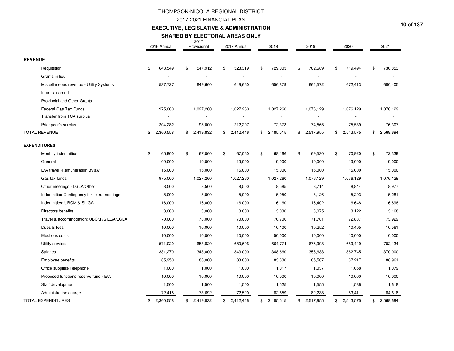## 2017-2021 FINANCIAL PLAN

### **EXECUTIVE, LEGISLATIVE & ADMINISTRATION**

#### **SHARED BY ELECTORAL AREAS ONLY**

|                                            | 2016 Annual     | 2017<br>Provisional | 2017 Annual     | 2018            | 2019            | 2020            | 2021            |
|--------------------------------------------|-----------------|---------------------|-----------------|-----------------|-----------------|-----------------|-----------------|
| <b>REVENUE</b>                             |                 |                     |                 |                 |                 |                 |                 |
| Requisition                                | 643,549<br>\$   | \$<br>547,912       | 523,319<br>\$   | 729,003<br>\$   | \$<br>702,689   | 719,494<br>\$   | 736,853<br>\$   |
| Grants in lieu                             |                 |                     |                 |                 |                 |                 |                 |
| Miscellaneous revenue - Utility Systems    | 537,727         | 649,660             | 649,660         | 656,879         | 664,572         | 672,413         | 680,405         |
| Interest earned                            |                 |                     |                 |                 |                 |                 |                 |
| <b>Provincial and Other Grants</b>         |                 |                     |                 |                 |                 |                 |                 |
| Federal Gas Tax Funds                      | 975,000         | 1,027,260           | 1,027,260       | 1,027,260       | 1,076,129       | 1,076,129       | 1,076,129       |
| Transfer from TCA surplus                  |                 |                     |                 |                 |                 |                 |                 |
| Prior year's surplus                       | 204,282         | 195,000             | 212,207         | 72,373          | 74,565          | 75,539          | 76,307          |
| <b>TOTAL REVENUE</b>                       | 2,360,558       | 2,419,832<br>\$     | \$<br>2,412,446 | 2,485,515<br>\$ | \$<br>2,517,955 | \$<br>2,543,575 | \$<br>2,569,694 |
| <b>EXPENDITURES</b>                        |                 |                     |                 |                 |                 |                 |                 |
| Monthly indemnities                        | \$<br>65,900    | \$<br>67,060        | \$<br>67,060    | \$<br>68,166    | \$<br>69,530    | \$<br>70,920    | \$<br>72,339    |
| General                                    | 109,000         | 19,000              | 19,000          | 19,000          | 19,000          | 19,000          | 19,000          |
| E/A travel - Remuneration Bylaw            | 15,000          | 15,000              | 15,000          | 15,000          | 15,000          | 15,000          | 15,000          |
| Gas tax funds                              | 975,000         | 1,027,260           | 1,027,260       | 1,027,260       | 1,076,129       | 1,076,129       | 1,076,129       |
| Other meetings - LGLA/Other                | 8,500           | 8,500               | 8,500           | 8,585           | 8,714           | 8,844           | 8,977           |
| Indemnities-Contingency for extra meetings | 5,000           | 5,000               | 5,000           | 5,050           | 5,126           | 5,203           | 5,281           |
| Indemnities: UBCM & SILGA                  | 16,000          | 16,000              | 16,000          | 16,160          | 16,402          | 16,648          | 16,898          |
| Directors benefits                         | 3,000           | 3,000               | 3,000           | 3,030           | 3,075           | 3,122           | 3,168           |
| Travel & accommodation: UBCM /SILGA/LGLA   | 70,000          | 70,000              | 70,000          | 70,700          | 71,761          | 72,837          | 73,929          |
| Dues & fees                                | 10,000          | 10,000              | 10,000          | 10,100          | 10,252          | 10,405          | 10,561          |
| Elections costs                            | 10,000          | 10,000              | 10,000          | 50,000          | 10,000          | 10,000          | 10,000          |
| Utility services                           | 571,020         | 653,820             | 650,606         | 664,774         | 676,998         | 689,449         | 702,134         |
| Salaries                                   | 331,270         | 343,000             | 343,000         | 348,660         | 355,633         | 362,745         | 370,000         |
| <b>Employee benefits</b>                   | 85,950          | 86,000              | 83,000          | 83,830          | 85,507          | 87,217          | 88,961          |
| Office supplies/Telephone                  | 1,000           | 1,000               | 1,000           | 1,017           | 1,037           | 1,058           | 1,079           |
| Proposed functions reserve fund - E/A      | 10,000          | 10,000              | 10,000          | 10,000          | 10,000          | 10,000          | 10,000          |
| Staff development                          | 1,500           | 1,500               | 1,500           | 1,525           | 1,555           | 1,586           | 1,618           |
| Administration charge                      | 72,418          | 73,692              | 72,520          | 82,659          | 82,238          | 83,411          | 84,618          |
| <b>TOTAL EXPENDITURES</b>                  | 2,360,558<br>\$ | 2,419,832<br>\$     | 2,412,446       | 2,485,515<br>\$ | 2,517,955<br>\$ | 2,543,575       | 2,569,694<br>\$ |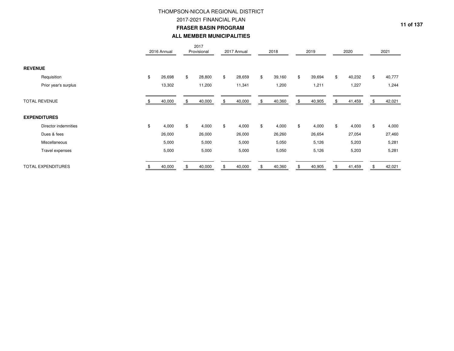2017-2021 FINANCIAL PLAN

**FRASER BASIN PROGRAM** 

## **ALL MEMBER MUNICIPALITIES**

|                           | 2016 Annual  | 2017<br>Provisional | 2017 Annual  | 2018         | 2019         | 2020         | 2021         |
|---------------------------|--------------|---------------------|--------------|--------------|--------------|--------------|--------------|
| <b>REVENUE</b>            |              |                     |              |              |              |              |              |
| Requisition               | \$<br>26,698 | \$<br>28,800        | \$<br>28,659 | \$<br>39,160 | \$<br>39,694 | \$<br>40,232 | \$<br>40,777 |
| Prior year's surplus      | 13,302       | 11,200              | 11,341       | 1,200        | 1,211        | 1,227        | 1,244        |
| <b>TOTAL REVENUE</b>      | 40,000       | 40,000              | 40,000       | 40,360       | \$<br>40,905 | 41,459       | 42,021       |
| <b>EXPENDITURES</b>       |              |                     |              |              |              |              |              |
| Director indemnities      | \$<br>4,000  | \$<br>4,000         | \$<br>4,000  | \$<br>4,000  | \$<br>4,000  | \$<br>4,000  | \$<br>4,000  |
| Dues & fees               | 26,000       | 26,000              | 26,000       | 26,260       | 26,654       | 27,054       | 27,460       |
| Miscellaneous             | 5,000        | 5,000               | 5,000        | 5,050        | 5,126        | 5,203        | 5,281        |
| Travel expenses           | 5,000        | 5,000               | 5,000        | 5,050        | 5,126        | 5,203        | 5,281        |
| <b>TOTAL EXPENDITURES</b> | 40,000       | 40,000              | 40,000       | 40,360       | 40,905       | 41,459       | 42,021       |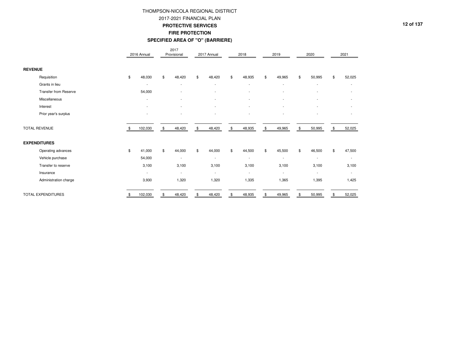### 2017-2021 FINANCIAL PLAN

#### **PROTECTIVE SERVICES**

### **FIRE PROTECTION**

#### **SPECIFIED AREA OF "O" (BARRIERE)**

|                              |     | 2016 Annual              | 2017<br>Provisional      | 2017 Annual              | 2018                     | 2019                     | 2020                     | 2021                     |
|------------------------------|-----|--------------------------|--------------------------|--------------------------|--------------------------|--------------------------|--------------------------|--------------------------|
| <b>REVENUE</b>               |     |                          |                          |                          |                          |                          |                          |                          |
| Requisition                  | \$  | 48,030                   | \$<br>48,420             | \$<br>48,420             | \$<br>48,935             | \$<br>49,965             | \$<br>50,995             | \$<br>52,025             |
| Grants in lieu               |     | $\overline{\phantom{a}}$ | $\overline{\phantom{a}}$ |                          |                          | $\overline{\phantom{a}}$ | ۰                        | $\overline{\phantom{a}}$ |
| <b>Transfer from Reserve</b> |     | 54,000                   |                          |                          | $\overline{\phantom{a}}$ |                          | ۰                        |                          |
| Miscellaneous                |     | ۰                        |                          |                          |                          |                          | ۰                        |                          |
| Interest                     |     |                          |                          |                          |                          |                          | ٠                        |                          |
| Prior year's surplus         |     | ٠                        |                          |                          |                          |                          | ٠                        | $\overline{\phantom{a}}$ |
| <b>TOTAL REVENUE</b>         | -\$ | 102,030                  | \$<br>48,420             | \$<br>48,420             | \$<br>48,935             | \$<br>49,965             | \$<br>50,995             | \$<br>52,025             |
| <b>EXPENDITURES</b>          |     |                          |                          |                          |                          |                          |                          |                          |
| Operating advances           | \$  | 41,000                   | \$<br>44,000             | \$<br>44,000             | \$<br>44,500             | \$<br>45,500             | \$<br>46,500             | \$<br>47,500             |
| Vehicle purchase             |     | 54,000                   | $\overline{\phantom{a}}$ | $\overline{\phantom{a}}$ | $\overline{\phantom{a}}$ | $\overline{\phantom{a}}$ | ٠                        | $\overline{\phantom{a}}$ |
| Transfer to reserve          |     | 3,100                    | 3,100                    | 3,100                    | 3,100                    | 3,100                    | 3,100                    | 3,100                    |
| Insurance                    |     | $\overline{\phantom{a}}$ | $\sim$                   | $\sim$                   | $\overline{\phantom{a}}$ | $\overline{\phantom{a}}$ | $\overline{\phantom{a}}$ | $\sim$                   |
| Administration charge        |     | 3,930                    | 1,320                    | 1,320                    | 1,335                    | 1,365                    | 1,395                    | 1,425                    |
| TOTAL EXPENDITURES           |     | 102,030                  | \$<br>48,420             | \$<br>48,420             | \$<br>48,935             | \$<br>49,965             | \$<br>50,995             | \$<br>52,025             |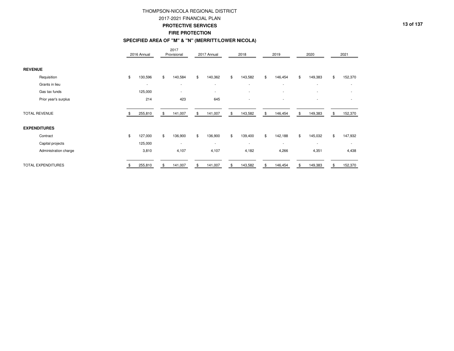#### 2017-2021 FINANCIAL PLAN

#### **PROTECTIVE SERVICES**

### **FIRE PROTECTION**

#### **SPECIFIED AREA OF "M" & "N" (MERRITT/LOWER NICOLA)**

|                       | 2016 Annual              | 2017<br>Provisional      | 2017 Annual              | 2018                     | 2019                     |     | 2020                     | 2021                     |
|-----------------------|--------------------------|--------------------------|--------------------------|--------------------------|--------------------------|-----|--------------------------|--------------------------|
| <b>REVENUE</b>        |                          |                          |                          |                          |                          |     |                          |                          |
| Requisition           | \$<br>130,596            | \$<br>140,584            | \$<br>140,362            | \$<br>143,582            | \$<br>146,454            | \$  | 149,383                  | \$<br>152,370            |
| Grants in lieu        | $\overline{\phantom{a}}$ | $\overline{\phantom{a}}$ | $\overline{\phantom{a}}$ | $\overline{\phantom{a}}$ | $\overline{\phantom{a}}$ |     | $\overline{\phantom{a}}$ | $\overline{\phantom{a}}$ |
| Gas tax funds         | 125,000                  | $\overline{\phantom{a}}$ | $\overline{\phantom{a}}$ | $\overline{\phantom{a}}$ | $\overline{a}$           |     | $\overline{\phantom{a}}$ | $\overline{\phantom{a}}$ |
| Prior year's surplus  | 214                      | 423                      | 645                      | $\overline{\phantom{0}}$ |                          |     |                          |                          |
| <b>TOTAL REVENUE</b>  | 255,810                  | \$<br>141,007            | \$<br>141,007            | \$<br>143,582            | \$<br>146,454            | \$  | 149,383                  | \$<br>152,370            |
| <b>EXPENDITURES</b>   |                          |                          |                          |                          |                          |     |                          |                          |
| Contract              | \$<br>127,000            | \$<br>136,900            | \$<br>136,900            | \$<br>139,400            | \$<br>142,188            | \$  | 145,032                  | \$<br>147,932            |
| Capital projects      | 125,000                  | $\overline{\phantom{a}}$ | $\overline{\phantom{a}}$ | $\overline{\phantom{a}}$ | -                        |     |                          | $\overline{\phantom{a}}$ |
| Administration charge | 3,810                    | 4,107                    | 4,107                    | 4,182                    | 4,266                    |     | 4,351                    | 4,438                    |
| TOTAL EXPENDITURES    | 255,810                  | \$<br>141,007            | \$<br>141,007            | \$<br>143,582            | 146,454                  | \$. | 149,383                  | \$<br>152,370            |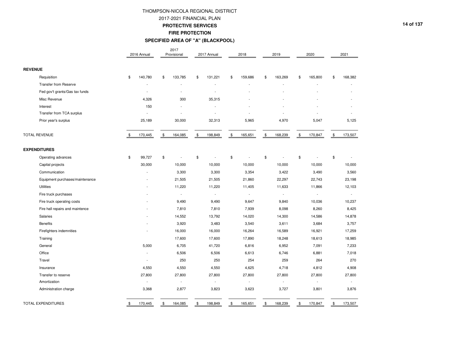### 2017-2021 FINANCIAL PLAN

#### **PROTECTIVE SERVICES**

### **FIRE PROTECTION**

#### **SPECIFIED AREA OF "A" (BLACKPOOL)**

|                                 | 2016 Annual    |                | 2017<br>Provisional      |               | 2017 Annual              | 2018                     |                | 2019                     |    | 2020                     |               | 2021                     |
|---------------------------------|----------------|----------------|--------------------------|---------------|--------------------------|--------------------------|----------------|--------------------------|----|--------------------------|---------------|--------------------------|
| <b>REVENUE</b>                  |                |                |                          |               |                          |                          |                |                          |    |                          |               |                          |
| Requisition                     | \$<br>140,780  | \$             | 133,785                  | \$            | 131,221                  | \$<br>159,686            | \$             | 163,269                  | £. | 165,800                  | \$            | 168,382                  |
| <b>Transfer from Reserve</b>    |                |                |                          |               | $\overline{a}$           |                          |                |                          |    |                          |               |                          |
| Fed gov't grants/Gas tax funds  | ÷              |                |                          |               | $\overline{a}$           |                          |                |                          |    |                          |               |                          |
| Misc Revenue                    | 4,326          |                | 300                      |               | 35,315                   |                          |                |                          |    |                          |               |                          |
| Interest                        | 150            |                |                          |               |                          |                          |                |                          |    |                          |               |                          |
| Transfer from TCA surplus       |                |                |                          |               |                          |                          |                |                          |    |                          |               |                          |
| Prior year's surplus            | 25,189         |                | 30,000                   |               | 32,313                   | 5,965                    |                | 4,970                    |    | 5,047                    |               | 5,125                    |
| <b>TOTAL REVENUE</b>            | \$<br>170,445  | $\mathfrak{S}$ | 164,085                  | $\mathfrak s$ | 198,849                  | \$<br>165,651            | \$             | 168,239                  | \$ | 170,847                  | $\mathfrak s$ | 173,507                  |
| <b>EXPENDITURES</b>             |                |                |                          |               |                          |                          |                |                          |    |                          |               |                          |
| Operating advances              | \$<br>99,727   | \$             |                          | \$            | ÷                        | \$                       | \$             |                          | \$ | ÷                        | \$            |                          |
| Capital projects                | 30,000         |                | 10,000                   |               | 10,000                   | 10,000                   |                | 10,000                   |    | 10,000                   |               | 10,000                   |
| Communication                   |                |                | 3,300                    |               | 3,300                    | 3,354                    |                | 3,422                    |    | 3,490                    |               | 3,560                    |
| Equipment purchases/maintenance |                |                | 21,505                   |               | 21,505                   | 21,860                   |                | 22,297                   |    | 22,743                   |               | 23,198                   |
| <b>Utilities</b>                |                |                | 11,220                   |               | 11,220                   | 11,405                   |                | 11,633                   |    | 11,866                   |               | 12,103                   |
| Fire truck purchases            |                |                |                          |               | $\overline{\phantom{a}}$ | $\overline{a}$           |                |                          |    | ÷                        |               | $\overline{\phantom{a}}$ |
| Fire truck operating costs      |                |                | 9,490                    |               | 9,490                    | 9,647                    |                | 9,840                    |    | 10,036                   |               | 10,237                   |
| Fire hall repairs and maintence |                |                | 7,810                    |               | 7,810                    | 7,939                    |                | 8,098                    |    | 8,260                    |               | 8,425                    |
| Salaries                        |                |                | 14,552                   |               | 13,792                   | 14,020                   |                | 14,300                   |    | 14,586                   |               | 14,878                   |
| <b>Benefits</b>                 |                |                | 3,920                    |               | 3,483                    | 3,540                    |                | 3,611                    |    | 3,684                    |               | 3,757                    |
| Firefighters indemnities        |                |                | 16,000                   |               | 16,000                   | 16,264                   |                | 16,589                   |    | 16,921                   |               | 17,259                   |
| Training                        |                |                | 17,600                   |               | 17,600                   | 17,890                   |                | 18,248                   |    | 18,613                   |               | 18,985                   |
| General                         | 5,000          |                | 6,705                    |               | 41,720                   | 6,816                    |                | 6,952                    |    | 7,091                    |               | 7,233                    |
| Office                          |                |                | 6,506                    |               | 6,506                    | 6,613                    |                | 6,746                    |    | 6,881                    |               | 7,018                    |
| Travel                          |                |                | 250                      |               | 250                      | 254                      |                | 259                      |    | 264                      |               | 270                      |
| Insurance                       | 4,550          |                | 4,550                    |               | 4,550                    | 4,625                    |                | 4,718                    |    | 4,812                    |               | 4,908                    |
| Transfer to reserve             | 27,800         |                | 27,800                   |               | 27,800                   | 27,800                   |                | 27,800                   |    | 27,800                   |               | 27,800                   |
| Amortization                    | $\overline{a}$ |                | $\overline{\phantom{a}}$ |               | $\overline{\phantom{a}}$ | $\overline{\phantom{a}}$ |                | $\overline{\phantom{a}}$ |    | $\overline{\phantom{a}}$ |               | $\overline{a}$           |
| Administration charge           | 3,368          |                | 2,877                    |               | 3,823                    | 3,623                    |                | 3,727                    |    | 3,801                    |               | 3,876                    |
| TOTAL EXPENDITURES              | \$<br>170,445  | \$             | 164,085                  | \$            | 198,849                  | \$<br>165,651            | $\mathfrak{S}$ | 168,239                  | \$ | 170,847                  | $\mathbb{S}$  | 173,507                  |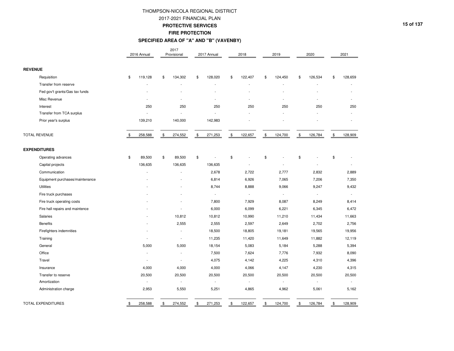### 2017-2021 FINANCIAL PLAN

#### **PROTECTIVE SERVICES**

### **FIRE PROTECTION**

## **SPECIFIED AREA OF "A" AND "B" (VAVENBY)**

|                                 | 2016 Annual    | 2017<br>Provisional      | 2017 Annual              | 2018                     | 2019                     |                | 2020           |                | 2021                     |
|---------------------------------|----------------|--------------------------|--------------------------|--------------------------|--------------------------|----------------|----------------|----------------|--------------------------|
| <b>REVENUE</b>                  |                |                          |                          |                          |                          |                |                |                |                          |
| Requisition                     | \$<br>119,128  | \$<br>134,302            | \$<br>128,020            | \$<br>122,407            | \$<br>124,450            | \$             | 126,534        | \$             | 128,659                  |
| Transfer from reserve           |                |                          | L                        |                          |                          |                |                |                |                          |
| Fed gov't grants/Gas tax funds  |                |                          |                          |                          |                          |                |                |                |                          |
| Misc Revenue                    |                |                          |                          |                          |                          |                |                |                |                          |
| Interest                        | 250            | 250                      | 250                      | 250                      | 250                      |                | 250            |                | 250                      |
| Transfer from TCA surplus       |                |                          |                          |                          |                          |                |                |                |                          |
| Prior year's surplus            | 139,210        | 140,000                  | 142,983                  |                          |                          |                |                |                |                          |
| <b>TOTAL REVENUE</b>            | 258,588        | \$<br>274,552            | \$<br>271,253            | \$<br>122,657            | \$<br>124,700            | $$\mathbb{S}$$ | 126,784        | $$\mathbb{S}$$ | 128,909                  |
| <b>EXPENDITURES</b>             |                |                          |                          |                          |                          |                |                |                |                          |
| Operating advances              | \$<br>89,500   | \$<br>89,500             | \$<br>L.                 | \$                       | \$                       | \$             |                | \$             |                          |
| Capital projects                | 136,635        | 136,635                  | 136,635                  |                          |                          |                |                |                |                          |
| Communication                   |                |                          | 2,678                    | 2,722                    | 2,777                    |                | 2,832          |                | 2,889                    |
| Equipment purchases/maintenance |                |                          | 6,814                    | 6,926                    | 7,065                    |                | 7,206          |                | 7,350                    |
| <b>Utilities</b>                |                |                          | 8,744                    | 8,888                    | 9,066                    |                | 9,247          |                | 9,432                    |
| Fire truck purchases            |                |                          | $\overline{\phantom{a}}$ | $\overline{\phantom{a}}$ |                          |                | $\overline{a}$ |                | $\overline{\phantom{a}}$ |
| Fire truck operating costs      |                |                          | 7,800                    | 7,929                    | 8,087                    |                | 8,249          |                | 8,414                    |
| Fire hall repairs and maintence |                |                          | 6,000                    | 6,099                    | 6,221                    |                | 6,345          |                | 6,472                    |
| Salaries                        |                | 10,812                   | 10,812                   | 10,990                   | 11,210                   |                | 11,434         |                | 11,663                   |
| <b>Benefits</b>                 |                | 2,555                    | 2,555                    | 2,597                    | 2,649                    |                | 2,702          |                | 2,756                    |
| Firefighters indemnities        |                | $\overline{\phantom{a}}$ | 18,500                   | 18,805                   | 19,181                   |                | 19,565         |                | 19,956                   |
| Training                        |                |                          | 11,235                   | 11,420                   | 11,649                   |                | 11,882         |                | 12,119                   |
| General                         | 5,000          | 5,000                    | 18,154                   | 5,083                    | 5,184                    |                | 5,288          |                | 5,394                    |
| Office                          |                |                          | 7,500                    | 7,624                    | 7,776                    |                | 7,932          |                | 8,090                    |
| Travel                          |                |                          | 4,075                    | 4,142                    | 4,225                    |                | 4,310          |                | 4,396                    |
| Insurance                       | 4,000          | 4,000                    | 4,000                    | 4,066                    | 4,147                    |                | 4,230          |                | 4,315                    |
| Transfer to reserve             | 20,500         | 20,500                   | 20,500                   | 20,500                   | 20,500                   |                | 20,500         |                | 20,500                   |
| Amortization                    | $\overline{a}$ | $\overline{\phantom{a}}$ | $\overline{\phantom{a}}$ | $\overline{\phantom{a}}$ | $\overline{\phantom{a}}$ |                | $\sim$         |                | $\overline{a}$           |
| Administration charge           | 2,953          | 5,550                    | 5,251                    | 4,865                    | 4,962                    |                | 5,061          |                | 5,162                    |
| TOTAL EXPENDITURES              | \$<br>258,588  | \$<br>274,552            | \$<br>271,253            | \$<br>122,657            | \$<br>124,700            | $\mathbb{S}$   | 126,784        | $\mathbb{S}$   | 128,909                  |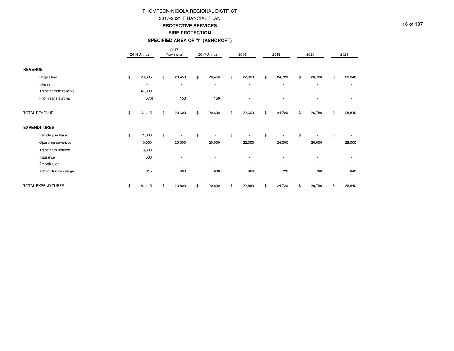### 2017-2021 FINANCIAL PLAN

#### **PROTECTIVE SERVICES**

#### **FIRE PROTECTION**

#### **SPECIFIED AREA OF "I" (ASHCROFT)**

|                       | 2016 Annual              | 2017<br>Provisional            | 2017 Annual              | 2018                     | 2019                     | 2020                     | 2021                     |
|-----------------------|--------------------------|--------------------------------|--------------------------|--------------------------|--------------------------|--------------------------|--------------------------|
| <b>REVENUE</b>        |                          |                                |                          |                          |                          |                          |                          |
| Requisition           | \$<br>20,685             | \$<br>20,450                   | \$<br>20,450             | \$<br>22,660             | \$<br>24,720             | \$<br>26,780             | \$<br>28,840             |
| Interest              | $\overline{\phantom{a}}$ | $\overline{\phantom{a}}$       | $\overline{\phantom{a}}$ | $\overline{\phantom{a}}$ | $\overline{\phantom{a}}$ | $\overline{\phantom{a}}$ | $\overline{\phantom{a}}$ |
| Transfer from reserve | 41,000                   | $\overline{\phantom{a}}$       | ٠                        | $\overline{\phantom{a}}$ | $\overline{a}$           |                          |                          |
| Prior year's surplus  | (570)                    | 150                            | 150                      | $\overline{\phantom{a}}$ | $\overline{\phantom{a}}$ | ٠                        |                          |
| <b>TOTAL REVENUE</b>  | 61,115                   | \$<br>20,600                   | \$<br>20,600             | \$<br>22,660             | \$<br>24,720             | \$<br>26,780             | \$<br>28,840             |
| <b>EXPENDITURES</b>   |                          |                                |                          |                          |                          |                          |                          |
| Vehicle purchase      | \$<br>41,000             | \$<br>$\overline{\phantom{a}}$ | \$                       | \$<br>$\overline{a}$     | \$                       | \$<br>٠                  | \$                       |
| Operating advances    | 10,000                   | 20,000                         | 20,000                   | 22,000                   | 24,000                   | 26,000                   | 28,000                   |
| Transfer to reserve   | 8,800                    | ٠                              | $\overline{\phantom{a}}$ | $\overline{\phantom{a}}$ | $\overline{\phantom{a}}$ | $\overline{a}$           |                          |
| Insurance             | 500                      |                                |                          |                          |                          |                          |                          |
| Amortization          | $\overline{\phantom{a}}$ | ٠                              | ٠                        | $\overline{\phantom{a}}$ | ٠                        |                          |                          |
| Administration charge | 815                      | 600                            | 600                      | 660                      | 720                      | 780                      | 840                      |
| TOTAL EXPENDITURES    | 61,115                   | \$<br>20,600                   | 20,600                   | 22,660                   | 24,720                   | 26,780                   | 28,840                   |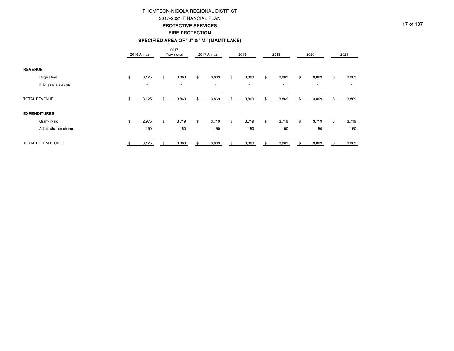### 2017-2021 FINANCIAL PLAN

#### **PROTECTIVE SERVICES**

**FIRE PROTECTION**

#### **SPECIFIED AREA OF "J" & "M" (MAMIT LAKE)**

|                       | 2016 Annual              | 2017<br>Provisional      | 2017 Annual              |    | 2018                     | 2019                     | 2020                     | 2021        |
|-----------------------|--------------------------|--------------------------|--------------------------|----|--------------------------|--------------------------|--------------------------|-------------|
| <b>REVENUE</b>        |                          |                          |                          |    |                          |                          |                          |             |
| Requisition           | \$<br>3,125              | \$<br>3,869              | \$<br>3,869              | \$ | 3,869                    | \$<br>3,869              | \$<br>3,869              | \$<br>3,869 |
| Prior year's surplus  | $\overline{\phantom{a}}$ | $\overline{\phantom{a}}$ | $\overline{\phantom{a}}$ |    | $\overline{\phantom{a}}$ | $\overline{\phantom{a}}$ | $\overline{\phantom{a}}$ |             |
| <b>TOTAL REVENUE</b>  | 3,125                    | \$<br>3,869              | \$<br>3,869              | \$ | 3,869                    | \$<br>3,869              | \$<br>3,869              | \$<br>3,869 |
| <b>EXPENDITURES</b>   |                          |                          |                          |    |                          |                          |                          |             |
| Grant-in-aid          | \$<br>2,975              | \$<br>3,719              | \$<br>3,719              | \$ | 3,719                    | \$<br>3,719              | \$<br>3,719              | \$<br>3,719 |
| Administration charge | 150                      | 150                      | 150                      |    | 150                      | 150                      | 150                      | 150         |
| TOTAL EXPENDITURES    | 3,125                    | \$<br>3,869              | 3,869                    | ፍ  | 3,869                    | 3,869                    | 3,869                    | 3,869       |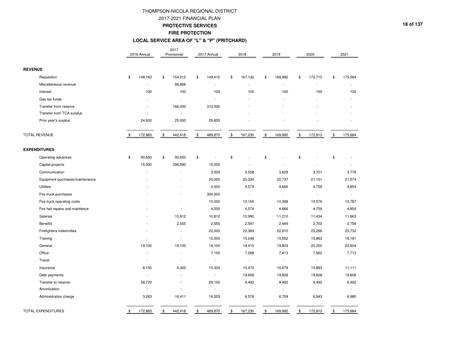### 2017-2021 FINANCIAL PLAN

#### **PROTECTIVE SERVICES**

### **FIRE PROTECTION**

#### **LOCAL SERVICE AREA OF "L" & "P" (PRITCHARD)**

|                                 |                | 2016 Annual              | 2017<br>Provisional      | 2017 Annual              |               | 2018                     |               | 2019                     |               | 2020                     | 2021                     |
|---------------------------------|----------------|--------------------------|--------------------------|--------------------------|---------------|--------------------------|---------------|--------------------------|---------------|--------------------------|--------------------------|
| <b>REVENUE</b>                  |                |                          |                          |                          |               |                          |               |                          |               |                          |                          |
| Requisition                     | \$             | 148,163                  | \$<br>154,512            | \$<br>149,415            | \$            | 167,130                  | \$            | 169,892                  | \$            | 172,710                  | \$<br>175,584            |
| Miscellaneous revenue           |                |                          | 96,806                   | ÷                        |               |                          |               |                          |               |                          |                          |
| Interest                        |                | 100                      | 100                      | 100                      |               | 100                      |               | 100                      |               | 100                      | 100                      |
| Gas tax funds                   |                |                          | $\overline{\phantom{a}}$ |                          |               |                          |               |                          |               |                          |                          |
| Transfer from reserve           |                |                          | 166,000                  | 310,500                  |               |                          |               |                          |               |                          |                          |
| Transfer from TCA surplus       |                |                          | $\overline{\phantom{a}}$ |                          |               |                          |               |                          |               |                          |                          |
| Prior year's surplus            |                | 24,620                   | 25,000                   | 29,855                   |               |                          |               |                          |               |                          |                          |
| <b>TOTAL REVENUE</b>            | \$             | 172,883                  | \$<br>442,418            | \$<br>489,870            | $\frac{1}{2}$ | 167,230                  | $\frac{1}{2}$ | 169,992                  | $\frac{1}{2}$ | 172,810                  | \$<br>175,684            |
| <b>EXPENDITURES</b>             |                |                          |                          |                          |               |                          |               |                          |               |                          |                          |
| Operating advances              | $\mathfrak{s}$ | 90,650                   | \$<br>90,650             | \$<br>÷                  | \$            |                          | \$            |                          | \$            |                          | \$                       |
| Capital projects                |                | 15,000                   | 296,590                  | 15,000                   |               |                          |               |                          |               |                          | $\overline{\phantom{a}}$ |
| Communication                   |                |                          | $\overline{\phantom{a}}$ | 3,500                    |               | 3,558                    |               | 3,629                    |               | 3,701                    | 3,776                    |
| Equipment purchases/maintenance |                |                          |                          | 20,000                   |               | 20,330                   |               | 20,737                   |               | 21,151                   | 21,574                   |
| <b>Utilities</b>                |                |                          |                          | 4,500                    |               | 4,574                    |               | 4,666                    |               | 4,759                    | 4,854                    |
| Fire truck purchases            |                |                          |                          | 300,000                  |               | $\overline{\phantom{a}}$ |               | $\overline{\phantom{a}}$ |               | $\sim$                   |                          |
| Fire truck operating costs      |                |                          |                          | 10,000                   |               | 10,165                   |               | 10,368                   |               | 10,576                   | 10,787                   |
| Fire hall repairs and maintence |                |                          | i.                       | 4,500                    |               | 4,574                    |               | 4,666                    |               | 4,759                    | 4,854                    |
| Salaries                        |                |                          | 10,812                   | 10,812                   |               | 10,990                   |               | 11,210                   |               | 11,434                   | 11,663                   |
| <b>Benefits</b>                 |                |                          | 2,555                    | 2,555                    |               | 2,597                    |               | 2,649                    |               | 2,702                    | 2,756                    |
| Firefighters indemnities        |                |                          | $\overline{\phantom{a}}$ | 22,000                   |               | 22,363                   |               | 22,810                   |               | 23,266                   | 23,732                   |
| Training                        |                |                          | $\overline{\phantom{a}}$ | 15,000                   |               | 15,248                   |               | 15,552                   |               | 15,863                   | 16,181                   |
| General                         |                | 19,100                   | 19,100                   | 19,100                   |               | 19,415                   |               | 19,803                   |               | 20,200                   | 20,604                   |
| Office                          |                |                          |                          | 7,150                    |               | 7,268                    |               | 7,413                    |               | 7,562                    | 7,713                    |
| Travel                          |                |                          | $\overline{\phantom{a}}$ | $\overline{a}$           |               | $\overline{\phantom{a}}$ |               |                          |               | $\overline{\phantom{a}}$ |                          |
| Insurance                       |                | 6,150                    | 6,300                    | 10,300                   |               | 10,470                   |               | 10,679                   |               | 10,893                   | 11,111                   |
| Debt payments                   |                | $\overline{\phantom{a}}$ | $\overline{\phantom{a}}$ | ÷,                       |               | 19,608                   |               | 19,608                   |               | 19,608                   | 19,608                   |
| Transfer to reserve             |                | 38,720                   |                          | 29,100                   |               | 9,492                    |               | 9,492                    |               | 9,492                    | 9,492                    |
| Amortization                    |                | $\overline{\phantom{a}}$ | $\overline{\phantom{a}}$ | $\overline{\phantom{a}}$ |               | $\sim$                   |               |                          |               | $\overline{\phantom{a}}$ | $\overline{\phantom{a}}$ |
| Administration charge           |                | 3,263                    | 16,411                   | 16,353                   |               | 6,578                    |               | 6,709                    |               | 6,843                    | 6,980                    |
| <b>TOTAL EXPENDITURES</b>       | \$             | 172,883                  | \$<br>442,418            | \$<br>489,870            | \$            | 167,230                  | \$            | 169,992                  | \$            | 172,810                  | \$<br>175,684            |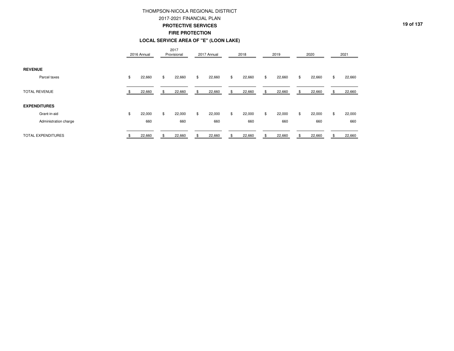### 2017-2021 FINANCIAL PLAN

#### **PROTECTIVE SERVICES**

### **FIRE PROTECTION**

#### **LOCAL SERVICE AREA OF "E" (LOON LAKE)**

|                       | 2016 Annual  |     | 2017<br>Provisional | 2017 Annual  |    | 2018   | 2019         |    | 2020   | 2021         |
|-----------------------|--------------|-----|---------------------|--------------|----|--------|--------------|----|--------|--------------|
| <b>REVENUE</b>        |              |     |                     |              |    |        |              |    |        |              |
| Parcel taxes          | \$<br>22,660 | \$  | 22,660              | \$<br>22,660 | \$ | 22,660 | \$<br>22,660 | \$ | 22,660 | \$<br>22,660 |
| <b>TOTAL REVENUE</b>  | 22,660       | S   | 22,660              | 22,660       | £. | 22,660 | 22,660       | S  | 22,660 | 22,660       |
| <b>EXPENDITURES</b>   |              |     |                     |              |    |        |              |    |        |              |
| Grant-in-aid          | \$<br>22,000 | \$  | 22,000              | \$<br>22,000 | \$ | 22,000 | \$<br>22,000 | \$ | 22,000 | \$<br>22,000 |
| Administration charge | 660          |     | 660                 | 660          |    | 660    | 660          |    | 660    | 660          |
| TOTAL EXPENDITURES    | 22,660       | \$. | 22,660              | \$<br>22,660 | \$ | 22,660 | 22,660       |    | 22,660 | 22,660       |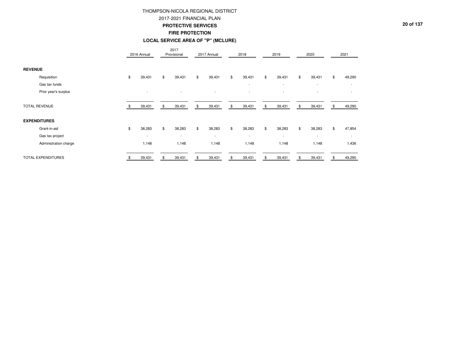#### 2017-2021 FINANCIAL PLAN

#### **PROTECTIVE SERVICES**

### **FIRE PROTECTION**

### **LOCAL SERVICE AREA OF "P" (MCLURE)**

|                       | 2016 Annual              | 2017<br>Provisional | 2017 Annual  | 2018                     | 2019                     | 2020                     | 2021                     |
|-----------------------|--------------------------|---------------------|--------------|--------------------------|--------------------------|--------------------------|--------------------------|
| <b>REVENUE</b>        |                          |                     |              |                          |                          |                          |                          |
| Requisition           | \$<br>39,431             | \$<br>39,431        | \$<br>39,431 | \$<br>39,431             | \$<br>39,431             | \$<br>39,431             | \$<br>49,290             |
| Gas tax funds         |                          |                     |              | $\overline{\phantom{a}}$ | $\overline{\phantom{a}}$ | $\overline{\phantom{a}}$ |                          |
| Prior year's surplus  | $\overline{\phantom{a}}$ |                     |              | $\overline{\phantom{a}}$ | $\overline{\phantom{a}}$ | ÷                        |                          |
| <b>TOTAL REVENUE</b>  | 39,431                   | 39,431              | \$<br>39,431 | \$<br>39,431             | \$<br>39,431             | \$<br>39,431             | \$<br>49,290             |
| <b>EXPENDITURES</b>   |                          |                     |              |                          |                          |                          |                          |
| Grant-in-aid          | \$<br>38,283             | \$<br>38,283        | \$<br>38,283 | \$<br>38,283             | \$<br>38,283             | \$<br>38,283             | \$<br>47,854             |
| Gas tax project       | $\overline{\phantom{a}}$ | $\sim$              | $\sim$       | $\overline{\phantom{a}}$ | $\overline{\phantom{a}}$ | $\overline{\phantom{a}}$ | $\overline{\phantom{a}}$ |
| Administration charge | 1,148                    | 1,148               | 1,148        | 1,148                    | 1,148                    | 1,148                    | 1,436                    |
| TOTAL EXPENDITURES    | 39,431                   | 39,431              | \$<br>39,431 | \$<br>39,431             | \$<br>39,431             | \$<br>39,431             | \$<br>49,290             |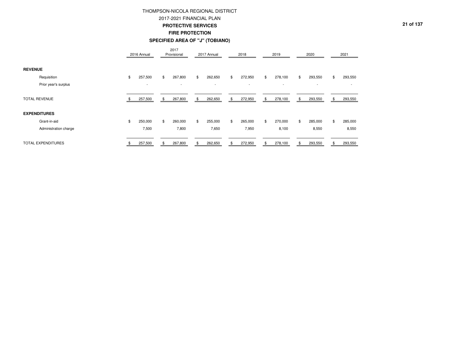### 2017-2021 FINANCIAL PLAN

#### **PROTECTIVE SERVICES**

**FIRE PROTECTION**

#### **SPECIFIED AREA OF "J" (TOBIANO)**

|                       | 2016 Annual   | 2017<br>Provisional      |     | 2017 Annual              | 2018                     |    | 2019                     |     | 2020                     |    | 2021    |
|-----------------------|---------------|--------------------------|-----|--------------------------|--------------------------|----|--------------------------|-----|--------------------------|----|---------|
| <b>REVENUE</b>        |               |                          |     |                          |                          |    |                          |     |                          |    |         |
| Requisition           | \$<br>257,500 | \$<br>267,800            | \$  | 262,650                  | \$<br>272,950            | \$ | 278,100                  | \$  | 293,550                  | \$ | 293,550 |
| Prior year's surplus  | $\sim$        | $\overline{\phantom{a}}$ |     | $\overline{\phantom{a}}$ | $\overline{\phantom{a}}$ |    | $\overline{\phantom{a}}$ |     | $\overline{\phantom{a}}$ |    |         |
| <b>TOTAL REVENUE</b>  | 257,500       | \$<br>267,800            | \$  | 262,650                  | \$<br>272,950            | \$ | 278,100                  | \$. | 293,550                  | \$ | 293,550 |
| <b>EXPENDITURES</b>   |               |                          |     |                          |                          |    |                          |     |                          |    |         |
| Grant-in-aid          | \$<br>250,000 | \$<br>260,000            | \$  | 255,000                  | \$<br>265,000            | \$ | 270,000                  | \$  | 285,000                  | \$ | 285,000 |
| Administration charge | 7,500         | 7,800                    |     | 7,650                    | 7,950                    |    | 8,100                    |     | 8,550                    |    | 8,550   |
| TOTAL EXPENDITURES    | 257,500       | \$<br>267,800            | \$. | 262,650                  | \$<br>272,950            | £. | 278,100                  | R   | 293,550                  | R  | 293,550 |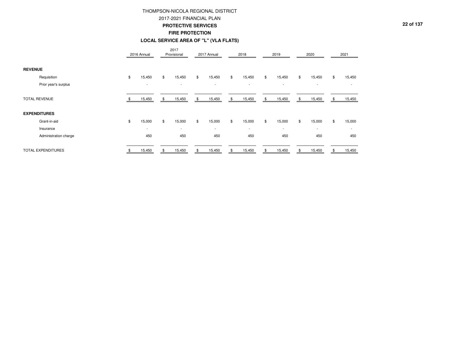### 2017-2021 FINANCIAL PLAN

### **PROTECTIVE SERVICES**

**FIRE PROTECTION**

#### **LOCAL SERVICE AREA OF "L" (VLA FLATS)**

|                       | 2016 Annual  | 2017<br>Provisional      | 2017 Annual  | 2018         | 2019                     | 2020                     | 2021                     |
|-----------------------|--------------|--------------------------|--------------|--------------|--------------------------|--------------------------|--------------------------|
| <b>REVENUE</b>        |              |                          |              |              |                          |                          |                          |
| Requisition           | \$<br>15,450 | \$<br>15,450             | \$<br>15,450 | \$<br>15,450 | \$<br>15,450             | \$<br>15,450             | \$<br>15,450             |
| Prior year's surplus  | $\sim$       | $\overline{\phantom{a}}$ | $\sim$       | $\sim$       | $\overline{\phantom{a}}$ | $\overline{\phantom{a}}$ |                          |
| <b>TOTAL REVENUE</b>  | 15,450       | \$<br>15,450             | \$<br>15,450 | \$<br>15,450 | \$<br>15,450             | \$<br>15,450             | \$<br>15,450             |
| <b>EXPENDITURES</b>   |              |                          |              |              |                          |                          |                          |
| Grant-in-aid          | \$<br>15,000 | \$<br>15,000             | \$<br>15,000 | \$<br>15,000 | \$<br>15,000             | \$<br>15,000             | \$<br>15,000             |
| Insurance             | $\sim$       | $\overline{\phantom{a}}$ | $\sim$       | $\sim$       | $\overline{\phantom{a}}$ | $\overline{\phantom{a}}$ | $\overline{\phantom{a}}$ |
| Administration charge | 450          | 450                      | 450          | 450          | 450                      | 450                      | 450                      |
| TOTAL EXPENDITURES    | 15,450       | 15,450                   | 15,450       | \$<br>15,450 | 15,450                   | \$<br>15,450             | 15,450                   |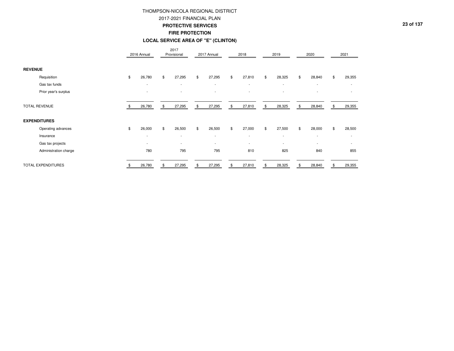#### 2017-2021 FINANCIAL PLAN

#### **PROTECTIVE SERVICES**

#### **FIRE PROTECTION**

#### **LOCAL SERVICE AREA OF "E" (CLINTON)**

|                       | 2016 Annual              |              | 2017<br>Provisional      | 2017 Annual              | 2018                     |     | 2019                     | 2020                     |     | 2021                     |
|-----------------------|--------------------------|--------------|--------------------------|--------------------------|--------------------------|-----|--------------------------|--------------------------|-----|--------------------------|
| <b>REVENUE</b>        |                          |              |                          |                          |                          |     |                          |                          |     |                          |
| Requisition           | \$<br>26,780             | \$           | 27,295                   | \$<br>27,295             | \$<br>27,810             | \$  | 28,325                   | \$<br>28,840             | \$  | 29,355                   |
| Gas tax funds         | $\sim$                   |              | $\sim$                   | $\overline{\phantom{a}}$ | $\sim$                   |     | $\sim$                   | $\overline{\phantom{a}}$ |     | $\overline{\phantom{a}}$ |
| Prior year's surplus  | $\overline{\phantom{a}}$ |              |                          | $\overline{\phantom{a}}$ | $\overline{\phantom{a}}$ |     | $\overline{\phantom{a}}$ |                          |     |                          |
| <b>TOTAL REVENUE</b>  | 26,780                   | \$           | 27,295                   | \$<br>27,295             | \$<br>27,810             | \$  | 28,325                   | \$<br>28,840             | -\$ | 29,355                   |
| <b>EXPENDITURES</b>   |                          |              |                          |                          |                          |     |                          |                          |     |                          |
| Operating advances    | \$<br>26,000             | $\mathbb{S}$ | 26,500                   | \$<br>26,500             | \$<br>27,000             | \$  | 27,500                   | \$<br>28,000             | \$  | 28,500                   |
| Insurance             | $\overline{\phantom{a}}$ |              | $\overline{\phantom{a}}$ | $\overline{\phantom{a}}$ | $\overline{\phantom{a}}$ |     | $\overline{\phantom{a}}$ | $\overline{\phantom{a}}$ |     | $\overline{\phantom{a}}$ |
| Gas tax projects      | $\sim$                   |              | $\overline{\phantom{a}}$ | $\overline{\phantom{a}}$ | $\overline{\phantom{a}}$ |     | $\overline{\phantom{a}}$ | ٠                        |     |                          |
| Administration charge | 780                      |              | 795                      | 795                      | 810                      |     | 825                      | 840                      |     | 855                      |
| TOTAL EXPENDITURES    | 26,780                   |              | 27,295                   | \$<br>27,295             | \$<br>27,810             | \$. | 28,325                   | \$<br>28,840             | \$. | 29,355                   |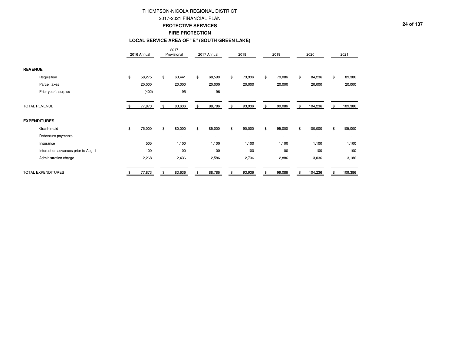### 2017-2021 FINANCIAL PLAN

#### **PROTECTIVE SERVICES**

### **FIRE PROTECTION**

#### **LOCAL SERVICE AREA OF "E" (SOUTH GREEN LAKE)**

|                                      | 2016 Annual  | 2017<br>Provisional      | 2017 Annual              | 2018                     | 2019                     | 2020                     | 2021          |
|--------------------------------------|--------------|--------------------------|--------------------------|--------------------------|--------------------------|--------------------------|---------------|
| <b>REVENUE</b>                       |              |                          |                          |                          |                          |                          |               |
| Requisition                          | \$<br>58,275 | \$<br>63,441             | \$<br>68,590             | \$<br>73,936             | \$<br>79,086             | \$<br>84,236             | \$<br>89,386  |
| Parcel taxes                         | 20,000       | 20,000                   | 20,000                   | 20,000                   | 20,000                   | 20,000                   | 20,000        |
| Prior year's surplus                 | (402)        | 195                      | 196                      | $\overline{\phantom{a}}$ | $\overline{\phantom{a}}$ | $\overline{\phantom{a}}$ |               |
|                                      |              |                          |                          |                          |                          |                          |               |
| <b>TOTAL REVENUE</b>                 | 77,873       | \$<br>83,636             | \$<br>88,786             | \$<br>93,936             | \$<br>99,086             | \$<br>104,236            | \$<br>109,386 |
| <b>EXPENDITURES</b>                  |              |                          |                          |                          |                          |                          |               |
| Grant-in-aid                         | \$<br>75,000 | \$<br>80,000             | \$<br>85,000             | \$<br>90,000             | \$<br>95,000             | \$<br>100,000            | \$<br>105,000 |
| Debenture payments                   | $\sim$       | $\overline{\phantom{a}}$ | $\overline{\phantom{a}}$ | $\overline{\phantom{a}}$ | $\overline{\phantom{a}}$ | $\overline{\phantom{a}}$ |               |
| Insurance                            | 505          | 1,100                    | 1,100                    | 1,100                    | 1,100                    | 1,100                    | 1,100         |
| Interest on advances prior to Aug. 1 | 100          | 100                      | 100                      | 100                      | 100                      | 100                      | 100           |
| Administration charge                | 2,268        | 2,436                    | 2,586                    | 2,736                    | 2,886                    | 3,036                    | 3,186         |
|                                      |              |                          |                          |                          |                          |                          |               |
| TOTAL EXPENDITURES                   | 77,873       | 83,636                   | 88,786                   | \$<br>93,936             | 99,086                   | 104,236                  | 109,386       |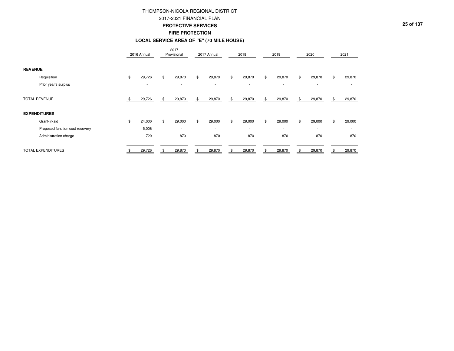### 2017-2021 FINANCIAL PLAN

#### **PROTECTIVE SERVICES**

**FIRE PROTECTION**

#### **LOCAL SERVICE AREA OF "E" (70 MILE HOUSE)**

|                                 | 2016 Annual              | 2017<br>Provisional      |     | 2017 Annual | 2018                     | 2019                     | 2020         |    | 2021                     |
|---------------------------------|--------------------------|--------------------------|-----|-------------|--------------------------|--------------------------|--------------|----|--------------------------|
| <b>REVENUE</b>                  |                          |                          |     |             |                          |                          |              |    |                          |
| Requisition                     | \$<br>29,726             | \$<br>29,870             | \$  | 29,870      | \$<br>29,870             | \$<br>29,870             | \$<br>29,870 | \$ | 29,870                   |
| Prior year's surplus            | $\overline{\phantom{a}}$ | $\overline{\phantom{a}}$ |     | $\sim$      | $\overline{\phantom{a}}$ | $\sim$                   | $\sim$       |    |                          |
| <b>TOTAL REVENUE</b>            | 29,726                   | \$<br>29,870             | -96 | 29,870      | \$<br>29,870             | \$<br>29,870             | \$<br>29,870 | S  | 29,870                   |
| <b>EXPENDITURES</b>             |                          |                          |     |             |                          |                          |              |    |                          |
| Grant-in-aid                    | \$<br>24,000             | \$<br>29,000             | \$  | 29,000      | \$<br>29,000             | \$<br>29,000             | \$<br>29,000 | \$ | 29,000                   |
| Proposed function cost recovery | 5,006                    | $\overline{\phantom{a}}$ |     | $\sim$      | $\sim$                   | $\overline{\phantom{a}}$ | $\sim$       |    | $\overline{\phantom{a}}$ |
| Administration charge           | 720                      | 870                      |     | 870         | 870                      | 870                      | 870          |    | 870                      |
| <b>TOTAL EXPENDITURES</b>       | 29,726                   | 29,870                   |     | 29,870      | 29,870                   | 29,870                   | 29,870       |    | 29,870                   |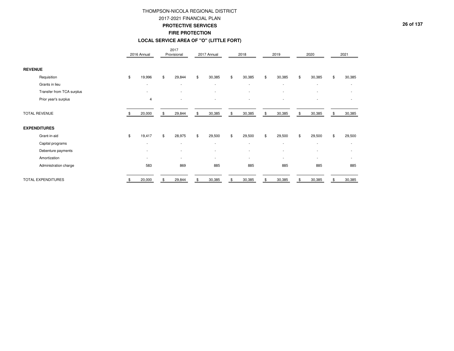### 2017-2021 FINANCIAL PLAN

#### **PROTECTIVE SERVICES**

#### **FIRE PROTECTION**

#### **LOCAL SERVICE AREA OF "O" (LITTLE FORT)**

|                           | 2016 Annual              |                | 2017<br>Provisional      | 2017 Annual              | 2018                     | 2019                     | 2020                     | 2021                     |
|---------------------------|--------------------------|----------------|--------------------------|--------------------------|--------------------------|--------------------------|--------------------------|--------------------------|
| <b>REVENUE</b>            |                          |                |                          |                          |                          |                          |                          |                          |
| Requisition               | \$<br>19,996             | \$             | 29,844                   | \$<br>30,385             | \$<br>30,385             | \$<br>30,385             | \$<br>30,385             | \$<br>30,385             |
| Grants in lieu            | $\overline{\phantom{a}}$ |                | $\overline{\phantom{a}}$ | $\overline{\phantom{a}}$ | $\overline{\phantom{a}}$ | $\overline{\phantom{a}}$ | $\overline{\phantom{a}}$ |                          |
| Transfer from TCA surplus |                          |                |                          |                          |                          |                          |                          |                          |
| Prior year's surplus      | 4                        |                |                          |                          | $\overline{\phantom{a}}$ |                          |                          |                          |
| <b>TOTAL REVENUE</b>      | 20,000                   | \$             | 29,844                   | \$<br>30,385             | \$<br>30,385             | \$<br>30,385             | \$<br>30,385             | \$<br>30,385             |
| <b>EXPENDITURES</b>       |                          |                |                          |                          |                          |                          |                          |                          |
| Grant-in-aid              | \$<br>19,417             | $\mathfrak{L}$ | 28,975                   | \$<br>29,500             | \$<br>29,500             | \$<br>29,500             | \$<br>29,500             | \$<br>29,500             |
| Capital programs          | $\overline{\phantom{a}}$ |                | $\overline{\phantom{a}}$ | $\sim$                   | $\sim$                   | $\overline{\phantom{a}}$ | $\overline{\phantom{a}}$ | $\overline{\phantom{a}}$ |
| Debenture payments        |                          |                |                          |                          | $\overline{\phantom{a}}$ | ٠                        | ٠                        | $\overline{\phantom{0}}$ |
| Amortization              | $\overline{\phantom{a}}$ |                |                          | $\overline{\phantom{a}}$ | $\overline{\phantom{a}}$ | $\overline{\phantom{a}}$ | ٠                        | $\overline{\phantom{0}}$ |
| Administration charge     | 583                      |                | 869                      | 885                      | 885                      | 885                      | 885                      | 885                      |
| TOTAL EXPENDITURES        | 20,000                   |                | 29,844                   | 30,385                   | \$<br>30,385             | 30,385                   | 30,385                   | \$<br>30,385             |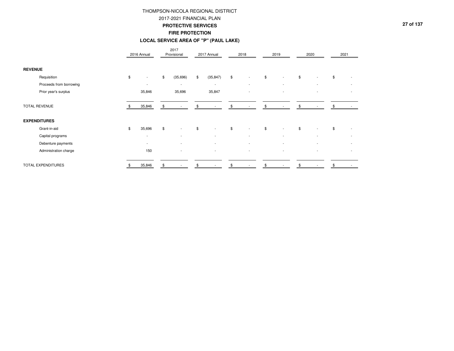### 2017-2021 FINANCIAL PLAN

#### **PROTECTIVE SERVICES**

**FIRE PROTECTION**

#### **LOCAL SERVICE AREA OF "P" (PAUL LAKE)**

|                         | 2016 Annual                    | 2017<br>Provisional            | 2017 Annual              | 2018                           | 2019 |                          | 2020 |                          | 2021 |                          |
|-------------------------|--------------------------------|--------------------------------|--------------------------|--------------------------------|------|--------------------------|------|--------------------------|------|--------------------------|
| <b>REVENUE</b>          |                                |                                |                          |                                |      |                          |      |                          |      |                          |
| Requisition             | \$<br>$\overline{\phantom{a}}$ | \$<br>(35,696)                 | \$<br>(35, 847)          | \$<br>$\overline{\phantom{a}}$ | \$   |                          | \$   | -                        | \$   |                          |
| Proceeds from borrowing | $\overline{\phantom{a}}$       | $\overline{\phantom{a}}$       | $\sim$                   | $\overline{\phantom{a}}$       |      | $\overline{\phantom{a}}$ |      | $\overline{\phantom{a}}$ |      | $\overline{\phantom{a}}$ |
| Prior year's surplus    | 35,846                         | 35,696                         | 35,847                   |                                |      |                          |      |                          |      |                          |
| <b>TOTAL REVENUE</b>    | 35,846                         | \$                             |                          | \$                             |      |                          | \$.  |                          |      |                          |
| <b>EXPENDITURES</b>     |                                |                                |                          |                                |      |                          |      |                          |      |                          |
| Grant-in-aid            | \$<br>35,696                   | \$<br>$\overline{\phantom{a}}$ | \$<br>$\overline{a}$     | \$                             | \$   |                          | \$   |                          | \$   |                          |
| Capital programs        | $\overline{\phantom{a}}$       | $\overline{\phantom{a}}$       | $\overline{\phantom{a}}$ | $\overline{\phantom{a}}$       |      | $\overline{\phantom{a}}$ |      | $\overline{\phantom{a}}$ |      | $\overline{\phantom{0}}$ |
| Debenture payments      | $\overline{\phantom{a}}$       | $\overline{\phantom{a}}$       | ٠                        | $\overline{\phantom{a}}$       |      |                          |      |                          |      |                          |
| Administration charge   | 150                            |                                |                          |                                |      |                          |      |                          |      |                          |
| TOTAL EXPENDITURES      | 35,846                         | \$                             |                          |                                |      |                          |      |                          |      |                          |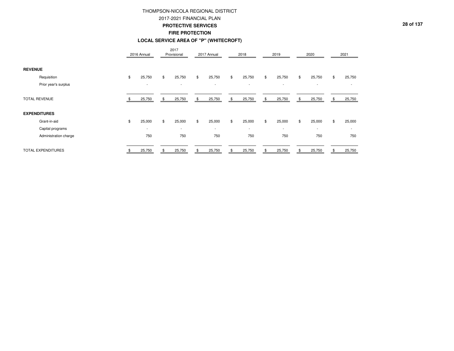### 2017-2021 FINANCIAL PLAN

#### **PROTECTIVE SERVICES**

### **FIRE PROTECTION**

## **LOCAL SERVICE AREA OF "P" (WHITECROFT)**

|                       | 2016 Annual              |     | 2017<br>Provisional      | 2017 Annual              |     | 2018                     | 2019                     | 2020                     |    | 2021                     |
|-----------------------|--------------------------|-----|--------------------------|--------------------------|-----|--------------------------|--------------------------|--------------------------|----|--------------------------|
| <b>REVENUE</b>        |                          |     |                          |                          |     |                          |                          |                          |    |                          |
| Requisition           | \$<br>25,750             | \$  | 25,750                   | \$<br>25,750             | \$  | 25,750                   | \$<br>25,750             | \$<br>25,750             | \$ | 25,750                   |
| Prior year's surplus  | $\overline{\phantom{a}}$ |     | $\overline{\phantom{a}}$ | $\overline{\phantom{a}}$ |     | $\overline{\phantom{a}}$ | $\overline{\phantom{a}}$ | $\overline{\phantom{a}}$ |    |                          |
| <b>TOTAL REVENUE</b>  | 25,750                   | \$  | 25,750                   | \$<br>25,750             | \$  | 25,750                   | \$<br>25,750             | \$<br>25,750             | S  | 25,750                   |
| <b>EXPENDITURES</b>   |                          |     |                          |                          |     |                          |                          |                          |    |                          |
| Grant-in-aid          | \$<br>25,000             | \$  | 25,000                   | \$<br>25,000             | \$  | 25,000                   | \$<br>25,000             | \$<br>25,000             | \$ | 25,000                   |
| Capital programs      | $\overline{\phantom{a}}$ |     | $\overline{\phantom{a}}$ | $\overline{\phantom{a}}$ |     | $\overline{\phantom{a}}$ | $\overline{\phantom{a}}$ | $\overline{\phantom{a}}$ |    | $\overline{\phantom{a}}$ |
| Administration charge | 750                      |     | 750                      | 750                      |     | 750                      | 750                      | 750                      |    | 750                      |
| TOTAL EXPENDITURES    | 25,750                   | \$. | 25,750                   | 25,750                   | \$. | 25,750                   | 25,750                   | 25,750                   |    | 25,750                   |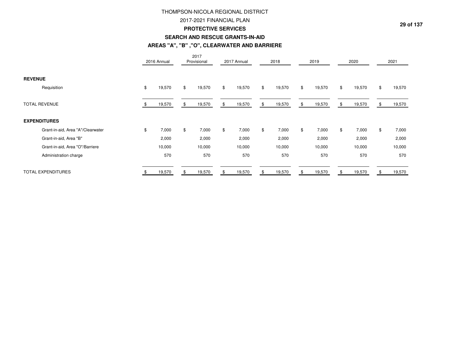## 2017-2021 FINANCIAL PLAN

#### **PROTECTIVE SERVICES**

### **SEARCH AND RESCUE GRANTS-IN-AID**

### **AREAS "A", "B" ,"O", CLEARWATER AND BARRIERE**

|                                   | 2016 Annual  | 2017<br>Provisional |              | 2017 Annual | 2018         |                | 2019   |     | 2020   | 2021         |
|-----------------------------------|--------------|---------------------|--------------|-------------|--------------|----------------|--------|-----|--------|--------------|
| <b>REVENUE</b>                    |              |                     |              |             |              |                |        |     |        |              |
| Requisition                       | \$<br>19,570 | \$<br>19,570        | $\mathbb{S}$ | 19,570      | \$<br>19,570 | $\mathfrak{S}$ | 19,570 | \$  | 19,570 | \$<br>19,570 |
| <b>TOTAL REVENUE</b>              | 19,570       | 19,570              | \$.          | 19,570      | \$<br>19,570 | \$             | 19,570 | \$. | 19,570 | 19,570       |
| <b>EXPENDITURES</b>               |              |                     |              |             |              |                |        |     |        |              |
| Grant-in-aid, Area "A"/Clearwater | \$<br>7,000  | \$<br>7,000         | \$           | 7,000       | \$<br>7,000  | \$             | 7,000  | \$  | 7,000  | \$<br>7,000  |
| Grant-in-aid, Area "B"            | 2,000        | 2,000               |              | 2,000       | 2,000        |                | 2,000  |     | 2,000  | 2,000        |
| Grant-in-aid, Area "O"/Barriere   | 10,000       | 10,000              |              | 10,000      | 10,000       |                | 10,000 |     | 10,000 | 10,000       |
| Administration charge             | 570          | 570                 |              | 570         | 570          |                | 570    |     | 570    | 570          |
| <b>TOTAL EXPENDITURES</b>         | 19,570       | 19,570              |              | 19,570      | 19,570       |                | 19,570 |     | 19,570 | 19,570       |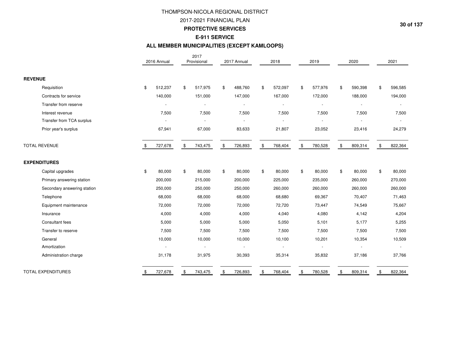2017-2021 FINANCIAL PLAN

**PROTECTIVE SERVICES**

## **E-911 SERVICE**

## **ALL MEMBER MUNICIPALITIES (EXCEPT KAMLOOPS)**

|                             | 2016 Annual   | 2017<br>Provisional      | 2017 Annual   |    | 2018    | 2019                     | 2020          | 2021          |
|-----------------------------|---------------|--------------------------|---------------|----|---------|--------------------------|---------------|---------------|
| <b>REVENUE</b>              |               |                          |               |    |         |                          |               |               |
| Requisition                 | \$<br>512,237 | \$<br>517,975            | \$<br>488,760 | \$ | 572,097 | \$<br>577,976            | \$<br>590,398 | \$<br>596,585 |
| Contracts for service       | 140,000       | 151,000                  | 147,000       |    | 167,000 | 172,000                  | 188,000       | 194,000       |
| Transfer from reserve       |               | $\overline{a}$           |               |    |         | $\overline{\phantom{a}}$ |               |               |
| Interest revenue            | 7,500         | 7,500                    | 7,500         |    | 7,500   | 7,500                    | 7,500         | 7,500         |
| Transfer from TCA surplus   |               | $\overline{\phantom{a}}$ |               |    |         |                          |               |               |
| Prior year's surplus        | 67,941        | 67,000                   | 83,633        |    | 21,807  | 23,052                   | 23,416        | 24,279        |
| <b>TOTAL REVENUE</b>        | 727,678       | \$<br>743,475            | \$<br>726,893 | \$ | 768,404 | \$<br>780,528            | \$<br>809,314 | \$<br>822,364 |
| <b>EXPENDITURES</b>         |               |                          |               |    |         |                          |               |               |
| Capital upgrades            | \$<br>80,000  | \$<br>80,000             | \$<br>80,000  | \$ | 80,000  | \$<br>80,000             | \$<br>80,000  | \$<br>80,000  |
| Primary answering station   | 200,000       | 215,000                  | 200,000       |    | 225,000 | 235,000                  | 260,000       | 270,000       |
| Secondary answering station | 250,000       | 250,000                  | 250,000       |    | 260,000 | 260,000                  | 260,000       | 260,000       |
| Telephone                   | 68,000        | 68,000                   | 68,000        |    | 68,680  | 69,367                   | 70,407        | 71,463        |
| Equipment maintenance       | 72,000        | 72,000                   | 72,000        |    | 72,720  | 73,447                   | 74,549        | 75,667        |
| Insurance                   | 4,000         | 4,000                    | 4,000         |    | 4,040   | 4,080                    | 4,142         | 4,204         |
| Consultant fees             | 5,000         | 5,000                    | 5,000         |    | 5,050   | 5,101                    | 5,177         | 5,255         |
| Transfer to reserve         | 7,500         | 7,500                    | 7,500         |    | 7,500   | 7,500                    | 7,500         | 7,500         |
| General                     | 10,000        | 10,000                   | 10,000        |    | 10,100  | 10,201                   | 10,354        | 10,509        |
| Amortization                |               |                          |               |    |         |                          |               |               |
| Administration charge       | 31,178        | 31,975                   | 30,393        |    | 35,314  | 35,832                   | 37,186        | 37,766        |
| <b>TOTAL EXPENDITURES</b>   | \$<br>727,678 | \$<br>743,475            | 726,893       | S  | 768,404 | \$<br>780,528            | \$<br>809,314 | \$<br>822,364 |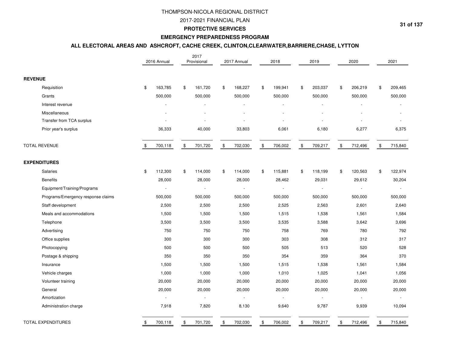2017-2021 FINANCIAL PLAN

#### **PROTECTIVE SERVICES**

## **EMERGENCY PREPAREDNESS PROGRAM**

### **ALL ELECTORAL AREAS AND ASHCROFT, CACHE CREEK, CLINTON,CLEARWATER,BARRIERE,CHASE, LYTTON**

|                                    |                | 2016 Annual              | 2017<br>Provisional | 2017 Annual              |      | 2018    | 2019           |               | 2020                     | 2021           |
|------------------------------------|----------------|--------------------------|---------------------|--------------------------|------|---------|----------------|---------------|--------------------------|----------------|
| <b>REVENUE</b>                     |                |                          |                     |                          |      |         |                |               |                          |                |
| Requisition                        | $\mathfrak{S}$ | 163,785                  | \$<br>161,720       | \$<br>168,227            | \$   | 199,941 | \$<br>203,037  | \$            | 206,219                  | \$<br>209,465  |
| Grants                             |                | 500,000                  | 500,000             | 500,000                  |      | 500,000 | 500,000        |               | 500,000                  | 500,000        |
| Interest revenue                   |                |                          |                     |                          |      |         |                |               |                          |                |
| Miscellaneous                      |                |                          |                     |                          |      |         |                |               |                          |                |
| Transfer from TCA surplus          |                |                          |                     |                          |      |         |                |               |                          |                |
| Prior year's surplus               |                | 36,333                   | 40,000              | 33,803                   |      | 6,061   | 6,180          |               | 6,277                    | 6,375          |
| <b>TOTAL REVENUE</b>               | \$             | 700,118                  | \$<br>701,720       | \$<br>702,030            | $\,$ | 706,002 | \$<br>709,217  | $\,$          | 712,496                  | \$<br>715,840  |
| <b>EXPENDITURES</b>                |                |                          |                     |                          |      |         |                |               |                          |                |
| Salaries                           | \$             | 112,300                  | \$<br>114,000       | \$<br>114,000            | \$   | 115,881 | \$<br>118,199  | \$            | 120,563                  | \$<br>122,974  |
| <b>Benefits</b>                    |                | 28,000                   | 28,000              | 28,000                   |      | 28,462  | 29,031         |               | 29,612                   | 30,204         |
| Equipment/Training/Programs        |                | $\overline{\phantom{a}}$ | $\omega$            | $\sim$                   |      |         | $\blacksquare$ |               | $\overline{\phantom{a}}$ | $\overline{a}$ |
| Programs/Emergency response claims |                | 500,000                  | 500,000             | 500,000                  |      | 500,000 | 500,000        |               | 500,000                  | 500,000        |
| Staff development                  |                | 2,500                    | 2,500               | 2,500                    |      | 2,525   | 2,563          |               | 2,601                    | 2,640          |
| Meals and accommodations           |                | 1,500                    | 1,500               | 1,500                    |      | 1,515   | 1,538          |               | 1,561                    | 1,584          |
| Telephone                          |                | 3,500                    | 3,500               | 3,500                    |      | 3,535   | 3,588          |               | 3,642                    | 3,696          |
| Advertising                        |                | 750                      | 750                 | 750                      |      | 758     | 769            |               | 780                      | 792            |
| Office supplies                    |                | 300                      | 300                 | 300                      |      | 303     | 308            |               | 312                      | 317            |
| Photocopying                       |                | 500                      | 500                 | 500                      |      | 505     | 513            |               | 520                      | 528            |
| Postage & shipping                 |                | 350                      | 350                 | 350                      |      | 354     | 359            |               | 364                      | 370            |
| Insurance                          |                | 1,500                    | 1,500               | 1,500                    |      | 1,515   | 1,538          |               | 1,561                    | 1,584          |
| Vehicle charges                    |                | 1,000                    | 1,000               | 1,000                    |      | 1,010   | 1,025          |               | 1,041                    | 1,056          |
| Volunteer training                 |                | 20,000                   | 20,000              | 20,000                   |      | 20,000  | 20,000         |               | 20,000                   | 20,000         |
| General                            |                | 20,000                   | 20,000              | 20,000                   |      | 20,000  | 20,000         |               | 20,000                   | 20,000         |
| Amortization                       |                | $\overline{\phantom{a}}$ | $\sim$              | $\overline{\phantom{a}}$ |      |         |                |               | $\bar{\phantom{a}}$      | $\overline{a}$ |
| Administration charge              |                | 7,918                    | 7,820               | 8,130                    |      | 9,640   | 9,787          |               | 9,939                    | 10,094         |
| <b>TOTAL EXPENDITURES</b>          | \$             | 700,118                  | \$<br>701,720       | \$<br>702,030            | \$   | 706,002 | \$<br>709,217  | $\mathfrak s$ | 712,496                  | \$<br>715,840  |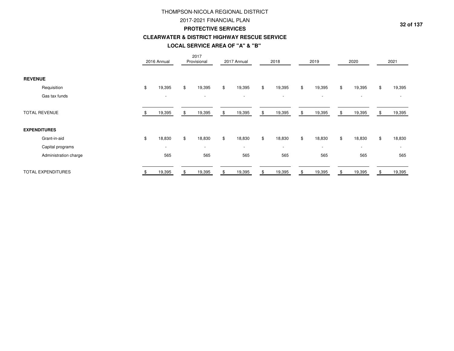## 2017-2021 FINANCIAL PLAN

#### **PROTECTIVE SERVICES**

### **CLEARWATER & DISTRICT HIGHWAY RESCUE SERVICE**

## **LOCAL SERVICE AREA OF "A" & "B"**

|                           | 2016 Annual              | 2017<br>Provisional      |              | 2017 Annual              | 2018                     | 2019                     |    | 2020                     | 2021         |
|---------------------------|--------------------------|--------------------------|--------------|--------------------------|--------------------------|--------------------------|----|--------------------------|--------------|
| <b>REVENUE</b>            |                          |                          |              |                          |                          |                          |    |                          |              |
| Requisition               | \$<br>19,395             | \$<br>19,395             | $\mathbb{S}$ | 19,395                   | \$<br>19,395             | \$<br>19,395             | \$ | 19,395                   | \$<br>19,395 |
| Gas tax funds             | $\overline{\phantom{a}}$ | $\overline{\phantom{a}}$ |              | $\overline{\phantom{a}}$ | $\overline{\phantom{a}}$ | $\overline{\phantom{a}}$ |    | $\overline{\phantom{a}}$ |              |
| <b>TOTAL REVENUE</b>      | 19,395                   | 19,395                   |              | 19,395                   | \$<br>19,395             | \$<br>19,395             | S  | 19,395                   | 19,395       |
| <b>EXPENDITURES</b>       |                          |                          |              |                          |                          |                          |    |                          |              |
| Grant-in-aid              | \$<br>18,830             | \$<br>18,830             | \$           | 18,830                   | \$<br>18,830             | \$<br>18,830             | \$ | 18,830                   | \$<br>18,830 |
| Capital programs          | $\overline{\phantom{a}}$ | $\overline{\phantom{a}}$ |              | $\overline{\phantom{a}}$ | $\overline{\phantom{a}}$ | $\overline{\phantom{a}}$ |    | $\overline{\phantom{a}}$ |              |
| Administration charge     | 565                      | 565                      |              | 565                      | 565                      | 565                      |    | 565                      | 565          |
| <b>TOTAL EXPENDITURES</b> | 19,395                   | 19,395                   |              | 19,395                   | 19,395                   | 19,395                   |    | 19,395                   | 19,395       |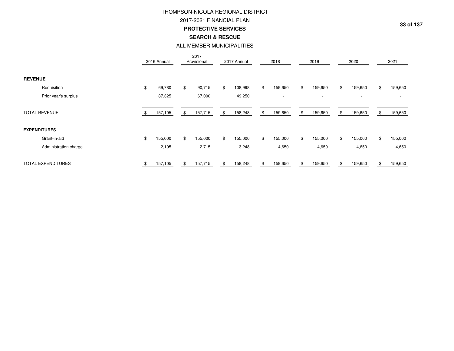2017-2021 FINANCIAL PLAN

**PROTECTIVE SERVICES**

**SEARCH & RESCUE**

## ALL MEMBER MUNICIPALITIES

|                           | 2016 Annual   | 2017<br>Provisional | 2017 Annual             | 2018                     | 2019                     | 2020          | 2021           |
|---------------------------|---------------|---------------------|-------------------------|--------------------------|--------------------------|---------------|----------------|
| <b>REVENUE</b>            |               |                     |                         |                          |                          |               |                |
| Requisition               | \$<br>69,780  | \$<br>90,715        | 108,998<br>\$           | \$<br>159,650            | \$<br>159,650            | \$<br>159,650 | \$<br>159,650  |
| Prior year's surplus      | 87,325        | 67,000              | 49,250                  | $\overline{\phantom{a}}$ | $\overline{\phantom{a}}$ | $\sim$        |                |
| <b>TOTAL REVENUE</b>      | 157,105       | 157,715<br>\$       | 158,248<br>\$.          | 159,650<br>\$            | 159,650<br>\$            | 159,650<br>\$ | 159,650<br>-96 |
| <b>EXPENDITURES</b>       |               |                     |                         |                          |                          |               |                |
| Grant-in-aid              | \$<br>155,000 | \$<br>155,000       | $\mathbb{S}$<br>155,000 | \$<br>155,000            | \$<br>155,000            | \$<br>155,000 | \$<br>155,000  |
| Administration charge     | 2,105         | 2,715               | 3,248                   | 4,650                    | 4,650                    | 4,650         | 4,650          |
| <b>TOTAL EXPENDITURES</b> | 157,105       | 157,715<br>\$       | 158,248<br>\$.          | 159,650<br>\$            | 159,650<br>\$            | 159,650<br>\$ | 159,650<br>\$. |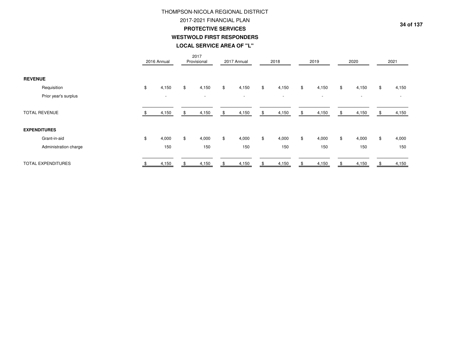# THOMPSON-NICOLA REGIONAL DISTRICT2017-2021 FINANCIAL PLAN **PROTECTIVE SERVICESWESTWOLD FIRST RESPONDERS**

| LOCAL SERVICE AREA OF "L" |
|---------------------------|
|---------------------------|

|                           |    | 2016 Annual | 2017<br>Provisional      |    | 2017 Annual              | 2018        |     | 2019                     |    | 2020   |    | 2021  |
|---------------------------|----|-------------|--------------------------|----|--------------------------|-------------|-----|--------------------------|----|--------|----|-------|
| <b>REVENUE</b>            |    |             |                          |    |                          |             |     |                          |    |        |    |       |
| Requisition               | \$ | 4,150       | \$<br>4,150              | \$ | 4,150                    | \$<br>4,150 | \$  | 4,150                    | \$ | 4,150  | \$ | 4,150 |
| Prior year's surplus      |    | $\sim$      | $\overline{\phantom{a}}$ |    | $\overline{\phantom{a}}$ | $\sim$      |     | $\overline{\phantom{a}}$ |    | $\sim$ |    |       |
| <b>TOTAL REVENUE</b>      |    | 4,150       | \$<br>4,150              | S. | 4,150                    | \$<br>4,150 | \$  | 4,150                    | \$ | 4,150  | 55 | 4,150 |
| <b>EXPENDITURES</b>       |    |             |                          |    |                          |             |     |                          |    |        |    |       |
| Grant-in-aid              | \$ | 4,000       | \$<br>4,000              | \$ | 4,000                    | \$<br>4,000 | \$  | 4,000                    | \$ | 4,000  | \$ | 4,000 |
| Administration charge     |    | 150         | 150                      |    | 150                      | 150         |     | 150                      |    | 150    |    | 150   |
| <b>TOTAL EXPENDITURES</b> |    | 4,150       | 4,150                    |    | 4,150                    | 4,150       | \$. | 4,150                    | Я  | 4,150  |    | 4,150 |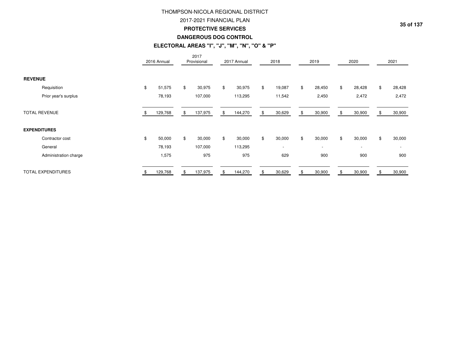## 2017-2021 FINANCIAL PLAN

#### **PROTECTIVE SERVICES**

## **DANGEROUS DOG CONTROL**

## **ELECTORAL AREAS "I", "J", "M", "N", "O" & "P"**

|                           | 2016 Annual  | 2017<br>Provisional | 2017 Annual   |       | 2018                     |    | 2019                     |    | 2020                     | 2021         |
|---------------------------|--------------|---------------------|---------------|-------|--------------------------|----|--------------------------|----|--------------------------|--------------|
| <b>REVENUE</b>            |              |                     |               |       |                          |    |                          |    |                          |              |
| Requisition               | \$<br>51,575 | \$<br>30,975        | \$<br>30,975  | $\$\$ | 19,087                   | \$ | 28,450                   | \$ | 28,428                   | \$<br>28,428 |
| Prior year's surplus      | 78,193       | 107,000             | 113,295       |       | 11,542                   |    | 2,450                    |    | 2,472                    | 2,472        |
| <b>TOTAL REVENUE</b>      | 129,768      | \$<br>137,975       | \$<br>144,270 | \$    | 30,629                   | S. | 30,900                   | S  | 30,900                   | 30,900       |
| <b>EXPENDITURES</b>       |              |                     |               |       |                          |    |                          |    |                          |              |
| Contractor cost           | \$<br>50,000 | \$<br>30,000        | \$<br>30,000  | $\$\$ | 30,000                   | \$ | 30,000                   | \$ | 30,000                   | \$<br>30,000 |
| General                   | 78,193       | 107,000             | 113,295       |       | $\overline{\phantom{a}}$ |    | $\overline{\phantom{a}}$ |    | $\overline{\phantom{a}}$ |              |
| Administration charge     | 1,575        | 975                 | 975           |       | 629                      |    | 900                      |    | 900                      | 900          |
| <b>TOTAL EXPENDITURES</b> | 129,768      | \$<br>137,975       | \$<br>144,270 |       | 30,629                   |    | 30,900                   |    | 30,900                   | 30,900       |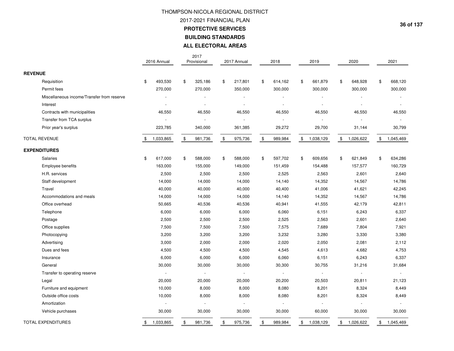2017-2021 FINANCIAL PLAN

**PROTECTIVE SERVICES**

**BUILDING STANDARDS**

**ALL ELECTORAL AREAS**

|                                            | 2016 Annual     | 2017<br>Provisional      | 2017 Annual    | 2018          | 2019            | 2020            | 2021          |
|--------------------------------------------|-----------------|--------------------------|----------------|---------------|-----------------|-----------------|---------------|
| <b>REVENUE</b>                             |                 |                          |                |               |                 |                 |               |
| Requisition                                | \$<br>493,530   | \$<br>325,186            | \$<br>217,801  | \$<br>614,162 | \$<br>661,879   | \$<br>648,928   | \$<br>668,120 |
| Permit fees                                | 270,000         | 270,000                  | 350,000        | 300,000       | 300,000         | 300,000         | 300,000       |
| Miscellaneous income/Transfer from reserve |                 | $\overline{\phantom{a}}$ |                |               |                 |                 |               |
| Interest                                   |                 | $\overline{a}$           | $\overline{a}$ |               |                 |                 |               |
| Contracts with municipalities              | 46,550          | 46,550                   | 46,550         | 46,550        | 46,550          | 46,550          | 46,550        |
| Transfer from TCA surplus                  |                 | $\overline{\phantom{a}}$ | $\mathbf{r}$   |               |                 |                 |               |
| Prior year's surplus                       | 223,785         | 340,000                  | 361,385        | 29,272        | 29,700          | 31,144          | 30,799        |
| <b>TOTAL REVENUE</b>                       | \$<br>1,033,865 | \$<br>981,736            | \$<br>975,736  | \$<br>989,984 | \$<br>1,038,129 | \$<br>1,026,622 | \$1,045,469   |
| <b>EXPENDITURES</b>                        |                 |                          |                |               |                 |                 |               |
| Salaries                                   | \$<br>617,000   | \$<br>588,000            | \$<br>588,000  | \$<br>597,702 | \$<br>609,656   | \$<br>621,849   | \$<br>634,286 |
| <b>Employee benefits</b>                   | 163,000         | 155,000                  | 149,000        | 151,459       | 154,488         | 157,577         | 160,729       |
| H.R. services                              | 2,500           | 2,500                    | 2,500          | 2,525         | 2,563           | 2,601           | 2,640         |
| Staff development                          | 14,000          | 14,000                   | 14,000         | 14,140        | 14,352          | 14,567          | 14,786        |
| Travel                                     | 40,000          | 40,000                   | 40,000         | 40,400        | 41,006          | 41,621          | 42,245        |
| Accommodations and meals                   | 14,000          | 14,000                   | 14,000         | 14,140        | 14,352          | 14,567          | 14,786        |
| Office overhead                            | 50,665          | 40,536                   | 40,536         | 40,941        | 41,555          | 42,179          | 42,811        |
| Telephone                                  | 6,000           | 6,000                    | 6,000          | 6,060         | 6,151           | 6,243           | 6,337         |
| Postage                                    | 2,500           | 2,500                    | 2,500          | 2,525         | 2,563           | 2,601           | 2,640         |
| Office supplies                            | 7,500           | 7,500                    | 7,500          | 7,575         | 7,689           | 7,804           | 7,921         |
| Photocopying                               | 3,200           | 3,200                    | 3,200          | 3,232         | 3,280           | 3,330           | 3,380         |
| Advertising                                | 3,000           | 2,000                    | 2,000          | 2,020         | 2,050           | 2,081           | 2,112         |
| Dues and fees                              | 4,500           | 4,500                    | 4,500          | 4,545         | 4,613           | 4,682           | 4,753         |
| Insurance                                  | 6,000           | 6,000                    | 6,000          | 6,060         | 6,151           | 6,243           | 6,337         |
| General                                    | 30,000          | 30,000                   | 30,000         | 30,300        | 30,755          | 31,216          | 31,684        |
| Transfer to operating reserve              | $\sim$          | $\blacksquare$           | $\blacksquare$ | $\sim$        | $\sim$          | $\blacksquare$  | $\sim$        |
| Legal                                      | 20,000          | 20,000                   | 20,000         | 20,200        | 20,503          | 20,811          | 21,123        |
| Furniture and equipment                    | 10,000          | 8,000                    | 8,000          | 8,080         | 8,201           | 8,324           | 8,449         |
| Outside office costs                       | 10,000          | 8,000                    | 8,000          | 8,080         | 8,201           | 8,324           | 8,449         |
| Amortization                               | $\sim$          | $\sim$                   | $\sim$         |               |                 | $\overline{a}$  | ÷             |
| Vehicle purchases                          | 30,000          | 30,000                   | 30,000         | 30,000        | 60,000          | 30,000          | 30,000        |
| <b>TOTAL EXPENDITURES</b>                  | \$<br>1,033,865 | \$<br>981,736            | \$<br>975,736  | \$<br>989,984 | \$<br>1,038,129 | \$<br>1,026,622 | \$1,045,469   |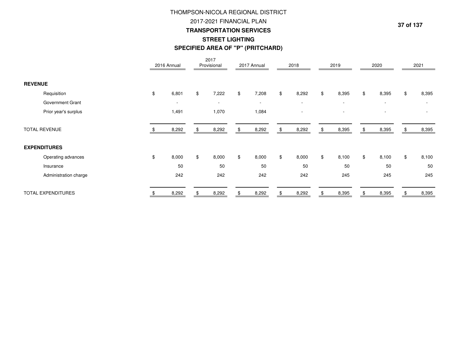# THOMPSON-NICOLA REGIONAL DISTRICT2017-2021 FINANCIAL PLAN **TRANSPORTATION SERVICESSTREET LIGHTINGSPECIFIED AREA OF "P" (PRITCHARD)**

|                       | 2016 Annual              | 2017<br>Provisional      | 2017 Annual              |               | 2018                     |                | 2019                     |                | 2020                     | 2021        |
|-----------------------|--------------------------|--------------------------|--------------------------|---------------|--------------------------|----------------|--------------------------|----------------|--------------------------|-------------|
| <b>REVENUE</b>        |                          |                          |                          |               |                          |                |                          |                |                          |             |
| Requisition           | \$<br>6,801              | \$<br>7,222              | \$<br>7,208              | \$            | 8,292                    | $\mathfrak{S}$ | 8,395                    | \$             | 8,395                    | \$<br>8,395 |
| Government Grant      | $\overline{\phantom{a}}$ | $\overline{\phantom{a}}$ | $\overline{\phantom{a}}$ |               | $\overline{\phantom{a}}$ |                | $\sim$                   |                | $\overline{\phantom{a}}$ |             |
| Prior year's surplus  | 1,491                    | 1,070                    | 1,084                    |               | ٠                        |                | $\overline{\phantom{a}}$ |                | $\overline{\phantom{a}}$ |             |
| <b>TOTAL REVENUE</b>  | 8,292                    | 8,292                    | 8,292                    | .S            | 8,292                    | £.             | 8,395                    | \$             | 8,395                    | 8,395       |
| <b>EXPENDITURES</b>   |                          |                          |                          |               |                          |                |                          |                |                          |             |
| Operating advances    | \$<br>8,000              | \$<br>8,000              | \$<br>8,000              | $\mathfrak s$ | 8,000                    | $\mathfrak{S}$ | 8,100                    | $\mathfrak{S}$ | 8,100                    | \$<br>8,100 |
| Insurance             | 50                       | 50                       | 50                       |               | 50                       |                | 50                       |                | 50                       | 50          |
| Administration charge | 242                      | 242                      | 242                      |               | 242                      |                | 245                      |                | 245                      | 245         |
| TOTAL EXPENDITURES    | 8,292                    | 8,292                    | 8,292                    |               | 8,292                    |                | 8,395                    |                | 8,395                    | 8,395       |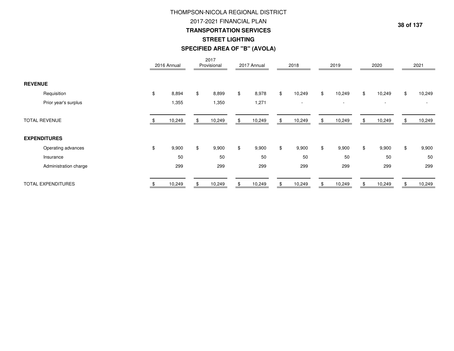# **TRANSPORTATION SERVICES** THOMPSON-NICOLA REGIONAL DISTRICT2017-2021 FINANCIAL PLAN**STREET LIGHTINGSPECIFIED AREA OF "B" (AVOLA)**

|                           | 2016 Annual |                | 2017<br>Provisional |    | 2017 Annual | 2018                     |                | 2019   |    | 2020                     |     | 2021   |
|---------------------------|-------------|----------------|---------------------|----|-------------|--------------------------|----------------|--------|----|--------------------------|-----|--------|
| <b>REVENUE</b>            |             |                |                     |    |             |                          |                |        |    |                          |     |        |
| Requisition               | \$<br>8,894 | $\mathfrak{S}$ | 8,899               | \$ | 8,978       | \$<br>10,249             | $$\mathbb{S}$$ | 10,249 | \$ | 10,249                   | \$  | 10,249 |
| Prior year's surplus      | 1,355       |                | 1,350               |    | 1,271       | $\overline{\phantom{a}}$ |                | $\sim$ |    | $\overline{\phantom{a}}$ |     |        |
| <b>TOTAL REVENUE</b>      | 10,249      | S              | 10,249              | ა  | 10,249      | \$<br>10,249             | \$             | 10,249 | S. | 10,249                   | ăЪ. | 10,249 |
| <b>EXPENDITURES</b>       |             |                |                     |    |             |                          |                |        |    |                          |     |        |
| Operating advances        | \$<br>9,900 | \$             | 9,900               | \$ | 9,900       | \$<br>9,900              | \$             | 9,900  | \$ | 9,900                    | \$  | 9,900  |
| Insurance                 | 50          |                | 50                  |    | 50          | 50                       |                | 50     |    | 50                       |     | 50     |
| Administration charge     | 299         |                | 299                 |    | 299         | 299                      |                | 299    |    | 299                      |     | 299    |
| <b>TOTAL EXPENDITURES</b> | 10,249      |                | 10,249              |    | 10,249      | 10,249                   |                | 10,249 |    | 10,249                   |     | 10,249 |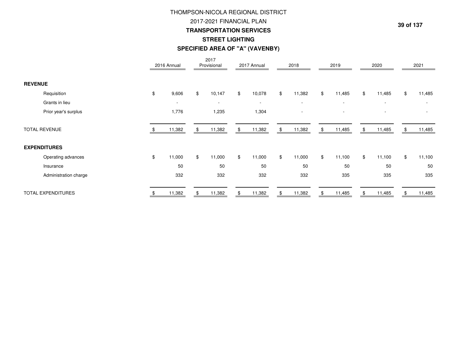# THOMPSON-NICOLA REGIONAL DISTRICT**STREET LIGHTING SPECIFIED AREA OF "A" (VAVENBY)**2017-2021 FINANCIAL PLAN**TRANSPORTATION SERVICES**

|                           | 2016 Annual              |    | 2017<br>Provisional | 2017 Annual              |             | 2018                     |     | 2019                     | 2020                     | 2021         |
|---------------------------|--------------------------|----|---------------------|--------------------------|-------------|--------------------------|-----|--------------------------|--------------------------|--------------|
| <b>REVENUE</b>            |                          |    |                     |                          |             |                          |     |                          |                          |              |
| Requisition               | \$<br>9,606              | \$ | 10,147              | \$<br>10,078             | $\mathbb S$ | 11,382                   | \$  | 11,485                   | \$<br>11,485             | \$<br>11,485 |
| Grants in lieu            | $\overline{\phantom{a}}$ |    | $\sim$              | $\overline{\phantom{a}}$ |             | $\overline{\phantom{a}}$ |     | $\overline{\phantom{a}}$ | $\overline{\phantom{a}}$ | ٠            |
| Prior year's surplus      | 1,776                    |    | 1,235               | 1,304                    |             | $\overline{\phantom{a}}$ |     | $\overline{\phantom{a}}$ | $\overline{\phantom{a}}$ | ۰            |
| <b>TOTAL REVENUE</b>      | 11,382                   | £. | 11,382              | \$<br>11,382             | \$          | 11,382                   | \$. | 11,485                   | 11,485                   | 11,485       |
| <b>EXPENDITURES</b>       |                          |    |                     |                          |             |                          |     |                          |                          |              |
| Operating advances        | \$<br>11,000             | \$ | 11,000              | \$<br>11,000             | $\mathbb S$ | 11,000                   | \$  | 11,100                   | \$<br>11,100             | \$<br>11,100 |
| Insurance                 | 50                       |    | 50                  | 50                       |             | 50                       |     | 50                       | 50                       | 50           |
| Administration charge     | 332                      |    | 332                 | 332                      |             | 332                      |     | 335                      | 335                      | 335          |
| <b>TOTAL EXPENDITURES</b> | 11,382                   |    | 11,382              | \$<br>11,382             | \$          | 11,382                   |     | 11,485                   | 11,485                   | 11,485       |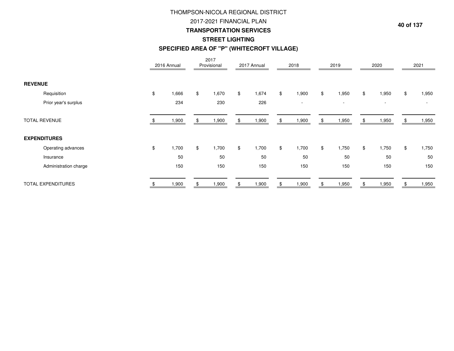# THOMPSON-NICOLA REGIONAL DISTRICT**STREET LIGHTING SPECIFIED AREA OF "P" (WHITECROFT VILLAGE)TRANSPORTATION SERVICES**2017-2021 FINANCIAL PLAN

|                      |                           |                | 2016 Annual |    | 2017<br>Provisional | 2017 Annual |     | 2018   |     | 2019                     |     | 2020                     |                | 2021   |
|----------------------|---------------------------|----------------|-------------|----|---------------------|-------------|-----|--------|-----|--------------------------|-----|--------------------------|----------------|--------|
| <b>REVENUE</b>       |                           |                |             |    |                     |             |     |        |     |                          |     |                          |                |        |
|                      | Requisition               | $\mathfrak{F}$ | 1,666       | \$ | 1,670               | \$<br>1,674 | \$  | 1,900  | \$  | 1,950                    | \$  | 1,950                    | $\mathfrak{S}$ | 1,950  |
|                      | Prior year's surplus      |                | 234         |    | 230                 | 226         |     | $\sim$ |     | $\overline{\phantom{a}}$ |     | $\overline{\phantom{a}}$ |                | $\sim$ |
| <b>TOTAL REVENUE</b> |                           |                | ,900        | R. | 1,900               | 1,900       | SS. | 1,900  | \$. | 1,950                    | -SS | 1,950                    |                | 1,950  |
| <b>EXPENDITURES</b>  |                           |                |             |    |                     |             |     |        |     |                          |     |                          |                |        |
|                      | Operating advances        | \$             | 1,700       | \$ | 1,700               | \$<br>1,700 | \$  | 1,700  | \$  | 1,750                    | \$  | 1,750                    | \$             | 1,750  |
|                      | Insurance                 |                | 50          |    | 50                  | 50          |     | 50     |     | 50                       |     | 50                       |                | 50     |
|                      | Administration charge     |                | 150         |    | 150                 | 150         |     | 150    |     | 150                      |     | 150                      |                | 150    |
|                      | <b>TOTAL EXPENDITURES</b> |                | ,900        |    | 1,900               | ,900        |     | 1,900  |     | 1,950                    |     | 1,950                    |                | 950, ا |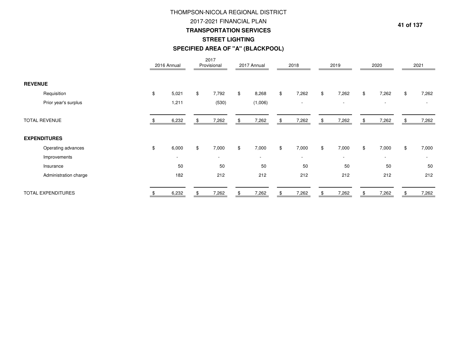# **SPECIFIED AREA OF "A" (BLACKPOOL) STREET LIGHTINGTRANSPORTATION SERVICES**THOMPSON-NICOLA REGIONAL DISTRICT2017-2021 FINANCIAL PLAN

|                           | 2016 Annual              |                | 2017<br>Provisional      | 2017 Annual | 2018                     |                | 2019                     | 2020                     |                | 2021   |
|---------------------------|--------------------------|----------------|--------------------------|-------------|--------------------------|----------------|--------------------------|--------------------------|----------------|--------|
| <b>REVENUE</b>            |                          |                |                          |             |                          |                |                          |                          |                |        |
| Requisition               | \$<br>5,021              | \$             | 7,792                    | \$<br>8,268 | \$<br>7,262              | $\mathfrak{S}$ | 7,262                    | \$<br>7,262              | $\mathfrak{S}$ | 7,262  |
| Prior year's surplus      | 1,211                    |                | (530)                    | (1,006)     | $\overline{\phantom{a}}$ |                | $\overline{\phantom{a}}$ | $\overline{\phantom{a}}$ |                |        |
| <b>TOTAL REVENUE</b>      | 6,232                    |                | 7,262                    | 7,262       | 7,262                    | \$             | 7,262                    | 7,262                    |                | 7,262  |
| <b>EXPENDITURES</b>       |                          |                |                          |             |                          |                |                          |                          |                |        |
| Operating advances        | \$<br>6,000              | $\mathfrak{S}$ | 7,000                    | \$<br>7,000 | \$<br>7,000              | $\mathfrak s$  | 7,000                    | \$<br>7,000              | \$             | 7,000  |
| Improvements              | $\overline{\phantom{0}}$ |                | $\overline{\phantom{a}}$ | $\sim$      | $\overline{\phantom{a}}$ |                | $\overline{\phantom{a}}$ | $\overline{\phantom{a}}$ |                | $\sim$ |
| Insurance                 | 50                       |                | 50                       | 50          | 50                       |                | 50                       | 50                       |                | 50     |
| Administration charge     | 182                      |                | 212                      | 212         | 212                      |                | 212                      | 212                      |                | 212    |
| <b>TOTAL EXPENDITURES</b> | 6,232                    |                | 7,262                    | 7,262       | 7,262                    | \$             | 7,262                    | 7,262                    |                | 7,262  |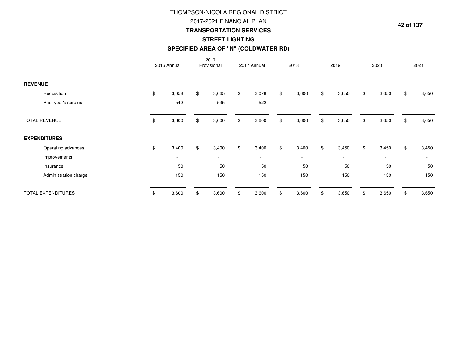# 2017-2021 FINANCIAL PLAN **TRANSPORTATION SERVICESSPECIFIED AREA OF "N" (COLDWATER RD)**THOMPSON-NICOLA REGIONAL DISTRICT**STREET LIGHTING**

|                           |                       | 2016 Annual              |    | 2017<br>Provisional      | 2017 Annual              |                | 2018                     | 2019                     |     | 2020                     |                | 2021   |
|---------------------------|-----------------------|--------------------------|----|--------------------------|--------------------------|----------------|--------------------------|--------------------------|-----|--------------------------|----------------|--------|
| <b>REVENUE</b>            |                       |                          |    |                          |                          |                |                          |                          |     |                          |                |        |
| Requisition               |                       | \$<br>3,058              | \$ | 3,065                    | \$<br>3,078              | \$             | 3,600                    | \$<br>3,650              | \$  | 3,650                    | \$             | 3,650  |
| Prior year's surplus      |                       | 542                      |    | 535                      | 522                      |                | $\overline{\phantom{a}}$ | $\overline{\phantom{a}}$ |     | $\sim$                   |                | $\sim$ |
| <b>TOTAL REVENUE</b>      |                       | 3,600                    | £. | 3,600                    | \$<br>3,600              | \$             | 3,600                    | \$<br>3,650              | \$. | 3,650                    | £.             | 3,650  |
| <b>EXPENDITURES</b>       |                       |                          |    |                          |                          |                |                          |                          |     |                          |                |        |
| Operating advances        |                       | \$<br>3,400              | \$ | 3,400                    | \$<br>3,400              | $\mathfrak{F}$ | 3,400                    | \$<br>3,450              | \$  | 3,450                    | $\mathfrak{S}$ | 3,450  |
| Improvements              |                       | $\overline{\phantom{a}}$ |    | $\overline{\phantom{a}}$ | $\overline{\phantom{a}}$ |                | $\overline{\phantom{a}}$ | $\overline{\phantom{a}}$ |     | $\overline{\phantom{a}}$ |                | $\sim$ |
| Insurance                 |                       | 50                       |    | 50                       | 50                       |                | 50                       | 50                       |     | 50                       |                | 50     |
|                           | Administration charge | 150                      |    | 150                      | 150                      |                | 150                      | 150                      |     | 150                      |                | 150    |
| <b>TOTAL EXPENDITURES</b> |                       | 3,600                    |    | 3,600                    | 3,600                    |                | 3,600                    | 3,650                    |     | 3,650                    |                | 3,650  |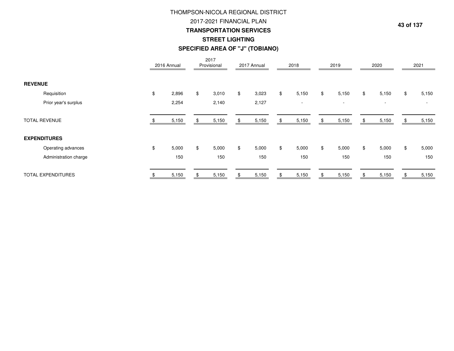# 2017-2021 FINANCIAL PLAN **TRANSPORTATION SERVICESSTREET LIGHTING SPECIFIED AREA OF "J" (TOBIANO)**THOMPSON-NICOLA REGIONAL DISTRICT

|                           |    | 2016 Annual | 2017<br>Provisional | 2017 Annual | 2018        | 2019                     | 2020        | 2021                     |
|---------------------------|----|-------------|---------------------|-------------|-------------|--------------------------|-------------|--------------------------|
| <b>REVENUE</b>            |    |             |                     |             |             |                          |             |                          |
| Requisition               | \$ | 2,896       | \$<br>3,010         | \$<br>3,023 | \$<br>5,150 | \$<br>5,150              | \$<br>5,150 | \$<br>5,150              |
| Prior year's surplus      |    | 2,254       | 2,140               | 2,127       | $\sim$      | $\overline{\phantom{a}}$ | $\sim$      | $\overline{\phantom{a}}$ |
| <b>TOTAL REVENUE</b>      |    | 5,150       | 5,150               | 5,150       | 5,150       | \$<br>5,150              | 5,150       | 5,150                    |
| <b>EXPENDITURES</b>       |    |             |                     |             |             |                          |             |                          |
| Operating advances        | \$ | 5,000       | \$<br>5,000         | \$<br>5,000 | \$<br>5,000 | \$<br>5,000              | \$<br>5,000 | \$<br>5,000              |
| Administration charge     |    | 150         | 150                 | 150         | 150         | 150                      | 150         | 150                      |
| <b>TOTAL EXPENDITURES</b> |    | 5,150       | 5,150               | 5,150       | 5,150       | 5,150                    | 5,150       | 5,150                    |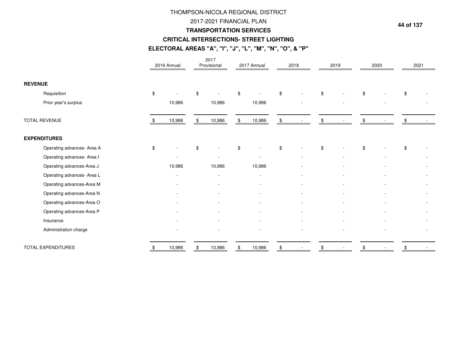### 2017-2021 FINANCIAL PLAN

#### **TRANSPORTATION SERVICES**

#### **CRITICAL INTERSECTIONS- STREET LIGHTING**

## **ELECTORAL AREAS "A", "I", "J", "L", "M", "N", "O", & "P"**

|                            | 2016 Annual              | 2017<br>Provisional      | 2017 Annual              | 2018 | 2019 | 2020 | 2021 |
|----------------------------|--------------------------|--------------------------|--------------------------|------|------|------|------|
| <b>REVENUE</b>             |                          |                          |                          |      |      |      |      |
| Requisition                | \$                       | \$                       | \$                       | \$   | \$   |      | \$   |
| Prior year's surplus       | 10,986                   | 10,986                   | 10,986                   |      |      |      |      |
| <b>TOTAL REVENUE</b>       | 10,986                   | \$<br>10,986             | \$<br>10,986             | \$   | \$   |      |      |
| <b>EXPENDITURES</b>        |                          |                          |                          |      |      |      |      |
| Operating advances- Area A | \$                       | \$                       |                          |      | \$   |      | \$   |
| Operating advances- Area I | $\overline{\phantom{a}}$ | $\overline{\phantom{a}}$ | $\overline{\phantom{a}}$ |      |      |      |      |
| Operating advances-Area J  | 10,986                   | 10,986                   | 10,986                   |      |      |      |      |
| Operating advances- Area L | ٠                        | $\overline{\phantom{a}}$ |                          |      |      |      |      |
| Operating advances-Area M  |                          |                          |                          |      |      |      |      |
| Operating advances-Area N  |                          |                          |                          |      |      |      |      |
| Operating advances-Area O  |                          |                          |                          |      |      |      |      |
| Operating advances-Area P  |                          |                          |                          |      |      |      |      |
| Insurance                  |                          |                          |                          |      |      |      |      |
| Administration charge      |                          |                          |                          |      |      |      |      |
| <b>TOTAL EXPENDITURES</b>  | 10,986                   | \$<br>10,986             | \$<br>10,986             |      |      |      |      |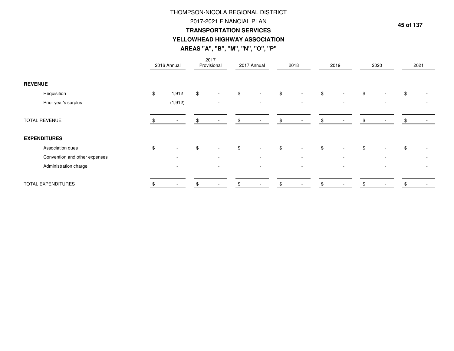## 2017-2021 FINANCIAL PLAN

#### **TRANSPORTATION SERVICES**

## **YELLOWHEAD HIGHWAY ASSOCIATION**

**AREAS "A", "B", "M", "N", "O", "P"**

|                           |                               | 2016 Annual              | 2017<br>Provisional            |                | 2017 Annual              |                | 2018   | 2019                           | 2020                           | 2021 |
|---------------------------|-------------------------------|--------------------------|--------------------------------|----------------|--------------------------|----------------|--------|--------------------------------|--------------------------------|------|
| <b>REVENUE</b>            |                               |                          |                                |                |                          |                |        |                                |                                |      |
|                           | Requisition                   | \$<br>1,912              | \$<br>$\sim$                   | \$             | $\sim$                   | $\frac{1}{2}$  | $\sim$ | \$<br>$\overline{\phantom{a}}$ | \$<br>$\overline{\phantom{a}}$ | \$   |
|                           | Prior year's surplus          | (1, 912)                 | $\overline{\phantom{a}}$       |                | $\sim$                   |                | $\sim$ | $\overline{\phantom{a}}$       | $\overline{\phantom{a}}$       |      |
| <b>TOTAL REVENUE</b>      |                               |                          |                                |                |                          |                |        | \$                             |                                |      |
| <b>EXPENDITURES</b>       |                               |                          |                                |                |                          |                |        |                                |                                |      |
|                           | Association dues              | \$<br>٠                  | \$<br>$\overline{\phantom{a}}$ | $\mathfrak{S}$ | $\sim$                   | $$\mathbb{S}$$ | $\sim$ | \$                             | \$<br>$\blacksquare$           | \$   |
|                           | Convention and other expenses | $\overline{\phantom{a}}$ | $\overline{\phantom{a}}$       |                | $\overline{\phantom{a}}$ |                |        | $\overline{\phantom{a}}$       |                                |      |
|                           | Administration charge         |                          | $\overline{\phantom{a}}$       |                |                          |                |        |                                |                                |      |
| <b>TOTAL EXPENDITURES</b> |                               |                          |                                |                |                          |                |        |                                |                                |      |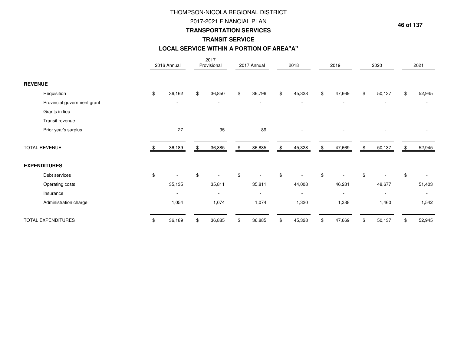## 2017-2021 FINANCIAL PLAN

### **TRANSPORTATION SERVICES**

## **TRANSIT SERVICE**

#### **LOCAL SERVICE WITHIN A PORTION OF AREA"A"**

|                             | 2016 Annual              | 2017<br>Provisional      | 2017 Annual              | 2018         | 2019         | 2020           | 2021           |
|-----------------------------|--------------------------|--------------------------|--------------------------|--------------|--------------|----------------|----------------|
| <b>REVENUE</b>              |                          |                          |                          |              |              |                |                |
| Requisition                 | \$<br>36,162             | \$<br>36,850             | \$<br>36,796             | \$<br>45,328 | \$<br>47,669 | \$<br>50,137   | \$<br>52,945   |
| Provincial government grant |                          |                          |                          |              |              |                |                |
| Grants in lieu              |                          |                          |                          |              |              |                |                |
| Transit revenue             |                          |                          |                          |              |              |                |                |
| Prior year's surplus        | 27                       | 35                       | 89                       |              |              |                |                |
| <b>TOTAL REVENUE</b>        | 36,189                   | \$<br>36,885             | \$<br>36,885             | \$<br>45,328 | \$<br>47,669 | \$<br>50,137   | \$<br>52,945   |
| <b>EXPENDITURES</b>         |                          |                          |                          |              |              |                |                |
| Debt services               | \$                       | \$                       | \$                       | \$           | \$           | \$             | \$             |
| Operating costs             | 35,135                   | 35,811                   | 35,811                   | 44,008       | 46,281       | 48,677         | 51,403         |
| Insurance                   | $\overline{\phantom{a}}$ | $\overline{\phantom{a}}$ | $\overline{\phantom{a}}$ |              |              | $\blacksquare$ | $\blacksquare$ |
| Administration charge       | 1,054                    | 1,074                    | 1,074                    | 1,320        | 1,388        | 1,460          | 1,542          |
| TOTAL EXPENDITURES          | 36,189                   | 36,885                   | 36,885                   | 45,328       | 47,669       | 50,137         | 52,945         |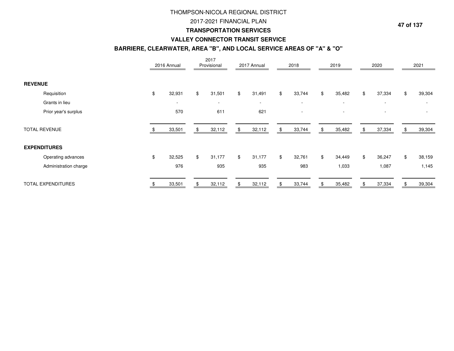## 2017-2021 FINANCIAL PLAN

#### **TRANSPORTATION SERVICES**

#### **VALLEY CONNECTOR TRANSIT SERVICE**

#### **BARRIERE, CLEARWATER, AREA "B", AND LOCAL SERVICE AREAS OF "A" & "O"**

|                           |                       | 2016 Annual  |                | 2017<br>Provisional      |    | 2017 Annual | 2018                     |              | 2019                     |     | 2020                     |     | 2021   |
|---------------------------|-----------------------|--------------|----------------|--------------------------|----|-------------|--------------------------|--------------|--------------------------|-----|--------------------------|-----|--------|
| <b>REVENUE</b>            |                       |              |                |                          |    |             |                          |              |                          |     |                          |     |        |
|                           | Requisition           | \$<br>32,931 | $\mathfrak{F}$ | 31,501                   | \$ | 31,491      | \$<br>33,744             | $\mathbb{S}$ | 35,482                   | \$  | 37,334                   | \$  | 39,304 |
|                           | Grants in lieu        | $\sim$       |                | $\overline{\phantom{a}}$ |    | $\sim$      | $\overline{\phantom{a}}$ |              | $\overline{\phantom{a}}$ |     | $\overline{\phantom{a}}$ |     |        |
|                           | Prior year's surplus  | 570          |                | 611                      |    | 621         |                          |              |                          |     |                          |     |        |
| <b>TOTAL REVENUE</b>      |                       | 33,501       | \$             | 32,112                   | S  | 32,112      | \$<br>33,744             | \$           | 35,482                   | \$. | 37,334                   | \$. | 39,304 |
| <b>EXPENDITURES</b>       |                       |              |                |                          |    |             |                          |              |                          |     |                          |     |        |
|                           | Operating advances    | \$<br>32,525 | \$             | 31,177                   | \$ | 31,177      | \$<br>32,761             | \$           | 34,449                   | \$  | 36,247                   | \$  | 38,159 |
|                           | Administration charge | 976          |                | 935                      |    | 935         | 983                      |              | 1,033                    |     | 1,087                    |     | 1,145  |
| <b>TOTAL EXPENDITURES</b> |                       | 33,501       |                | 32,112                   |    | 32,112      | 33,744                   |              | 35,482                   |     | 37,334                   |     | 39,304 |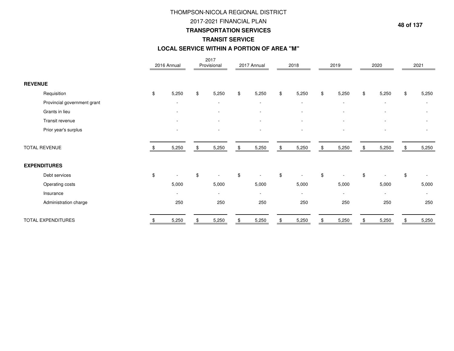## 2017-2021 FINANCIAL PLAN

#### **TRANSPORTATION SERVICES**

## **TRANSIT SERVICE**

## **LOCAL SERVICE WITHIN A PORTION OF AREA "M"**

|                             | 2016 Annual              | 2017<br>Provisional      | 2017 Annual              |                    | 2018                     | 2019                     | 2020                     | 2021                     |
|-----------------------------|--------------------------|--------------------------|--------------------------|--------------------|--------------------------|--------------------------|--------------------------|--------------------------|
| <b>REVENUE</b>              |                          |                          |                          |                    |                          |                          |                          |                          |
| Requisition                 | \$<br>5,250              | \$<br>5,250              | \$<br>5,250              | $\textcircled{\$}$ | 5,250                    | \$<br>5,250              | \$<br>5,250              | \$<br>5,250              |
| Provincial government grant | $\overline{\phantom{a}}$ | $\overline{\phantom{a}}$ | $\overline{\phantom{a}}$ |                    | $\overline{\phantom{a}}$ | $\overline{\phantom{a}}$ | $\overline{\phantom{a}}$ |                          |
| Grants in lieu              |                          |                          |                          |                    |                          |                          |                          |                          |
| Transit revenue             |                          |                          |                          |                    |                          |                          |                          |                          |
| Prior year's surplus        |                          | ٠                        |                          |                    |                          |                          |                          |                          |
| TOTAL REVENUE               | 5,250                    | \$<br>5,250              | \$<br>5,250              | \$                 | 5,250                    | \$<br>5,250              | \$<br>5,250              | 5,250                    |
| <b>EXPENDITURES</b>         |                          |                          |                          |                    |                          |                          |                          |                          |
| Debt services               | \$                       | \$                       | \$                       | $\mathfrak{S}$     |                          | \$                       | \$                       | \$                       |
| Operating costs             | 5,000                    | 5,000                    | 5,000                    |                    | 5,000                    | 5,000                    | 5,000                    | 5,000                    |
| Insurance                   | ٠                        | $\overline{\phantom{a}}$ | $\blacksquare$           |                    | $\overline{\phantom{a}}$ | $\overline{\phantom{a}}$ | $\blacksquare$           | $\overline{\phantom{a}}$ |
| Administration charge       | 250                      | 250                      | 250                      |                    | 250                      | 250                      | 250                      | 250                      |
| TOTAL EXPENDITURES          | 5,250                    | 5,250                    | 5,250                    |                    | 5,250                    | 5,250                    | 5,250                    | 5,250                    |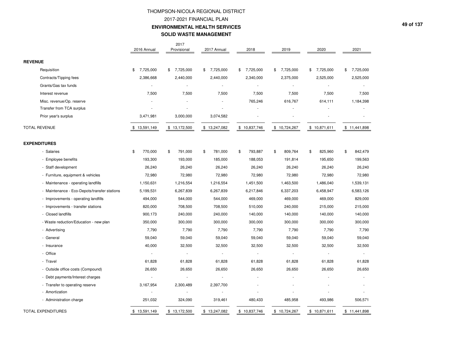## THOMPSON-NICOLA REGIONAL DISTRICT2017-2021 FINANCIAL PLAN **ENVIRONMENTAL HEALTH SERVICESSOLID WASTE MANAGEMENT**

|                                              | 2016 Annual     | 2017<br>Provisional | 2017 Annual   | 2018           | 2019          | 2020            | 2021            |
|----------------------------------------------|-----------------|---------------------|---------------|----------------|---------------|-----------------|-----------------|
| <b>REVENUE</b>                               |                 |                     |               |                |               |                 |                 |
| Requisition                                  | 7,725,000<br>\$ | 7,725,000<br>\$     | \$7,725,000   | \$7,725,000    | \$7,725,000   | 7,725,000<br>\$ | 7,725,000<br>\$ |
| Contracts/Tipping fees                       | 2,386,668       | 2,440,000           | 2,440,000     | 2,340,000      | 2,375,000     | 2,525,000       | 2,525,000       |
| Grants/Gas tax funds                         |                 | $\sim$              |               |                |               |                 |                 |
| Interest revenue                             | 7,500           | 7,500               | 7,500         | 7,500          | 7,500         | 7,500           | 7,500           |
| Misc. revenue/Op. reserve                    |                 |                     |               | 765,246        | 616,767       | 614,111         | 1,184,398       |
| Transfer from TCA surplus                    |                 |                     |               |                |               |                 |                 |
| Prior year's surplus                         | 3,471,981       | 3,000,000           | 3,074,582     |                |               |                 |                 |
| <b>TOTAL REVENUE</b>                         | \$13,591,149    | \$13,172,500        | \$13,247,082  | \$10,837,746   | \$10,724,267  | \$10,871,611    | \$11,441,898    |
| <b>EXPENDITURES</b>                          |                 |                     |               |                |               |                 |                 |
| - Salaries                                   | 770,000<br>\$   | 791,000<br>\$       | 781,000<br>\$ | \$<br>793,887  | 809,764<br>\$ | \$<br>825,960   | \$<br>842,479   |
| - Employee benefits                          | 193,300         | 193,000             | 185,000       | 188,053        | 191,814       | 195,650         | 199,563         |
| - Staff development                          | 26,240          | 26,240              | 26,240        | 26,240         | 26,240        | 26,240          | 26,240          |
| - Furniture, equipment & vehicles            | 72,980          | 72,980              | 72,980        | 72,980         | 72,980        | 72,980          | 72,980          |
| - Maintenance - operating landfills          | 1,150,631       | 1,216,554           | 1,216,554     | 1,451,500      | 1,463,500     | 1,486,040       | 1,539,131       |
| - Maintenance - Eco-Depots/transfer stations | 5,199,531       | 6,267,839           | 6,267,839     | 6,217,846      | 6,337,203     | 6,458,947       | 6,583,126       |
| - Improvements - operating landfills         | 494,000         | 544,000             | 544,000       | 469,000        | 469,000       | 469,000         | 829,000         |
| - Improvements - transfer stations           | 820,000         | 708,500             | 708,500       | 510,000        | 240,000       | 215,000         | 215,000         |
| - Closed landfills                           | 900,173         | 240,000             | 240,000       | 140,000        | 140,000       | 140,000         | 140,000         |
| - Waste reduction/Education - new plan       | 350,000         | 300,000             | 300,000       | 300,000        | 300,000       | 300,000         | 300,000         |
| - Advertising                                | 7,790           | 7,790               | 7,790         | 7,790          | 7,790         | 7,790           | 7,790           |
| - General                                    | 59,040          | 59,040              | 59,040        | 59,040         | 59,040        | 59,040          | 59,040          |
| - Insurance                                  | 40,000          | 32,500              | 32,500        | 32,500         | 32,500        | 32,500          | 32,500          |
| - Office                                     |                 | $\sim$              |               | $\overline{a}$ |               |                 |                 |
| - Travel                                     | 61,828          | 61,828              | 61,828        | 61,828         | 61,828        | 61,828          | 61,828          |
| - Outside office costs (Compound)            | 26,650          | 26,650              | 26,650        | 26,650         | 26,650        | 26,650          | 26,650          |
| - Debt payments/Interest charges             | $\sim$          | ÷.                  | ×.            |                |               |                 |                 |
| - Transfer to operating reserve              | 3,167,954       | 2,300,489           | 2,397,700     |                |               |                 |                 |
| - Amortization                               |                 |                     |               |                |               |                 |                 |
| - Administration charge                      | 251,032         | 324,090             | 319,461       | 480,433        | 485,958       | 493,986         | 506,571         |
| TOTAL EXPENDITURES                           | \$13,591,149    | \$13,172,500        | \$13,247,082  | \$10,837,746   | \$10,724,267  | \$10,871,611    | \$11,441,898    |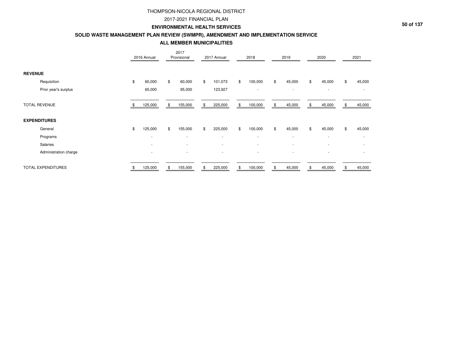#### 2017-2021 FINANCIAL PLAN

#### **ENVIRONMENTAL HEALTH SERVICES**

#### **SOLID WASTE MANAGEMENT PLAN REVIEW (SWMPR), AMENDMENT AND IMPLEMENTATION SERVICE**

**ALL MEMBER MUNICIPALITIES**

|                           | 2016 Annual              | 2017<br>Provisional | 2017 Annual              | 2018          |     | 2019   | 2020         |     | 2021         |
|---------------------------|--------------------------|---------------------|--------------------------|---------------|-----|--------|--------------|-----|--------------|
| <b>REVENUE</b>            |                          |                     |                          |               |     |        |              |     |              |
| Requisition               | \$<br>60,000             | \$<br>60,000        | \$<br>101,073            | \$<br>100,000 | \$  | 45,000 | \$<br>45,000 | \$  | 45,000       |
| Prior year's surplus      | 65,000                   | 95,000              | 123,927                  | ٠             |     | $\sim$ | $\sim$       |     | $\sim$       |
| <b>TOTAL REVENUE</b>      | 125,000                  | \$<br>155,000       | \$<br>225,000            | \$<br>100,000 | \$. | 45,000 | \$<br>45,000 | \$. | 45,000       |
| <b>EXPENDITURES</b>       |                          |                     |                          |               |     |        |              |     |              |
| General                   | \$<br>125,000            | \$<br>155,000       | \$<br>225,000            | \$<br>100,000 | \$  | 45,000 | \$<br>45,000 | \$  | 45,000       |
| Programs                  | $\sim$                   | ٠                   | $\overline{\phantom{a}}$ | $\sim$        |     | $\sim$ | $\sim$       |     | ٠            |
| Salaries                  | $\overline{\phantom{a}}$ | ٠                   | $\overline{\phantom{a}}$ | ٠             |     | $\sim$ | $\sim$       |     | $\mathbf{r}$ |
| Administration charge     | $\sim$                   | ٠                   | $\overline{\phantom{a}}$ |               |     |        |              |     | ٠            |
| <b>TOTAL EXPENDITURES</b> | 125,000                  | \$<br>155,000       | \$<br>225,000            | \$<br>100,000 |     | 45,000 | \$<br>45,000 | \$  | 45,000       |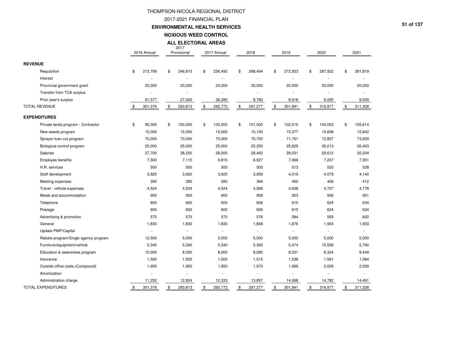#### 2017-2021 FINANCIAL PLAN

**ENVIRONMENTAL HEALTH SERVICES**

**NOXIOUS WEED CONTROL**

**ALL ELECTORAL AREAS**

2017

|                |                                      | 2016 Annual              | Provisional   | 2017 Annual   | 2018          | 2019          | 2020          | 2021          |
|----------------|--------------------------------------|--------------------------|---------------|---------------|---------------|---------------|---------------|---------------|
| <b>REVENUE</b> |                                      |                          |               |               |               |               |               |               |
|                | Requisition                          | \$<br>213,799            | \$<br>246,813 | \$<br>236,492 | \$<br>268,494 | \$<br>272,923 | \$<br>287,922 | \$<br>281,819 |
|                | Interest                             | ÷,                       | ×             |               |               |               | ä,            | ٠             |
|                | Provincial government grant          | 20,000                   | 20,000        | 20,000        | 20,000        | 20,000        | 20,000        | 20,000        |
|                | Transfer from TCA surplus            |                          |               |               |               |               |               |               |
|                | Prior year's surplus                 | 67,577                   | 27,000        | 36,280        | 8,783         | 8,918         | 9,055         | 9,509         |
|                | <b>TOTAL REVENUE</b>                 | \$<br>301,376            | \$<br>293,813 | \$<br>292,772 | \$<br>297,277 | \$<br>301,841 | \$<br>316,977 | \$<br>311,328 |
|                | <b>EXPENDITURES</b>                  |                          |               |               |               |               |               |               |
|                | Private lands program - Contractor   | \$<br>95,000             | \$<br>100,000 | \$<br>100,000 | \$<br>101,000 | \$<br>102,515 | \$<br>104,053 | \$<br>105,614 |
|                | New weeds program                    | 15,000                   | 15,000        | 15,000        | 15,150        | 15,377        | 15,608        | 15,842        |
|                | Sprayer loan out program             | 70,000                   | 70,000        | 70,000        | 70,700        | 71,761        | 72,837        | 73,929        |
|                | Biological control program           | 25,000                   | 25,000        | 25,000        | 25,250        | 25,629        | 26,013        | 26,403        |
|                | Salaries                             | 27,700                   | 28,250        | 28,000        | 28,462        | 29,031        | 29,612        | 30,204        |
|                | Employee benefits                    | 7,300                    | 7,115         | 6,815         | 6,927         | 7,066         | 7,207         | 7,351         |
|                | H.R. services                        | 500                      | 500           | 500           | 505           | 513           | 520           | 528           |
|                | Staff development                    | 3,920                    | 3,920         | 3,920         | 3,959         | 4,019         | 4,079         | 4,140         |
|                | Meeting expenses                     | 390                      | 390           | 390           | 394           | 400           | 406           | 412           |
|                | Travel - vehicle expenses            | 4,524                    | 4,524         | 4,524         | 4,569         | 4,638         | 4,707         | 4,778         |
|                | Meals and accommodation              | 900                      | 900           | 900           | 909           | 923           | 936           | 951           |
|                | Telephone                            | 600                      | 600           | 600           | 606           | 615           | 624           | 634           |
|                | Postage                              | 600                      | 600           | 600           | 606           | 615           | 624           | 634           |
|                | Advertising & promotion              | 570                      | 570           | 570           | 576           | 584           | 593           | 602           |
|                | General                              | 1,830                    | 1,830         | 1,830         | 1,848         | 1,876         | 1,904         | 1,933         |
|                | Update PMP/Capital                   |                          | ä,            |               |               |               |               | ×.            |
|                | Rebate program/Single agency program | 12,500                   | 5,000         | 5,000         | 5,000         | 5,000         | 5,000         | 5,000         |
|                | Furniture/equipment/vehicle          | 5,340                    | 5,340         | 5,340         | 5,393         | 5,474         | 15,556        | 5,790         |
|                | Education & awareness program        | 15,000                   | 8,000         | 8,000         | 8,080         | 8,201         | 8,324         | 8,449         |
|                | Insurance                            | 1,500                    | 1,500         | 1,500         | 1,515         | 1,538         | 1,561         | 1,584         |
|                | Outside office costs (Compound)      | 1,950                    | 1,950         | 1,950         | 1,970         | 1,999         | 2,029         | 2,059         |
|                | Amortization                         | $\overline{\phantom{a}}$ |               | ä,            |               |               |               |               |
|                | Administration charge                | 11,252                   | 12,824        | 12,333        | 13,857        | 14,068        | 14,782        | 14,491        |
|                | <b>TOTAL EXPENDITURES</b>            | \$<br>301,376            | \$<br>293,813 | \$<br>292,772 | \$<br>297,277 | \$<br>301,841 | \$<br>316,977 | \$<br>311,328 |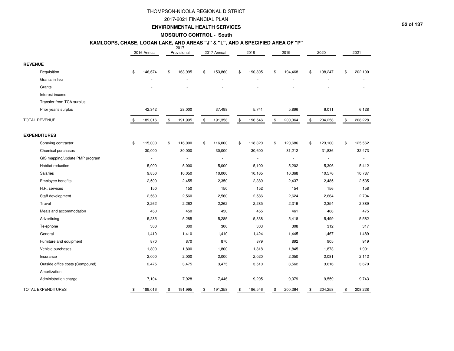#### 2017-2021 FINANCIAL PLAN

#### **ENVIRONMENTAL HEALTH SERVICES**

**MOSQUITO CONTROL - South**

## **KAMLOOPS, CHASE, LOGAN LAKE, AND AREAS "J" & "L", AND A SPECIFIED AREA OF "P"**

|                |                                 | 2016 Annual   | 2017<br>Provisional | 2017 Annual              | 2018          | 2019          | 2020                     | 2021                     |
|----------------|---------------------------------|---------------|---------------------|--------------------------|---------------|---------------|--------------------------|--------------------------|
| <b>REVENUE</b> |                                 |               |                     |                          |               |               |                          |                          |
|                | Requisition                     | \$<br>146,674 | \$<br>163,995       | \$<br>153,860            | \$<br>190,805 | \$<br>194,468 | \$<br>198,247            | \$<br>202,100            |
|                | Grants in lieu                  |               |                     |                          |               |               |                          |                          |
|                | Grants                          |               |                     |                          |               |               |                          |                          |
|                | Interest income                 |               |                     |                          |               |               |                          |                          |
|                | Transfer from TCA surplus       |               |                     |                          |               |               |                          |                          |
|                | Prior year's surplus            | 42,342        | 28,000              | 37,498                   | 5,741         | 5,896         | 6,011                    | 6,128                    |
|                | <b>TOTAL REVENUE</b>            | \$<br>189,016 | \$<br>191,995       | \$<br>191,358            | \$<br>196,546 | \$<br>200,364 | \$<br>204,258            | \$<br>208,228            |
|                | <b>EXPENDITURES</b>             |               |                     |                          |               |               |                          |                          |
|                | Spraying contractor             | \$<br>115,000 | \$<br>116,000       | \$<br>116,000            | \$<br>118,320 | \$<br>120,686 | \$<br>123,100            | \$<br>125,562            |
|                | Chemical purchases              | 30,000        | 30,000              | 30,000                   | 30,600        | 31,212        | 31,836                   | 32,473                   |
|                | GIS mapping/update PMP program  | ÷             | ÷                   | $\overline{\phantom{a}}$ | ÷,            |               | $\overline{\phantom{a}}$ |                          |
|                | Habitat reduction               | 5,000         | 5,000               | 5,000                    | 5,100         | 5,202         | 5,306                    | 5,412                    |
|                | Salaries                        | 9,850         | 10,050              | 10,000                   | 10,165        | 10,368        | 10,576                   | 10,787                   |
|                | Employee benefits               | 2,500         | 2,455               | 2,350                    | 2,389         | 2,437         | 2,485                    | 2,535                    |
|                | H.R. services                   | 150           | 150                 | 150                      | 152           | 154           | 156                      | 158                      |
|                | Staff development               | 2,560         | 2,560               | 2,560                    | 2,586         | 2,624         | 2,664                    | 2,704                    |
|                | Travel                          | 2,262         | 2,262               | 2,262                    | 2,285         | 2,319         | 2,354                    | 2,389                    |
|                | Meals and accommodation         | 450           | 450                 | 450                      | 455           | 461           | 468                      | 475                      |
|                | Advertising                     | 5,285         | 5,285               | 5,285                    | 5,338         | 5,418         | 5,499                    | 5,582                    |
|                | Telephone                       | 300           | 300                 | 300                      | 303           | 308           | 312                      | 317                      |
|                | General                         | 1,410         | 1,410               | 1,410                    | 1,424         | 1,445         | 1,467                    | 1,489                    |
|                | Furniture and equipment         | 870           | 870                 | 870                      | 879           | 892           | 905                      | 919                      |
|                | Vehicle purchases               | 1,800         | 1,800               | 1,800                    | 1,818         | 1,845         | 1,873                    | 1,901                    |
|                | Insurance                       | 2,000         | 2,000               | 2,000                    | 2,020         | 2,050         | 2,081                    | 2,112                    |
|                | Outside office costs (Compound) | 2,475         | 3,475               | 3,475                    | 3,510         | 3,562         | 3,616                    | 3,670                    |
|                | Amortization                    |               |                     |                          | $\frac{1}{2}$ |               |                          | $\overline{\phantom{a}}$ |
|                | Administration charge           | 7,104         | 7,928               | 7,446                    | 9,205         | 9,379         | 9,559                    | 9,743                    |
|                | <b>TOTAL EXPENDITURES</b>       | \$<br>189,016 | \$<br>191,995       | \$<br>191,358            | \$<br>196,546 | \$<br>200,364 | \$<br>204,258            | \$<br>208,228            |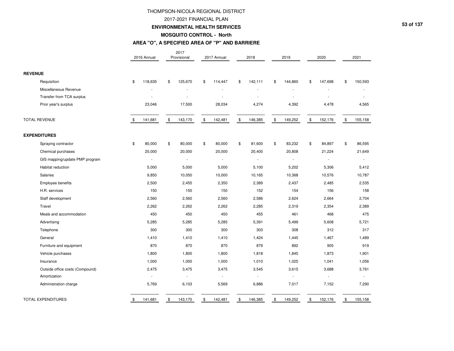#### 2017-2021 FINANCIAL PLAN

#### **ENVIRONMENTAL HEALTH SERVICES**

#### **MOSQUITO CONTROL - North**

#### **AREA "O", A SPECIFIED AREA OF "P" AND BARRIERE**

|                                 | 2016 Annual              | 2017<br>Provisional | 2017 Annual              |                | 2018    | 2019                     | 2020          |              | 2021    |
|---------------------------------|--------------------------|---------------------|--------------------------|----------------|---------|--------------------------|---------------|--------------|---------|
| <b>REVENUE</b>                  |                          |                     |                          |                |         |                          |               |              |         |
| Requisition                     | \$<br>118,635            | \$<br>125,670       | \$<br>114,447            | \$             | 142,111 | \$<br>144,860            | \$<br>147,698 | \$           | 150,593 |
| Miscellaneous Revenue           |                          |                     |                          |                |         |                          |               |              |         |
| Transfer from TCA surplus       |                          |                     |                          |                |         |                          |               |              |         |
| Prior year's surplus            | 23,046                   | 17,500              | 28,034                   |                | 4,274   | 4,392                    | 4,478         |              | 4,565   |
| <b>TOTAL REVENUE</b>            | \$<br>141,681            | \$<br>143,170       | \$<br>142,481            | $\mathfrak{S}$ | 146,385 | \$<br>149,252            | \$<br>152,176 | $\mathbb{S}$ | 155,158 |
| <b>EXPENDITURES</b>             |                          |                     |                          |                |         |                          |               |              |         |
| Spraying contractor             | \$<br>80,000             | \$<br>80,000        | \$<br>80,000             | \$             | 81,600  | \$<br>83,232             | \$<br>84,897  | \$           | 86,595  |
| Chemical purchases              | 20,000                   | 20,000              | 20,000                   |                | 20,400  | 20,808                   | 21,224        |              | 21,649  |
| GIS mapping/update PMP program  | $\sim$                   | $\sim$              | ÷.                       |                | ÷,      | $\overline{\phantom{a}}$ | $\sim$        |              | ÷.      |
| Habitat reduction               | 5,000                    | 5,000               | 5,000                    |                | 5,100   | 5,202                    | 5,306         |              | 5,412   |
| <b>Salaries</b>                 | 9,850                    | 10,050              | 10,000                   |                | 10,165  | 10,368                   | 10,576        |              | 10,787  |
| Employee benefits               | 2,500                    | 2,455               | 2,350                    |                | 2,389   | 2,437                    | 2,485         |              | 2,535   |
| H.R. services                   | 150                      | 150                 | 150                      |                | 152     | 154                      | 156           |              | 158     |
| Staff development               | 2,560                    | 2,560               | 2,560                    |                | 2,586   | 2,624                    | 2,664         |              | 2,704   |
| Travel                          | 2,262                    | 2,262               | 2,262                    |                | 2,285   | 2,319                    | 2,354         |              | 2,389   |
| Meals and accommodation         | 450                      | 450                 | 450                      |                | 455     | 461                      | 468           |              | 475     |
| Advertising                     | 5,285                    | 5,285               | 5,285                    |                | 5,391   | 5,499                    | 5,608         |              | 5,721   |
| Telephone                       | 300                      | 300                 | 300                      |                | 303     | 308                      | 312           |              | 317     |
| General                         | 1,410                    | 1,410               | 1,410                    |                | 1,424   | 1,445                    | 1,467         |              | 1,489   |
| Furniture and equipment         | 870                      | 870                 | 870                      |                | 879     | 892                      | 905           |              | 919     |
| Vehicle purchases               | 1,800                    | 1,800               | 1,800                    |                | 1,818   | 1,845                    | 1,873         |              | 1,901   |
| Insurance                       | 1,000                    | 1,000               | 1,000                    |                | 1,010   | 1,025                    | 1,041         |              | 1,056   |
| Outside office costs (Compound) | 2,475                    | 3,475               | 3,475                    |                | 3,545   | 3,615                    | 3,688         |              | 3,761   |
| Amortization                    | $\overline{\phantom{a}}$ | $\sim$              | $\overline{\phantom{a}}$ |                | ÷       | $\mathcal{L}$            | $\sim$        |              |         |
| Administration charge           | 5,769                    | 6,103               | 5,569                    |                | 6,886   | 7,017                    | 7,152         |              | 7,290   |
| <b>TOTAL EXPENDITURES</b>       | \$<br>141,681            | \$<br>143,170       | \$<br>142,481            | \$             | 146,385 | \$<br>149,252            | \$<br>152,176 | \$           | 155,158 |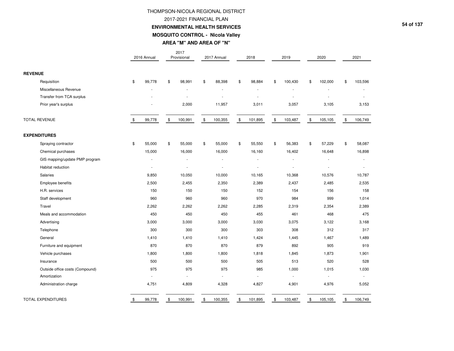## THOMPSON-NICOLA REGIONAL DISTRICT2017-2021 FINANCIAL PLAN **ENVIRONMENTAL HEALTH SERVICESMOSQUITO CONTROL - Nicola Valley**

**AREA "M" AND AREA OF "N"**

|                                 | 2016 Annual  | 2017<br>Provisional | 2017 Annual   | 2018          | 2019          | 2020          | 2021                     |
|---------------------------------|--------------|---------------------|---------------|---------------|---------------|---------------|--------------------------|
| <b>REVENUE</b>                  |              |                     |               |               |               |               |                          |
| Requisition                     | \$<br>99,778 | \$<br>98,991        | \$<br>88,398  | \$<br>98,884  | \$<br>100,430 | \$<br>102,000 | \$<br>103,596            |
| Miscellaneous Revenue           |              |                     |               |               |               |               |                          |
| Transfer from TCA surplus       |              |                     |               |               |               |               |                          |
| Prior year's surplus            |              | 2,000               | 11,957        | 3,011         | 3,057         | 3,105         | 3,153                    |
| <b>TOTAL REVENUE</b>            | \$<br>99,778 | \$<br>100,991       | \$<br>100,355 | \$<br>101,895 | \$<br>103,487 | \$<br>105,105 | \$<br>106,749            |
| <b>EXPENDITURES</b>             |              |                     |               |               |               |               |                          |
| Spraying contractor             | \$<br>55,000 | \$<br>55,000        | \$<br>55,000  | \$<br>55,550  | \$<br>56,383  | \$<br>57,229  | \$<br>58,087             |
| Chemical purchases              | 15,000       | 16,000              | 16,000        | 16,160        | 16,402        | 16,648        | 16,898                   |
| GIS mapping/update PMP program  |              |                     |               |               | ä,            |               |                          |
| Habitat reduction               | $\sim$       | $\sim$              |               | ٠             | ÷,            | ÷,            | $\overline{\phantom{a}}$ |
| Salaries                        | 9,850        | 10,050              | 10,000        | 10,165        | 10,368        | 10,576        | 10,787                   |
| Employee benefits               | 2,500        | 2,455               | 2,350         | 2,389         | 2,437         | 2,485         | 2,535                    |
| H.R. services                   | 150          | 150                 | 150           | 152           | 154           | 156           | 158                      |
| Staff development               | 960          | 960                 | 960           | 970           | 984           | 999           | 1,014                    |
| Travel                          | 2,262        | 2,262               | 2,262         | 2,285         | 2,319         | 2,354         | 2,389                    |
| Meals and accommodation         | 450          | 450                 | 450           | 455           | 461           | 468           | 475                      |
| Advertising                     | 3,000        | 3,000               | 3,000         | 3,030         | 3,075         | 3,122         | 3,168                    |
| Telephone                       | 300          | 300                 | 300           | 303           | 308           | 312           | 317                      |
| General                         | 1,410        | 1,410               | 1,410         | 1,424         | 1,445         | 1,467         | 1,489                    |
| Furniture and equipment         | 870          | 870                 | 870           | 879           | 892           | 905           | 919                      |
| Vehicle purchases               | 1,800        | 1,800               | 1,800         | 1,818         | 1,845         | 1,873         | 1,901                    |
| Insurance                       | 500          | 500                 | 500           | 505           | 513           | 520           | 528                      |
| Outside office costs (Compound) | 975          | 975                 | 975           | 985           | 1,000         | 1,015         | 1,030                    |
| Amortization                    |              | ÷                   | ÷.            | ÷.            | ÷.            | $\sim$        |                          |
| Administration charge           | 4,751        | 4,809               | 4,328         | 4,827         | 4,901         | 4,976         | 5,052                    |
| <b>TOTAL EXPENDITURES</b>       | \$<br>99,778 | \$<br>100,991       | \$<br>100,355 | \$<br>101,895 | \$<br>103,487 | \$<br>105,105 | \$<br>106,749            |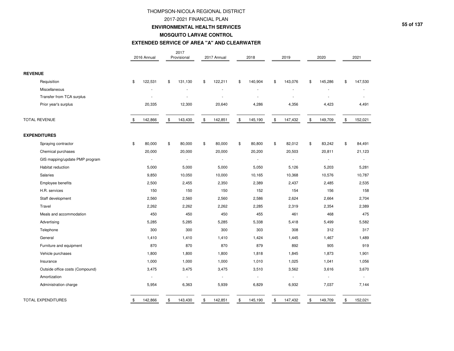#### 2017-2021 FINANCIAL PLAN

#### **ENVIRONMENTAL HEALTH SERVICES**

#### **MOSQUITO LARVAE CONTROL**

#### **EXTENDED SERVICE OF AREA "A" AND CLEARWATER**

|                                 | 2016 Annual              | 2017<br>Provisional      | 2017 Annual              | 2018                     | 2019                     | 2020          | 2021                     |
|---------------------------------|--------------------------|--------------------------|--------------------------|--------------------------|--------------------------|---------------|--------------------------|
| <b>REVENUE</b>                  |                          |                          |                          |                          |                          |               |                          |
| Requisition                     | \$<br>122,531            | \$<br>131,130            | \$<br>122,211            | \$<br>140,904            | \$<br>143,076            | \$<br>145,286 | \$<br>147,530            |
| Miscellaneous                   |                          |                          |                          |                          |                          |               |                          |
| Transfer from TCA surplus       |                          |                          |                          |                          |                          |               |                          |
| Prior year's surplus            | 20,335                   | 12,300                   | 20,640                   | 4,286                    | 4,356                    | 4,423         | 4,491                    |
| <b>TOTAL REVENUE</b>            | \$<br>142,866            | \$<br>143,430            | \$<br>142,851            | \$<br>145,190            | \$<br>147,432            | \$<br>149,709 | \$<br>152,021            |
| <b>EXPENDITURES</b>             |                          |                          |                          |                          |                          |               |                          |
| Spraying contractor             | \$<br>80,000             | \$<br>80,000             | \$<br>80,000             | \$<br>80,800             | \$<br>82,012             | \$<br>83,242  | \$<br>84,491             |
| Chemical purchases              | 20,000                   | 20,000                   | 20,000                   | 20,200                   | 20,503                   | 20,811        | 21,123                   |
| GIS mapping/update PMP program  | $\overline{\phantom{a}}$ | $\overline{\phantom{a}}$ | $\overline{\phantom{a}}$ | $\overline{\phantom{a}}$ | $\overline{\phantom{a}}$ | $\sim$        | $\overline{\phantom{a}}$ |
| Habitat reduction               | 5,000                    | 5,000                    | 5,000                    | 5,050                    | 5,126                    | 5,203         | 5,281                    |
| Salaries                        | 9,850                    | 10,050                   | 10,000                   | 10,165                   | 10,368                   | 10,576        | 10,787                   |
| Employee benefits               | 2,500                    | 2,455                    | 2,350                    | 2,389                    | 2,437                    | 2,485         | 2,535                    |
| H.R. services                   | 150                      | 150                      | 150                      | 152                      | 154                      | 156           | 158                      |
| Staff development               | 2,560                    | 2,560                    | 2,560                    | 2,586                    | 2,624                    | 2,664         | 2,704                    |
| Travel                          | 2,262                    | 2,262                    | 2,262                    | 2,285                    | 2,319                    | 2,354         | 2,389                    |
| Meals and accommodation         | 450                      | 450                      | 450                      | 455                      | 461                      | 468           | 475                      |
| Advertising                     | 5,285                    | 5,285                    | 5,285                    | 5,338                    | 5,418                    | 5,499         | 5,582                    |
| Telephone                       | 300                      | 300                      | 300                      | 303                      | 308                      | 312           | 317                      |
| General                         | 1,410                    | 1,410                    | 1,410                    | 1,424                    | 1,445                    | 1,467         | 1,489                    |
| Furniture and equipment         | 870                      | 870                      | 870                      | 879                      | 892                      | 905           | 919                      |
| Vehicle purchases               | 1,800                    | 1,800                    | 1,800                    | 1,818                    | 1,845                    | 1,873         | 1,901                    |
| Insurance                       | 1,000                    | 1,000                    | 1,000                    | 1,010                    | 1,025                    | 1,041         | 1,056                    |
| Outside office costs (Compound) | 3,475                    | 3,475                    | 3,475                    | 3,510                    | 3,562                    | 3,616         | 3,670                    |
| Amortization                    | $\overline{\phantom{a}}$ | $\sim$                   | $\overline{\phantom{a}}$ | ÷.                       |                          | $\sim$        |                          |
| Administration charge           | 5,954                    | 6,363                    | 5,939                    | 6,829                    | 6,932                    | 7,037         | 7,144                    |
| <b>TOTAL EXPENDITURES</b>       | \$<br>142,866            | \$<br>143,430            | \$<br>142,851            | \$<br>145,190            | \$<br>147,432            | \$<br>149,709 | \$<br>152,021            |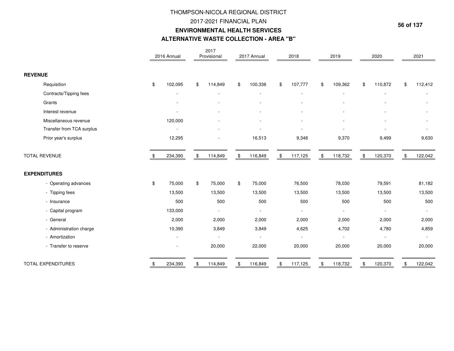### 2017-2021 FINANCIAL PLAN

#### **ENVIRONMENTAL HEALTH SERVICES**

## **ALTERNATIVE WASTE COLLECTION - AREA "B"**

|                           | 2016 Annual   | 2017<br>Provisional      | 2017 Annual    | 2018          | 2019          | 2020                     | 2021          |
|---------------------------|---------------|--------------------------|----------------|---------------|---------------|--------------------------|---------------|
| <b>REVENUE</b>            |               |                          |                |               |               |                          |               |
| Requisition               | \$<br>102,095 | \$<br>114,849            | \$<br>100,336  | \$<br>107,777 | \$<br>109,362 | \$<br>110,872            | \$<br>112,412 |
| Contracts/Tipping fees    |               |                          |                |               |               |                          |               |
| Grants                    |               |                          |                |               |               |                          |               |
| Interest revenue          |               |                          |                |               |               |                          |               |
| Miscellaneous revenue     | 120,000       |                          |                |               |               |                          |               |
| Transfer from TCA surplus |               |                          |                |               |               |                          |               |
| Prior year's surplus      | 12,295        |                          | 16,513         | 9,348         | 9,370         | 9,499                    | 9,630         |
| <b>TOTAL REVENUE</b>      | 234,390       | \$<br>114,849            | \$<br>116,849  | \$<br>117,125 | \$<br>118,732 | \$<br>120,370            | \$<br>122,042 |
| <b>EXPENDITURES</b>       |               |                          |                |               |               |                          |               |
| - Operating advances      | \$<br>75,000  | \$<br>75,000             | \$<br>75,000   | 76,500        | 78,030        | 79,591                   | 81,182        |
| - Tipping fees            | 13,500        | 13,500                   | 13,500         | 13,500        | 13,500        | 13,500                   | 13,500        |
| - Insurance               | 500           | 500                      | 500            | 500           | 500           | 500                      | 500           |
| - Capital program         | 133,000       | $\blacksquare$           | $\blacksquare$ |               |               |                          |               |
| - General                 | 2,000         | 2,000                    | 2,000          | 2,000         | 2,000         | 2,000                    | 2,000         |
| - Administration charge   | 10,390        | 3,849                    | 3,849          | 4,625         | 4,702         | 4,780                    | 4,859         |
| - Amortization            |               | $\overline{\phantom{a}}$ | $\blacksquare$ |               |               | $\overline{\phantom{a}}$ | $\sim$        |
| - Transfer to reserve     |               | 20,000                   | 22,000         | 20,000        | 20,000        | 20,000                   | 20,000        |
| <b>TOTAL EXPENDITURES</b> | \$<br>234,390 | \$<br>114,849            | \$<br>116,849  | \$<br>117,125 | \$<br>118,732 | 120,370                  | 122,042       |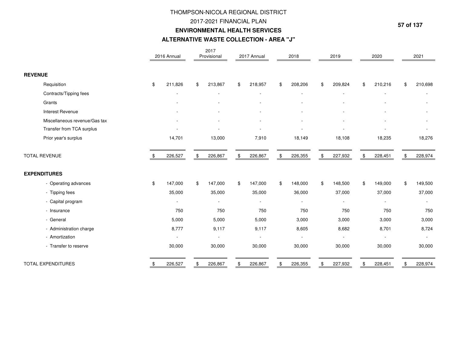## 2017-2021 FINANCIAL PLAN

#### **ENVIRONMENTAL HEALTH SERVICES**

#### **ALTERNATIVE WASTE COLLECTION - AREA "J"**

|                               | 2016 Annual   | 2017<br>Provisional      | 2017 Annual              | 2018                     | 2019          | 2020                     |    | 2021         |
|-------------------------------|---------------|--------------------------|--------------------------|--------------------------|---------------|--------------------------|----|--------------|
| <b>REVENUE</b>                |               |                          |                          |                          |               |                          |    |              |
| Requisition                   | \$<br>211,826 | \$<br>213,867            | \$<br>218,957            | \$<br>208,206            | \$<br>209,824 | \$<br>210,216            | \$ | 210,698      |
| Contracts/Tipping fees        |               |                          |                          |                          |               |                          |    |              |
| Grants                        |               |                          |                          |                          |               |                          |    |              |
| Interest Revenue              |               |                          |                          |                          |               |                          |    |              |
| Miscellaneous revenue/Gas tax |               |                          |                          |                          |               |                          |    |              |
| Transfer from TCA surplus     |               |                          |                          |                          |               |                          |    |              |
| Prior year's surplus          | 14,701        | 13,000                   | 7,910                    | 18,149                   | 18,108        | 18,235                   |    | 18,276       |
| <b>TOTAL REVENUE</b>          | 226,527       | \$<br>226,867            | \$<br>226,867            | \$<br>226,355            | \$<br>227,932 | \$<br>228,451            | \$ | 228,974      |
| <b>EXPENDITURES</b>           |               |                          |                          |                          |               |                          |    |              |
| - Operating advances          | \$<br>147,000 | \$<br>147,000            | \$<br>147,000            | \$<br>148,000            | \$<br>148,500 | \$<br>149,000            | \$ | 149,500      |
| - Tipping fees                | 35,000        | 35,000                   | 35,000                   | 36,000                   | 37,000        | 37,000                   |    | 37,000       |
| - Capital program             |               | $\overline{a}$           | $\overline{\phantom{a}}$ | $\overline{\phantom{a}}$ |               | $\overline{\phantom{a}}$ |    | $\sim$       |
| - Insurance                   | 750           | 750                      | 750                      | 750                      | 750           | 750                      |    | 750          |
| - General                     | 5,000         | 5,000                    | 5,000                    | 3,000                    | 3,000         | 3,000                    |    | 3,000        |
| - Administration charge       | 8,777         | 9,117                    | 9,117                    | 8,605                    | 8,682         | 8,701                    |    | 8,724        |
| - Amortization                |               | $\overline{\phantom{a}}$ | $\blacksquare$           |                          |               | $\overline{\phantom{a}}$ |    | $\mathbf{r}$ |
| - Transfer to reserve         | 30,000        | 30,000                   | 30,000                   | 30,000                   | 30,000        | 30,000                   |    | 30,000       |
| <b>TOTAL EXPENDITURES</b>     | \$<br>226,527 | \$<br>226,867            | \$<br>226,867            | \$<br>226,355            | \$<br>227,932 | 228,451                  | Ъ  | 228,974      |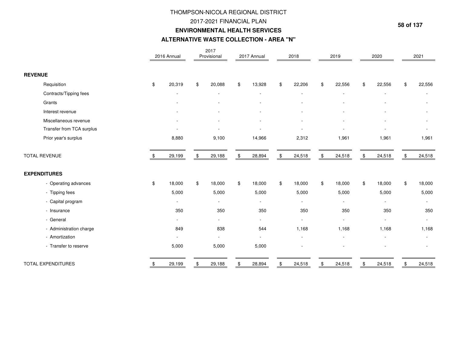### 2017-2021 FINANCIAL PLAN

#### **ENVIRONMENTAL HEALTH SERVICES**

#### **ALTERNATIVE WASTE COLLECTION - AREA "N"**

|                           | 2016 Annual  | 2017<br>Provisional      | 2017 Annual              | 2018           |                | 2019                     |    | 2020                     | 2021         |
|---------------------------|--------------|--------------------------|--------------------------|----------------|----------------|--------------------------|----|--------------------------|--------------|
| <b>REVENUE</b>            |              |                          |                          |                |                |                          |    |                          |              |
| Requisition               | \$<br>20,319 | \$<br>20,088             | \$<br>13,928             | \$<br>22,206   | \$             | 22,556                   | \$ | 22,556                   | \$<br>22,556 |
| Contracts/Tipping fees    |              |                          |                          |                |                |                          |    |                          |              |
| Grants                    |              |                          |                          |                |                |                          |    |                          |              |
| Interest revenue          |              |                          |                          |                |                |                          |    |                          |              |
| Miscellaneous revenue     |              |                          |                          |                |                |                          |    |                          |              |
| Transfer from TCA surplus |              |                          |                          |                |                |                          |    |                          |              |
| Prior year's surplus      | 8,880        | 9,100                    | 14,966                   | 2,312          |                | 1,961                    |    | 1,961                    | 1,961        |
| <b>TOTAL REVENUE</b>      | 29,199       | \$<br>29,188             | \$<br>28,894             | \$<br>24,518   | $\mathfrak{F}$ | 24,518                   | \$ | 24,518                   | \$<br>24,518 |
| <b>EXPENDITURES</b>       |              |                          |                          |                |                |                          |    |                          |              |
| - Operating advances      | \$<br>18,000 | \$<br>18,000             | \$<br>18,000             | \$<br>18,000   | \$             | 18,000                   | \$ | 18,000                   | \$<br>18,000 |
| - Tipping fees            | 5,000        | 5,000                    | 5,000                    | 5,000          |                | 5,000                    |    | 5,000                    | 5,000        |
| - Capital program         |              | $\overline{\phantom{a}}$ | $\overline{\phantom{a}}$ |                |                | $\overline{\phantom{a}}$ |    | $\overline{\phantom{a}}$ | $\sim$       |
| - Insurance               | 350          | 350                      | 350                      | 350            |                | 350                      |    | 350                      | 350          |
| - General                 | $\sim$       | $\blacksquare$           | $\sim$                   | $\blacksquare$ |                | $\overline{\phantom{a}}$ |    |                          | $\sim$       |
| - Administration charge   | 849          | 838                      | 544                      | 1,168          |                | 1,168                    |    | 1,168                    | 1,168        |
| - Amortization            |              | $\overline{\phantom{a}}$ | $\mathbf{r}$             |                |                |                          |    |                          |              |
| - Transfer to reserve     | 5,000        | 5,000                    | 5,000                    |                |                |                          |    |                          |              |
| <b>TOTAL EXPENDITURES</b> | \$<br>29,199 | \$<br>29,188             | \$<br>28,894             | \$<br>24,518   | \$             | 24,518                   | S. | 24,518                   | \$<br>24,518 |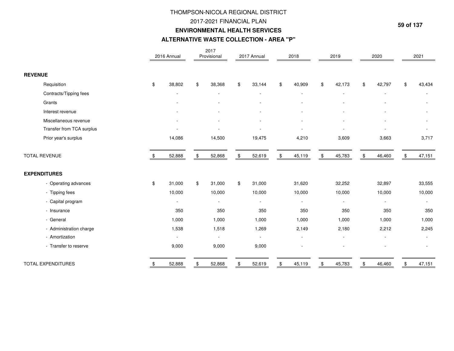### 2017-2021 FINANCIAL PLAN

#### **ENVIRONMENTAL HEALTH SERVICES**

#### **ALTERNATIVE WASTE COLLECTION - AREA "P"**

|                           | 2016 Annual  | 2017<br>Provisional      | 2017 Annual              | 2018                     | 2019                     | 2020                     | 2021         |
|---------------------------|--------------|--------------------------|--------------------------|--------------------------|--------------------------|--------------------------|--------------|
| <b>REVENUE</b>            |              |                          |                          |                          |                          |                          |              |
| Requisition               | \$<br>38,802 | \$<br>38,368             | \$<br>33,144             | \$<br>40,909             | \$<br>42,173             | \$<br>42,797             | \$<br>43,434 |
| Contracts/Tipping fees    |              |                          |                          |                          |                          |                          |              |
| Grants                    |              |                          |                          |                          |                          |                          |              |
| Interest revenue          |              |                          |                          |                          |                          |                          |              |
| Miscellaneous revenue     |              |                          |                          |                          |                          |                          |              |
| Transfer from TCA surplus |              |                          |                          |                          |                          |                          |              |
| Prior year's surplus      | 14,086       | 14,500                   | 19,475                   | 4,210                    | 3,609                    | 3,663                    | 3,717        |
| <b>TOTAL REVENUE</b>      | 52,888       | \$<br>52,868             | \$<br>52,619             | \$<br>45,119             | \$<br>45,783             | \$<br>46,460             | \$<br>47,151 |
| <b>EXPENDITURES</b>       |              |                          |                          |                          |                          |                          |              |
| - Operating advances      | \$<br>31,000 | \$<br>31,000             | \$<br>31,000             | 31,620                   | 32,252                   | 32,897                   | 33,555       |
| - Tipping fees            | 10,000       | 10,000                   | 10,000                   | 10,000                   | 10,000                   | 10,000                   | 10,000       |
| - Capital program         | $\sim$       | $\overline{\phantom{a}}$ | $\overline{\phantom{a}}$ | $\overline{\phantom{a}}$ | $\overline{\phantom{a}}$ | $\overline{\phantom{a}}$ | $\sim$       |
| - Insurance               | 350          | 350                      | 350                      | 350                      | 350                      | 350                      | 350          |
| - General                 | 1,000        | 1,000                    | 1,000                    | 1,000                    | 1,000                    | 1,000                    | 1,000        |
| - Administration charge   | 1,538        | 1,518                    | 1,269                    | 2,149                    | 2,180                    | 2,212                    | 2,245        |
| - Amortization            |              | $\overline{\phantom{a}}$ | $\blacksquare$           |                          |                          |                          | $\sim$       |
| - Transfer to reserve     | 9,000        | 9,000                    | 9,000                    |                          |                          |                          |              |
| <b>TOTAL EXPENDITURES</b> | \$<br>52,888 | \$<br>52,868             | \$<br>52,619             | \$<br>45,119             | \$<br>45,783             | 46,460                   | \$<br>47,151 |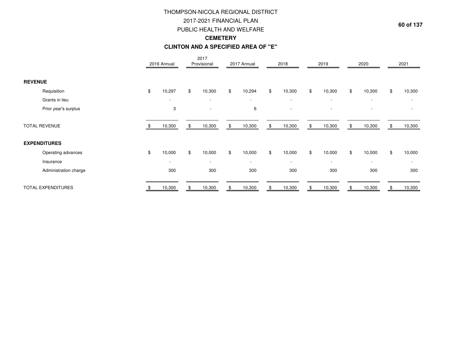# THOMPSON-NICOLA REGIONAL DISTRICT2017-2021 FINANCIAL PLAN PUBLIC HEALTH AND WELFARE**CEMETERY**

#### **CLINTON AND A SPECIFIED AREA OF "E"**

|                       | 2016 Annual              |     | 2017<br>Provisional      | 2017 Annual              | 2018                     |    | 2019   | 2020                     | 2021                     |
|-----------------------|--------------------------|-----|--------------------------|--------------------------|--------------------------|----|--------|--------------------------|--------------------------|
| <b>REVENUE</b>        |                          |     |                          |                          |                          |    |        |                          |                          |
| Requisition           | \$<br>10,297             | \$  | 10,300                   | \$<br>10,294             | \$<br>10,300             | \$ | 10,300 | \$<br>10,300             | \$<br>10,300             |
| Grants in lieu        | $\overline{\phantom{a}}$ |     | $\overline{\phantom{a}}$ | $\overline{\phantom{a}}$ | $\overline{\phantom{a}}$ |    | $\sim$ | $\overline{\phantom{a}}$ | $\overline{\phantom{a}}$ |
| Prior year's surplus  | 3                        |     |                          | 6                        |                          |    |        |                          |                          |
| <b>TOTAL REVENUE</b>  | 10,300                   | \$. | 10,300                   | \$<br>10,300             | \$<br>10,300             | \$ | 10,300 | \$<br>10,300             | \$<br>10,300             |
| <b>EXPENDITURES</b>   |                          |     |                          |                          |                          |    |        |                          |                          |
| Operating advances    | \$<br>10,000             | \$  | 10,000                   | \$<br>10,000             | \$<br>10,000             | \$ | 10,000 | \$<br>10,000             | \$<br>10,000             |
| Insurance             | $\overline{\phantom{a}}$ |     | $\overline{\phantom{a}}$ | $\overline{\phantom{a}}$ | $\overline{\phantom{a}}$ |    | $\sim$ | $\overline{\phantom{a}}$ | $\overline{\phantom{a}}$ |
| Administration charge | 300                      |     | 300                      | 300                      | 300                      |    | 300    | 300                      | 300                      |
| TOTAL EXPENDITURES    | 10,300                   |     | 10,300                   | \$<br>10,300             | \$<br>10,300             | £. | 10,300 | 10,300                   | 10,300                   |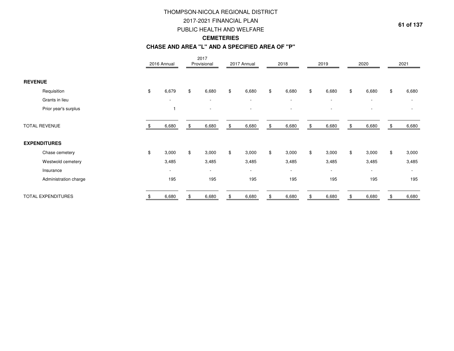2017-2021 FINANCIAL PLAN

PUBLIC HEALTH AND WELFARE

## **CEMETERIES**

#### **CHASE AND AREA "L" AND A SPECIFIED AREA OF "P"**

|                       | 2016 Annual              | 2017<br>Provisional      | 2017 Annual              | 2018        |                | 2019                     | 2020                     | 2021        |
|-----------------------|--------------------------|--------------------------|--------------------------|-------------|----------------|--------------------------|--------------------------|-------------|
| <b>REVENUE</b>        |                          |                          |                          |             |                |                          |                          |             |
| Requisition           | \$<br>6,679              | \$<br>6,680              | \$<br>6,680              | \$<br>6,680 | \$             | 6,680                    | \$<br>6,680              | \$<br>6,680 |
| Grants in lieu        | $\overline{\phantom{a}}$ | $\overline{\phantom{a}}$ | $\overline{\phantom{a}}$ | $\sim$      |                | $\overline{\phantom{a}}$ | $\overline{\phantom{a}}$ | $\sim$      |
| Prior year's surplus  | $\mathbf{1}$             |                          |                          |             |                |                          |                          |             |
| <b>TOTAL REVENUE</b>  | 6,680                    | 6,680                    | \$<br>6,680              | \$<br>6,680 | \$             | 6,680                    | \$<br>6,680              | 6,680       |
| <b>EXPENDITURES</b>   |                          |                          |                          |             |                |                          |                          |             |
| Chase cemetery        | \$<br>3,000              | \$<br>3,000              | \$<br>3,000              | \$<br>3,000 | $$\mathbb{S}$$ | 3,000                    | \$<br>3,000              | \$<br>3,000 |
| Westwold cemetery     | 3,485                    | 3,485                    | 3,485                    | 3,485       |                | 3,485                    | 3,485                    | 3,485       |
| Insurance             | $\overline{\phantom{a}}$ | $\sim$                   | $\overline{\phantom{a}}$ | $\sim$      |                | $\overline{\phantom{a}}$ | $\overline{\phantom{a}}$ | $\sim$      |
| Administration charge | 195                      | 195                      | 195                      | 195         |                | 195                      | 195                      | 195         |
| TOTAL EXPENDITURES    | 6,680                    | 6,680                    | 6,680                    | \$<br>6,680 |                | 6,680                    | 6,680                    | 6,680       |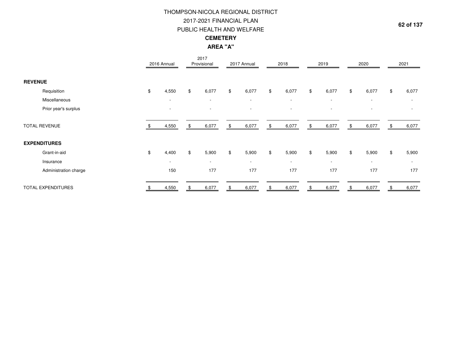# PUBLIC HEALTH AND WELFARE THOMPSON-NICOLA REGIONAL DISTRICT2017-2021 FINANCIAL PLAN**CEMETERYAREA "A"**

|                       |               | 2016 Annual              | 2017<br>Provisional      | 2017 Annual | 2018                     | 2019                     | 2020                     | 2021                     |
|-----------------------|---------------|--------------------------|--------------------------|-------------|--------------------------|--------------------------|--------------------------|--------------------------|
| <b>REVENUE</b>        |               |                          |                          |             |                          |                          |                          |                          |
| Requisition           | \$            | 4,550                    | \$<br>6,077              | \$<br>6,077 | \$<br>6,077              | \$<br>6,077              | \$<br>6,077              | \$<br>6,077              |
| Miscellaneous         |               | $\overline{\phantom{a}}$ | $\overline{\phantom{a}}$ | $\sim$      | $\overline{\phantom{a}}$ | $\overline{\phantom{a}}$ | $\sim$                   | $\overline{\phantom{a}}$ |
| Prior year's surplus  |               | $\overline{\phantom{a}}$ | $\blacksquare$           |             | $\overline{\phantom{a}}$ | $\overline{\phantom{0}}$ | $\overline{\phantom{a}}$ |                          |
| <b>TOTAL REVENUE</b>  |               | 4,550                    | \$<br>6,077              | \$<br>6,077 | \$<br>6,077              | \$<br>6,077              | \$<br>6,077              | \$<br>6,077              |
| <b>EXPENDITURES</b>   |               |                          |                          |             |                          |                          |                          |                          |
| Grant-in-aid          | $\frac{1}{2}$ | 4,400                    | \$<br>5,900              | \$<br>5,900 | \$<br>5,900              | \$<br>5,900              | \$<br>5,900              | \$<br>5,900              |
| Insurance             |               | $\overline{\phantom{a}}$ | $\sim$                   | $\sim$      | $\overline{\phantom{a}}$ | $\overline{\phantom{a}}$ | $\sim$                   | $\sim$                   |
| Administration charge |               | 150                      | 177                      | 177         | 177                      | 177                      | 177                      | 177                      |
| TOTAL EXPENDITURES    |               | 4,550                    | 6,077                    | 6,077       | \$<br>6,077              | 6,077                    | 6,077                    | 6,077                    |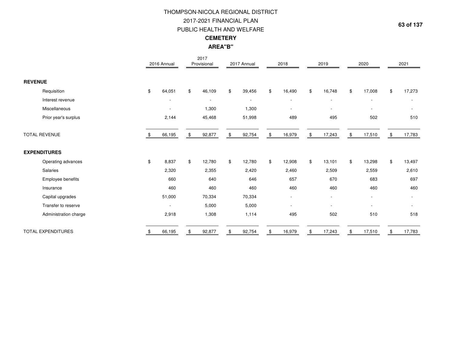# THOMPSON-NICOLA REGIONAL DISTRICT2017-2021 FINANCIAL PLAN PUBLIC HEALTH AND WELFARE**CEMETERYAREA"B"**

|                           | 2016 Annual              | 2017<br>Provisional      | 2017 Annual              | 2018                     | 2019                     | 2020                     | 2021                     |
|---------------------------|--------------------------|--------------------------|--------------------------|--------------------------|--------------------------|--------------------------|--------------------------|
| <b>REVENUE</b>            |                          |                          |                          |                          |                          |                          |                          |
| Requisition               | \$<br>64,051             | \$<br>46,109             | \$<br>39,456             | \$<br>16,490             | \$<br>16,748             | \$<br>17,008             | \$<br>17,273             |
| Interest revenue          |                          | $\overline{\phantom{a}}$ | $\overline{\phantom{a}}$ | $\overline{\phantom{a}}$ | $\overline{\phantom{a}}$ | $\overline{\phantom{a}}$ |                          |
| Miscellaneous             |                          | 1,300                    | 1,300                    |                          |                          | $\overline{\phantom{a}}$ |                          |
| Prior year's surplus      | 2,144                    | 45,468                   | 51,998                   | 489                      | 495                      | 502                      | 510                      |
| <b>TOTAL REVENUE</b>      | 66,195                   | \$<br>92,877             | \$<br>92,754             | \$<br>16,979             | \$<br>17,243             | \$<br>17,510             | \$<br>17,783             |
| <b>EXPENDITURES</b>       |                          |                          |                          |                          |                          |                          |                          |
| Operating advances        | \$<br>8,837              | \$<br>12,780             | \$<br>12,780             | \$<br>12,908             | \$<br>13,101             | \$<br>13,298             | \$<br>13,497             |
| Salaries                  | 2,320                    | 2,355                    | 2,420                    | 2,460                    | 2,509                    | 2,559                    | 2,610                    |
| Employee benefits         | 660                      | 640                      | 646                      | 657                      | 670                      | 683                      | 697                      |
| Insurance                 | 460                      | 460                      | 460                      | 460                      | 460                      | 460                      | 460                      |
| Capital upgrades          | 51,000                   | 70,334                   | 70,334                   | $\overline{\phantom{a}}$ |                          | $\overline{\phantom{a}}$ | $\overline{\phantom{a}}$ |
| Transfer to reserve       | $\overline{\phantom{a}}$ | 5,000                    | 5,000                    | $\overline{\phantom{a}}$ | $\overline{\phantom{a}}$ | $\overline{\phantom{a}}$ |                          |
| Administration charge     | 2,918                    | 1,308                    | 1,114                    | 495                      | 502                      | 510                      | 518                      |
| <b>TOTAL EXPENDITURES</b> | 66,195                   | \$<br>92,877             | 92,754                   | \$<br>16,979             | 17,243                   | \$<br>17,510             | \$<br>17,783             |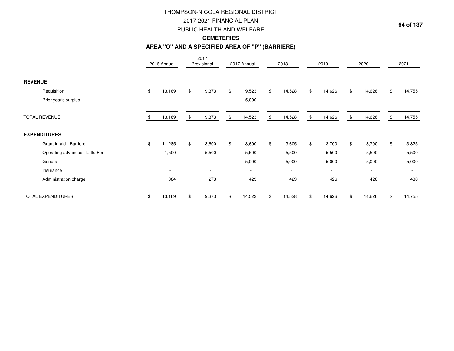2017-2021 FINANCIAL PLAN

PUBLIC HEALTH AND WELFARE

## **CEMETERIES**

#### **AREA "O" AND A SPECIFIED AREA OF "P" (BARRIERE)**

|                                  | 2016 Annual              | 2017<br>Provisional      | 2017 Annual              | 2018                     | 2019                     | 2020                     | 2021                     |
|----------------------------------|--------------------------|--------------------------|--------------------------|--------------------------|--------------------------|--------------------------|--------------------------|
| <b>REVENUE</b>                   |                          |                          |                          |                          |                          |                          |                          |
| Requisition                      | \$<br>13,169             | \$<br>9,373              | \$<br>9,523              | \$<br>14,528             | \$<br>14,626             | \$<br>14,626             | \$<br>14,755             |
| Prior year's surplus             | $\overline{\phantom{a}}$ |                          | 5,000                    | $\overline{\phantom{a}}$ | $\overline{\phantom{a}}$ | $\overline{\phantom{a}}$ | $\overline{\phantom{a}}$ |
| <b>TOTAL REVENUE</b>             | 13,169                   | \$<br>9,373              | \$<br>14,523             | \$<br>14,528             | \$<br>14,626             | \$<br>14,626             | \$<br>14,755             |
| <b>EXPENDITURES</b>              |                          |                          |                          |                          |                          |                          |                          |
| Grant-in-aid - Barriere          | \$<br>11,285             | \$<br>3,600              | \$<br>3,600              | \$<br>3,605              | \$<br>3,700              | \$<br>3,700              | \$<br>3,825              |
| Operating advances - Little Fort | 1,500                    | 5,500                    | 5,500                    | 5,500                    | 5,500                    | 5,500                    | 5,500                    |
| General                          | $\overline{\phantom{a}}$ | $\overline{\phantom{a}}$ | 5,000                    | 5,000                    | 5,000                    | 5,000                    | 5,000                    |
| Insurance                        | $\overline{\phantom{a}}$ | $\overline{\phantom{a}}$ | $\overline{\phantom{a}}$ | $\overline{\phantom{a}}$ | $\overline{\phantom{a}}$ | $\overline{\phantom{a}}$ | $\sim$                   |
| Administration charge            | 384                      | 273                      | 423                      | 423                      | 426                      | 426                      | 430                      |
| TOTAL EXPENDITURES               | 13,169                   | 9,373                    | 14,523                   | \$<br>14,528             | 14,626                   | 14,626                   | 14,755                   |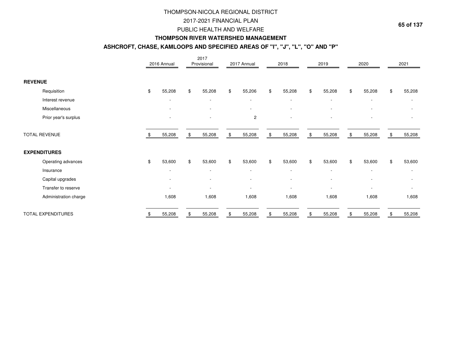### 2017-2021 FINANCIAL PLAN

#### PUBLIC HEALTH AND WELFARE

#### **THOMPSON RIVER WATERSHED MANAGEMENT**

### **ASHCROFT, CHASE, KAMLOOPS AND SPECIFIED AREAS OF "I", "J", "L", "O" AND "P"**

|                           | 2016 Annual              | 2017<br>Provisional      | 2017 Annual              | 2018                     | 2019                     |               | 2020                     | 2021                         |
|---------------------------|--------------------------|--------------------------|--------------------------|--------------------------|--------------------------|---------------|--------------------------|------------------------------|
| <b>REVENUE</b>            |                          |                          |                          |                          |                          |               |                          |                              |
| Requisition               | \$<br>55,208             | \$<br>55,208             | \$<br>55,206             | \$<br>55,208             | \$<br>55,208             | $\frac{1}{2}$ | 55,208                   | \$<br>55,208                 |
| Interest revenue          |                          | $\overline{\phantom{a}}$ | $\overline{\phantom{a}}$ | $\overline{\phantom{a}}$ | $\blacksquare$           |               | $\overline{\phantom{a}}$ | ٠                            |
| Miscellaneous             |                          |                          |                          |                          |                          |               |                          |                              |
| Prior year's surplus      |                          | $\blacksquare$           | $\overline{c}$           |                          |                          |               |                          |                              |
| <b>TOTAL REVENUE</b>      | 55,208                   | \$<br>55,208             | \$<br>55,208             | \$<br>55,208             | \$<br>55,208             | - \$          | 55,208                   | \$<br>55,208                 |
| <b>EXPENDITURES</b>       |                          |                          |                          |                          |                          |               |                          |                              |
| Operating advances        | \$<br>53,600             | \$<br>53,600             | \$<br>53,600             | \$<br>53,600             | \$<br>53,600             | \$            | 53,600                   | \$<br>53,600                 |
| Insurance                 |                          | $\overline{\phantom{a}}$ | $\overline{\phantom{a}}$ | $\overline{\phantom{a}}$ | $\overline{\phantom{a}}$ |               | $\overline{\phantom{a}}$ | $\overline{\phantom{a}}$     |
| Capital upgrades          | $\overline{\phantom{a}}$ | $\overline{\phantom{a}}$ |                          | $\overline{\phantom{a}}$ | $\blacksquare$           |               | $\overline{\phantom{a}}$ | $\overline{\phantom{a}}$     |
| Transfer to reserve       |                          | $\overline{\phantom{a}}$ |                          | $\overline{\phantom{a}}$ | ٠                        |               |                          | $\qquad \qquad \blacksquare$ |
| Administration charge     | 1,608                    | 1,608                    | 1,608                    | 1,608                    | 1,608                    |               | 1,608                    | 1,608                        |
| <b>TOTAL EXPENDITURES</b> | 55,208                   | 55,208                   | 55,208                   | 55,208                   | 55,208                   |               | 55,208                   | 55,208                       |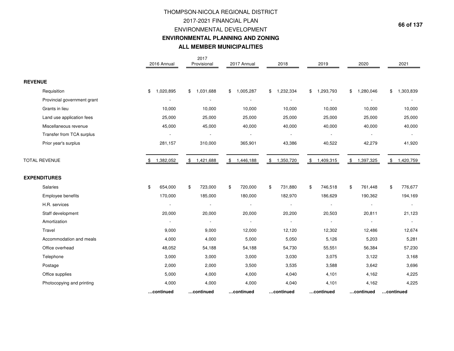# THOMPSON-NICOLA REGIONAL DISTRICT2017-2021 FINANCIAL PLAN ENVIRONMENTAL DEVELOPMENT **ENVIRONMENTAL PLANNING AND ZONINGALL MEMBER MUNICIPALITIES**

|                             | 2016 Annual              | 2017<br>Provisional | 2017 Annual              | 2018                     | 2019            | 2020            | 2021            |
|-----------------------------|--------------------------|---------------------|--------------------------|--------------------------|-----------------|-----------------|-----------------|
| <b>REVENUE</b>              |                          |                     |                          |                          |                 |                 |                 |
| Requisition                 | 1,020,895<br>\$          | \$<br>1,031,688     | \$<br>1,005,287          | \$1,232,334              | 1,293,793<br>\$ | 1,280,046<br>\$ | 1,303,839<br>\$ |
| Provincial government grant |                          |                     | $\blacksquare$           |                          |                 |                 |                 |
| Grants in lieu              | 10,000                   | 10,000              | 10,000                   | 10,000                   | 10,000          | 10,000          | 10,000          |
| Land use application fees   | 25,000                   | 25,000              | 25,000                   | 25,000                   | 25,000          | 25,000          | 25,000          |
| Miscellaneous revenue       | 45,000                   | 45,000              | 40,000                   | 40,000                   | 40,000          | 40,000          | 40,000          |
| Transfer from TCA surplus   |                          |                     | $\overline{\phantom{a}}$ | $\overline{\phantom{a}}$ |                 |                 |                 |
| Prior year's surplus        | 281,157                  | 310,000             | 365,901                  | 43,386                   | 40,522          | 42,279          | 41,920          |
| <b>TOTAL REVENUE</b>        | 1,382,052                | 1,421,688<br>\$     | \$1,446,188              | \$1,350,720              | \$<br>1,409,315 | \$<br>1,397,325 | 1,420,759<br>\$ |
| <b>EXPENDITURES</b>         |                          |                     |                          |                          |                 |                 |                 |
| Salaries                    | \$<br>654,000            | \$<br>723,000       | \$<br>720,000            | \$<br>731,880            | 746,518<br>\$   | \$<br>761,448   | \$<br>776,677   |
| Employee benefits           | 170,000                  | 185,000             | 180,000                  | 182,970                  | 186,629         | 190,362         | 194,169         |
| H.R. services               |                          |                     | $\blacksquare$           | $\blacksquare$           |                 | $\sim$          |                 |
| Staff development           | 20,000                   | 20,000              | 20,000                   | 20,200                   | 20,503          | 20,811          | 21,123          |
| Amortization                | $\overline{\phantom{a}}$ | $\blacksquare$      | $\sim$                   | $\blacksquare$           |                 | $\sim$          | $\sim$          |
| Travel                      | 9,000                    | 9,000               | 12,000                   | 12,120                   | 12,302          | 12,486          | 12,674          |
| Accommodation and meals     | 4,000                    | 4,000               | 5,000                    | 5,050                    | 5,126           | 5,203           | 5,281           |
| Office overhead             | 48,052                   | 54,188              | 54,188                   | 54,730                   | 55,551          | 56,384          | 57,230          |
| Telephone                   | 3,000                    | 3,000               | 3,000                    | 3,030                    | 3,075           | 3,122           | 3,168           |
| Postage                     | 2,000                    | 2,000               | 3,500                    | 3,535                    | 3,588           | 3,642           | 3,696           |
| Office supplies             | 5,000                    | 4,000               | 4,000                    | 4,040                    | 4,101           | 4,162           | 4,225           |
| Photocopying and printing   | 4,000                    | 4,000               | 4,000                    | 4,040                    | 4,101           | 4,162           | 4,225           |
|                             | continued                | continued           | continued                | continued                | continued       | continued       | continued       |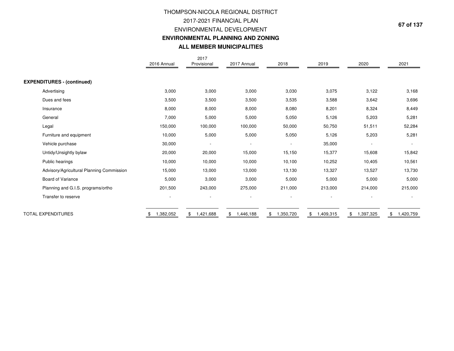# 2017-2021 FINANCIAL PLAN ENVIRONMENTAL DEVELOPMENT **ENVIRONMENTAL PLANNING AND ZONING**THOMPSON-NICOLA REGIONAL DISTRICT**ALL MEMBER MUNICIPALITIES**

|                                           | 2016 Annual | 2017<br>Provisional | 2017 Annual                            | 2018                     | 2019            | 2020           | 2021                     |
|-------------------------------------------|-------------|---------------------|----------------------------------------|--------------------------|-----------------|----------------|--------------------------|
|                                           |             |                     |                                        |                          |                 |                |                          |
| <b>EXPENDITURES - (continued)</b>         |             |                     |                                        |                          |                 |                |                          |
| Advertising                               | 3,000       | 3,000               | 3,000                                  | 3,030                    | 3,075           | 3,122          | 3,168                    |
| Dues and fees                             | 3,500       | 3,500               | 3,500                                  | 3,535                    | 3,588           | 3,642          | 3,696                    |
| Insurance                                 | 8,000       | 8,000               | 8,000                                  | 8,080                    | 8,201           | 8,324          | 8,449                    |
| General                                   | 7,000       | 5,000               | 5,000                                  | 5,050                    | 5,126           | 5,203          | 5,281                    |
| Legal                                     | 150,000     | 100,000             | 100,000                                | 50,000                   | 50,750          | 51,511         | 52,284                   |
| Furniture and equipment                   | 10,000      | 5,000               | 5,000                                  | 5,050                    | 5,126           | 5,203          | 5,281                    |
| Vehicle purchase                          | 30,000      | $\blacksquare$      | $\overline{\phantom{a}}$               | $\overline{\phantom{a}}$ | 35,000          |                | $\overline{\phantom{a}}$ |
| Untidy/Unsightly bylaw                    | 20,000      | 20,000              | 15,000                                 | 15,150                   | 15,377          | 15,608         | 15,842                   |
| Public hearings                           | 10,000      | 10,000              | 10,000                                 | 10,100                   | 10,252          | 10,405         | 10,561                   |
| Advisory/Agricultural Planning Commission | 15,000      | 13,000              | 13,000                                 | 13,130                   | 13,327          | 13,527         | 13,730                   |
| Board of Variance                         | 5,000       | 3,000               | 3,000                                  | 5,000                    | 5,000           | 5,000          | 5,000                    |
| Planning and G.I.S. programs/ortho        | 201,500     | 243,000             | 275,000                                | 211,000                  | 213,000         | 214,000        | 215,000                  |
| Transfer to reserve                       |             |                     |                                        |                          |                 |                |                          |
| <b>TOTAL EXPENDITURES</b>                 | 1,382,052   | 1,421,688<br>\$     | 1,446,188<br>$\overline{\overline{x}}$ | 1,350,720<br>\$          | 1,409,315<br>\$ | 1,397,325<br>S | 1,420,759<br>\$          |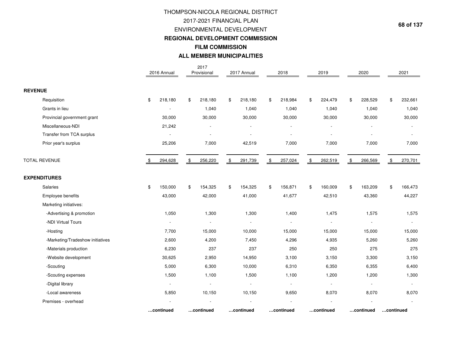# **FILM COMMISSION ALL MEMBER MUNICIPALITIES**THOMPSON-NICOLA REGIONAL DISTRICT2017-2021 FINANCIAL PLAN ENVIRONMENTAL DEVELOPMENT**REGIONAL DEVELOPMENT COMMISSION**

|                                  | 2016 Annual              | 2017<br>Provisional      | 2017 Annual    | 2018           | 2019          | 2020                     |           | 2021    |
|----------------------------------|--------------------------|--------------------------|----------------|----------------|---------------|--------------------------|-----------|---------|
| <b>REVENUE</b>                   |                          |                          |                |                |               |                          |           |         |
| Requisition                      | \$<br>218,180            | \$<br>218,180            | \$<br>218,180  | \$<br>218,984  | \$<br>224,479 | \$<br>228,529            | \$        | 232,661 |
| Grants in lieu                   |                          | 1,040                    | 1,040          | 1,040          | 1,040         | 1,040                    |           | 1,040   |
| Provincial government grant      | 30,000                   | 30,000                   | 30,000         | 30,000         | 30,000        | 30,000                   |           | 30,000  |
| Miscellaneous-NDI                | 21,242                   |                          |                |                |               |                          |           |         |
| Transfer from TCA surplus        |                          | $\blacksquare$           |                |                |               |                          |           |         |
| Prior year's surplus             | 25,206                   | 7,000                    | 42,519         | 7,000          | 7,000         | 7,000                    |           | 7,000   |
| TOTAL REVENUE                    | \$<br>294,628            | \$<br>256,220            | \$<br>291,739  | \$<br>257,024  | \$<br>262,519 | \$<br>266,569            | \$        | 270,701 |
| <b>EXPENDITURES</b>              |                          |                          |                |                |               |                          |           |         |
| Salaries                         | \$<br>150,000            | \$<br>154,325            | \$<br>154,325  | \$<br>156,871  | \$<br>160,009 | \$<br>163,209            | \$        | 166,473 |
| Employee benefits                | 43,000                   | 42,000                   | 41,000         | 41,677         | 42,510        | 43,360                   |           | 44,227  |
| Marketing initiatives:           |                          |                          |                |                |               |                          |           |         |
| -Advertising & promotion         | 1,050                    | 1,300                    | 1,300          | 1,400          | 1,475         | 1,575                    |           | 1,575   |
| -NDI Virtual Tours               |                          |                          |                |                |               |                          |           |         |
| -Hosting                         | 7,700                    | 15,000                   | 10,000         | 15,000         | 15,000        | 15,000                   |           | 15,000  |
| -Marketing/Tradeshow initiatives | 2,600                    | 4,200                    | 7,450          | 4,296          | 4,935         | 5,260                    |           | 5,260   |
| -Materials production            | 6,230                    | 237                      | 237            | 250            | 250           | 275                      |           | 275     |
| -Website development             | 30,625                   | 2,950                    | 14,950         | 3,100          | 3,150         | 3,300                    |           | 3,150   |
| -Scouting                        | 5,000                    | 6,300                    | 10,000         | 6,310          | 6,350         | 6,355                    |           | 6,400   |
| -Scouting expenses               | 1,500                    | 1,100                    | 1,500          | 1,100          | 1,200         | 1,200                    |           | 1,300   |
| -Digital library                 | $\overline{\phantom{a}}$ | $\overline{\phantom{a}}$ | $\blacksquare$ | $\overline{a}$ |               | $\overline{\phantom{a}}$ |           |         |
| -Local awareness                 | 5,850                    | 10,150                   | 10,150         | 9,650          | 8,070         | 8,070                    |           | 8,070   |
| Premises - overhead              |                          |                          |                |                |               |                          |           |         |
|                                  | continued                | continued                | continued      | continued      | continued     | continued                | continued |         |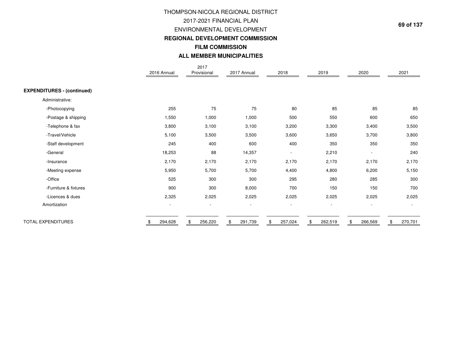# **ALL MEMBER MUNICIPALITIES**THOMPSON-NICOLA REGIONAL DISTRICT2017-2021 FINANCIAL PLAN ENVIRONMENTAL DEVELOPMENT **REGIONAL DEVELOPMENT COMMISSIONFILM COMMISSION**

|                                   | 2016 Annual              | 2017<br>Provisional      | 2017 Annual              | 2018                     | 2019                     | 2020                     | 2021                     |
|-----------------------------------|--------------------------|--------------------------|--------------------------|--------------------------|--------------------------|--------------------------|--------------------------|
|                                   |                          |                          |                          |                          |                          |                          |                          |
| <b>EXPENDITURES - (continued)</b> |                          |                          |                          |                          |                          |                          |                          |
| Administrative:                   |                          |                          |                          |                          |                          |                          |                          |
| -Photocopying                     | 255                      | 75                       | 75                       | 80                       | 85                       | 85                       | 85                       |
| -Postage & shipping               | 1,550                    | 1,000                    | 1,000                    | 500                      | 550                      | 600                      | 650                      |
| -Telephone & fax                  | 3,800                    | 3,100                    | 3,100                    | 3,200                    | 3,300                    | 3,400                    | 3,500                    |
| -Travel/Vehicle                   | 5,100                    | 3,500                    | 3,500                    | 3,600                    | 3,650                    | 3,700                    | 3,800                    |
| -Staff development                | 245                      | 400                      | 600                      | 400                      | 350                      | 350                      | 350                      |
| -General                          | 18,253                   | 88                       | 14,357                   | $\overline{\phantom{a}}$ | 2,210                    | $\overline{\phantom{a}}$ | 240                      |
| -Insurance                        | 2,170                    | 2,170                    | 2,170                    | 2,170                    | 2,170                    | 2,170                    | 2,170                    |
| -Meeting expense                  | 5,950                    | 5,700                    | 5,700                    | 4,400                    | 4,800                    | 6,200                    | 5,150                    |
| -Office                           | 525                      | 300                      | 300                      | 295                      | 280                      | 285                      | 300                      |
| -Furniture & fixtures             | 900                      | 300                      | 8,000                    | 700                      | 150                      | 150                      | 700                      |
| -Licences & dues                  | 2,325                    | 2,025                    | 2,025                    | 2,025                    | 2,025                    | 2,025                    | 2,025                    |
| Amortization                      | $\overline{\phantom{a}}$ | $\overline{\phantom{a}}$ | $\overline{\phantom{a}}$ | $\overline{\phantom{a}}$ | $\overline{\phantom{a}}$ | $\overline{\phantom{a}}$ | $\overline{\phantom{a}}$ |
| <b>TOTAL EXPENDITURES</b>         | 294,628                  | 256,220<br>\$            | 291,739<br>\$            | 257,024<br>\$            | 262,519                  | 266,569                  | 270,701<br>\$            |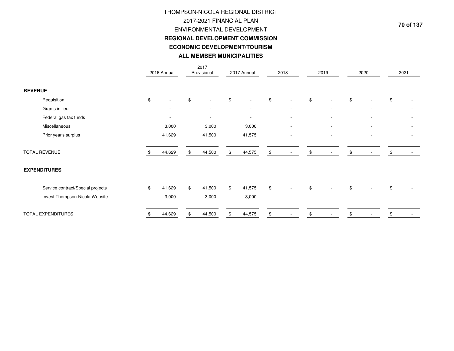# THOMPSON-NICOLA REGIONAL DISTRICT2017-2021 FINANCIAL PLAN ENVIRONMENTAL DEVELOPMENT **REGIONAL DEVELOPMENT COMMISSIONECONOMIC DEVELOPMENT/TOURISMALL MEMBER MUNICIPALITIES**

|                |                                   | 2016 Annual              | 2017<br>Provisional            |                | 2017 Annual              | 2018 |                          | 2019  |                          | 2020 |                          | 2021          |  |
|----------------|-----------------------------------|--------------------------|--------------------------------|----------------|--------------------------|------|--------------------------|-------|--------------------------|------|--------------------------|---------------|--|
|                |                                   |                          |                                |                |                          |      |                          |       |                          |      |                          |               |  |
| <b>REVENUE</b> |                                   |                          |                                |                |                          |      |                          |       |                          |      |                          |               |  |
|                | Requisition                       | \$                       | \$<br>$\overline{\phantom{a}}$ | \$             | $\overline{a}$           | $\,$ | $\overline{\phantom{a}}$ | $\$\$ |                          | \$   |                          | $\mathfrak s$ |  |
|                | Grants in lieu                    |                          | $\overline{\phantom{a}}$       |                | $\overline{\phantom{a}}$ |      | $\overline{\phantom{a}}$ |       |                          |      |                          |               |  |
|                | Federal gas tax funds             | $\overline{\phantom{a}}$ | $\sim$                         |                | $\overline{\phantom{a}}$ |      | $\overline{\phantom{a}}$ |       |                          |      |                          |               |  |
|                | Miscellaneous                     | 3,000                    | 3,000                          |                | 3,000                    |      | $\overline{\phantom{a}}$ |       |                          |      |                          |               |  |
|                | Prior year's surplus              | 41,629                   | 41,500                         |                | 41,575                   |      | $\overline{\phantom{a}}$ |       | $\overline{\phantom{a}}$ |      | $\sim$                   |               |  |
|                |                                   |                          |                                |                |                          |      |                          |       |                          |      |                          |               |  |
|                | <b>TOTAL REVENUE</b>              | 44,629                   | 44,500                         |                | 44,575                   | \$   |                          | \$    |                          |      |                          | £.            |  |
|                |                                   |                          |                                |                |                          |      |                          |       |                          |      |                          |               |  |
|                | <b>EXPENDITURES</b>               |                          |                                |                |                          |      |                          |       |                          |      |                          |               |  |
|                |                                   |                          |                                |                |                          |      |                          |       |                          |      |                          |               |  |
|                | Service contract/Special projects | \$<br>41,629             | \$<br>41,500                   | $\mathfrak{S}$ | 41,575                   | $\,$ | $\overline{\phantom{a}}$ | \$    |                          | \$   |                          | $\mathfrak s$ |  |
|                | Invest Thompson-Nicola Website    | 3,000                    | 3,000                          |                | 3,000                    |      | $\overline{\phantom{a}}$ |       | $\overline{\phantom{a}}$ |      | $\overline{\phantom{a}}$ |               |  |
|                |                                   |                          |                                |                |                          |      |                          |       |                          |      |                          |               |  |
|                | <b>TOTAL EXPENDITURES</b>         | 44,629                   | 44,500                         |                | 44,575                   |      |                          |       |                          |      |                          |               |  |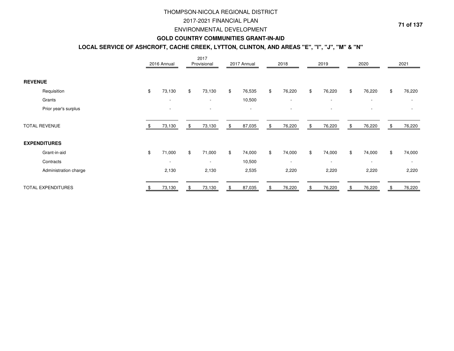### 2017-2021 FINANCIAL PLAN

#### ENVIRONMENTAL DEVELOPMENT

### **GOLD COUNTRY COMMUNITIES GRANT-IN-AID**

### **LOCAL SERVICE OF ASHCROFT, CACHE CREEK, LYTTON, CLINTON, AND AREAS "E", "I", "J", "M" & "N"**

|                       | 2016 Annual              | 2017<br>Provisional      | 2017 Annual  | 2018                     | 2019                     | 2020                     |    | 2021                     |
|-----------------------|--------------------------|--------------------------|--------------|--------------------------|--------------------------|--------------------------|----|--------------------------|
| <b>REVENUE</b>        |                          |                          |              |                          |                          |                          |    |                          |
| Requisition           | \$<br>73,130             | \$<br>73,130             | \$<br>76,535 | \$<br>76,220             | \$<br>76,220             | \$<br>76,220             | \$ | 76,220                   |
| Grants                | $\overline{\phantom{a}}$ | $\overline{\phantom{a}}$ | 10,500       | $\overline{\phantom{a}}$ | $\sim$                   | $\overline{\phantom{a}}$ |    | $\overline{\phantom{a}}$ |
| Prior year's surplus  |                          |                          |              |                          |                          |                          |    |                          |
| <b>TOTAL REVENUE</b>  | 73,130                   | \$<br>73,130             | \$<br>87,035 | \$<br>76,220             | \$<br>76,220             | \$<br>76,220             | S  | 76,220                   |
| <b>EXPENDITURES</b>   |                          |                          |              |                          |                          |                          |    |                          |
| Grant-in-aid          | \$<br>71,000             | \$<br>71,000             | \$<br>74,000 | \$<br>74,000             | \$<br>74,000             | \$<br>74,000             | \$ | 74,000                   |
| Contracts             | $\overline{\phantom{a}}$ | $\overline{\phantom{a}}$ | 10,500       | $\overline{\phantom{a}}$ | $\overline{\phantom{a}}$ | $\overline{\phantom{a}}$ |    | $\sim$                   |
| Administration charge | 2,130                    | 2,130                    | 2,535        | 2,220                    | 2,220                    | 2,220                    |    | 2,220                    |
| TOTAL EXPENDITURES    | 73,130                   | \$<br>73,130             | \$<br>87,035 | \$<br>76,220             | \$<br>76,220             | 76,220                   |    | 76,220                   |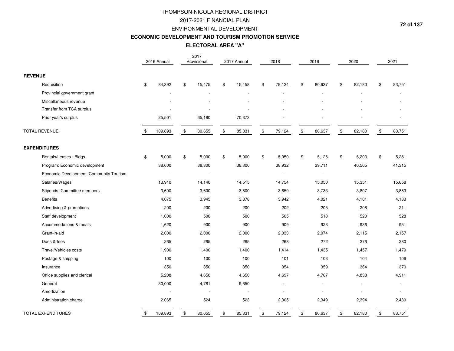#### 2017-2021 FINANCIAL PLAN

#### ENVIRONMENTAL DEVELOPMENT

#### **ECONOMIC DEVELOPMENT AND TOURISM PROMOTION SERVICE**

## **ELECTORAL AREA "A"**

|                                         | 2016 Annual   |                            | 2017<br>Provisional |       | 2017 Annual              |                | 2018   |                | 2019                     |               | 2020           | 2021           |
|-----------------------------------------|---------------|----------------------------|---------------------|-------|--------------------------|----------------|--------|----------------|--------------------------|---------------|----------------|----------------|
| <b>REVENUE</b>                          |               |                            |                     |       |                          |                |        |                |                          |               |                |                |
| Requisition                             | \$<br>84,392  | \$                         | 15,475              | \$    | 15,458                   | $\$\$          | 79,124 | $\mathfrak{S}$ | 80,637                   | \$            | 82,180         | \$<br>83,751   |
| Provincial government grant             |               |                            |                     |       |                          |                |        |                |                          |               |                |                |
| Miscellaneous revenue                   |               |                            |                     |       |                          |                |        |                |                          |               |                |                |
| Transfer from TCA surplus               |               |                            |                     |       |                          |                |        |                |                          |               |                |                |
| Prior year's surplus                    | 25,501        |                            | 65,180              |       | 70,373                   |                |        |                |                          |               |                |                |
| TOTAL REVENUE                           | \$<br>109,893 | $\boldsymbol{\mathsf{\$}}$ | 80,655              | \$    | 85,831                   | $$\mathbb{S}$$ | 79,124 | $\,$           | 80,637                   | $\frac{1}{2}$ | 82,180         | \$<br>83,751   |
| <b>EXPENDITURES</b>                     |               |                            |                     |       |                          |                |        |                |                          |               |                |                |
| Rentals/Leases: Bldgs                   | \$<br>5,000   | \$                         | 5,000               | $\$\$ | 5,000                    | \$             | 5,050  | \$             | 5,126                    | $\$\$         | 5,203          | \$<br>5,281    |
| Program: Economic development           | 38,600        |                            | 38,300              |       | 38,300                   |                | 38,932 |                | 39,711                   |               | 40,505         | 41,315         |
| Economic Development: Community Tourism |               |                            |                     |       | $\overline{\phantom{a}}$ |                |        |                | $\overline{\phantom{a}}$ |               | $\overline{a}$ | $\blacksquare$ |
| Salaries/Wages                          | 13,910        |                            | 14,140              |       | 14,515                   |                | 14,754 |                | 15,050                   |               | 15,351         | 15,658         |
| Stipends: Committee members             | 3,600         |                            | 3,600               |       | 3,600                    |                | 3,659  |                | 3,733                    |               | 3,807          | 3,883          |
| <b>Benefits</b>                         | 4,075         |                            | 3,945               |       | 3,878                    |                | 3,942  |                | 4,021                    |               | 4,101          | 4,183          |
| Advertising & promotions                | 200           |                            | 200                 |       | 200                      |                | 202    |                | 205                      |               | 208            | 211            |
| Staff development                       | 1,000         |                            | 500                 |       | 500                      |                | 505    |                | 513                      |               | 520            | 528            |
| Accommodations & meals                  | 1,620         |                            | 900                 |       | 900                      |                | 909    |                | 923                      |               | 936            | 951            |
| Grant-in-aid                            | 2,000         |                            | 2,000               |       | 2,000                    |                | 2,033  |                | 2,074                    |               | 2,115          | 2,157          |
| Dues & fees                             | 265           |                            | 265                 |       | 265                      |                | 268    |                | 272                      |               | 276            | 280            |
| Travel/Vehicles costs                   | 1,900         |                            | 1,400               |       | 1,400                    |                | 1,414  |                | 1,435                    |               | 1,457          | 1,479          |
| Postage & shipping                      | 100           |                            | 100                 |       | 100                      |                | 101    |                | 103                      |               | 104            | 106            |
| Insurance                               | 350           |                            | 350                 |       | 350                      |                | 354    |                | 359                      |               | 364            | 370            |
| Office supplies and clerical            | 5,208         |                            | 4,650               |       | 4,650                    |                | 4,697  |                | 4,767                    |               | 4,838          | 4,911          |
| General                                 | 30,000        |                            | 4,781               |       | 9,650                    |                |        |                |                          |               | ÷,             |                |
| Amortization                            |               |                            |                     |       | $\overline{\phantom{a}}$ |                |        |                |                          |               |                |                |
| Administration charge                   | 2,065         |                            | 524                 |       | 523                      |                | 2,305  |                | 2,349                    |               | 2,394          | 2,439          |
| <b>TOTAL EXPENDITURES</b>               | \$<br>109,893 | \$                         | 80,655              | \$    | 85,831                   | \$             | 79,124 | \$             | 80,637                   | \$            | 82,180         | \$<br>83,751   |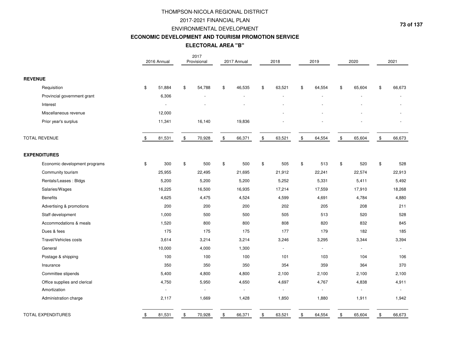### 2017-2021 FINANCIAL PLAN

#### ENVIRONMENTAL DEVELOPMENT

#### **ECONOMIC DEVELOPMENT AND TOURISM PROMOTION SERVICE**

## **ELECTORAL AREA "B"**

|                               |                | 2016 Annual |             | 2017<br>Provisional      | 2017 Annual  |               | 2018           |                | 2019         |               | 2020           |               | 2021   |
|-------------------------------|----------------|-------------|-------------|--------------------------|--------------|---------------|----------------|----------------|--------------|---------------|----------------|---------------|--------|
| <b>REVENUE</b>                |                |             |             |                          |              |               |                |                |              |               |                |               |        |
| Requisition                   | \$             | 51,884      | \$          | 54,788                   | \$<br>46,535 | \$            | 63,521         | \$             | 64,554       | \$            | 65,604         | \$            | 66,673 |
| Provincial government grant   |                | 6,306       |             |                          |              |               |                |                |              |               |                |               |        |
| Interest                      |                | $\sim$      |             |                          |              |               |                |                |              |               |                |               |        |
| Miscellaneous revenue         |                | 12,000      |             |                          |              |               |                |                |              |               |                |               |        |
| Prior year's surplus          |                | 11,341      |             | 16,140                   | 19,836       |               |                |                |              |               |                |               |        |
| <b>TOTAL REVENUE</b>          | \$             | 81,531      | \$          | 70,928                   | \$<br>66,371 | $\frac{1}{2}$ | 63,521         | $\mathfrak{S}$ | 64,554       | $\sqrt[6]{2}$ | 65,604         | $\sqrt[6]{3}$ | 66,673 |
| <b>EXPENDITURES</b>           |                |             |             |                          |              |               |                |                |              |               |                |               |        |
| Economic development programs | $\mathfrak{S}$ | 300         | $\mathbb S$ | 500                      | \$<br>500    | \$            | 505            | \$             | 513          | $\,$          | 520            | \$            | 528    |
| Community tourism             |                | 25,955      |             | 22,495                   | 21,695       |               | 21,912         |                | 22,241       |               | 22,574         |               | 22,913 |
| Rentals/Leases: Bldgs         |                | 5,200       |             | 5,200                    | 5,200        |               | 5,252          |                | 5,331        |               | 5,411          |               | 5,492  |
| Salaries/Wages                |                | 16,225      |             | 16,500                   | 16,935       |               | 17,214         |                | 17,559       |               | 17,910         |               | 18,268 |
| <b>Benefits</b>               |                | 4,625       |             | 4,475                    | 4,524        |               | 4,599          |                | 4,691        |               | 4,784          |               | 4,880  |
| Advertising & promotions      |                | 200         |             | 200                      | 200          |               | 202            |                | 205          |               | 208            |               | 211    |
| Staff development             |                | 1,000       |             | 500                      | 500          |               | 505            |                | 513          |               | 520            |               | 528    |
| Accommodations & meals        |                | 1,520       |             | 800                      | 800          |               | 808            |                | 820          |               | 832            |               | 845    |
| Dues & fees                   |                | 175         |             | 175                      | 175          |               | 177            |                | 179          |               | 182            |               | 185    |
| Travel/Vehicles costs         |                | 3,614       |             | 3,214                    | 3,214        |               | 3,246          |                | 3,295        |               | 3,344          |               | 3,394  |
| General                       |                | 10,000      |             | 4,000                    | 1,300        |               | $\overline{a}$ |                | ÷.           |               | $\sim$         |               |        |
| Postage & shipping            |                | 100         |             | 100                      | 100          |               | 101            |                | 103          |               | 104            |               | 106    |
| Insurance                     |                | 350         |             | 350                      | 350          |               | 354            |                | 359          |               | 364            |               | 370    |
| Committee stipends            |                | 5,400       |             | 4,800                    | 4,800        |               | 2,100          |                | 2,100        |               | 2,100          |               | 2,100  |
| Office supplies and clerical  |                | 4,750       |             | 5,950                    | 4,650        |               | 4,697          |                | 4,767        |               | 4,838          |               | 4,911  |
| Amortization                  |                | $\sim$      |             | $\overline{\phantom{a}}$ |              |               |                |                | $\mathbf{r}$ |               | $\blacksquare$ |               |        |
| Administration charge         |                | 2,117       |             | 1,669                    | 1,428        |               | 1,850          |                | 1,880        |               | 1,911          |               | 1,942  |
| TOTAL EXPENDITURES            | \$             | 81,531      | \$          | 70,928                   | \$<br>66,371 | \$            | 63,521         | $\mathfrak{S}$ | 64,554       | \$            | 65,604         | $\$\$         | 66,673 |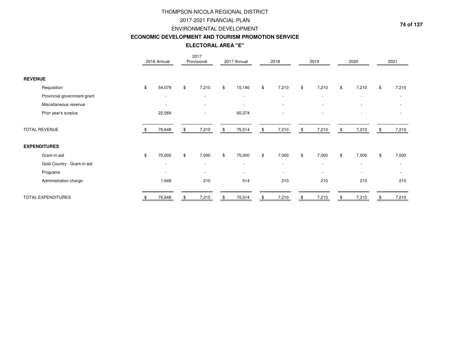### 2017-2021 FINANCIAL PLAN

#### ENVIRONMENTAL DEVELOPMENT

#### **ECONOMIC DEVELOPMENT AND TOURISM PROMOTION SERVICE**

## **ELECTORAL AREA "E"**

|                             | 2016 Annual              |     | 2017<br>Provisional      | 2017 Annual              | 2018                     | 2019                     |               | 2020                     |     | 2021                     |
|-----------------------------|--------------------------|-----|--------------------------|--------------------------|--------------------------|--------------------------|---------------|--------------------------|-----|--------------------------|
| <b>REVENUE</b>              |                          |     |                          |                          |                          |                          |               |                          |     |                          |
| Requisition                 | \$<br>54,079             | \$  | 7,210                    | \$<br>15,140             | \$<br>7,210              | \$<br>7,210              | $\mathfrak s$ | 7,210                    | \$  | 7,210                    |
| Provincial government grant | $\overline{\phantom{a}}$ |     | $\overline{\phantom{a}}$ | $\overline{\phantom{a}}$ | $\sim$                   | $\overline{\phantom{a}}$ |               | $\overline{\phantom{a}}$ |     | $\overline{\phantom{a}}$ |
| Miscellaneous revenue       | $\overline{\phantom{a}}$ |     |                          |                          | $\overline{\phantom{a}}$ | $\overline{\phantom{a}}$ |               |                          |     |                          |
| Prior year's surplus        | 22,569                   |     |                          | 60,374                   |                          |                          |               |                          |     |                          |
| <b>TOTAL REVENUE</b>        | 76,648                   | \$. | 7,210                    | \$<br>75,514             | \$<br>7,210              | \$<br>7,210              | \$            | 7,210                    | \$. | 7,210                    |
| <b>EXPENDITURES</b>         |                          |     |                          |                          |                          |                          |               |                          |     |                          |
| Grant-in-aid                | \$<br>75,000             | \$  | 7,000                    | \$<br>75,000             | \$<br>7,000              | \$<br>7,000              | $\mathfrak s$ | 7,000                    | \$  | 7,000                    |
| Gold Country - Grant-in-aid | $\overline{\phantom{a}}$ |     | $\overline{\phantom{a}}$ | $\overline{\phantom{a}}$ | $\overline{\phantom{a}}$ | $\overline{\phantom{a}}$ |               | $\blacksquare$           |     |                          |
| Programs                    | $\overline{\phantom{a}}$ |     | $\overline{\phantom{a}}$ | $\overline{\phantom{a}}$ | $\sim$                   | $\overline{\phantom{a}}$ |               | $\overline{\phantom{a}}$ |     |                          |
| Administration charge       | 1,648                    |     | 210                      | 514                      | 210                      | 210                      |               | 210                      |     | 210                      |
| <b>TOTAL EXPENDITURES</b>   | 76,648                   |     | 7,210                    | 75,514                   | 7,210                    | 7,210                    |               | 7,210                    |     | 7,210                    |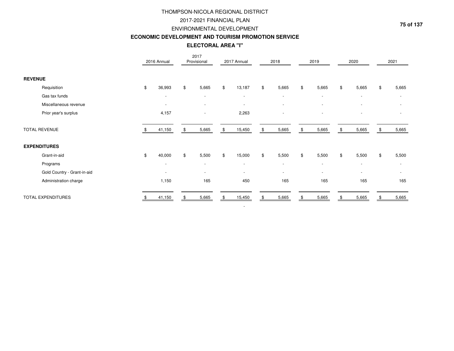### 2017-2021 FINANCIAL PLAN

#### ENVIRONMENTAL DEVELOPMENT

#### **ECONOMIC DEVELOPMENT AND TOURISM PROMOTION SERVICE**

|                             |                          | ELECTORAL AREA "I"       |                          |       |                          |                          |                |                          |      |                          |
|-----------------------------|--------------------------|--------------------------|--------------------------|-------|--------------------------|--------------------------|----------------|--------------------------|------|--------------------------|
|                             | 2016 Annual              | 2017<br>Provisional      | 2017 Annual              |       | 2018                     | 2019                     |                | 2020                     |      | 2021                     |
| <b>REVENUE</b>              |                          |                          |                          |       |                          |                          |                |                          |      |                          |
| Requisition                 | \$<br>36,993             | \$<br>5,665              | \$<br>13,187             | $\$\$ | 5,665                    | \$<br>5,665              | $\mathfrak{S}$ | 5,665                    | \$   | 5,665                    |
| Gas tax funds               | $\overline{\phantom{a}}$ | $\blacksquare$           | $\overline{\phantom{a}}$ |       | $\blacksquare$           | $\blacksquare$           |                | $\overline{\phantom{a}}$ |      |                          |
| Miscellaneous revenue       |                          |                          |                          |       | ٠                        |                          |                |                          |      |                          |
| Prior year's surplus        | 4,157                    |                          | 2,263                    |       |                          |                          |                |                          |      |                          |
| <b>TOTAL REVENUE</b>        | 41,150                   | \$<br>5,665              | \$<br>15,450             | \$    | 5,665                    | \$<br>5,665              | \$             | 5,665                    |      | 5,665                    |
| <b>EXPENDITURES</b>         |                          |                          |                          |       |                          |                          |                |                          |      |                          |
| Grant-in-aid                | \$<br>40,000             | \$<br>5,500              | \$<br>15,000             | $\$\$ | 5,500                    | \$<br>5,500              | \$             | 5,500                    | \$   | 5,500                    |
| Programs                    | $\overline{\phantom{a}}$ | $\overline{\phantom{a}}$ | $\overline{\phantom{a}}$ |       | $\overline{\phantom{a}}$ | $\overline{\phantom{a}}$ |                | $\overline{\phantom{a}}$ |      | $\overline{\phantom{a}}$ |
| Gold Country - Grant-in-aid | $\overline{\phantom{a}}$ | $\overline{\phantom{a}}$ | $\sim$                   |       | $\blacksquare$           | $\overline{\phantom{a}}$ |                | $\overline{\phantom{a}}$ |      | $\overline{\phantom{a}}$ |
| Administration charge       | 1,150                    | 165                      | 450                      |       | 165                      | 165                      |                | 165                      |      | 165                      |
| <b>TOTAL EXPENDITURES</b>   | 41,150                   | \$<br>5,665              | \$<br>15,450             | \$    | 5,665                    | \$<br>5,665              | -\$            | 5,665                    | - 56 | 5,665                    |
|                             |                          |                          | $\overline{\phantom{a}}$ |       |                          |                          |                |                          |      |                          |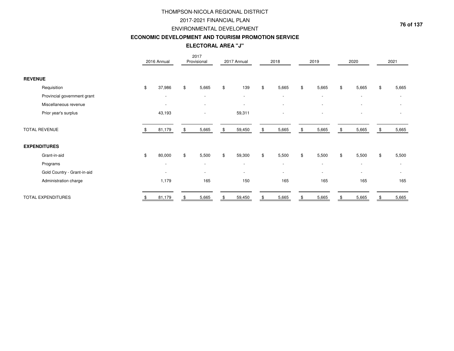### 2017-2021 FINANCIAL PLAN

#### ENVIRONMENTAL DEVELOPMENT

#### **ECONOMIC DEVELOPMENT AND TOURISM PROMOTION SERVICE**

## **ELECTORAL AREA "J"**

|                             | 2016 Annual              | 2017<br>Provisional      |    | 2017 Annual              | 2018                     | 2019                     | 2020                     |      | 2021                     |
|-----------------------------|--------------------------|--------------------------|----|--------------------------|--------------------------|--------------------------|--------------------------|------|--------------------------|
| <b>REVENUE</b>              |                          |                          |    |                          |                          |                          |                          |      |                          |
| Requisition                 | \$<br>37,986             | \$<br>5,665              | \$ | 139                      | \$<br>5,665              | \$<br>5,665              | \$<br>5,665              | \$   | 5,665                    |
| Provincial government grant | $\overline{\phantom{a}}$ | $\overline{\phantom{a}}$ |    | $\overline{\phantom{a}}$ | $\overline{\phantom{a}}$ | $\overline{\phantom{a}}$ | $\overline{\phantom{a}}$ |      | $\overline{\phantom{a}}$ |
| Miscellaneous revenue       | $\overline{\phantom{a}}$ |                          |    |                          | $\overline{\phantom{a}}$ | $\overline{\phantom{a}}$ |                          |      |                          |
| Prior year's surplus        | 43,193                   |                          |    | 59,311                   |                          |                          |                          |      |                          |
| <b>TOTAL REVENUE</b>        | 81,179                   | \$<br>5,665              | S. | 59,450                   | \$<br>5,665              | \$<br>5,665              | \$<br>5,665              | - 96 | 5,665                    |
| <b>EXPENDITURES</b>         |                          |                          |    |                          |                          |                          |                          |      |                          |
| Grant-in-aid                | \$<br>80,000             | \$<br>5,500              | \$ | 59,300                   | \$<br>5,500              | \$<br>5,500              | \$<br>5,500              | \$   | 5,500                    |
| Programs                    | $\overline{\phantom{a}}$ | $\overline{\phantom{a}}$ |    | $\overline{\phantom{a}}$ | $\overline{\phantom{a}}$ | $\blacksquare$           | $\overline{\phantom{a}}$ |      |                          |
| Gold Country - Grant-in-aid | $\overline{\phantom{a}}$ | $\overline{\phantom{a}}$ |    | $\overline{\phantom{a}}$ | $\overline{\phantom{a}}$ | $\overline{\phantom{a}}$ |                          |      |                          |
| Administration charge       | 1,179                    | 165                      |    | 150                      | 165                      | 165                      | 165                      |      | 165                      |
| <b>TOTAL EXPENDITURES</b>   | 81,179                   | 5,665                    |    | 59,450                   | 5,665                    | 5,665                    | 5,665                    |      | 5,665                    |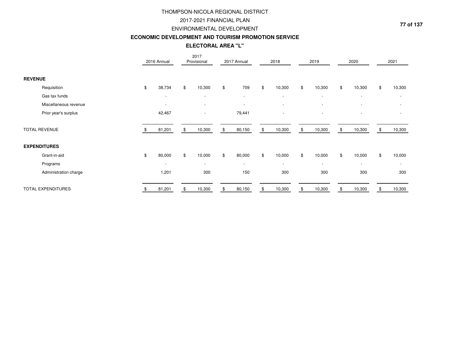### 2017-2021 FINANCIAL PLAN

#### ENVIRONMENTAL DEVELOPMENT

#### **ECONOMIC DEVELOPMENT AND TOURISM PROMOTION SERVICE**

**ELECTORAL AREA "L"**

|                       | 2016 Annual              | 2017<br>Provisional      |     | 2017 Annual              | 2018                     | 2019                     | 2020                     |     | 2021                     |
|-----------------------|--------------------------|--------------------------|-----|--------------------------|--------------------------|--------------------------|--------------------------|-----|--------------------------|
| <b>REVENUE</b>        |                          |                          |     |                          |                          |                          |                          |     |                          |
| Requisition           | \$<br>38,734             | \$<br>10,300             | \$  | 709                      | \$<br>10,300             | \$<br>10,300             | \$<br>10,300             | \$  | 10,300                   |
| Gas tax funds         | $\overline{\phantom{a}}$ | $\overline{\phantom{a}}$ |     | $\overline{\phantom{a}}$ | $\overline{\phantom{a}}$ | $\blacksquare$           | $\overline{\phantom{a}}$ |     | $\overline{\phantom{a}}$ |
| Miscellaneous revenue | $\overline{\phantom{a}}$ | $\overline{\phantom{a}}$ |     |                          | $\overline{\phantom{a}}$ | ۰                        |                          |     |                          |
| Prior year's surplus  | 42,467                   |                          |     | 79,441                   | -                        | $\overline{\phantom{a}}$ | $\overline{\phantom{a}}$ |     |                          |
| <b>TOTAL REVENUE</b>  | 81,201                   | \$<br>10,300             | \$. | 80,150                   | \$<br>10,300             | \$<br>10,300             | \$<br>10,300             | -SS | 10,300                   |
| <b>EXPENDITURES</b>   |                          |                          |     |                          |                          |                          |                          |     |                          |
| Grant-in-aid          | \$<br>80,000             | \$<br>10,000             | \$  | 80,000                   | \$<br>10,000             | \$<br>10,000             | \$<br>10,000             | \$  | 10,000                   |
| Programs              | $\overline{\phantom{a}}$ | $\overline{\phantom{a}}$ |     | $\overline{\phantom{a}}$ | $\overline{\phantom{a}}$ | $\overline{\phantom{a}}$ | $\overline{\phantom{a}}$ |     |                          |
| Administration charge | 1,201                    | 300                      |     | 150                      | 300                      | 300                      | 300                      |     | 300                      |
| TOTAL EXPENDITURES    | 81,201                   | 10,300                   |     | 80,150                   | 10,300                   | \$<br>10,300             | 10,300                   |     | 10,300                   |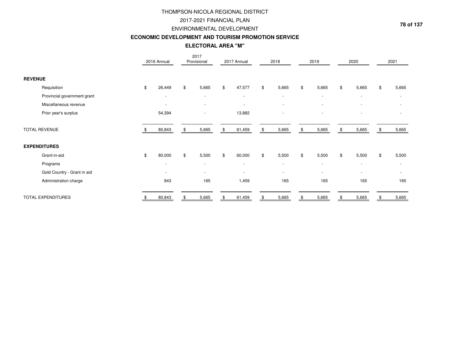### 2017-2021 FINANCIAL PLAN

#### ENVIRONMENTAL DEVELOPMENT

#### **ECONOMIC DEVELOPMENT AND TOURISM PROMOTION SERVICE**

**ELECTORAL AREA "M"**

|                             | 2016 Annual              | 2017<br>Provisional      |    | 2017 Annual              | 2018                     | 2019                     |               | 2020                     | 2021        |
|-----------------------------|--------------------------|--------------------------|----|--------------------------|--------------------------|--------------------------|---------------|--------------------------|-------------|
| <b>REVENUE</b>              |                          |                          |    |                          |                          |                          |               |                          |             |
| Requisition                 | \$<br>26,449             | \$<br>5,665              | \$ | 47,577                   | \$<br>5,665              | \$<br>5,665              | $\frac{1}{2}$ | 5,665                    | \$<br>5,665 |
| Provincial government grant | $\overline{\phantom{a}}$ | $\overline{\phantom{a}}$ |    | $\overline{\phantom{a}}$ | $\overline{\phantom{a}}$ | $\overline{\phantom{a}}$ |               | $\overline{\phantom{a}}$ |             |
| Miscellaneous revenue       | $\overline{\phantom{a}}$ |                          |    | $\overline{\phantom{a}}$ | $\overline{\phantom{a}}$ | ٠                        |               |                          |             |
| Prior year's surplus        | 54,394                   |                          |    | 13,882                   | $\overline{\phantom{a}}$ | $\overline{\phantom{a}}$ |               | $\overline{\phantom{a}}$ |             |
| <b>TOTAL REVENUE</b>        | 80,843                   | 5,665                    | S  | 61,459                   | \$<br>5,665              | \$<br>5,665              | \$            | 5,665                    | 5,665       |
| <b>EXPENDITURES</b>         |                          |                          |    |                          |                          |                          |               |                          |             |
| Grant-in-aid                | \$<br>80,000             | \$<br>5,500              | \$ | 60,000                   | \$<br>5,500              | \$<br>5,500              | $\frac{1}{2}$ | 5,500                    | \$<br>5,500 |
| Programs                    | $\overline{\phantom{a}}$ | $\overline{\phantom{a}}$ |    | $\overline{\phantom{a}}$ | $\overline{\phantom{a}}$ | $\overline{\phantom{a}}$ |               | $\sim$                   |             |
| Gold Country - Grant in aid | $\overline{\phantom{a}}$ | $\overline{\phantom{a}}$ |    |                          | $\overline{\phantom{a}}$ | $\overline{\phantom{a}}$ |               |                          |             |
| Administration charge       | 843                      | 165                      |    | 1,459                    | 165                      | 165                      |               | 165                      | 165         |
| TOTAL EXPENDITURES          | 80,843                   | 5,665                    |    | 61,459                   | 5,665                    | 5,665                    |               | 5,665                    | 5,665       |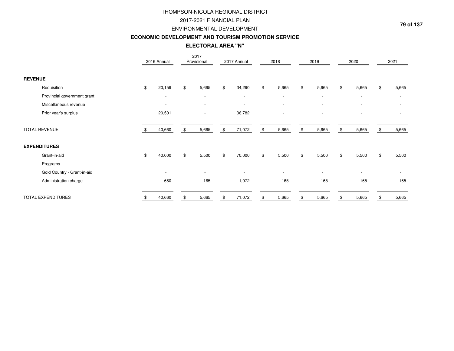### 2017-2021 FINANCIAL PLAN

#### ENVIRONMENTAL DEVELOPMENT

#### **ECONOMIC DEVELOPMENT AND TOURISM PROMOTION SERVICE**

**ELECTORAL AREA "N"**

|                             | 2016 Annual              | 2017<br>Provisional      |     | 2017 Annual              | 2018                     | 2019                     |               | 2020                     | 2021        |
|-----------------------------|--------------------------|--------------------------|-----|--------------------------|--------------------------|--------------------------|---------------|--------------------------|-------------|
| <b>REVENUE</b>              |                          |                          |     |                          |                          |                          |               |                          |             |
| Requisition                 | \$<br>20,159             | \$<br>5,665              | \$  | 34,290                   | \$<br>5,665              | \$<br>5,665              | $\frac{1}{2}$ | 5,665                    | \$<br>5,665 |
| Provincial government grant | $\overline{\phantom{a}}$ | $\overline{\phantom{a}}$ |     | $\overline{\phantom{a}}$ | $\overline{\phantom{a}}$ | $\overline{\phantom{a}}$ |               | $\overline{\phantom{a}}$ |             |
| Miscellaneous revenue       | $\overline{\phantom{a}}$ |                          |     | $\overline{\phantom{a}}$ | $\overline{\phantom{a}}$ | $\overline{\phantom{a}}$ |               |                          |             |
| Prior year's surplus        | 20,501                   |                          |     | 36,782                   | $\overline{\phantom{a}}$ | $\overline{\phantom{a}}$ |               | $\overline{\phantom{a}}$ |             |
| <b>TOTAL REVENUE</b>        | 40,660                   | 5,665                    | \$. | 71,072                   | \$<br>5,665              | \$<br>5,665              | \$            | 5,665                    | 5,665       |
| <b>EXPENDITURES</b>         |                          |                          |     |                          |                          |                          |               |                          |             |
| Grant-in-aid                | \$<br>40,000             | \$<br>5,500              | \$  | 70,000                   | \$<br>5,500              | \$<br>5,500              | $\frac{1}{2}$ | 5,500                    | \$<br>5,500 |
| Programs                    | $\overline{\phantom{a}}$ | $\overline{\phantom{a}}$ |     | $\overline{\phantom{a}}$ | $\overline{\phantom{a}}$ | $\overline{\phantom{a}}$ |               | $\sim$                   |             |
| Gold Country - Grant-in-aid | $\overline{\phantom{a}}$ | $\overline{\phantom{a}}$ |     |                          | $\overline{\phantom{a}}$ | $\overline{\phantom{a}}$ |               | $\overline{\phantom{a}}$ |             |
| Administration charge       | 660                      | 165                      |     | 1,072                    | 165                      | 165                      |               | 165                      | 165         |
| TOTAL EXPENDITURES          | 40,660                   | 5,665                    |     | 71,072                   | 5,665                    | 5,665                    |               | 5,665                    | 5,665       |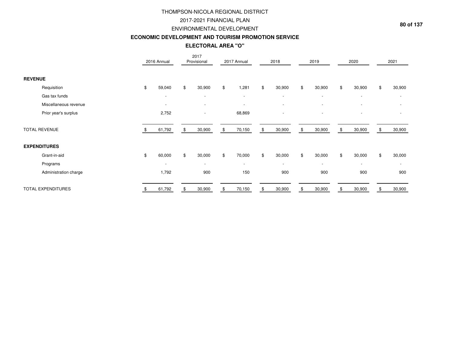### 2017-2021 FINANCIAL PLAN

#### ENVIRONMENTAL DEVELOPMENT

#### **ECONOMIC DEVELOPMENT AND TOURISM PROMOTION SERVICE**

## **ELECTORAL AREA "O"**

|                           | 2016 Annual              | 2017<br>Provisional      | 2017 Annual              | 2018                     | 2019                     | 2020                     |     | 2021                     |
|---------------------------|--------------------------|--------------------------|--------------------------|--------------------------|--------------------------|--------------------------|-----|--------------------------|
| <b>REVENUE</b>            |                          |                          |                          |                          |                          |                          |     |                          |
| Requisition               | \$<br>59,040             | \$<br>30,900             | \$<br>1,281              | \$<br>30,900             | \$<br>30,900             | \$<br>30,900             | \$  | 30,900                   |
| Gas tax funds             | $\overline{\phantom{a}}$ | $\overline{\phantom{a}}$ | $\overline{\phantom{a}}$ | $\overline{\phantom{a}}$ | $\overline{\phantom{a}}$ | $\overline{\phantom{a}}$ |     |                          |
| Miscellaneous revenue     | $\overline{\phantom{a}}$ | $\overline{\phantom{a}}$ | $\overline{\phantom{a}}$ | $\overline{\phantom{a}}$ | $\overline{\phantom{a}}$ |                          |     |                          |
| Prior year's surplus      | 2,752                    |                          | 68,869                   |                          | $\overline{\phantom{a}}$ |                          |     |                          |
| <b>TOTAL REVENUE</b>      | 61,792                   | \$<br>30,900             | \$<br>70,150             | \$<br>30,900             | \$<br>30,900             | \$<br>30,900             | \$. | 30,900                   |
| <b>EXPENDITURES</b>       |                          |                          |                          |                          |                          |                          |     |                          |
| Grant-in-aid              | \$<br>60,000             | \$<br>30,000             | \$<br>70,000             | \$<br>30,000             | \$<br>30,000             | \$<br>30,000             | \$  | 30,000                   |
| Programs                  | $\overline{\phantom{a}}$ | $\overline{\phantom{a}}$ | $\overline{\phantom{a}}$ | $\overline{\phantom{a}}$ | $\overline{\phantom{a}}$ |                          |     | $\overline{\phantom{a}}$ |
| Administration charge     | 1,792                    | 900                      | 150                      | 900                      | 900                      | 900                      |     | 900                      |
| <b>TOTAL EXPENDITURES</b> | 61,792                   | \$<br>30,900             | \$<br>70,150             | \$<br>30,900             | \$<br>30,900             | \$<br>30,900             | \$  | 30,900                   |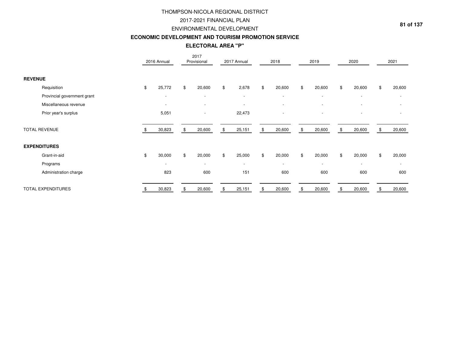### 2017-2021 FINANCIAL PLAN

#### ENVIRONMENTAL DEVELOPMENT

#### **ECONOMIC DEVELOPMENT AND TOURISM PROMOTION SERVICE**

**ELECTORAL AREA "P"**

|                             |    | 2016 Annual              | 2017<br>Provisional      |     | 2017 Annual              |                | 2018                     | 2019                     | 2020                     |    | 2021                     |
|-----------------------------|----|--------------------------|--------------------------|-----|--------------------------|----------------|--------------------------|--------------------------|--------------------------|----|--------------------------|
| <b>REVENUE</b>              |    |                          |                          |     |                          |                |                          |                          |                          |    |                          |
| Requisition                 | \$ | 25,772                   | \$<br>20,600             | \$  | 2,678                    | \$             | 20,600                   | \$<br>20,600             | \$<br>20,600             | \$ | 20,600                   |
| Provincial government grant |    | $\overline{\phantom{a}}$ | $\overline{\phantom{a}}$ |     | $\sim$                   |                | $\overline{\phantom{a}}$ | $\overline{\phantom{a}}$ | $\overline{\phantom{a}}$ |    | $\overline{\phantom{a}}$ |
| Miscellaneous revenue       |    | $\overline{\phantom{a}}$ |                          |     |                          |                | $\overline{\phantom{a}}$ | $\overline{\phantom{a}}$ |                          |    |                          |
| Prior year's surplus        |    | 5,051                    |                          |     | 22,473                   |                | $\overline{\phantom{a}}$ | $\overline{\phantom{a}}$ |                          |    |                          |
| <b>TOTAL REVENUE</b>        |    | 30,823                   | \$<br>20,600             | \$. | 25,151                   | \$             | 20,600                   | \$<br>20,600             | \$<br>20,600             | \$ | 20,600                   |
| <b>EXPENDITURES</b>         |    |                          |                          |     |                          |                |                          |                          |                          |    |                          |
| Grant-in-aid                | \$ | 30,000                   | \$<br>20,000             | \$  | 25,000                   | $\mathfrak{S}$ | 20,000                   | \$<br>20,000             | \$<br>20,000             | \$ | 20,000                   |
| Programs                    |    | $\overline{\phantom{0}}$ | $\overline{\phantom{a}}$ |     | $\overline{\phantom{a}}$ |                | $\overline{\phantom{a}}$ | $\overline{\phantom{a}}$ |                          |    | $\overline{\phantom{a}}$ |
| Administration charge       |    | 823                      | 600                      |     | 151                      |                | 600                      | 600                      | 600                      |    | 600                      |
| <b>TOTAL EXPENDITURES</b>   |    | 30,823                   | 20,600                   |     | 25,151                   | \$             | 20,600                   | 20,600                   | 20,600                   | £. | 20,600                   |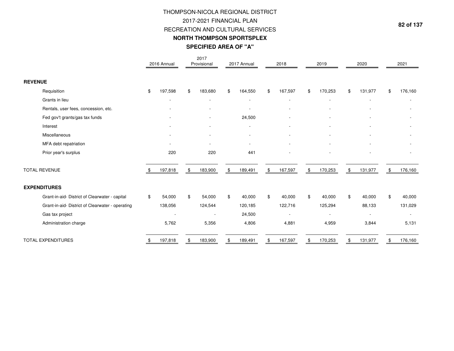# THOMPSON-NICOLA REGIONAL DISTRICT2017-2021 FINANCIAL PLAN RECREATION AND CULTURAL SERVICES**NORTH THOMPSON SPORTSPLEXSPECIFIED AREA OF "A"**

|                                                  |     | 2016 Annual              | 2017<br>Provisional      | 2017 Annual   | 2018          | 2019                     | 2020          | 2021          |
|--------------------------------------------------|-----|--------------------------|--------------------------|---------------|---------------|--------------------------|---------------|---------------|
| <b>REVENUE</b>                                   |     |                          |                          |               |               |                          |               |               |
| Requisition                                      | \$  | 197,598                  | \$<br>183,680            | \$<br>164,550 | \$<br>167,597 | \$<br>170,253            | \$<br>131,977 | \$<br>176,160 |
| Grants in lieu                                   |     |                          |                          |               |               | $\overline{\phantom{a}}$ |               |               |
| Rentals, user fees, concession, etc.             |     |                          |                          |               |               |                          |               |               |
| Fed gov't grants/gas tax funds                   |     |                          | $\overline{\phantom{a}}$ | 24,500        |               |                          |               |               |
| Interest                                         |     |                          |                          |               |               |                          |               |               |
| Miscellaneous                                    |     |                          |                          |               |               |                          |               |               |
| MFA debt repatriation                            |     | $\overline{\phantom{a}}$ |                          |               |               |                          |               |               |
| Prior year's surplus                             |     | 220                      | 220                      | 441           |               |                          |               |               |
| <b>TOTAL REVENUE</b>                             | \$. | 197,818                  | \$<br>183,900            | \$<br>189,491 | \$<br>167,597 | \$<br>170,253            | \$<br>131,977 | \$<br>176,160 |
| <b>EXPENDITURES</b>                              |     |                          |                          |               |               |                          |               |               |
| Grant-in-aid- District of Clearwater - capital   | \$  | 54,000                   | \$<br>54,000             | \$<br>40,000  | \$<br>40,000  | \$<br>40,000             | \$<br>40,000  | \$<br>40,000  |
| Grant-in-aid- District of Clearwater - operating |     | 138,056                  | 124,544                  | 120,185       | 122,716       | 125,294                  | 88,133        | 131,029       |
| Gas tax project                                  |     |                          |                          | 24,500        |               |                          |               |               |
| Administration charge                            |     | 5,762                    | 5,356                    | 4,806         | 4,881         | 4,959                    | 3,844         | 5,131         |
| <b>TOTAL EXPENDITURES</b>                        | S   | 197,818                  | \$<br>183,900            | \$<br>189,491 | \$<br>167,597 | \$<br>170,253            | \$<br>131,977 | \$<br>176,160 |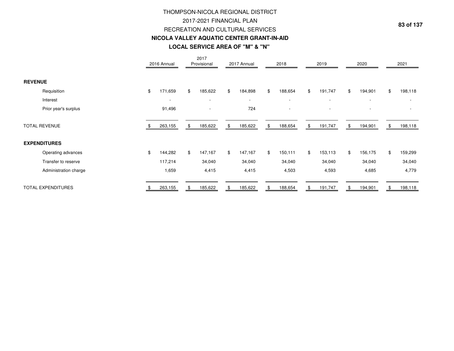# **LOCAL SERVICE AREA OF "M" & "N" NICOLA VALLEY AQUATIC CENTER GRANT-IN-AID**THOMPSON-NICOLA REGIONAL DISTRICT2017-2021 FINANCIAL PLANRECREATION AND CULTURAL SERVICES

|                       |     | 2016 Annual              | 2017<br>Provisional      |    | 2017 Annual              | 2018          | 2019                     |    | 2020                     | 2021                     |
|-----------------------|-----|--------------------------|--------------------------|----|--------------------------|---------------|--------------------------|----|--------------------------|--------------------------|
| <b>REVENUE</b>        |     |                          |                          |    |                          |               |                          |    |                          |                          |
| Requisition           | \$  | 171,659                  | \$<br>185,622            | \$ | 184,898                  | \$<br>188,654 | \$<br>191,747            | \$ | 194,901                  | \$<br>198,118            |
| Interest              |     | $\overline{\phantom{a}}$ | $\overline{\phantom{a}}$ |    | $\overline{\phantom{a}}$ | $\sim$        | $\overline{\phantom{a}}$ |    |                          |                          |
| Prior year's surplus  |     | 91,496                   | $\sim$                   |    | 724                      | $\sim$        | $\overline{\phantom{a}}$ |    | $\overline{\phantom{a}}$ | $\overline{\phantom{a}}$ |
| <b>TOTAL REVENUE</b>  | -SS | 263,155                  | \$<br>185,622            | \$ | 185,622                  | \$<br>188,654 | \$<br>191,747            | \$ | 194,901                  | \$<br>198,118            |
| <b>EXPENDITURES</b>   |     |                          |                          |    |                          |               |                          |    |                          |                          |
| Operating advances    | \$  | 144,282                  | \$<br>147,167            | \$ | 147,167                  | \$<br>150,111 | \$<br>153,113            | \$ | 156,175                  | \$<br>159,299            |
| Transfer to reserve   |     | 117,214                  | 34,040                   |    | 34,040                   | 34,040        | 34,040                   |    | 34,040                   | 34,040                   |
| Administration charge |     | 1,659                    | 4,415                    |    | 4,415                    | 4,503         | 4,593                    |    | 4,685                    | 4,779                    |
| TOTAL EXPENDITURES    |     | 263,155                  | \$<br>185,622            | £. | 185,622                  | \$<br>188,654 | \$<br>191,747            | £. | 194,901                  | \$<br>198,118            |

**83 of 137**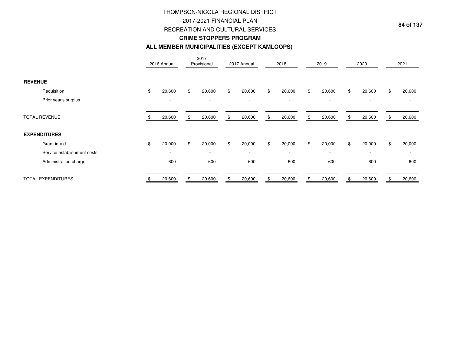## 2017-2021 FINANCIAL PLAN

RECREATION AND CULTURAL SERVICES

## **CRIME STOPPERS PROGRAM**

#### **ALL MEMBER MUNICIPALITIES (EXCEPT KAMLOOPS)**

|                             | 2016 Annual              | 2017<br>Provisional      | 2017 Annual              | 2018                     | 2019                     |    | 2020                     | 2021                     |
|-----------------------------|--------------------------|--------------------------|--------------------------|--------------------------|--------------------------|----|--------------------------|--------------------------|
| <b>REVENUE</b>              |                          |                          |                          |                          |                          |    |                          |                          |
| Requisition                 | \$<br>20,600             | \$<br>20,600             | \$<br>20,600             | \$<br>20,600             | \$<br>20,600             | \$ | 20,600                   | \$<br>20,600             |
| Prior year's surplus        | $\overline{\phantom{a}}$ | $\overline{\phantom{a}}$ | $\overline{\phantom{a}}$ | $\overline{\phantom{a}}$ | $\overline{\phantom{a}}$ |    | $\overline{\phantom{a}}$ |                          |
| <b>TOTAL REVENUE</b>        | 20,600                   | 20,600                   | \$<br>20,600             | \$<br>20,600             | \$<br>20,600             | £. | 20,600                   | 20,600                   |
| <b>EXPENDITURES</b>         |                          |                          |                          |                          |                          |    |                          |                          |
| Grant-in-aid                | \$<br>20,000             | \$<br>20,000             | \$<br>20,000             | \$<br>20,000             | \$<br>20,000             | \$ | 20,000                   | \$<br>20,000             |
| Service establishment costs | $\overline{\phantom{a}}$ | $\overline{\phantom{a}}$ | $\overline{\phantom{a}}$ | $\sim$                   | $\overline{\phantom{a}}$ |    |                          | $\overline{\phantom{a}}$ |
| Administration charge       | 600                      | 600                      | 600                      | 600                      | 600                      |    | 600                      | 600                      |
| TOTAL EXPENDITURES          | 20,600                   | 20,600                   | 20,600                   | 20,600                   | 20,600                   |    | 20,600                   | 20,600                   |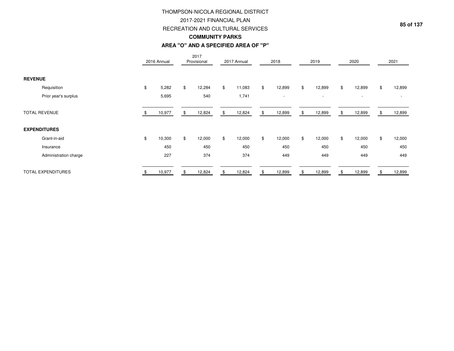#### 2017-2021 FINANCIAL PLAN

#### RECREATION AND CULTURAL SERVICES

#### **COMMUNITY PARKS**

#### **AREA "O" AND A SPECIFIED AREA OF "P"**

|                           | 2016 Annual  | 2017<br>Provisional |              | 2017 Annual |    | 2018                     | 2019                     |     | 2020                     | 2021                     |
|---------------------------|--------------|---------------------|--------------|-------------|----|--------------------------|--------------------------|-----|--------------------------|--------------------------|
| <b>REVENUE</b>            |              |                     |              |             |    |                          |                          |     |                          |                          |
| Requisition               | \$<br>5,282  | \$<br>12,284        | $\mathbb{S}$ | 11,083      | \$ | 12,899                   | \$<br>12,899             | \$  | 12,899                   | \$<br>12,899             |
| Prior year's surplus      | 5,695        | 540                 |              | 1,741       |    | $\overline{\phantom{a}}$ | $\overline{\phantom{a}}$ |     | $\overline{\phantom{a}}$ | $\overline{\phantom{0}}$ |
| <b>TOTAL REVENUE</b>      | 10,977       | \$<br>12,824        |              | 12,824      | S  | 12,899                   | \$<br>12,899             | -95 | 12,899                   | 12,899                   |
| <b>EXPENDITURES</b>       |              |                     |              |             |    |                          |                          |     |                          |                          |
| Grant-in-aid              | \$<br>10,300 | \$<br>12,000        | \$           | 12,000      | \$ | 12,000                   | \$<br>12,000             | \$  | 12,000                   | \$<br>12,000             |
| Insurance                 | 450          | 450                 |              | 450         |    | 450                      | 450                      |     | 450                      | 450                      |
| Administration charge     | 227          | 374                 |              | 374         |    | 449                      | 449                      |     | 449                      | 449                      |
| <b>TOTAL EXPENDITURES</b> | 10,977       | 12,824              |              | 12,824      |    | 12,899                   | 12,899                   |     | 12,899                   | 12,899                   |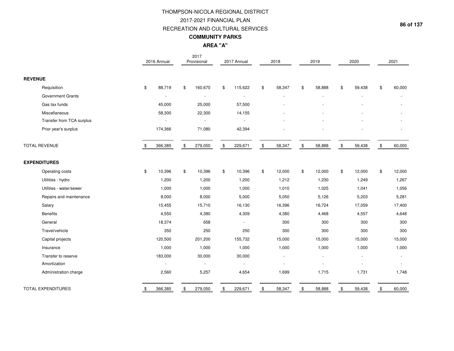## THOMPSON-NICOLA REGIONAL DISTRICT2017-2021 FINANCIAL PLANRECREATION AND CULTURAL SERVICES

## **COMMUNITY PARKS**

**AREA "A"**

|                           |       | 2016 Annual | 2017<br>Provisional | 2017 Annual   |                | 2018   | 2019         |                | 2020           |               | 2021   |
|---------------------------|-------|-------------|---------------------|---------------|----------------|--------|--------------|----------------|----------------|---------------|--------|
| <b>REVENUE</b>            |       |             |                     |               |                |        |              |                |                |               |        |
| Requisition               | \$    | 88,719      | \$<br>160,670       | \$<br>115,622 | \$             | 58,347 | \$<br>58,888 | \$             | 59,438         | \$            | 60,000 |
| <b>Government Grants</b>  |       |             | $\sim$              |               |                |        |              |                |                |               |        |
| Gas tax funds             |       | 45,000      | 25,000              | 57,500        |                |        |              |                |                |               |        |
| Miscellaneous             |       | 58,300      | 22,300              | 14,155        |                |        |              |                |                |               |        |
| Transfer from TCA surplus |       |             |                     |               |                |        |              |                |                |               |        |
| Prior year's surplus      |       | 174,366     | 71,080              | 42,394        |                |        |              |                |                |               |        |
| TOTAL REVENUE             |       | 366,385     | \$<br>279,050       | \$<br>229,671 | $$\mathbb{S}$$ | 58,347 | \$<br>58,888 | $\mathfrak{S}$ | 59,438         | $\mathfrak s$ | 60,000 |
| <b>EXPENDITURES</b>       |       |             |                     |               |                |        |              |                |                |               |        |
| Operating costs           | $\$\$ | 10,396      | \$<br>10,396        | \$<br>10,396  | \$             | 12,000 | \$<br>12,000 | $\mathfrak{S}$ | 12,000         | \$            | 12,000 |
| Utilities - hydro         |       | 1,200       | 1,200               | 1,200         |                | 1,212  | 1,230        |                | 1,249          |               | 1,267  |
| Utilities - water/sewer   |       | 1,000       | 1,000               | 1,000         |                | 1,010  | 1,025        |                | 1,041          |               | 1,056  |
| Repairs and maintenance   |       | 8,000       | 8,000               | 5,000         |                | 5,050  | 5,126        |                | 5,203          |               | 5,281  |
| Salary                    |       | 15,455      | 15,710              | 16,130        |                | 16,396 | 16,724       |                | 17,059         |               | 17,400 |
| <b>Benefits</b>           |       | 4,550       | 4,380               | 4,309         |                | 4,380  | 4,468        |                | 4,557          |               | 4,648  |
| General                   |       | 18,374      | 658                 | $\sim$        |                | 300    | 300          |                | 300            |               | 300    |
| Travel/vehicle            |       | 350         | 250                 | 250           |                | 300    | 300          |                | 300            |               | 300    |
| Capital projects          |       | 120,500     | 201,200             | 155,732       |                | 15,000 | 15,000       |                | 15,000         |               | 15,000 |
| Insurance                 |       | 1,000       | 1,000               | 1,000         |                | 1,000  | 1,000        |                | 1,000          |               | 1,000  |
| Transfer to reserve       |       | 183,000     | 30,000              | 30,000        |                |        |              |                |                |               |        |
| Amortization              |       |             | $\blacksquare$      |               |                |        |              |                | $\blacksquare$ |               |        |
| Administration charge     |       | 2,560       | 5,257               | 4,654         |                | 1,699  | 1,715        |                | 1,731          |               | 1,748  |
| <b>TOTAL EXPENDITURES</b> | \$    | 366,385     | \$<br>279,050       | \$<br>229,671 | \$             | 58,347 | \$<br>58,888 | \$             | 59,438         | \$            | 60,000 |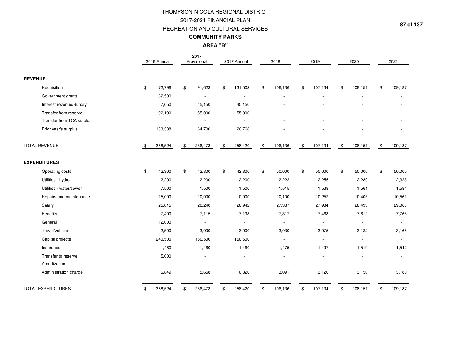## THOMPSON-NICOLA REGIONAL DISTRICT2017-2021 FINANCIAL PLANRECREATION AND CULTURAL SERVICES

## **COMMUNITY PARKS**

**AREA "B"**

|                           | 2016 Annual   | 2017<br>Provisional |                | 2017 Annual              |                                                   | 2018    | 2019                     |               | 2020                     |               | 2021    |
|---------------------------|---------------|---------------------|----------------|--------------------------|---------------------------------------------------|---------|--------------------------|---------------|--------------------------|---------------|---------|
| <b>REVENUE</b>            |               |                     |                |                          |                                                   |         |                          |               |                          |               |         |
| Requisition               | \$<br>72,796  | \$<br>91,623        | \$             | 131,502                  | \$                                                | 106,136 | \$<br>107,134            | \$            | 108,151                  | \$            | 109,187 |
| Government grants         | 62,500        |                     |                | $\overline{a}$           |                                                   |         |                          |               |                          |               |         |
| Interest revenue/Sundry   | 7,650         | 45,150              |                | 45,150                   |                                                   |         |                          |               |                          |               |         |
| Transfer from reserve     | 92,190        | 55,000              |                | 55,000                   |                                                   |         |                          |               |                          |               |         |
| Transfer from TCA surplus |               |                     |                | $\sim$                   |                                                   |         |                          |               |                          |               |         |
| Prior year's surplus      | 133,388       | 64,700              |                | 26,768                   |                                                   |         |                          |               |                          |               |         |
| <b>TOTAL REVENUE</b>      | \$<br>368,524 | \$<br>256,473       | $\mathfrak{S}$ | 258,420                  | $\, \, \raisebox{-1.5pt}{\text{\circle*{1.5}}}\,$ | 106,136 | \$<br>107,134            | $\mathfrak s$ | 108,151                  | $\mathfrak s$ | 109,187 |
| <b>EXPENDITURES</b>       |               |                     |                |                          |                                                   |         |                          |               |                          |               |         |
| Operating costs           | \$<br>42,300  | \$<br>42,800        | $\$\$          | 42,800                   | \$                                                | 50,000  | \$<br>50,000             | $\mathfrak s$ | 50,000                   | \$            | 50,000  |
| Utilities - hydro         | 2,200         | 2,200               |                | 2,200                    |                                                   | 2,222   | 2,255                    |               | 2,289                    |               | 2,323   |
| Utilities - water/sewer   | 7,500         | 1,500               |                | 1,500                    |                                                   | 1,515   | 1,538                    |               | 1,561                    |               | 1,584   |
| Repairs and maintenance   | 15,000        | 10,000              |                | 10,000                   |                                                   | 10,100  | 10,252                   |               | 10,405                   |               | 10,561  |
| Salary                    | 25,815        | 26,240              |                | 26,942                   |                                                   | 27,387  | 27,934                   |               | 28,493                   |               | 29,063  |
| <b>Benefits</b>           | 7,400         | 7,115               |                | 7,198                    |                                                   | 7,317   | 7,463                    |               | 7,612                    |               | 7,765   |
| General                   | 12,000        | $\blacksquare$      |                | $\blacksquare$           |                                                   | $\sim$  | $\blacksquare$           |               | $\sim$                   |               | $\sim$  |
| Travel/vehicle            | 2,500         | 3,000               |                | 3,000                    |                                                   | 3,030   | 3,075                    |               | 3,122                    |               | 3,168   |
| Capital projects          | 240,500       | 156,500             |                | 156,500                  |                                                   | $\sim$  | $\overline{\phantom{a}}$ |               | $\overline{\phantom{a}}$ |               |         |
| Insurance                 | 1,460         | 1,460               |                | 1,460                    |                                                   | 1,475   | 1,497                    |               | 1,519                    |               | 1,542   |
| Transfer to reserve       | 5,000         |                     |                | $\overline{\phantom{a}}$ |                                                   |         |                          |               |                          |               |         |
| Amortization              | $\sim$        |                     |                |                          |                                                   |         |                          |               | $\overline{\phantom{a}}$ |               |         |
| Administration charge     | 6,849         | 5,658               |                | 6,820                    |                                                   | 3,091   | 3,120                    |               | 3,150                    |               | 3,180   |
| <b>TOTAL EXPENDITURES</b> | \$<br>368,524 | \$<br>256,473       | \$             | 258,420                  | \$                                                | 106,136 | \$<br>107,134            | \$            | 108,151                  | \$            | 109,187 |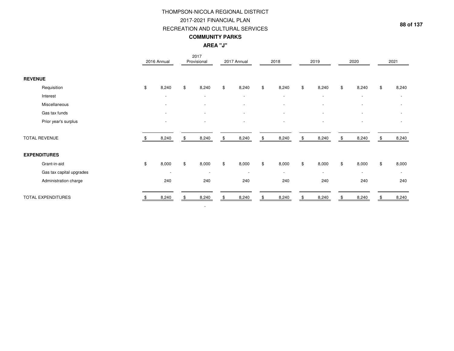|                           |    |                          | THOMPSON-NICOLA REGIONAL DISTRICT<br>2017-2021 FINANCIAL PLAN<br>RECREATION AND CULTURAL SERVICES<br><b>COMMUNITY PARKS</b><br><b>AREA "J"</b> |             |             |               |                          |               |                | 88                       |
|---------------------------|----|--------------------------|------------------------------------------------------------------------------------------------------------------------------------------------|-------------|-------------|---------------|--------------------------|---------------|----------------|--------------------------|
|                           |    | 2016 Annual              | 2017<br>Provisional                                                                                                                            | 2017 Annual | 2018        |               | 2019                     |               | 2020           | 2021                     |
| <b>REVENUE</b>            |    |                          |                                                                                                                                                |             |             |               |                          |               |                |                          |
| Requisition               | \$ | 8,240                    | \$<br>8,240                                                                                                                                    | \$<br>8,240 | \$<br>8,240 | \$            | 8,240                    | \$            | 8,240          | \$<br>8,240              |
| Interest                  |    | $\overline{\phantom{a}}$ | $\blacksquare$                                                                                                                                 |             |             |               | $\overline{\phantom{a}}$ |               | $\blacksquare$ | $\overline{\phantom{a}}$ |
| Miscellaneous             |    |                          |                                                                                                                                                |             |             |               |                          |               |                | $\overline{\phantom{a}}$ |
| Gas tax funds             |    |                          |                                                                                                                                                |             |             |               |                          |               |                |                          |
| Prior year's surplus      |    |                          |                                                                                                                                                |             |             |               |                          |               |                |                          |
| <b>TOTAL REVENUE</b>      | \$ | 8,240                    | \$<br>8,240                                                                                                                                    | \$<br>8,240 | \$<br>8,240 | $\frac{1}{2}$ | 8,240                    | \$            | 8,240          | \$<br>8,240              |
| <b>EXPENDITURES</b>       |    |                          |                                                                                                                                                |             |             |               |                          |               |                |                          |
| Grant-in-aid              | \$ | 8,000                    | \$<br>8,000                                                                                                                                    | \$<br>8,000 | \$<br>8,000 | \$            | 8,000                    | $\sqrt[6]{2}$ | 8,000          | \$<br>8,000              |
| Gas tax capital upgrades  |    |                          | $\overline{\phantom{a}}$                                                                                                                       |             |             |               | $\blacksquare$           |               |                |                          |
| Administration charge     |    | 240                      | 240                                                                                                                                            | 240         | 240         |               | 240                      |               | 240            | 240                      |
| <b>TOTAL EXPENDITURES</b> | -S | 8,240                    | \$<br>8,240                                                                                                                                    | \$<br>8,240 | \$<br>8,240 | \$            | 8,240                    | \$            | 8,240          | \$<br>8,240              |
|                           |    |                          | $\overline{\phantom{a}}$                                                                                                                       |             |             |               |                          |               |                |                          |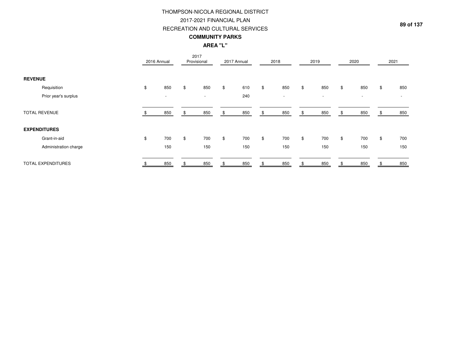## THOMPSON-NICOLA REGIONAL DISTRICT2017-2021 FINANCIAL PLAN

#### RECREATION AND CULTURAL SERVICES

### **COMMUNITY PARKS**

## **AREA "L"**

|                |                       | 2016 Annual |                          | Provisional | 2017   | 2017 Annual |       | 2018   |     | 2019   |                | 2020                     |                | 2021                     |
|----------------|-----------------------|-------------|--------------------------|-------------|--------|-------------|-------|--------|-----|--------|----------------|--------------------------|----------------|--------------------------|
| <b>REVENUE</b> |                       |             |                          |             |        |             |       |        |     |        |                |                          |                |                          |
|                | Requisition           | \$          | 850                      | \$          | 850    | \$<br>610   | \$    | 850    | \$  | 850    | \$             | 850                      | \$             | 850                      |
|                | Prior year's surplus  |             | $\overline{\phantom{a}}$ |             | $\sim$ | 240         |       | $\sim$ |     | $\sim$ |                | $\overline{\phantom{a}}$ |                | $\overline{\phantom{a}}$ |
|                | <b>TOTAL REVENUE</b>  |             | 850                      |             | 850    | 850         | \$    | 850    | ۰., | 850    |                | 850                      |                | 850                      |
|                | <b>EXPENDITURES</b>   |             |                          |             |        |             |       |        |     |        |                |                          |                |                          |
|                | Grant-in-aid          | \$          | 700                      | \$          | 700    | \$<br>700   | $\$\$ | 700    | \$  | 700    | $\mathfrak{S}$ | 700                      | $\mathfrak{S}$ | 700                      |
|                | Administration charge |             | 150                      |             | 150    | 150         |       | 150    |     | 150    |                | 150                      |                | 150                      |
|                | TOTAL EXPENDITURES    |             | 850                      |             | 850    | 850         |       | 850    |     | 850    |                | 850                      |                | 850                      |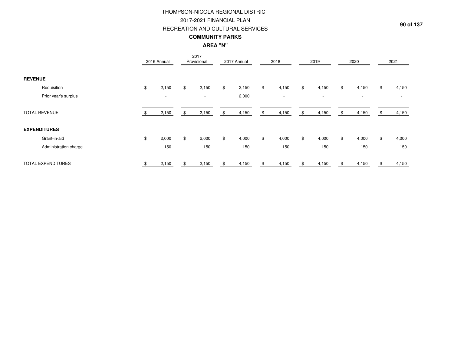## THOMPSON-NICOLA REGIONAL DISTRICT2017-2021 FINANCIAL PLAN

## RECREATION AND CULTURAL SERVICES

### **COMMUNITY PARKS**

## **AREA "N"**

|                           | 2016 Annual              | 2017<br>Provisional      | 2017 Annual | 2018                     |    | 2019                     | 2020                     | 2021                     |
|---------------------------|--------------------------|--------------------------|-------------|--------------------------|----|--------------------------|--------------------------|--------------------------|
| <b>REVENUE</b>            |                          |                          |             |                          |    |                          |                          |                          |
| Requisition               | \$<br>2,150              | \$<br>2,150              | \$<br>2,150 | \$<br>4,150              | \$ | 4,150                    | \$<br>4,150              | \$<br>4,150              |
| Prior year's surplus      | $\overline{\phantom{a}}$ | $\overline{\phantom{a}}$ | 2,000       | $\overline{\phantom{a}}$ |    | $\overline{\phantom{a}}$ | $\overline{\phantom{a}}$ | $\overline{\phantom{a}}$ |
| <b>TOTAL REVENUE</b>      | 2,150                    | 2,150                    | 4,150       | \$<br>4,150              | S  | 4,150                    | \$<br>4,150              | 4,150                    |
| <b>EXPENDITURES</b>       |                          |                          |             |                          |    |                          |                          |                          |
| Grant-in-aid              | \$<br>2,000              | \$<br>2,000              | \$<br>4,000 | \$<br>4,000              | \$ | 4,000                    | \$<br>4,000              | \$<br>4,000              |
| Administration charge     | 150                      | 150                      | 150         | 150                      |    | 150                      | 150                      | 150                      |
| <b>TOTAL EXPENDITURES</b> | 2,150                    | 2,150                    | 4,150       | 4,150                    |    | 4,150                    | 4,150                    | 4,150                    |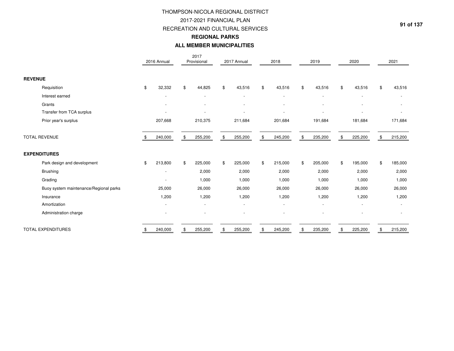#### 2017-2021 FINANCIAL PLAN

RECREATION AND CULTURAL SERVICES

#### **REGIONAL PARKS**

#### **ALL MEMBER MUNICIPALITIES**

|                                        | 2016 Annual   | 2017<br>Provisional      | 2017 Annual              | 2018                         |     | 2019                     | 2020          | 2021          |
|----------------------------------------|---------------|--------------------------|--------------------------|------------------------------|-----|--------------------------|---------------|---------------|
| <b>REVENUE</b>                         |               |                          |                          |                              |     |                          |               |               |
| Requisition                            | \$<br>32,332  | \$<br>44,825             | \$<br>43,516             | \$<br>43,516                 | \$  | 43,516                   | \$<br>43,516  | \$<br>43,516  |
| Interest earned                        |               | $\overline{\phantom{a}}$ |                          | $\qquad \qquad \blacksquare$ |     |                          |               |               |
| Grants                                 |               |                          |                          |                              |     |                          |               |               |
| Transfer from TCA surplus              |               | $\overline{\phantom{a}}$ |                          | $\overline{\phantom{a}}$     |     | $\overline{\phantom{a}}$ |               |               |
| Prior year's surplus                   | 207,668       | 210,375                  | 211,684                  | 201,684                      |     | 191,684                  | 181,684       | 171,684       |
| <b>TOTAL REVENUE</b>                   | 240,000       | \$<br>255,200            | 255,200                  | 245,200                      |     | 235,200                  | \$<br>225,200 | 215,200       |
| <b>EXPENDITURES</b>                    |               |                          |                          |                              |     |                          |               |               |
| Park design and development            | \$<br>213,800 | \$<br>225,000            | \$<br>225,000            | \$<br>215,000                | \$. | 205,000                  | \$<br>195,000 | \$<br>185,000 |
| <b>Brushing</b>                        |               | 2,000                    | 2,000                    | 2,000                        |     | 2,000                    | 2,000         | 2,000         |
| Grading                                |               | 1,000                    | 1,000                    | 1,000                        |     | 1,000                    | 1,000         | 1,000         |
| Buoy system maintenance/Regional parks | 25,000        | 26,000                   | 26,000                   | 26,000                       |     | 26,000                   | 26,000        | 26,000        |
| Insurance                              | 1,200         | 1,200                    | 1,200                    | 1,200                        |     | 1,200                    | 1,200         | 1,200         |
| Amortization                           |               | $\overline{\phantom{a}}$ | $\overline{\phantom{a}}$ | $\overline{\phantom{a}}$     |     | $\overline{\phantom{a}}$ |               |               |
| Administration charge                  |               |                          |                          |                              |     |                          |               |               |
| <b>TOTAL EXPENDITURES</b>              | \$<br>240,000 | \$<br>255,200            | \$<br>255,200            | \$<br>245,200                |     | 235,200                  | \$<br>225,200 | \$<br>215,200 |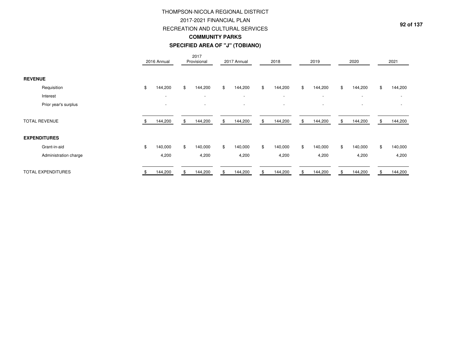## 2017-2021 FINANCIAL PLAN

#### RECREATION AND CULTURAL SERVICES

#### **COMMUNITY PARKS**

#### **SPECIFIED AREA OF "J" (TOBIANO)**

|                |                           | 2016 Annual              | 2017<br>Provisional      | 2017 Annual              | 2018                     | 2019                     | 2020                     |    | 2021                     |
|----------------|---------------------------|--------------------------|--------------------------|--------------------------|--------------------------|--------------------------|--------------------------|----|--------------------------|
| <b>REVENUE</b> |                           |                          |                          |                          |                          |                          |                          |    |                          |
|                | Requisition               | \$<br>144,200            | \$<br>144,200            | \$<br>144,200            | \$<br>144,200            | \$<br>144,200            | \$<br>144,200            | \$ | 144,200                  |
|                | Interest                  | $\overline{\phantom{a}}$ | $\overline{\phantom{a}}$ | $\overline{\phantom{a}}$ | $\overline{\phantom{a}}$ | $\overline{\phantom{a}}$ | $\overline{\phantom{a}}$ |    | $\overline{\phantom{a}}$ |
|                | Prior year's surplus      | $\overline{\phantom{a}}$ | $\overline{\phantom{a}}$ |                          | $\overline{\phantom{a}}$ | $\overline{\phantom{a}}$ | $\overline{\phantom{a}}$ |    |                          |
|                | <b>TOTAL REVENUE</b>      | 144,200                  | \$<br>144,200            | \$<br>144,200            | \$<br>144,200            | \$<br>144,200            | \$<br>144,200            | S. | 144,200                  |
|                | <b>EXPENDITURES</b>       |                          |                          |                          |                          |                          |                          |    |                          |
|                | Grant-in-aid              | \$<br>140,000            | \$<br>140,000            | \$<br>140,000            | \$<br>140,000            | \$<br>140,000            | \$<br>140,000            | \$ | 140,000                  |
|                | Administration charge     | 4,200                    | 4,200                    | 4,200                    | 4,200                    | 4,200                    | 4,200                    |    | 4,200                    |
|                | <b>TOTAL EXPENDITURES</b> | 144,200                  | \$<br>144,200            | 144,200                  | 144,200                  | 144,200                  | 144,200                  |    | 144,200                  |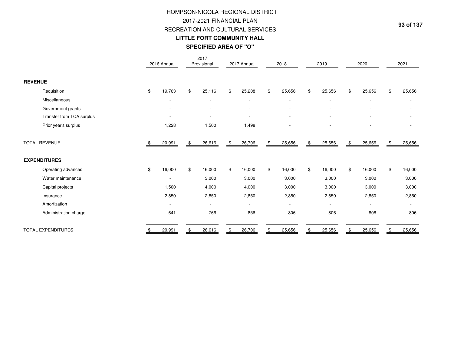# THOMPSON-NICOLA REGIONAL DISTRICT2017-2021 FINANCIAL PLAN RECREATION AND CULTURAL SERVICES**LITTLE FORT COMMUNITY HALLSPECIFIED AREA OF "O"**

|                           | 2016 Annual    | 2017<br>Provisional      | 2017 Annual              | 2018                     | 2019                     | 2020                     | 2021                     |
|---------------------------|----------------|--------------------------|--------------------------|--------------------------|--------------------------|--------------------------|--------------------------|
| <b>REVENUE</b>            |                |                          |                          |                          |                          |                          |                          |
| Requisition               | \$<br>19,763   | \$<br>25,116             | \$<br>25,208             | \$<br>25,656             | \$<br>25,656             | \$<br>25,656             | \$<br>25,656             |
| Miscellaneous             |                | $\overline{\phantom{a}}$ | $\overline{\phantom{a}}$ | $\overline{\phantom{a}}$ | $\overline{\phantom{a}}$ |                          | $\overline{\phantom{a}}$ |
| Government grants         |                |                          |                          |                          |                          |                          |                          |
| Transfer from TCA surplus |                |                          |                          |                          |                          |                          |                          |
| Prior year's surplus      | 1,228          | 1,500                    | 1,498                    |                          |                          |                          |                          |
| <b>TOTAL REVENUE</b>      | 20,991         | \$<br>26,616             | \$<br>26,706             | \$<br>25,656             | \$<br>25,656             | \$<br>25,656             | \$<br>25,656             |
| <b>EXPENDITURES</b>       |                |                          |                          |                          |                          |                          |                          |
| Operating advances        | \$<br>16,000   | \$<br>16,000             | \$<br>16,000             | \$<br>16,000             | \$<br>16,000             | \$<br>16,000             | \$<br>16,000             |
| Water maintenance         |                | 3,000                    | 3,000                    | 3,000                    | 3,000                    | 3,000                    | 3,000                    |
| Capital projects          | 1,500          | 4,000                    | 4,000                    | 3,000                    | 3,000                    | 3,000                    | 3,000                    |
| Insurance                 | 2,850          | 2,850                    | 2,850                    | 2,850                    | 2,850                    | 2,850                    | 2,850                    |
| Amortization              | $\blacksquare$ | $\overline{\phantom{a}}$ | $\overline{\phantom{a}}$ | $\overline{\phantom{a}}$ | $\overline{\phantom{0}}$ | $\overline{\phantom{a}}$ | $\overline{\phantom{a}}$ |
| Administration charge     | 641            | 766                      | 856                      | 806                      | 806                      | 806                      | 806                      |
| <b>TOTAL EXPENDITURES</b> | \$<br>20,991   | \$<br>26,616             | \$<br>26,706             | \$<br>25,656             | \$<br>25,656             | 25,656                   | 25,656                   |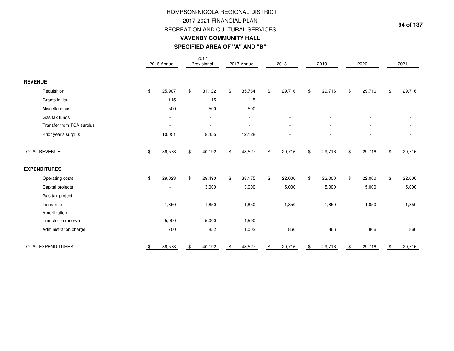# **SPECIFIED AREA OF "A" AND "B"**THOMPSON-NICOLA REGIONAL DISTRICT2017-2021 FINANCIAL PLAN RECREATION AND CULTURAL SERVICES**VAVENBY COMMUNITY HALL**

|                           | 2016 Annual    | 2017<br>Provisional      | 2017 Annual              |                | 2018                     | 2019                     | 2020                     | 2021                     |
|---------------------------|----------------|--------------------------|--------------------------|----------------|--------------------------|--------------------------|--------------------------|--------------------------|
| <b>REVENUE</b>            |                |                          |                          |                |                          |                          |                          |                          |
| Requisition               | \$<br>25,907   | \$<br>31,122             | \$<br>35,784             | \$             | 29,716                   | \$<br>29,716             | \$<br>29,716             | \$<br>29,716             |
| Grants in lieu            | 115            | 115                      | 115                      |                |                          |                          |                          |                          |
| Miscellaneous             | 500            | 500                      | 500                      |                | $\overline{a}$           |                          |                          |                          |
| Gas tax funds             |                |                          |                          |                |                          |                          |                          |                          |
| Transfer from TCA surplus |                |                          |                          |                |                          |                          |                          |                          |
| Prior year's surplus      | 10,051         | 8,455                    | 12,128                   |                |                          |                          |                          |                          |
| <b>TOTAL REVENUE</b>      | 36,573         | \$<br>40,192             | \$<br>48,527             | \$             | 29,716                   | \$<br>29,716             | \$<br>29,716             | \$<br>29,716             |
| <b>EXPENDITURES</b>       |                |                          |                          |                |                          |                          |                          |                          |
| Operating costs           | \$<br>29,023   | \$<br>29,490             | \$<br>38,175             | $$\mathbb{S}$$ | 22,000                   | \$<br>22,000             | \$<br>22,000             | \$<br>22,000             |
| Capital projects          |                | 3,000                    | 3,000                    |                | 5,000                    | 5,000                    | 5,000                    | 5,000                    |
| Gas tax project           |                | $\overline{\phantom{a}}$ | $\overline{\phantom{a}}$ |                | $\overline{\phantom{a}}$ | $\overline{\phantom{a}}$ | $\overline{\phantom{a}}$ | $\overline{\phantom{a}}$ |
| Insurance                 | 1,850          | 1,850                    | 1,850                    |                | 1,850                    | 1,850                    | 1,850                    | 1,850                    |
| Amortization              | $\blacksquare$ | $\overline{\phantom{a}}$ | $\blacksquare$           |                | $\overline{\phantom{a}}$ |                          |                          | $\overline{\phantom{a}}$ |
| Transfer to reserve       | 5,000          | 5,000                    | 4,500                    |                |                          |                          |                          |                          |
| Administration charge     | 700            | 852                      | 1,002                    |                | 866                      | 866                      | 866                      | 866                      |
| <b>TOTAL EXPENDITURES</b> | \$<br>36,573   | \$<br>40,192             | \$<br>48,527             | \$             | 29,716                   | \$<br>29,716             | \$<br>29,716             | \$<br>29,716             |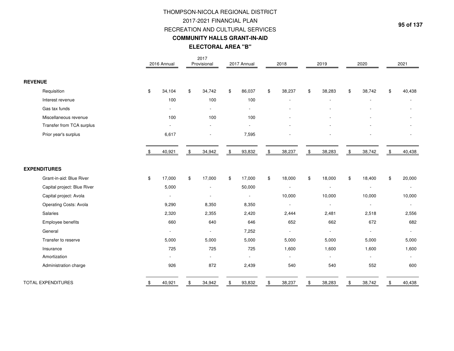# RECREATION AND CULTURAL SERVICES**COMMUNITY HALLS GRANT-IN-AIDELECTORAL AREA "B"**THOMPSON-NICOLA REGIONAL DISTRICT2017-2021 FINANCIAL PLAN

|                             | 2016 Annual  | 2017<br>Provisional      | 2017 Annual              | 2018         | 2019                     |     | 2020                     | 2021           |
|-----------------------------|--------------|--------------------------|--------------------------|--------------|--------------------------|-----|--------------------------|----------------|
| <b>REVENUE</b>              |              |                          |                          |              |                          |     |                          |                |
| Requisition                 | \$<br>34,104 | \$<br>34,742             | \$<br>86,037             | \$<br>38,237 | \$<br>38,283             | \$  | 38,742                   | \$<br>40,438   |
| Interest revenue            | 100          | 100                      | 100                      |              | $\overline{\phantom{0}}$ |     |                          | $\overline{a}$ |
| Gas tax funds               |              | $\blacksquare$           | $\overline{\phantom{a}}$ |              |                          |     |                          |                |
| Miscellaneous revenue       | 100          | 100                      | 100                      |              |                          |     |                          |                |
| Transfer from TCA surplus   |              | $\blacksquare$           |                          |              |                          |     |                          |                |
| Prior year's surplus        | 6,617        |                          | 7,595                    |              |                          |     |                          |                |
|                             | \$<br>40,921 | \$<br>34,942             | \$<br>93,832             | \$<br>38,237 | \$<br>38,283             | \$  | 38,742                   | \$<br>40,438   |
| <b>EXPENDITURES</b>         |              |                          |                          |              |                          |     |                          |                |
| Grant-in-aid: Blue River    | \$<br>17,000 | \$<br>17,000             | \$<br>17,000             | \$<br>18,000 | \$<br>18,000             | \$  | 18,400                   | \$<br>20,000   |
| Capital project: Blue River | 5,000        | $\overline{\phantom{a}}$ | 50,000                   |              | $\overline{\phantom{a}}$ |     |                          | $\sim$         |
| Capital project: Avola      |              |                          | $\overline{\phantom{a}}$ | 10,000       | 10,000                   |     | 10,000                   | 10,000         |
| Operating Costs: Avola      | 9,290        | 8,350                    | 8,350                    |              | $\overline{\phantom{a}}$ |     | $\overline{\phantom{a}}$ | $\blacksquare$ |
| Salaries                    | 2,320        | 2,355                    | 2,420                    | 2,444        | 2,481                    |     | 2,518                    | 2,556          |
| Employee benefits           | 660          | 640                      | 646                      | 652          | 662                      |     | 672                      | 682            |
| General                     |              | $\overline{\phantom{a}}$ | 7,252                    |              |                          |     |                          | $\sim$         |
| Transfer to reserve         | 5,000        | 5,000                    | 5,000                    | 5,000        | 5,000                    |     | 5,000                    | 5,000          |
| Insurance                   | 725          | 725                      | 725                      | 1,600        | 1,600                    |     | 1,600                    | 1,600          |
| Amortization                |              | $\overline{\phantom{a}}$ |                          |              |                          |     |                          |                |
| Administration charge       | 926          | 872                      | 2,439                    | 540          | 540                      |     | 552                      | 600            |
| <b>TOTAL EXPENDITURES</b>   | 40,921       | \$<br>34,942             | 93,832                   | 38,237       | \$<br>38,283             | \$. | 38,742                   | \$<br>40,438   |

**95 of 137**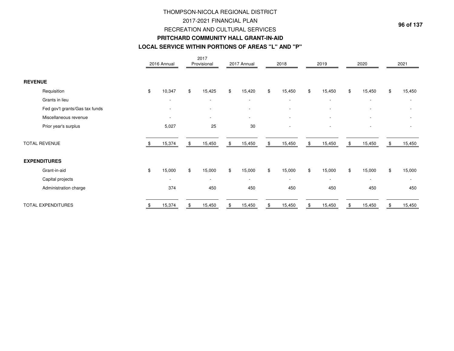# THOMPSON-NICOLA REGIONAL DISTRICT2017-2021 FINANCIAL PLAN RECREATION AND CULTURAL SERVICES**PRITCHARD COMMUNITY HALL GRANT-IN-AID**

#### **LOCAL SERVICE WITHIN PORTIONS OF AREAS "L" AND "P"**

|                                | 2016 Annual              |    | 2017<br>Provisional      | 2017 Annual              | 2018                     | 2019                     | 2020                     | 2021                     |
|--------------------------------|--------------------------|----|--------------------------|--------------------------|--------------------------|--------------------------|--------------------------|--------------------------|
| <b>REVENUE</b>                 |                          |    |                          |                          |                          |                          |                          |                          |
| Requisition                    | \$<br>10,347             | \$ | 15,425                   | \$<br>15,420             | \$<br>15,450             | \$<br>15,450             | \$<br>15,450             | \$<br>15,450             |
| Grants in lieu                 | ٠                        |    | $\overline{\phantom{a}}$ | $\blacksquare$           | $\overline{\phantom{a}}$ | $\overline{\phantom{a}}$ | $\overline{\phantom{a}}$ |                          |
| Fed gov't grants/Gas tax funds | $\overline{\phantom{a}}$ |    |                          |                          |                          |                          |                          |                          |
| Miscellaneous revenue          | $\overline{\phantom{a}}$ |    | $\overline{\phantom{a}}$ | $\blacksquare$           |                          |                          |                          |                          |
| Prior year's surplus           | 5,027                    |    | 25                       | 30                       | $\overline{\phantom{a}}$ | $\overline{\phantom{a}}$ | $\overline{\phantom{a}}$ |                          |
| <b>TOTAL REVENUE</b>           | 15,374                   | £. | 15,450                   | \$<br>15,450             | \$<br>15,450             | \$<br>15,450             | \$<br>15,450             | 15,450                   |
| <b>EXPENDITURES</b>            |                          |    |                          |                          |                          |                          |                          |                          |
| Grant-in-aid                   | \$<br>15,000             | \$ | 15,000                   | \$<br>15,000             | \$<br>15,000             | \$<br>15,000             | \$<br>15,000             | \$<br>15,000             |
| Capital projects               | $\overline{\phantom{a}}$ |    | $\sim$                   | $\overline{\phantom{a}}$ | $\sim$                   | $\overline{\phantom{a}}$ | $\overline{\phantom{a}}$ | $\overline{\phantom{a}}$ |
| Administration charge          | 374                      |    | 450                      | 450                      | 450                      | 450                      | 450                      | 450                      |
| <b>TOTAL EXPENDITURES</b>      | 15,374                   |    | 15,450                   | \$<br>15,450             | 15,450                   | 15,450                   | 15,450                   | 15,450                   |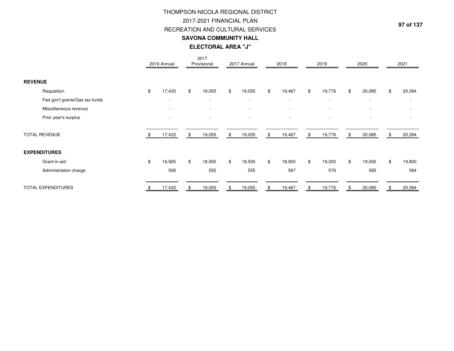# **ELECTORAL AREA "J"**THOMPSON-NICOLA REGIONAL DISTRICT2017-2021 FINANCIAL PLAN RECREATION AND CULTURAL SERVICES**SAVONA COMMUNITY HALL**

|                                | 2016 Annual              | 2017<br>Provisional      | 2017 Annual              | 2018                     | 2019                     | 2020                     | 2021                     |
|--------------------------------|--------------------------|--------------------------|--------------------------|--------------------------|--------------------------|--------------------------|--------------------------|
| <b>REVENUE</b>                 |                          |                          |                          |                          |                          |                          |                          |
| Requisition                    | \$<br>17,433             | \$<br>19,055             | \$<br>19,055             | \$<br>19,467             | \$<br>19,776             | \$<br>20,085             | \$<br>20,394             |
| Fed gov't grants/Gas tax funds | $\overline{\phantom{a}}$ | $\overline{\phantom{a}}$ | $\overline{\phantom{a}}$ | $\sim$                   | $\overline{\phantom{a}}$ | $\overline{\phantom{a}}$ | $\overline{\phantom{a}}$ |
| Miscellaneous revenue          | $\overline{\phantom{a}}$ | $\overline{\phantom{a}}$ | $\overline{\phantom{a}}$ | $\overline{\phantom{a}}$ | $\overline{\phantom{a}}$ | $\overline{\phantom{a}}$ | $\overline{\phantom{a}}$ |
| Prior year's surplus           | $\overline{\phantom{a}}$ |                          | $\overline{\phantom{a}}$ | $\overline{\phantom{a}}$ | $\overline{\phantom{a}}$ | $\overline{\phantom{a}}$ |                          |
| <b>TOTAL REVENUE</b>           | \$<br>17,433             | \$<br>19,055             | \$<br>19,055             | \$<br>19,467             | \$<br>19,776             | \$<br>20,085             | \$<br>20,394             |
| <b>EXPENDITURES</b>            |                          |                          |                          |                          |                          |                          |                          |
| Grant-in-aid                   | \$<br>16,925             | \$<br>18,500             | \$<br>18,500             | \$<br>18,900             | \$<br>19,200             | \$<br>19,500             | \$<br>19,800             |
| Administration charge          | 508                      | 555                      | 555                      | 567                      | 576                      | 585                      | 594                      |
| <b>TOTAL EXPENDITURES</b>      | 17,433                   | 19,055                   | \$<br>19,055             | \$<br>19,467             | 19,776                   | \$<br>20,085             | \$<br>20,394             |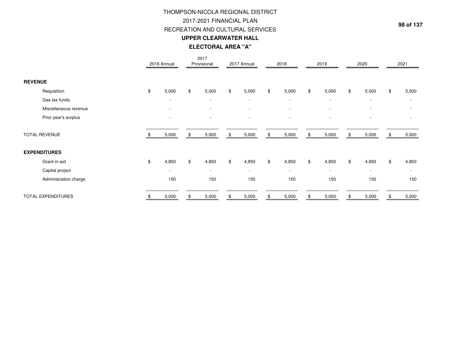# **ELECTORAL AREA "A"**THOMPSON-NICOLA REGIONAL DISTRICT2017-2021 FINANCIAL PLAN RECREATION AND CULTURAL SERVICES**UPPER CLEARWATER HALL**

|                           | 2016 Annual              | 2017<br>Provisional      | 2017 Annual              | 2018                     | 2019                     | 2020                     | 2021                     |
|---------------------------|--------------------------|--------------------------|--------------------------|--------------------------|--------------------------|--------------------------|--------------------------|
| <b>REVENUE</b>            |                          |                          |                          |                          |                          |                          |                          |
| Requisition               | \$<br>5,000              | \$<br>5,000              | \$<br>5,000              | \$<br>5,000              | \$<br>5,000              | \$<br>5,000              | \$<br>5,000              |
| Gas tax funds             | $\overline{\phantom{a}}$ | $\overline{\phantom{a}}$ | $\overline{\phantom{a}}$ | $\overline{\phantom{a}}$ | $\overline{\phantom{a}}$ | $\overline{\phantom{a}}$ | $\overline{\phantom{a}}$ |
| Miscellaneous revenue     | $\overline{\phantom{a}}$ | $\overline{\phantom{a}}$ | $\overline{\phantom{a}}$ | $\overline{\phantom{a}}$ | $\overline{\phantom{a}}$ |                          |                          |
| Prior year's surplus      | ٠                        |                          |                          |                          |                          |                          |                          |
| <b>TOTAL REVENUE</b>      | 5,000                    | \$<br>5,000              | \$<br>5,000              | \$<br>5,000              | \$<br>5,000              | \$<br>5,000              | \$<br>5,000              |
| <b>EXPENDITURES</b>       |                          |                          |                          |                          |                          |                          |                          |
| Grant-in-aid              | \$<br>4,850              | \$<br>4,850              | \$<br>4,850              | \$<br>4,850              | \$<br>4,850              | \$<br>4,850              | \$<br>4,850              |
| Capital project           | ٠                        | $\overline{\phantom{a}}$ | $\overline{\phantom{a}}$ | $\overline{\phantom{0}}$ | $\overline{\phantom{a}}$ |                          | $\overline{\phantom{a}}$ |
| Administration charge     | 150                      | 150                      | 150                      | 150                      | 150                      | 150                      | 150                      |
| <b>TOTAL EXPENDITURES</b> | 5,000                    | 5,000                    | 5,000                    | 5,000                    | \$<br>5,000              | 5,000                    | 5,000                    |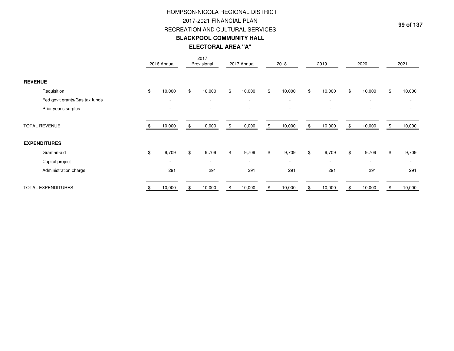# **ELECTORAL AREA "A"**THOMPSON-NICOLA REGIONAL DISTRICT2017-2021 FINANCIAL PLAN RECREATION AND CULTURAL SERVICES**BLACKPOOL COMMUNITY HALL**

|                                | 2016 Annual              | 2017<br>Provisional      | 2017 Annual              | 2018                     | 2019                     |     | 2020                     | 2021                     |
|--------------------------------|--------------------------|--------------------------|--------------------------|--------------------------|--------------------------|-----|--------------------------|--------------------------|
| <b>REVENUE</b>                 |                          |                          |                          |                          |                          |     |                          |                          |
| Requisition                    | \$<br>10,000             | \$<br>10,000             | \$<br>10,000             | \$<br>10,000             | \$<br>10,000             | \$  | 10,000                   | \$<br>10,000             |
| Fed gov't grants/Gas tax funds | $\overline{\phantom{a}}$ | $\overline{\phantom{a}}$ | $\overline{\phantom{a}}$ | $\sim$                   | $\overline{\phantom{a}}$ |     | $\overline{\phantom{a}}$ | $\overline{\phantom{0}}$ |
| Prior year's surplus           | $\overline{\phantom{a}}$ |                          | $\overline{\phantom{a}}$ | $\overline{\phantom{a}}$ | $\overline{\phantom{a}}$ |     |                          |                          |
| <b>TOTAL REVENUE</b>           | 10,000                   | \$<br>10,000             | \$<br>10,000             | \$<br>10,000             | \$<br>10,000             | \$. | 10,000                   | \$<br>10,000             |
| <b>EXPENDITURES</b>            |                          |                          |                          |                          |                          |     |                          |                          |
| Grant-in-aid                   | \$<br>9,709              | \$<br>9,709              | \$<br>9,709              | \$<br>9,709              | \$<br>9,709              | \$  | 9,709                    | \$<br>9,709              |
| Capital project                | $\overline{\phantom{a}}$ | $\overline{\phantom{a}}$ | $\blacksquare$           | $\overline{\phantom{a}}$ | $\overline{\phantom{a}}$ |     | $\overline{\phantom{0}}$ | $\overline{\phantom{a}}$ |
| Administration charge          | 291                      | 291                      | 291                      | 291                      | 291                      |     | 291                      | 291                      |
| <b>TOTAL EXPENDITURES</b>      | 10,000                   | 10,000                   | \$<br>10,000             | 10,000                   | 10,000                   |     | 10,000                   | 10,000                   |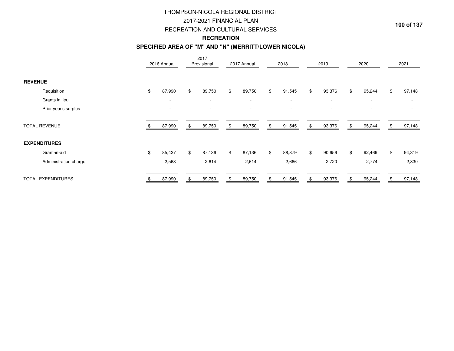## 2017-2021 FINANCIAL PLAN

#### RECREATION AND CULTURAL SERVICES

## **RECREATION**

#### **SPECIFIED AREA OF "M" AND "N" (MERRITT/LOWER NICOLA)**

|                |                           | 2016 Annual              |     | 2017<br>Provisional      | 2017 Annual              | 2018                     | 2019         |     | 2020                     |    | 2021                     |
|----------------|---------------------------|--------------------------|-----|--------------------------|--------------------------|--------------------------|--------------|-----|--------------------------|----|--------------------------|
| <b>REVENUE</b> |                           |                          |     |                          |                          |                          |              |     |                          |    |                          |
|                | Requisition               | \$<br>87,990             | \$  | 89,750                   | \$<br>89,750             | \$<br>91,545             | \$<br>93,376 | \$  | 95,244                   | \$ | 97,148                   |
|                | Grants in lieu            | $\overline{\phantom{a}}$ |     | $\overline{\phantom{a}}$ | $\overline{\phantom{a}}$ | $\overline{\phantom{a}}$ | $\sim$       |     | $\overline{\phantom{a}}$ |    | $\overline{\phantom{a}}$ |
|                | Prior year's surplus      | $\overline{\phantom{a}}$ |     |                          |                          | $\blacksquare$           |              |     | $\overline{\phantom{a}}$ |    |                          |
|                | <b>TOTAL REVENUE</b>      | 87,990                   | \$. | 89,750                   | \$<br>89,750             | \$<br>91,545             | \$<br>93,376 | \$. | 95,244                   | Ъ. | 97,148                   |
|                | <b>EXPENDITURES</b>       |                          |     |                          |                          |                          |              |     |                          |    |                          |
|                | Grant-in-aid              | \$<br>85,427             | \$  | 87,136                   | \$<br>87,136             | \$<br>88,879             | \$<br>90,656 | \$  | 92,469                   | \$ | 94,319                   |
|                | Administration charge     | 2,563                    |     | 2,614                    | 2,614                    | 2,666                    | 2,720        |     | 2,774                    |    | 2,830                    |
|                | <b>TOTAL EXPENDITURES</b> | 87,990                   |     | 89,750                   | 89,750                   | \$<br>91,545             | 93,376       |     | 95,244                   |    | 97,148                   |

**100 of 137**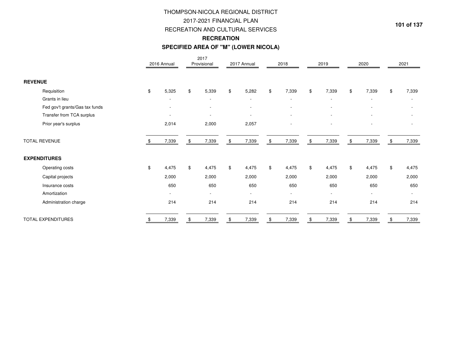# RECREATION AND CULTURAL SERVICES THOMPSON-NICOLA REGIONAL DISTRICT2017-2021 FINANCIAL PLAN**RECREATION**

# **SPECIFIED AREA OF "M" (LOWER NICOLA)**

|                                | 2016 Annual              | 2017<br>Provisional      | 2017 Annual              |               | 2018                     |               | 2019                     | 2020                     |                | 2021                     |
|--------------------------------|--------------------------|--------------------------|--------------------------|---------------|--------------------------|---------------|--------------------------|--------------------------|----------------|--------------------------|
| <b>REVENUE</b>                 |                          |                          |                          |               |                          |               |                          |                          |                |                          |
| Requisition                    | \$<br>5,325              | \$<br>5,339              | \$<br>5,282              | \$            | 7,339                    | \$            | 7,339                    | \$<br>7,339              | \$             | 7,339                    |
| Grants in lieu                 | $\blacksquare$           | $\blacksquare$           | $\overline{\phantom{a}}$ |               | $\overline{\phantom{a}}$ |               | $\overline{\phantom{a}}$ |                          |                | $\sim$                   |
| Fed gov't grants/Gas tax funds |                          |                          | $\overline{\phantom{a}}$ |               |                          |               |                          |                          |                |                          |
| Transfer from TCA surplus      | $\overline{\phantom{a}}$ | $\overline{\phantom{a}}$ | $\overline{\phantom{0}}$ |               | $\overline{\phantom{a}}$ |               |                          |                          |                |                          |
| Prior year's surplus           | 2,014                    | 2,000                    | 2,057                    |               | $\overline{\phantom{a}}$ |               | $\overline{\phantom{a}}$ | $\overline{\phantom{a}}$ |                |                          |
| <b>TOTAL REVENUE</b>           | 7,339                    | \$<br>7,339              | \$<br>7,339              | \$            | 7,339                    | \$            | 7,339                    | \$<br>7,339              | \$             | 7,339                    |
| <b>EXPENDITURES</b>            |                          |                          |                          |               |                          |               |                          |                          |                |                          |
| Operating costs                | \$<br>4,475              | \$<br>4,475              | \$<br>4,475              | $\mathfrak s$ | 4,475                    | $\mathfrak s$ | 4,475                    | \$<br>4,475              | $$\mathbb{S}$$ | 4,475                    |
| Capital projects               | 2,000                    | 2,000                    | 2,000                    |               | 2,000                    |               | 2,000                    | 2,000                    |                | 2,000                    |
| Insurance costs                | 650                      | 650                      | 650                      |               | 650                      |               | 650                      | 650                      |                | 650                      |
| Amortization                   | $\overline{\phantom{0}}$ | $\sim$                   | $\overline{\phantom{0}}$ |               | $\blacksquare$           |               | $\overline{\phantom{a}}$ |                          |                | $\overline{\phantom{a}}$ |
| Administration charge          | 214                      | 214                      | 214                      |               | 214                      |               | 214                      | 214                      |                | 214                      |
| TOTAL EXPENDITURES             | \$<br>7,339              | 7,339                    | \$<br>7,339              | \$            | 7,339                    |               | 7,339                    | 7,339                    |                | 7,339                    |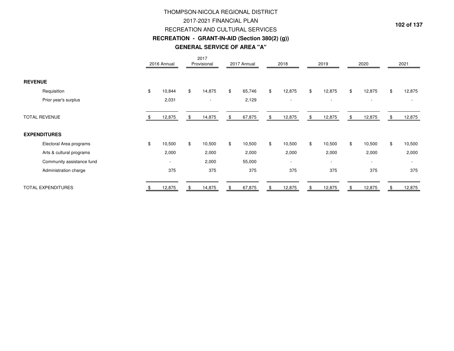# 2017-2021 FINANCIAL PLAN RECREATION AND CULTURAL SERVICES **RECREATION - GRANT-IN-AID (Section 380(2) (g))**THOMPSON-NICOLA REGIONAL DISTRICT**GENERAL SERVICE OF AREA "A"**

|                           | 2016 Annual              | 2017<br>Provisional      | 2017 Annual  | 2018                     | 2019                     | 2020                     | 2021                     |
|---------------------------|--------------------------|--------------------------|--------------|--------------------------|--------------------------|--------------------------|--------------------------|
| <b>REVENUE</b>            |                          |                          |              |                          |                          |                          |                          |
| Requisition               | \$<br>10,844             | \$<br>14,875             | \$<br>65,746 | \$<br>12,875             | \$<br>12,875             | \$<br>12,875             | \$<br>12,875             |
| Prior year's surplus      | 2,031                    | $\overline{\phantom{a}}$ | 2,129        | $\overline{\phantom{a}}$ | $\overline{\phantom{a}}$ | $\overline{\phantom{a}}$ |                          |
| <b>TOTAL REVENUE</b>      | 12,875                   | \$<br>14,875             | \$<br>67,875 | \$<br>12,875             | \$<br>12,875             | \$<br>12,875             | \$<br>12,875             |
| <b>EXPENDITURES</b>       |                          |                          |              |                          |                          |                          |                          |
| Electoral Area programs   | \$<br>10,500             | \$<br>10,500             | \$<br>10,500 | \$<br>10,500             | \$<br>10,500             | \$<br>10,500             | \$<br>10,500             |
| Arts & cultural programs  | 2,000                    | 2,000                    | 2,000        | 2,000                    | 2,000                    | 2,000                    | 2,000                    |
| Community assistance fund | $\overline{\phantom{a}}$ | 2,000                    | 55,000       | $\overline{\phantom{a}}$ | $\overline{\phantom{a}}$ | $\overline{\phantom{a}}$ | $\overline{\phantom{a}}$ |
| Administration charge     | 375                      | 375                      | 375          | 375                      | 375                      | 375                      | 375                      |
| <b>TOTAL EXPENDITURES</b> | 12,875                   | 14,875                   | \$<br>67,875 | \$<br>12,875             | \$<br>12,875             | 12,875                   | 12,875                   |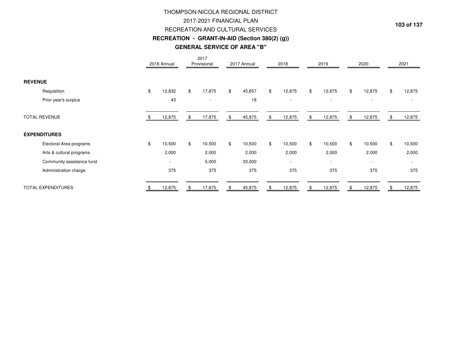# **RECREATION - GRANT-IN-AID (Section 380(2) (g))** THOMPSON-NICOLA REGIONAL DISTRICT2017-2021 FINANCIAL PLAN RECREATION AND CULTURAL SERVICES**GENERAL SERVICE OF AREA "B"**

|                           | 2016 Annual              | 2017<br>Provisional | 2017 Annual  | 2018                     |                | 2019                     | 2020                     |     | 2021   |
|---------------------------|--------------------------|---------------------|--------------|--------------------------|----------------|--------------------------|--------------------------|-----|--------|
| <b>REVENUE</b>            |                          |                     |              |                          |                |                          |                          |     |        |
| Requisition               | \$<br>12,832             | \$<br>17,875        | \$<br>45,857 | \$<br>12,875             | \$             | 12,875                   | \$<br>12,875             | \$  | 12,875 |
| Prior year's surplus      | 43                       |                     | 18           | $\overline{\phantom{a}}$ |                | $\overline{\phantom{a}}$ |                          |     |        |
| <b>TOTAL REVENUE</b>      | 12,875                   | \$<br>17,875        | \$<br>45,875 | \$<br>12,875             | \$             | 12,875                   | \$<br>12,875             | \$. | 12,875 |
| <b>EXPENDITURES</b>       |                          |                     |              |                          |                |                          |                          |     |        |
| Electoral Area programs   | \$<br>10,500             | \$<br>10,500        | \$<br>10,500 | \$<br>10,500             | $$\mathbb{S}$$ | 10,500                   | \$<br>10,500             | \$  | 10,500 |
| Arts & cultural programs  | 2,000                    | 2,000               | 2,000        | 2,000                    |                | 2,000                    | 2,000                    |     | 2,000  |
| Community assistance fund | $\overline{\phantom{a}}$ | 5,000               | 33,000       | $\overline{\phantom{a}}$ |                | $\overline{\phantom{a}}$ | $\overline{\phantom{a}}$ |     |        |
| Administration charge     | 375                      | 375                 | 375          | 375                      |                | 375                      | 375                      |     | 375    |
| <b>TOTAL EXPENDITURES</b> | 12,875                   | 17,875              | \$<br>45,875 | \$<br>12,875             | \$             | 12,875                   | 12,875                   |     | 12,875 |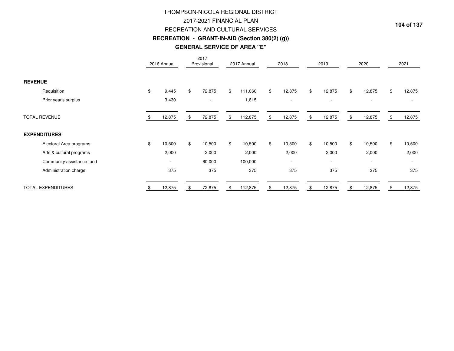# THOMPSON-NICOLA REGIONAL DISTRICT2017-2021 FINANCIAL PLAN RECREATION AND CULTURAL SERVICES **RECREATION - GRANT-IN-AID (Section 380(2) (g))GENERAL SERVICE OF AREA "E"**

|                           | 2016 Annual              | 2017<br>Provisional      | 2017 Annual   | 2018                     | 2019                     | 2020                     | 2021                     |
|---------------------------|--------------------------|--------------------------|---------------|--------------------------|--------------------------|--------------------------|--------------------------|
| <b>REVENUE</b>            |                          |                          |               |                          |                          |                          |                          |
| Requisition               | \$<br>9,445              | \$<br>72,875             | \$<br>111,060 | \$<br>12,875             | \$<br>12,875             | \$<br>12,875             | \$<br>12,875             |
| Prior year's surplus      | 3,430                    | $\overline{\phantom{a}}$ | 1,815         | $\overline{\phantom{a}}$ | $\overline{\phantom{a}}$ | $\overline{\phantom{a}}$ |                          |
| <b>TOTAL REVENUE</b>      | 12,875                   | \$<br>72,875             | \$<br>112,875 | \$<br>12,875             | \$<br>12,875             | \$<br>12,875             | \$<br>12,875             |
| <b>EXPENDITURES</b>       |                          |                          |               |                          |                          |                          |                          |
| Electoral Area programs   | \$<br>10,500             | \$<br>10,500             | \$<br>10,500  | \$<br>10,500             | \$<br>10,500             | \$<br>10,500             | \$<br>10,500             |
| Arts & cultural programs  | 2,000                    | 2,000                    | 2,000         | 2,000                    | 2,000                    | 2,000                    | 2,000                    |
| Community assistance fund | $\overline{\phantom{a}}$ | 60,000                   | 100,000       | $\overline{\phantom{a}}$ | $\overline{\phantom{a}}$ | $\overline{\phantom{a}}$ | $\overline{\phantom{a}}$ |
| Administration charge     | 375                      | 375                      | 375           | 375                      | 375                      | 375                      | 375                      |
| <b>TOTAL EXPENDITURES</b> | 12,875                   | 72,875                   | \$<br>112,875 | \$<br>12,875             | \$<br>12,875             | 12,875                   | 12,875                   |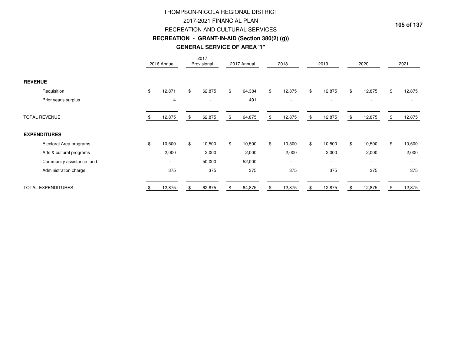# **RECREATION - GRANT-IN-AID (Section 380(2) (g))GENERAL SERVICE OF AREA "I"**THOMPSON-NICOLA REGIONAL DISTRICT2017-2021 FINANCIAL PLANRECREATION AND CULTURAL SERVICES

|                           | 2016 Annual              | 2017<br>Provisional      | 2017 Annual  | 2018                     | 2019                     | 2020                     | 2021         |
|---------------------------|--------------------------|--------------------------|--------------|--------------------------|--------------------------|--------------------------|--------------|
| <b>REVENUE</b>            |                          |                          |              |                          |                          |                          |              |
| Requisition               | \$<br>12,871             | \$<br>62,875             | \$<br>64,384 | \$<br>12,875             | \$<br>12,875             | \$<br>12,875             | \$<br>12,875 |
| Prior year's surplus      | 4                        | $\overline{\phantom{a}}$ | 491          | $\overline{\phantom{a}}$ | $\overline{\phantom{a}}$ |                          |              |
| <b>TOTAL REVENUE</b>      | 12,875                   | \$<br>62,875             | \$<br>64,875 | \$<br>12,875             | \$<br>12,875             | \$<br>12,875             | 12,875       |
| <b>EXPENDITURES</b>       |                          |                          |              |                          |                          |                          |              |
| Electoral Area programs   | \$<br>10,500             | \$<br>10,500             | \$<br>10,500 | \$<br>10,500             | \$<br>10,500             | \$<br>10,500             | \$<br>10,500 |
| Arts & cultural programs  | 2,000                    | 2,000                    | 2,000        | 2,000                    | 2,000                    | 2,000                    | 2,000        |
| Community assistance fund | $\overline{\phantom{a}}$ | 50,000                   | 52,000       | $\overline{\phantom{a}}$ | $\overline{\phantom{a}}$ | $\overline{\phantom{a}}$ |              |
| Administration charge     | 375                      | 375                      | 375          | 375                      | 375                      | 375                      | 375          |
| <b>TOTAL EXPENDITURES</b> | 12,875                   | 62,875                   | 64,875       | \$<br>12,875             | \$<br>12,875             | 12,875                   | 12,875       |

**105 of 137**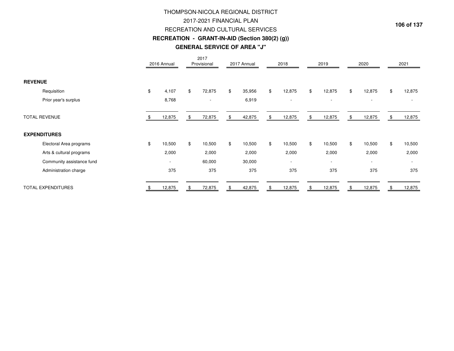# RECREATION AND CULTURAL SERVICES **RECREATION - GRANT-IN-AID (Section 380(2) (g))**THOMPSON-NICOLA REGIONAL DISTRICT2017-2021 FINANCIAL PLAN**GENERAL SERVICE OF AREA "J"**

|                           | 2016 Annual              | 2017<br>Provisional      | 2017 Annual  | 2018                     | 2019                     | 2020                     | 2021                     |
|---------------------------|--------------------------|--------------------------|--------------|--------------------------|--------------------------|--------------------------|--------------------------|
| <b>REVENUE</b>            |                          |                          |              |                          |                          |                          |                          |
| Requisition               | \$<br>4,107              | \$<br>72,875             | \$<br>35,956 | \$<br>12,875             | \$<br>12,875             | \$<br>12,875             | \$<br>12,875             |
| Prior year's surplus      | 8,768                    | $\overline{\phantom{a}}$ | 6,919        | $\overline{\phantom{a}}$ | $\overline{\phantom{a}}$ | $\overline{\phantom{a}}$ |                          |
| <b>TOTAL REVENUE</b>      | 12,875                   | \$<br>72,875             | \$<br>42,875 | \$<br>12,875             | \$<br>12,875             | \$<br>12,875             | \$<br>12,875             |
| <b>EXPENDITURES</b>       |                          |                          |              |                          |                          |                          |                          |
| Electoral Area programs   | \$<br>10,500             | \$<br>10,500             | \$<br>10,500 | \$<br>10,500             | \$<br>10,500             | \$<br>10,500             | \$<br>10,500             |
| Arts & cultural programs  | 2,000                    | 2,000                    | 2,000        | 2,000                    | 2,000                    | 2,000                    | 2,000                    |
| Community assistance fund | $\overline{\phantom{a}}$ | 60,000                   | 30,000       | $\overline{\phantom{a}}$ | $\overline{\phantom{a}}$ | $\overline{\phantom{a}}$ | $\overline{\phantom{a}}$ |
| Administration charge     | 375                      | 375                      | 375          | 375                      | 375                      | 375                      | 375                      |
| <b>TOTAL EXPENDITURES</b> | 12,875                   | 72,875                   | 42,875       | \$<br>12,875             | \$<br>12,875             | 12,875                   | 12,875                   |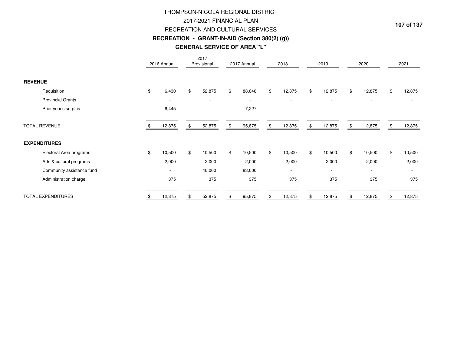# 2017-2021 FINANCIAL PLAN RECREATION AND CULTURAL SERVICES **RECREATION - GRANT-IN-AID (Section 380(2) (g))GENERAL SERVICE OF AREA "L"**THOMPSON-NICOLA REGIONAL DISTRICT

|                           | 2016 Annual              | 2017<br>Provisional      | 2017 Annual              | 2018                     | 2019                     | 2020                     |    | 2021                     |
|---------------------------|--------------------------|--------------------------|--------------------------|--------------------------|--------------------------|--------------------------|----|--------------------------|
| <b>REVENUE</b>            |                          |                          |                          |                          |                          |                          |    |                          |
| Requisition               | \$<br>6,430              | \$<br>52,875             | \$<br>88,648             | \$<br>12,875             | \$<br>12,875             | \$<br>12,875             | \$ | 12,875                   |
| <b>Provincial Grants</b>  | $\overline{\phantom{a}}$ | $\overline{\phantom{a}}$ | $\overline{\phantom{a}}$ | $\overline{\phantom{a}}$ | $\overline{\phantom{a}}$ | $\overline{\phantom{a}}$ |    |                          |
| Prior year's surplus      | 6,445                    | $\overline{\phantom{a}}$ | 7,227                    | $\overline{\phantom{a}}$ | $\overline{\phantom{a}}$ | $\overline{\phantom{a}}$ |    | $\overline{\phantom{a}}$ |
| <b>TOTAL REVENUE</b>      | 12,875                   | \$<br>52,875             | \$<br>95,875             | \$<br>12,875             | \$<br>12,875             | \$<br>12,875             | S. | 12,875                   |
| <b>EXPENDITURES</b>       |                          |                          |                          |                          |                          |                          |    |                          |
| Electoral Area programs   | \$<br>10,500             | \$<br>10,500             | \$<br>10,500             | \$<br>10,500             | \$<br>10,500             | \$<br>10,500             | \$ | 10,500                   |
| Arts & cultural programs  | 2,000                    | 2,000                    | 2,000                    | 2,000                    | 2,000                    | 2,000                    |    | 2,000                    |
| Community assistance fund | ٠                        | 40,000                   | 83,000                   | $\overline{\phantom{a}}$ | $\sim$                   | $\overline{\phantom{a}}$ |    | $\overline{\phantom{a}}$ |
| Administration charge     | 375                      | 375                      | 375                      | 375                      | 375                      | 375                      |    | 375                      |
| <b>TOTAL EXPENDITURES</b> | 12,875                   | 52,875                   | \$<br>95,875             | \$<br>12,875             | 12,875                   | 12,875                   |    | 12,875                   |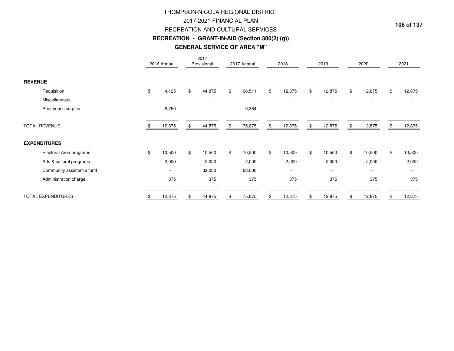# THOMPSON-NICOLA REGIONAL DISTRICT2017-2021 FINANCIAL PLAN RECREATION AND CULTURAL SERVICES **RECREATION - GRANT-IN-AID (Section 380(2) (g))GENERAL SERVICE OF AREA "M"**

|                           | 2016 Annual              | 2017<br>Provisional      | 2017 Annual              | 2018                     | 2019                     |     | 2020                     |    | 2021                     |
|---------------------------|--------------------------|--------------------------|--------------------------|--------------------------|--------------------------|-----|--------------------------|----|--------------------------|
| <b>REVENUE</b>            |                          |                          |                          |                          |                          |     |                          |    |                          |
| Requisition               | \$<br>4,125              | \$<br>44,875             | \$<br>66,511             | \$<br>12,875             | \$<br>12,875             | \$  | 12,875                   | \$ | 12,875                   |
| Miscellaneous             | ۰                        | $\overline{\phantom{a}}$ | $\overline{\phantom{a}}$ | $\overline{\phantom{a}}$ | $\sim$                   |     | $\overline{\phantom{a}}$ |    | $\overline{\phantom{a}}$ |
| Prior year's surplus      | 8,750                    |                          | 9,364                    |                          |                          |     |                          |    |                          |
| <b>TOTAL REVENUE</b>      | 12,875                   | 44,875                   | \$<br>75,875             | \$<br>12,875             | \$<br>12,875             | \$. | 12,875                   | £. | 12,875                   |
| <b>EXPENDITURES</b>       |                          |                          |                          |                          |                          |     |                          |    |                          |
| Electoral Area programs   | \$<br>10,500             | \$<br>10,500             | \$<br>10,500             | \$<br>10,500             | \$<br>10,500             | \$  | 10,500                   | \$ | 10,500                   |
| Arts & cultural programs  | 2,000                    | 2,000                    | 2,000                    | 2,000                    | 2,000                    |     | 2,000                    |    | 2,000                    |
| Community assistance fund | $\overline{\phantom{a}}$ | 32,000                   | 63,000                   | $\overline{\phantom{a}}$ | $\overline{\phantom{a}}$ |     | $\overline{\phantom{a}}$ |    | $\overline{\phantom{a}}$ |
| Administration charge     | 375                      | 375                      | 375                      | 375                      | 375                      |     | 375                      |    | 375                      |
| <b>TOTAL EXPENDITURES</b> | 12,875                   | 44,875                   | \$<br>75,875             | \$<br>12,875             | 12,875                   |     | 12,875                   |    | 12,875                   |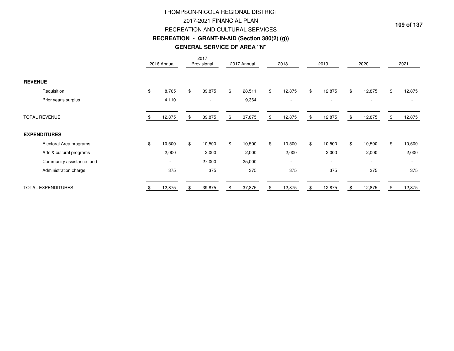# **RECREATION - GRANT-IN-AID (Section 380(2) (g))GENERAL SERVICE OF AREA "N"**THOMPSON-NICOLA REGIONAL DISTRICT2017-2021 FINANCIAL PLANRECREATION AND CULTURAL SERVICES

|                           | 2016 Annual              | 2017<br>Provisional      | 2017 Annual  | 2018                     | 2019                     | 2020                     | 2021                     |
|---------------------------|--------------------------|--------------------------|--------------|--------------------------|--------------------------|--------------------------|--------------------------|
| <b>REVENUE</b>            |                          |                          |              |                          |                          |                          |                          |
| Requisition               | \$<br>8,765              | \$<br>39,875             | \$<br>28,511 | \$<br>12,875             | \$<br>12,875             | \$<br>12,875             | \$<br>12,875             |
| Prior year's surplus      | 4,110                    | $\overline{\phantom{a}}$ | 9,364        | $\overline{\phantom{a}}$ | $\overline{\phantom{a}}$ | $\overline{\phantom{a}}$ |                          |
| <b>TOTAL REVENUE</b>      | 12,875                   | \$<br>39,875             | \$<br>37,875 | \$<br>12,875             | \$<br>12,875             | \$<br>12,875             | \$<br>12,875             |
| <b>EXPENDITURES</b>       |                          |                          |              |                          |                          |                          |                          |
| Electoral Area programs   | \$<br>10,500             | \$<br>10,500             | \$<br>10,500 | \$<br>10,500             | \$<br>10,500             | \$<br>10,500             | \$<br>10,500             |
| Arts & cultural programs  | 2,000                    | 2,000                    | 2,000        | 2,000                    | 2,000                    | 2,000                    | 2,000                    |
| Community assistance fund | $\overline{\phantom{a}}$ | 27,000                   | 25,000       | $\overline{\phantom{a}}$ | $\overline{\phantom{a}}$ | $\overline{\phantom{a}}$ | $\overline{\phantom{a}}$ |
| Administration charge     | 375                      | 375                      | 375          | 375                      | 375                      | 375                      | 375                      |
| <b>TOTAL EXPENDITURES</b> | 12,875                   | 39,875                   | \$<br>37,875 | \$<br>12,875             | \$<br>12,875             | 12,875                   | 12,875                   |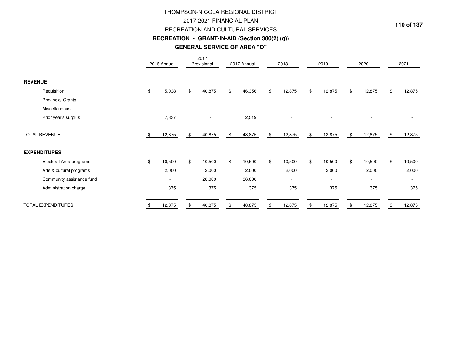# THOMPSON-NICOLA REGIONAL DISTRICT2017-2021 FINANCIAL PLAN RECREATION AND CULTURAL SERVICES **RECREATION - GRANT-IN-AID (Section 380(2) (g))GENERAL SERVICE OF AREA "O"**

|                           | 2016 Annual              | 2017<br>Provisional      | 2017 Annual              | 2018                     | 2019                     | 2020                     | 2021                     |
|---------------------------|--------------------------|--------------------------|--------------------------|--------------------------|--------------------------|--------------------------|--------------------------|
| <b>REVENUE</b>            |                          |                          |                          |                          |                          |                          |                          |
| Requisition               | \$<br>5,038              | \$<br>40,875             | \$<br>46,356             | \$<br>12,875             | \$<br>12,875             | \$<br>12,875             | \$<br>12,875             |
| <b>Provincial Grants</b>  | $\overline{\phantom{a}}$ | $\overline{\phantom{a}}$ | $\overline{\phantom{0}}$ |                          | $\overline{\phantom{a}}$ | $\overline{\phantom{a}}$ | $\overline{\phantom{a}}$ |
| Miscellaneous             | $\overline{\phantom{a}}$ |                          | $\overline{\phantom{a}}$ |                          |                          |                          |                          |
| Prior year's surplus      | 7,837                    | $\overline{\phantom{a}}$ | 2,519                    | $\overline{\phantom{a}}$ | $\overline{\phantom{a}}$ | $\overline{\phantom{a}}$ | $\overline{\phantom{a}}$ |
| <b>TOTAL REVENUE</b>      | 12,875                   | \$<br>40,875             | \$<br>48,875             | \$<br>12,875             | \$<br>12,875             | \$<br>12,875             | \$<br>12,875             |
| <b>EXPENDITURES</b>       |                          |                          |                          |                          |                          |                          |                          |
| Electoral Area programs   | \$<br>10,500             | \$<br>10,500             | \$<br>10,500             | \$<br>10,500             | \$<br>10,500             | \$<br>10,500             | \$<br>10,500             |
| Arts & cultural programs  | 2,000                    | 2,000                    | 2,000                    | 2,000                    | 2,000                    | 2,000                    | 2,000                    |
| Community assistance fund | $\overline{\phantom{a}}$ | 28,000                   | 36,000                   | $\overline{\phantom{a}}$ | $\overline{\phantom{a}}$ | $\overline{\phantom{a}}$ | $\overline{\phantom{a}}$ |
| Administration charge     | 375                      | 375                      | 375                      | 375                      | 375                      | 375                      | 375                      |
| <b>TOTAL EXPENDITURES</b> | 12,875                   | 40,875                   | 48,875                   | \$<br>12,875             | 12,875                   | 12,875                   | 12,875                   |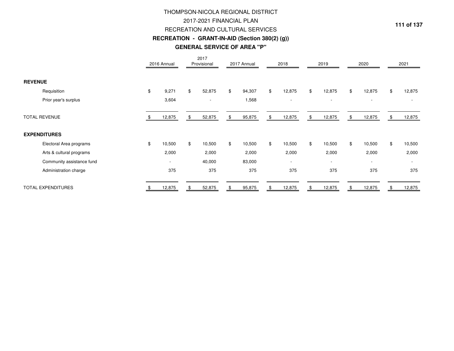# **RECREATION - GRANT-IN-AID (Section 380(2) (g))GENERAL SERVICE OF AREA "P"**THOMPSON-NICOLA REGIONAL DISTRICT2017-2021 FINANCIAL PLANRECREATION AND CULTURAL SERVICES

|                           | 2016 Annual              | 2017<br>Provisional | 2017 Annual  | 2018                     |                | 2019                     | 2020                     | 2021                     |
|---------------------------|--------------------------|---------------------|--------------|--------------------------|----------------|--------------------------|--------------------------|--------------------------|
| <b>REVENUE</b>            |                          |                     |              |                          |                |                          |                          |                          |
| Requisition               | \$<br>9,271              | \$<br>52,875        | \$<br>94,307 | \$<br>12,875             | $$\mathbb{S}$$ | 12,875                   | \$<br>12,875             | \$<br>12,875             |
| Prior year's surplus      | 3,604                    |                     | 1,568        | $\overline{\phantom{a}}$ |                | $\overline{\phantom{a}}$ | $\overline{\phantom{a}}$ |                          |
| <b>TOTAL REVENUE</b>      | 12,875                   | \$<br>52,875        | \$<br>95,875 | \$<br>12,875             | \$             | 12,875                   | \$<br>12,875             | \$<br>12,875             |
| <b>EXPENDITURES</b>       |                          |                     |              |                          |                |                          |                          |                          |
| Electoral Area programs   | \$<br>10,500             | \$<br>10,500        | \$<br>10,500 | \$<br>10,500             | $$\mathbb{S}$$ | 10,500                   | \$<br>10,500             | \$<br>10,500             |
| Arts & cultural programs  | 2,000                    | 2,000               | 2,000        | 2,000                    |                | 2,000                    | 2,000                    | 2,000                    |
| Community assistance fund | $\overline{\phantom{a}}$ | 40,000              | 83,000       | $\overline{\phantom{a}}$ |                | $\overline{\phantom{a}}$ | $\overline{\phantom{a}}$ | $\overline{\phantom{a}}$ |
| Administration charge     | 375                      | 375                 | 375          | 375                      |                | 375                      | 375                      | 375                      |
| <b>TOTAL EXPENDITURES</b> | 12,875                   | 52,875              | \$<br>95,875 | \$<br>12,875             | \$             | 12,875                   | 12,875                   | 12,875                   |

**111 of 137**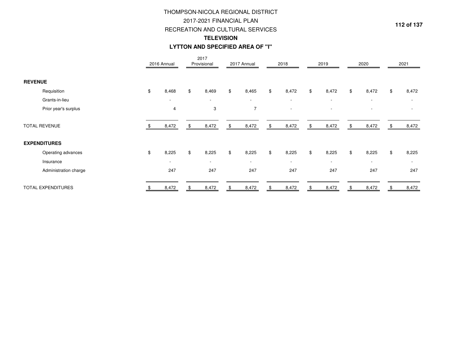# THOMPSON-NICOLA REGIONAL DISTRICT2017-2021 FINANCIAL PLAN RECREATION AND CULTURAL SERVICES**TELEVISIONLYTTON AND SPECIFIED AREA OF "I"**

|                           | 2016 Annual              | 2017<br>Provisional | 2017 Annual              | 2018                     | 2019                     | 2020                     | 2021                     |
|---------------------------|--------------------------|---------------------|--------------------------|--------------------------|--------------------------|--------------------------|--------------------------|
| <b>REVENUE</b>            |                          |                     |                          |                          |                          |                          |                          |
| Requisition               | \$<br>8,468              | \$<br>8,469         | \$<br>8,465              | \$<br>8,472              | \$<br>8,472              | \$<br>8,472              | \$<br>8,472              |
| Grants-in-lieu            | $\overline{\phantom{a}}$ | $\sim$              | $\overline{\phantom{0}}$ | $\overline{\phantom{a}}$ | $\overline{\phantom{a}}$ | $\sim$                   | $\overline{\phantom{a}}$ |
| Prior year's surplus      | 4                        | 3                   | $\overline{7}$           | $\overline{\phantom{a}}$ | $\overline{\phantom{a}}$ |                          |                          |
| <b>TOTAL REVENUE</b>      | 8,472                    | \$<br>8,472         | \$<br>8,472              | \$<br>8,472              | \$<br>8,472              | \$<br>8,472              | \$<br>8,472              |
| <b>EXPENDITURES</b>       |                          |                     |                          |                          |                          |                          |                          |
| Operating advances        | \$<br>8,225              | \$<br>8,225         | \$<br>8,225              | \$<br>8,225              | \$<br>8,225              | \$<br>8,225              | \$<br>8,225              |
| Insurance                 | $\overline{\phantom{a}}$ | $\sim$              | $\overline{\phantom{a}}$ | $\overline{\phantom{a}}$ | $\overline{\phantom{a}}$ | $\overline{\phantom{a}}$ | $\sim$                   |
| Administration charge     | 247                      | 247                 | 247                      | 247                      | 247                      | 247                      | 247                      |
| <b>TOTAL EXPENDITURES</b> | 8,472                    | 8,472               | 8,472                    | 8,472                    | \$<br>8,472              | 8,472                    | 8,472                    |

**112 of 137**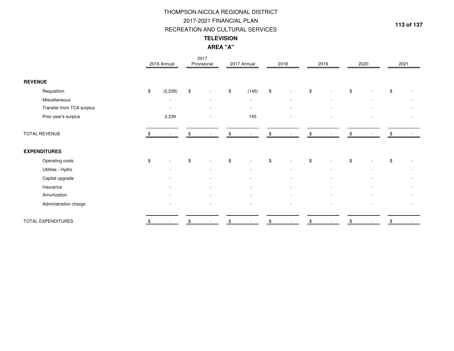# **TELEVISION**RECREATION AND CULTURAL SERVICESTHOMPSON-NICOLA REGIONAL DISTRICT2017-2021 FINANCIAL PLAN

**AREA "A"**

|                           | 2016 Annual              |      | 2017<br>Provisional      | 2017 Annual              |               | 2018                     |                | 2019                     | 2020 | 2021 |                          |
|---------------------------|--------------------------|------|--------------------------|--------------------------|---------------|--------------------------|----------------|--------------------------|------|------|--------------------------|
| <b>REVENUE</b>            |                          |      |                          |                          |               |                          |                |                          |      |      |                          |
| Requisition               | \$<br>(2, 239)           | $\,$ | $\overline{\phantom{a}}$ | \$<br>(145)              | $\, \, \$$    | $\overline{\phantom{m}}$ | $$\mathbb{S}$$ |                          | \$   | \$   |                          |
| Miscellaneous             | $\blacksquare$           |      | $\overline{\phantom{a}}$ | $\overline{\phantom{a}}$ |               | $\overline{\phantom{a}}$ |                | $\overline{\phantom{0}}$ |      |      |                          |
| Transfer from TCA surplus | $\overline{\phantom{a}}$ |      |                          | $\overline{\phantom{a}}$ |               | $\overline{\phantom{a}}$ |                |                          |      |      | $\overline{\phantom{a}}$ |
| Prior year's surplus      | 2,239                    |      |                          | 145                      |               |                          |                |                          |      |      |                          |
| TOTAL REVENUE             |                          |      |                          |                          |               |                          | \$             |                          |      |      |                          |
| <b>EXPENDITURES</b>       |                          |      |                          |                          |               |                          |                |                          |      |      |                          |
| Operating costs           | \$                       | \$   |                          | \$<br>$\blacksquare$     | $\frac{1}{2}$ | $\overline{\phantom{a}}$ | $\,$           |                          | \$   | \$   |                          |
| Utilities - Hydro         | $\overline{\phantom{a}}$ |      |                          | $\overline{\phantom{a}}$ |               |                          |                |                          |      |      |                          |
| Capital upgrade           | ٠                        |      |                          | $\overline{\phantom{a}}$ |               | $\overline{\phantom{a}}$ |                | $\overline{\phantom{a}}$ |      |      |                          |
| Insurance                 |                          |      |                          |                          |               |                          |                |                          |      |      |                          |
| Amortization              |                          |      |                          |                          |               | $\overline{\phantom{a}}$ |                |                          |      |      |                          |
| Administration charge     |                          |      |                          |                          |               | $\blacksquare$           |                |                          |      |      | $\overline{\phantom{a}}$ |
| TOTAL EXPENDITURES        |                          | \$   |                          | \$                       | \$            |                          | \$             |                          |      |      |                          |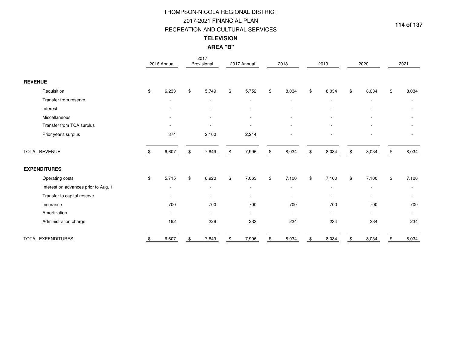# **TELEVISION**2017-2021 FINANCIAL PLAN RECREATION AND CULTURAL SERVICESTHOMPSON-NICOLA REGIONAL DISTRICT

**AREA "B"**

|                                      |               | 2016 Annual              | 2017<br>Provisional      | 2017 Annual              | 2018                     |               | 2019                     | 2020                     |                | 2021                     |
|--------------------------------------|---------------|--------------------------|--------------------------|--------------------------|--------------------------|---------------|--------------------------|--------------------------|----------------|--------------------------|
| <b>REVENUE</b>                       |               |                          |                          |                          |                          |               |                          |                          |                |                          |
| Requisition                          | \$            | 6,233                    | \$<br>5,749              | \$<br>5,752              | \$<br>8,034              | \$            | 8,034                    | \$<br>8,034              | $$\mathbb{S}$$ | 8,034                    |
| Transfer from reserve                |               |                          |                          |                          |                          |               |                          |                          |                |                          |
| Interest                             |               |                          |                          |                          |                          |               |                          |                          |                | $\overline{\phantom{a}}$ |
| Miscellaneous                        |               | $\overline{\phantom{a}}$ |                          | $\overline{\phantom{0}}$ |                          |               |                          |                          |                |                          |
| Transfer from TCA surplus            |               |                          |                          |                          |                          |               |                          |                          |                |                          |
| Prior year's surplus                 |               | 374                      | 2,100                    | 2,244                    |                          |               |                          |                          |                |                          |
| <b>TOTAL REVENUE</b>                 | - \$          | 6,607                    | \$<br>7,849              | \$<br>7,996              | \$<br>8,034              | \$            | 8,034                    | \$<br>8,034              | \$             | 8,034                    |
| <b>EXPENDITURES</b>                  |               |                          |                          |                          |                          |               |                          |                          |                |                          |
| Operating costs                      | $\mathfrak s$ | 5,715                    | \$<br>6,920              | \$<br>7,063              | \$<br>7,100              | $\mathfrak s$ | 7,100                    | \$<br>7,100              | \$             | 7,100                    |
| Interest on advances prior to Aug. 1 |               | $\overline{\phantom{a}}$ | $\overline{\phantom{a}}$ | $\overline{\phantom{a}}$ | $\overline{\phantom{a}}$ |               | $\overline{\phantom{a}}$ | $\overline{\phantom{a}}$ |                | $\sim$                   |
| Transfer to capital reserve          |               |                          | $\overline{\phantom{a}}$ |                          |                          |               |                          |                          |                |                          |
| Insurance                            |               | 700                      | 700                      | 700                      | 700                      |               | 700                      | 700                      |                | 700                      |
| Amortization                         |               | $\blacksquare$           | $\overline{\phantom{a}}$ | $\overline{\phantom{0}}$ |                          |               |                          |                          |                | $\overline{\phantom{a}}$ |
| Administration charge                |               | 192                      | 229                      | 233                      | 234                      |               | 234                      | 234                      |                | 234                      |
| <b>TOTAL EXPENDITURES</b>            | \$            | 6,607                    | 7,849                    | \$<br>7,996              | \$<br>8,034              |               | 8,034                    | 8,034                    |                | 8,034                    |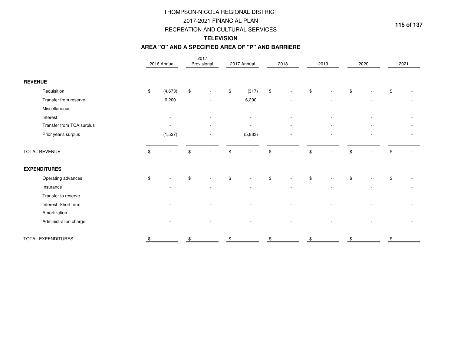# THOMPSON-NICOLA REGIONAL DISTRICT

## 2017-2021 FINANCIAL PLAN

#### RECREATION AND CULTURAL SERVICES

# **TELEVISION**

#### **AREA "O" AND A SPECIFIED AREA OF "P" AND BARRIERE**

|                           | 2016 Annual    | 2017<br>Provisional | 2017 Annual | 2018           | 2019 | 2020 | 2021           |
|---------------------------|----------------|---------------------|-------------|----------------|------|------|----------------|
| <b>REVENUE</b>            |                |                     |             |                |      |      |                |
| Requisition               | \$<br>(4, 673) | \$                  | \$<br>(317) | \$             | \$   | \$   | \$             |
| Transfer from reserve     | 6,200          |                     | 6,200       |                |      |      |                |
| Miscellaneous             |                |                     |             |                |      |      |                |
| Interest                  |                |                     |             |                |      |      | $\overline{a}$ |
| Transfer from TCA surplus |                |                     |             |                |      |      |                |
| Prior year's surplus      | (1,527)        |                     | (5,883)     |                |      |      |                |
| <b>TOTAL REVENUE</b>      |                |                     |             | \$             | \$   |      |                |
| <b>EXPENDITURES</b>       |                |                     |             |                |      |      |                |
| Operating advances        | \$             | \$                  | \$          | \$             | \$   | \$   | \$             |
| Insurance                 |                |                     |             |                |      |      |                |
| Transfer to reserve       |                |                     |             |                |      |      |                |
| Interest: Short term      |                |                     |             |                |      |      |                |
| Amortization              |                |                     |             |                |      |      |                |
| Administration charge     |                |                     |             | $\blacksquare$ |      |      |                |
| TOTAL EXPENDITURES        | \$             |                     |             | \$             | \$   |      |                |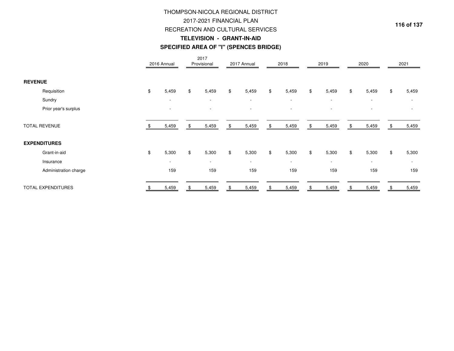# **TELEVISION - GRANT-IN-AID**THOMPSON-NICOLA REGIONAL DISTRICT2017-2021 FINANCIAL PLANRECREATION AND CULTURAL SERVICES

#### **SPECIFIED AREA OF "I" (SPENCES BRIDGE)**

|                           | 2016 Annual              |     | 2017<br>Provisional | 2017 Annual              | 2018        | 2019                     | 2020                     |     | 2021   |
|---------------------------|--------------------------|-----|---------------------|--------------------------|-------------|--------------------------|--------------------------|-----|--------|
| <b>REVENUE</b>            |                          |     |                     |                          |             |                          |                          |     |        |
| Requisition               | \$<br>5,459              | \$  | 5,459               | \$<br>5,459              | \$<br>5,459 | \$<br>5,459              | \$<br>5,459              | \$  | 5,459  |
| Sundry                    | $\overline{\phantom{a}}$ |     | $\sim$              | $\overline{\phantom{a}}$ | $\sim$      | $\overline{\phantom{a}}$ | $\overline{\phantom{a}}$ |     | $\sim$ |
| Prior year's surplus      |                          |     |                     |                          |             |                          |                          |     |        |
| <b>TOTAL REVENUE</b>      | 5,459                    | \$. | 5,459               | \$<br>5,459              | \$<br>5,459 | \$<br>5,459              | \$<br>5,459              | \$. | 5,459  |
| <b>EXPENDITURES</b>       |                          |     |                     |                          |             |                          |                          |     |        |
| Grant-in-aid              | \$<br>5,300              | \$  | 5,300               | \$<br>5,300              | \$<br>5,300 | \$<br>5,300              | \$<br>5,300              | \$  | 5,300  |
| Insurance                 | $\overline{\phantom{a}}$ |     | $\sim$              | $\overline{\phantom{a}}$ | $\sim$      | $\overline{\phantom{a}}$ | $\overline{\phantom{a}}$ |     | $\sim$ |
| Administration charge     | 159                      |     | 159                 | 159                      | 159         | 159                      | 159                      |     | 159    |
| <b>TOTAL EXPENDITURES</b> | 5,459                    |     | 5,459               | \$<br>5,459              | \$<br>5,459 | 5,459                    | 5,459                    |     | 5,459  |

**116 of 137**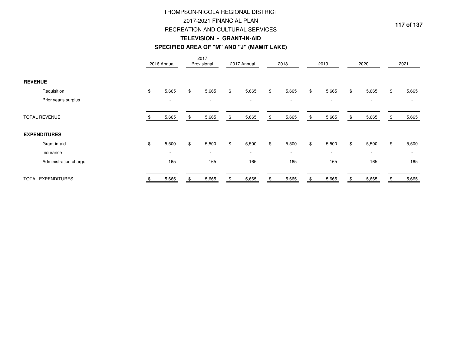# THOMPSON-NICOLA REGIONAL DISTRICT2017-2021 FINANCIAL PLAN

#### RECREATION AND CULTURAL SERVICES

**117 of 137**

### **TELEVISION - GRANT-IN-AID**

#### **SPECIFIED AREA OF "M" AND "J" (MAMIT LAKE)**

|                           | 2016 Annual              | 2017<br>Provisional      | 2017 Annual              | 2018                     | 2019                     | 2020                     |               | 2021                     |
|---------------------------|--------------------------|--------------------------|--------------------------|--------------------------|--------------------------|--------------------------|---------------|--------------------------|
| <b>REVENUE</b>            |                          |                          |                          |                          |                          |                          |               |                          |
| Requisition               | \$<br>5,665              | \$<br>5,665              | \$<br>5,665              | \$<br>5,665              | \$<br>5,665              | \$<br>5,665              | \$            | 5,665                    |
| Prior year's surplus      | $\overline{\phantom{a}}$ | $\overline{\phantom{a}}$ | $\overline{\phantom{a}}$ | $\sim$                   | $\overline{\phantom{a}}$ | $\overline{\phantom{a}}$ |               |                          |
| <b>TOTAL REVENUE</b>      | 5,665                    | 5,665                    | \$<br>5,665              | \$<br>5,665              | \$<br>5,665              | \$<br>5,665              |               | 5,665                    |
| <b>EXPENDITURES</b>       |                          |                          |                          |                          |                          |                          |               |                          |
| Grant-in-aid              | \$<br>5,500              | \$<br>5,500              | \$<br>5,500              | \$<br>5,500              | \$<br>5,500              | \$<br>5,500              | $\mathfrak s$ | 5,500                    |
| Insurance                 | $\overline{\phantom{a}}$ | $\overline{\phantom{a}}$ | $\overline{\phantom{a}}$ | $\overline{\phantom{a}}$ | $\overline{\phantom{a}}$ |                          |               | $\overline{\phantom{a}}$ |
| Administration charge     | 165                      | 165                      | 165                      | 165                      | 165                      | 165                      |               | 165                      |
| <b>TOTAL EXPENDITURES</b> | 5,665                    | 5,665                    | 5,665                    | 5,665                    | 5,665                    | 5,665                    |               | 5,665                    |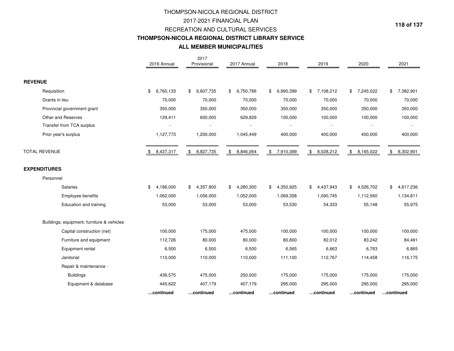## THOMPSON-NICOLA REGIONAL DISTRICT2017-2021 FINANCIAL PLAN RECREATION AND CULTURAL SERVICES **THOMPSON-NICOLA REGIONAL DISTRICT LIBRARY SERVICEALL MEMBER MUNICIPALITIES**

|                                            | 2016 Annual             | 2017<br>Provisional | 2017 Annual               | 2018            | 2019            | 2020                       | 2021            |
|--------------------------------------------|-------------------------|---------------------|---------------------------|-----------------|-----------------|----------------------------|-----------------|
| <b>REVENUE</b>                             |                         |                     |                           |                 |                 |                            |                 |
| Requisition                                | \$<br>6,760,133         | 6,607,735<br>\$     | 6,750,786<br>$\mathbb{S}$ | 6,990,399<br>\$ | \$7,108,212     | 7,245,022<br>\$            | 7,382,901<br>\$ |
| Grants in lieu                             | 70,000                  | 70,000              | 70,000                    | 70,000          | 70,000          | 70,000                     | 70,000          |
| Provincial government grant                | 350,000                 | 350,000             | 350,000                   | 350,000         | 350,000         | 350,000                    | 350,000         |
| Other and Reserves                         | 129,411                 | 600,000             | 629,829                   | 100,000         | 100,000         | 100,000                    | 100,000         |
| Transfer from TCA surplus                  |                         |                     |                           |                 |                 |                            |                 |
| Prior year's surplus                       | 1,127,773               | 1,200,000           | 1,045,449                 | 400,000         | 400,000         | 400,000                    | 400,000         |
| TOTAL REVENUE                              | 8,437,317<br>$\sqrt{$}$ | \$8,827,735         | \$8,846,064               | \$7,910,399     | \$<br>8,028,212 | $\frac{1}{2}$<br>8,165,022 | 8,302,901<br>\$ |
| <b>EXPENDITURES</b>                        |                         |                     |                           |                 |                 |                            |                 |
| Personnel                                  |                         |                     |                           |                 |                 |                            |                 |
| Salaries                                   | \$<br>4,186,000         | 4,357,800<br>\$     | 4,280,300<br>\$           | 4,350,925<br>\$ | 4,437,943<br>\$ | \$<br>4,526,702            | 4,617,236<br>\$ |
| Employee benefits                          | 1,062,000               | 1,056,000           | 1,052,000                 | 1,069,358       | 1,090,745       | 1,112,560                  | 1,134,811       |
| Education and training                     | 53,000                  | 53,000              | 53,000                    | 53,530          | 54,333          | 55,148                     | 55,975          |
| Buildings, equipment, furniture & vehicles |                         |                     |                           |                 |                 |                            |                 |
| Capital construction (net)                 | 100,000                 | 175,000             | 475,000                   | 100,000         | 100,000         | 100,000                    | 100,000         |
| Furniture and equipment                    | 112,726                 | 80,000              | 80,000                    | 80,800          | 82,012          | 83,242                     | 84,491          |
| Equipment rental                           | 6,500                   | 6,500               | 6,500                     | 6,565           | 6,663           | 6,763                      | 6,865           |
| Janitorial                                 | 110,000                 | 110,000             | 110,000                   | 111,100         | 112,767         | 114,458                    | 116,175         |
| Repair & maintenance -                     |                         |                     |                           |                 |                 |                            |                 |
| <b>Buildings</b>                           | 436,575                 | 475,000             | 250,000                   | 175,000         | 175,000         | 175,000                    | 175,000         |
| Equipment & database                       | 445,622                 | 407,179             | 407,179                   | 295,000         | 295,000         | 295,000                    | 295,000         |
|                                            | continued               | continued           | continued                 | continued       | continued       | continued                  | continued       |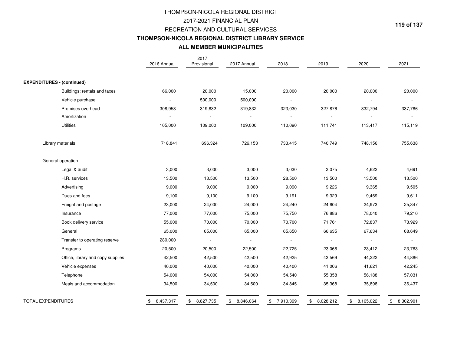# **ALL MEMBER MUNICIPALITIES**THOMPSON-NICOLA REGIONAL DISTRICT2017-2021 FINANCIAL PLAN RECREATION AND CULTURAL SERVICES**THOMPSON-NICOLA REGIONAL DISTRICT LIBRARY SERVICE**

|                                   | 2016 Annual              | 2017<br>Provisional | 2017 Annual              | 2018                     | 2019            | 2020            | 2021            |
|-----------------------------------|--------------------------|---------------------|--------------------------|--------------------------|-----------------|-----------------|-----------------|
| <b>EXPENDITURES - (continued)</b> |                          |                     |                          |                          |                 |                 |                 |
| Buildings: rentals and taxes      | 66,000                   | 20,000              | 15,000                   | 20,000                   | 20,000          | 20,000          | 20,000          |
| Vehicle purchase                  | $\overline{\phantom{a}}$ | 500,000             | 500,000                  | $\overline{\phantom{a}}$ |                 |                 |                 |
| Premises overhead                 | 308,953                  | 319,832             | 319,832                  | 323,030                  | 327,876         | 332,794         | 337,786         |
| Amortization                      | $\overline{\phantom{a}}$ |                     | $\overline{\phantom{a}}$ |                          |                 |                 |                 |
| <b>Utilities</b>                  | 105,000                  | 109,000             | 109,000                  | 110,090                  | 111,741         | 113,417         | 115,119         |
| Library materials                 | 718,841                  | 696,324             | 726,153                  | 733,415                  | 740,749         | 748,156         | 755,638         |
| General operation                 |                          |                     |                          |                          |                 |                 |                 |
| Legal & audit                     | 3,000                    | 3,000               | 3,000                    | 3,030                    | 3,075           | 4,622           | 4,691           |
| H.R. services                     | 13,500                   | 13,500              | 13,500                   | 28,500                   | 13,500          | 13,500          | 13,500          |
| Advertising                       | 9,000                    | 9,000               | 9,000                    | 9,090                    | 9,226           | 9,365           | 9,505           |
| Dues and fees                     | 9,100                    | 9,100               | 9,100                    | 9,191                    | 9,329           | 9,469           | 9,611           |
| Freight and postage               | 23,000                   | 24,000              | 24,000                   | 24,240                   | 24,604          | 24,973          | 25,347          |
| Insurance                         | 77,000                   | 77,000              | 75,000                   | 75,750                   | 76,886          | 78,040          | 79,210          |
| Book delivery service             | 55,000                   | 70,000              | 70,000                   | 70,700                   | 71,761          | 72,837          | 73,929          |
| General                           | 65,000                   | 65,000              | 65,000                   | 65,650                   | 66,635          | 67,634          | 68,649          |
| Transfer to operating reserve     | 280,000                  |                     |                          | $\overline{\phantom{a}}$ |                 |                 |                 |
| Programs                          | 20,500                   | 20,500              | 22,500                   | 22,725                   | 23,066          | 23,412          | 23,763          |
| Office, library and copy supplies | 42,500                   | 42,500              | 42,500                   | 42,925                   | 43,569          | 44,222          | 44,886          |
| Vehicle expenses                  | 40,000                   | 40,000              | 40,000                   | 40,400                   | 41,006          | 41,621          | 42,245          |
| Telephone                         | 54,000                   | 54,000              | 54,000                   | 54,540                   | 55,358          | 56,188          | 57,031          |
| Meals and accommodation           | 34,500                   | 34,500              | 34,500                   | 34,845                   | 35,368          | 35,898          | 36,437          |
| <b>TOTAL EXPENDITURES</b>         | 8,437,317<br>\$          | 8,827,735<br>\$     | 8,846,064<br>\$          | \$7,910,399              | 8,028,212<br>\$ | \$<br>8,165,022 | \$<br>8,302,901 |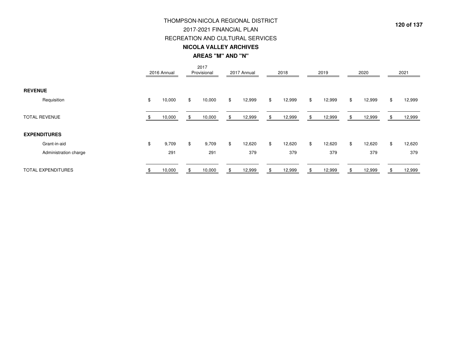# THOMPSON-NICOLA REGIONAL DISTRICT

RECREATION AND CULTURAL SERVICES2017-2021 FINANCIAL PLAN

**AREAS "M" AND "N"NICOLA VALLEY ARCHIVES**

|                           | 2016 Annual  |    | 2017<br>Provisional |    | 2017 Annual |     | 2018   |     | 2019   |    | 2020   | 2021         |
|---------------------------|--------------|----|---------------------|----|-------------|-----|--------|-----|--------|----|--------|--------------|
| <b>REVENUE</b>            |              |    |                     |    |             |     |        |     |        |    |        |              |
| Requisition               | \$<br>10,000 | \$ | 10,000              | \$ | 12,999      | \$  | 12,999 | \$  | 12,999 | \$ | 12,999 | \$<br>12,999 |
| <b>TOTAL REVENUE</b>      | 10,000       | æ. | 10,000              | æ. | 12,999      | -SS | 12,999 | \$. | 12,999 | Ж. | 12,999 | 12,999       |
| <b>EXPENDITURES</b>       |              |    |                     |    |             |     |        |     |        |    |        |              |
| Grant-in-aid              | \$<br>9,709  | \$ | 9,709               | \$ | 12,620      | \$  | 12,620 | \$  | 12,620 | \$ | 12,620 | \$<br>12,620 |
| Administration charge     | 291          |    | 291                 |    | 379         |     | 379    |     | 379    |    | 379    | 379          |
| <b>TOTAL EXPENDITURES</b> | 10,000       |    | 10,000              | ж, | 12,999      | .ድ  | 12,999 |     | 12,999 |    | 12,999 | 12,999       |

**120 of 137**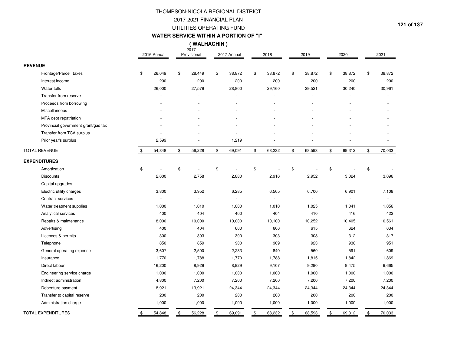#### **WATER SERVICE WITHIN A PORTION OF "I"**

2017 **( WALHACHIN )**

|                                     | 2016 Annual  | 2017<br>Provisional            | 2017 Annual    | 2018         | 2019         | 2020                     | 2021           |
|-------------------------------------|--------------|--------------------------------|----------------|--------------|--------------|--------------------------|----------------|
| <b>REVENUE</b>                      |              |                                |                |              |              |                          |                |
| Frontage/Parcel taxes               | \$<br>26,049 | \$<br>28,449                   | \$<br>38,872   | \$<br>38,872 | \$<br>38,872 | \$<br>38,872             | \$<br>38,872   |
| Interest income                     | 200          | 200                            | 200            | 200          | 200          | 200                      | 200            |
| Water tolls                         | 26,000       | 27,579                         | 28,800         | 29,160       | 29,521       | 30,240                   | 30,961         |
| Transfer from reserve               |              |                                | ÷.             |              |              |                          |                |
| Proceeds from borrowing             |              |                                |                |              |              |                          |                |
| Miscellaneous                       |              |                                |                |              |              |                          |                |
| MFA debt repatriation               |              |                                |                |              |              |                          |                |
| Provincial government grant/gas tax |              |                                |                |              |              |                          |                |
| Transfer from TCA surplus           |              |                                |                |              |              |                          |                |
| Prior year's surplus                | 2,599        |                                | 1,219          |              |              |                          |                |
| <b>TOTAL REVENUE</b>                | \$<br>54,848 | \$<br>56,228                   | \$<br>69,091   | \$<br>68,232 | \$<br>68,593 | \$<br>69,312             | \$<br>70,033   |
| <b>EXPENDITURES</b>                 |              |                                |                |              |              |                          |                |
| Amortization                        | \$           | \$<br>$\overline{\phantom{a}}$ | \$<br>ä,       | \$           | \$           | \$                       | \$             |
| <b>Discounts</b>                    | 2,600        | 2,758                          | 2,880          | 2,916        | 2,952        | 3,024                    | 3,096          |
| Capital upgrades                    |              | $\blacksquare$                 | ÷,             |              |              | $\overline{\phantom{a}}$ |                |
| Electric utility charges            | 3,800        | 3,952                          | 6,285          | 6,505        | 6,700        | 6,901                    | 7,108          |
| Contract services                   |              | $\sim$                         | $\overline{a}$ | ä,           |              | $\blacksquare$           | $\blacksquare$ |
| Water treatment supplies            | 1,000        | 1,010                          | 1,000          | 1,010        | 1,025        | 1,041                    | 1,056          |
| Analytical services                 | 400          | 404                            | 400            | 404          | 410          | 416                      | 422            |
| Repairs & maintenance               | 8,000        | 10,000                         | 10,000         | 10,100       | 10,252       | 10,405                   | 10,561         |
| Advertising                         | 400          | 404                            | 600            | 606          | 615          | 624                      | 634            |
| Licences & permits                  | 300          | 303                            | 300            | 303          | 308          | 312                      | 317            |
| Telephone                           | 850          | 859                            | 900            | 909          | 923          | 936                      | 951            |
| General operating expense           | 3,607        | 2,500                          | 2,283          | 840          | 560          | 591                      | 609            |
| Insurance                           | 1,770        | 1,788                          | 1,770          | 1,788        | 1,815        | 1,842                    | 1,869          |
| Direct labour                       | 16,200       | 8,929                          | 8,929          | 9,107        | 9,290        | 9,475                    | 9,665          |
| Engineering service charge          | 1,000        | 1,000                          | 1,000          | 1,000        | 1,000        | 1,000                    | 1,000          |
| Indirect administration             | 4,800        | 7,200                          | 7,200          | 7,200        | 7,200        | 7,200                    | 7,200          |
| Debenture payment                   | 8,921        | 13,921                         | 24,344         | 24,344       | 24,344       | 24,344                   | 24,344         |
| Transfer to capital reserve         | 200          | 200                            | 200            | 200          | 200          | 200                      | 200            |
| Administration charge               | 1,000        | 1,000                          | 1,000          | 1,000        | 1,000        | 1,000                    | 1,000          |
| <b>TOTAL EXPENDITURES</b>           | \$<br>54,848 | \$<br>56,228                   | \$<br>69,091   | \$<br>68,232 | \$<br>68,593 | \$<br>69,312             | \$<br>70,033   |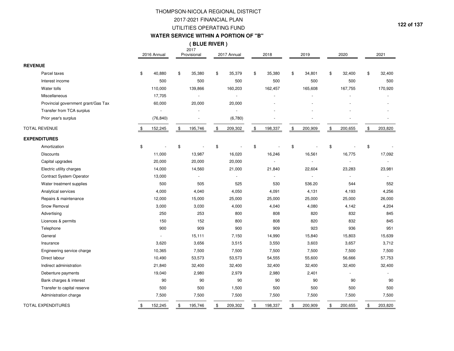#### **WATER SERVICE WITHIN A PORTION OF "B"**

2017 **( BLUE RIVER )**

|                                     | 2016 Annual   |                | 2017<br>Provisional      | 2017 Annual              | 2018          | 2019          | 2020          |                | 2021           |
|-------------------------------------|---------------|----------------|--------------------------|--------------------------|---------------|---------------|---------------|----------------|----------------|
| <b>REVENUE</b>                      |               |                |                          |                          |               |               |               |                |                |
| Parcel taxes                        | \$<br>40,880  | \$             | 35,380                   | \$<br>35,379             | \$<br>35,380  | \$<br>34,801  | \$<br>32,400  | \$             | 32,400         |
| Interest income                     | 500           |                | 500                      | 500                      | 500           | 500           | 500           |                | 500            |
| Water tolls                         | 110,000       |                | 139,866                  | 160,203                  | 162,457       | 165,608       | 167,755       |                | 170,920        |
| Miscellaneous                       | 17,705        |                | $\overline{\phantom{a}}$ |                          |               |               |               |                |                |
| Provincial government grant/Gas Tax | 60,000        |                | 20,000                   | 20,000                   |               |               |               |                |                |
| Transfer from TCA surplus           |               |                |                          |                          |               |               |               |                |                |
| Prior year's surplus                | (76, 840)     |                |                          | (6,780)                  |               |               |               |                |                |
| <b>TOTAL REVENUE</b>                | 152,245       | $\mathfrak{S}$ | 195,746                  | \$<br>209,302            | \$<br>198,337 | \$<br>200,909 | \$<br>200,655 | $\mathfrak{S}$ | 203,820        |
| <b>EXPENDITURES</b>                 |               |                |                          |                          |               |               |               |                |                |
| Amortization                        | \$            | \$             |                          | \$                       | \$            | \$            | \$            | \$             |                |
| <b>Discounts</b>                    | 11,000        |                | 13,987                   | 16,020                   | 16,246        | 16,561        | 16,775        |                | 17,092         |
| Capital upgrades                    | 20,000        |                | 20,000                   | 20,000                   |               |               |               |                | $\blacksquare$ |
| Electric utility charges            | 14,000        |                | 14,560                   | 21,000                   | 21,840        | 22,604        | 23,283        |                | 23,981         |
| Contract System Operator            | 13,000        |                | $\overline{\phantom{a}}$ | $\overline{\phantom{a}}$ |               |               |               |                |                |
| Water treatment supplies            | 500           |                | 505                      | 525                      | 530           | 536.20        | 544           |                | 552            |
| Analytical services                 | 4,000         |                | 4,040                    | 4,050                    | 4,091         | 4,131         | 4,193         |                | 4,256          |
| Repairs & maintenance               | 12,000        |                | 15,000                   | 25,000                   | 25,000        | 25,000        | 25,000        |                | 26,000         |
| Snow Removal                        | 3,000         |                | 3,030                    | 4,000                    | 4,040         | 4,080         | 4,142         |                | 4,204          |
| Advertising                         | 250           |                | 253                      | 800                      | 808           | 820           | 832           |                | 845            |
| Licences & permits                  | 150           |                | 152                      | 800                      | 808           | 820           | 832           |                | 845            |
| Telephone                           | 900           |                | 909                      | 900                      | 909           | 923           | 936           |                | 951            |
| General                             |               |                | 15,111                   | 7,150                    | 14,990        | 15,840        | 15,803        |                | 15,639         |
| Insurance                           | 3,620         |                | 3,656                    | 3,515                    | 3,550         | 3,603         | 3,657         |                | 3,712          |
| Engineering service charge          | 10,365        |                | 7,500                    | 7,500                    | 7,500         | 7,500         | 7,500         |                | 7,500          |
| Direct labour                       | 10,490        |                | 53,573                   | 53,573                   | 54,555        | 55,600        | 56,666        |                | 57,753         |
| Indirect administration             | 21,840        |                | 32,400                   | 32,400                   | 32,400        | 32,400        | 32,400        |                | 32,400         |
| Debenture payments                  | 19,040        |                | 2,980                    | 2,979                    | 2,980         | 2,401         |               |                |                |
| Bank charges & interest             | 90            |                | 90                       | 90                       | 90            | 90            | 90            |                | 90             |
| Transfer to capital reserve         | 500           |                | 500                      | 1,500                    | 500           | 500           | 500           |                | 500            |
| Administration charge               | 7,500         |                | 7,500                    | 7,500                    | 7,500         | 7,500         | 7,500         |                | 7,500          |
| <b>TOTAL EXPENDITURES</b>           | \$<br>152,245 | \$             | 195,746                  | \$<br>209,302            | \$<br>198,337 | \$<br>200,909 | \$<br>200,655 | \$             | 203,820        |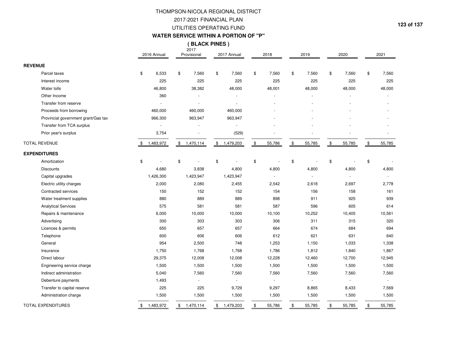#### **WATER SERVICE WITHIN A PORTION OF "P"**

2017 **( BLACK PINES )**

|                                     | 2016 Annual     | 2017<br>Provisional   | 2017 Annual     | 2018         |      | 2019   |               | 2020                     |               | 2021   |
|-------------------------------------|-----------------|-----------------------|-----------------|--------------|------|--------|---------------|--------------------------|---------------|--------|
| <b>REVENUE</b>                      |                 |                       |                 |              |      |        |               |                          |               |        |
| Parcel taxes                        | \$<br>6,533     | \$<br>7,560           | \$<br>7,560     | \$<br>7,560  | \$   | 7,560  | \$            | 7,560                    | \$            | 7,560  |
| Interest income                     | 225             | 225                   | 225             | 225          |      | 225    |               | 225                      |               | 225    |
| Water tolls                         | 46,800          | 38,382                | 48,000          | 48,001       |      | 48,000 |               | 48,000                   |               | 48,000 |
| Other Income                        | 360             |                       |                 |              |      |        |               |                          |               |        |
| Transfer from reserve               |                 | $\overline{a}$        | ÷,              |              |      |        |               |                          |               |        |
| Proceeds from borrowing             | 460,000         | 460,000               | 460,000         |              |      |        |               |                          |               |        |
| Provincial government grant/Gas tax | 966,300         | 963,947               | 963,947         |              |      |        |               |                          |               |        |
| Transfer from TCA surplus           |                 |                       |                 |              |      |        |               |                          |               |        |
| Prior year's surplus                | 3,754           |                       | (529)           |              |      |        |               |                          |               |        |
| <b>TOTAL REVENUE</b>                | \$<br>1,483,972 | \$<br>1,470,114       | \$<br>1,479,203 | \$<br>55,786 | $\,$ | 55,785 | $\,$          | 55,785                   | $\frac{1}{2}$ | 55,785 |
| <b>EXPENDITURES</b>                 |                 |                       |                 |              |      |        |               |                          |               |        |
| Amortization                        | \$              | \$                    | \$              | \$           | \$   |        | \$            |                          | \$            |        |
| <b>Discounts</b>                    | 4,680           | 3,838                 | 4,800           | 4,800        |      | 4,800  |               | 4,800                    |               | 4,800  |
| Capital upgrades                    | 1,426,300       | 1,423,947             | 1,423,947       |              |      |        |               | $\overline{\phantom{a}}$ |               | ÷.     |
| Electric utility charges            | 2,000           | 2,080                 | 2,455           | 2,542        |      | 2,618  |               | 2,697                    |               | 2,778  |
| Contracted services                 | 150             | 152                   | 152             | 154          |      | 156    |               | 158                      |               | 161    |
| Water treatment supplies            | 880             | 889                   | 889             | 898          |      | 911    |               | 925                      |               | 939    |
| <b>Analytical Services</b>          | 575             | 581                   | 581             | 587          |      | 596    |               | 605                      |               | 614    |
| Repairs & maintenance               | 6,000           | 10,000                | 10,000          | 10,100       |      | 10,252 |               | 10,405                   |               | 10,561 |
| Advertising                         | 300             | 303                   | 303             | 306          |      | 311    |               | 315                      |               | 320    |
| Licences & permits                  | 650             | 657                   | 657             | 664          |      | 674    |               | 684                      |               | 694    |
| Telephone                           | 600             | 606                   | 606             | 612          |      | 621    |               | 631                      |               | 640    |
| General                             | 954             | 2,500                 | 748             | 1,253        |      | 1,150  |               | 1,033                    |               | 1,338  |
| Insurance                           | 1,750           | 1,768                 | 1,768           | 1,786        |      | 1,812  |               | 1,840                    |               | 1,867  |
| Direct labour                       | 29,375          | 12,008                | 12,008          | 12,228       |      | 12,460 |               | 12,700                   |               | 12,945 |
| Engineering service charge          | 1,500           | 1,500                 | 1,500           | 1,500        |      | 1,500  |               | 1,500                    |               | 1,500  |
| Indirect administration             | 5,040           | 7,560                 | 7,560           | 7,560        |      | 7,560  |               | 7,560                    |               | 7,560  |
| Debenture payments                  | 1,493           | $\tilde{\phantom{a}}$ | $\bar{z}$       |              |      |        |               | ÷,                       |               | $\sim$ |
| Transfer to capital reserve         | 225             | 225                   | 9,729           | 9,297        |      | 8,865  |               | 8,433                    |               | 7,569  |
| Administration charge               | 1,500           | 1,500                 | 1,500           | 1,500        |      | 1,500  |               | 1,500                    |               | 1,500  |
| <b>TOTAL EXPENDITURES</b>           | \$<br>1,483,972 | \$<br>1,470,114       | \$<br>1,479,203 | \$<br>55,786 | \$   | 55,785 | $\frac{1}{2}$ | 55,785                   | \$            | 55,785 |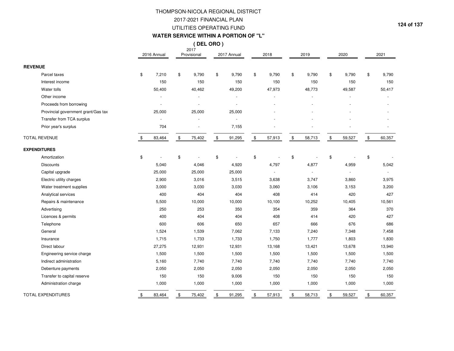### 2017-2021 FINANCIAL PLAN UTILITIES OPERATING FUNDTHOMPSON-NICOLA REGIONAL DISTRICT

#### **WATER SERVICE WITHIN A PORTION OF "L"**

### **( DEL ORO )**

|                                     | 2016 Annual  |                | 2017<br>Provisional | 2017 Annual              |               | 2018   |      | 2019   |               | 2020   |                | 2021   |
|-------------------------------------|--------------|----------------|---------------------|--------------------------|---------------|--------|------|--------|---------------|--------|----------------|--------|
| <b>REVENUE</b>                      |              |                |                     |                          |               |        |      |        |               |        |                |        |
| Parcel taxes                        | \$<br>7,210  | \$             | 9,790               | \$<br>9,790              | \$            | 9,790  | \$   | 9,790  | \$            | 9,790  | \$             | 9,790  |
| Interest income                     | 150          |                | 150                 | 150                      |               | 150    |      | 150    |               | 150    |                | 150    |
| Water tolls                         | 50,400       |                | 40,462              | 49,200                   |               | 47,973 |      | 48,773 |               | 49,587 |                | 50,417 |
| Other income                        |              |                |                     | ä,                       |               | ÷,     |      |        |               |        |                |        |
| Proceeds from borrowing             |              |                |                     | $\overline{\phantom{a}}$ |               |        |      |        |               |        |                |        |
| Provincial government grant/Gas tax | 25,000       |                | 25,000              | 25,000                   |               |        |      |        |               |        |                |        |
| Transfer from TCA surplus           |              |                |                     | $\sim$                   |               |        |      |        |               |        |                |        |
| Prior year's surplus                | 704          |                |                     | 7,155                    |               |        |      |        |               |        |                |        |
| <b>TOTAL REVENUE</b>                | \$<br>83,464 | \$             | 75,402              | \$<br>91,295             | $\frac{1}{2}$ | 57,913 | $\,$ | 58,713 | \$            | 59,527 | \$             | 60,357 |
| <b>EXPENDITURES</b>                 |              |                |                     |                          |               |        |      |        |               |        |                |        |
| Amortization                        | \$           | $\mathfrak{S}$ |                     | \$<br>$\sim$             | \$            |        | \$   |        | \$            |        | \$             |        |
| <b>Discounts</b>                    | 5,040        |                | 4,046               | 4,920                    |               | 4,797  |      | 4,877  |               | 4,959  |                | 5,042  |
| Capital upgrade                     | 25,000       |                | 25,000              | 25,000                   |               | ä,     |      |        |               |        |                |        |
| Electric utility charges            | 2,900        |                | 3,016               | 3,515                    |               | 3,638  |      | 3,747  |               | 3,860  |                | 3,975  |
| Water treatment supplies            | 3,000        |                | 3,030               | 3,030                    |               | 3,060  |      | 3,106  |               | 3,153  |                | 3,200  |
| Analytical services                 | 400          |                | 404                 | 404                      |               | 408    |      | 414    |               | 420    |                | 427    |
| Repairs & maintenance               | 5,500        |                | 10,000              | 10,000                   |               | 10,100 |      | 10,252 |               | 10,405 |                | 10,561 |
| Advertising                         | 250          |                | 253                 | 350                      |               | 354    |      | 359    |               | 364    |                | 370    |
| Licences & permits                  | 400          |                | 404                 | 404                      |               | 408    |      | 414    |               | 420    |                | 427    |
| Telephone                           | 600          |                | 606                 | 650                      |               | 657    |      | 666    |               | 676    |                | 686    |
| General                             | 1,524        |                | 1,539               | 7,062                    |               | 7,133  |      | 7,240  |               | 7,348  |                | 7,458  |
| Insurance                           | 1,715        |                | 1,733               | 1,733                    |               | 1,750  |      | 1,777  |               | 1,803  |                | 1,830  |
| Direct labour                       | 27,275       |                | 12,931              | 12,931                   |               | 13,168 |      | 13,421 |               | 13,678 |                | 13,940 |
| Engineering service charge          | 1,500        |                | 1,500               | 1,500                    |               | 1,500  |      | 1,500  |               | 1,500  |                | 1,500  |
| Indirect administration             | 5,160        |                | 7,740               | 7,740                    |               | 7,740  |      | 7,740  |               | 7,740  |                | 7,740  |
| Debenture payments                  | 2,050        |                | 2,050               | 2,050                    |               | 2,050  |      | 2,050  |               | 2,050  |                | 2,050  |
| Transfer to capital reserve         | 150          |                | 150                 | 9,006                    |               | 150    |      | 150    |               | 150    |                | 150    |
| Administration charge               | 1,000        |                | 1,000               | 1,000                    |               | 1,000  |      | 1,000  |               | 1,000  |                | 1,000  |
| <b>TOTAL EXPENDITURES</b>           | \$<br>83,464 | $\frac{1}{2}$  | 75,402              | \$<br>91,295             | $\frac{1}{2}$ | 57,913 | \$   | 58,713 | $\frac{1}{2}$ | 59,527 | $\mathfrak{S}$ | 60,357 |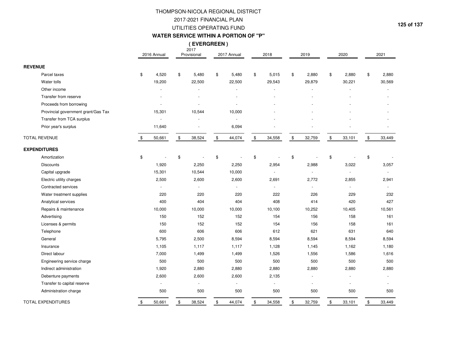### 2017-2021 FINANCIAL PLAN UTILITIES OPERATING FUNDTHOMPSON-NICOLA REGIONAL DISTRICT

#### **WATER SERVICE WITHIN A PORTION OF "P"**

2017 **( EVERGREEN )**

|                                     |                | 2016 Annual | 2017<br>Provisional | 2017 Annual  | 2018         | 2019         |               | 2020   |               | 2021   |
|-------------------------------------|----------------|-------------|---------------------|--------------|--------------|--------------|---------------|--------|---------------|--------|
| <b>REVENUE</b>                      |                |             |                     |              |              |              |               |        |               |        |
| Parcel taxes                        | $\mathfrak{S}$ | 4,520       | \$<br>5,480         | \$<br>5,480  | \$<br>5,015  | \$<br>2,880  | \$            | 2,880  | \$            | 2,880  |
| Water tolls                         |                | 19,200      | 22,500              | 22,500       | 29,543       | 29,879       |               | 30,221 |               | 30,569 |
| Other income                        |                |             |                     |              |              |              |               |        |               |        |
| Transfer from reserve               |                |             |                     |              |              |              |               |        |               |        |
| Proceeds from borrowing             |                |             | L.                  |              |              |              |               |        |               |        |
| Provincial government grant/Gas Tax |                | 15,301      | 10,544              | 10,000       |              |              |               |        |               |        |
| Transfer from TCA surplus           |                |             |                     |              |              |              |               |        |               |        |
| Prior year's surplus                |                | 11,640      |                     | 6,094        |              |              |               |        |               |        |
| <b>TOTAL REVENUE</b>                | \$             | 50,661      | \$<br>38,524        | \$<br>44,074 | \$<br>34,558 | \$<br>32,759 | $\frac{1}{2}$ | 33,101 | $\frac{1}{2}$ | 33,449 |
| <b>EXPENDITURES</b>                 |                |             |                     |              |              |              |               |        |               |        |
| Amortization                        | \$             |             | \$                  | \$           | \$           | \$           | \$            |        | \$            |        |
| <b>Discounts</b>                    |                | 1,920       | 2,250               | 2,250        | 2,954        | 2,988        |               | 3,022  |               | 3,057  |
| Capital upgrade                     |                | 15,301      | 10,544              | 10,000       | ä,           |              |               | $\sim$ |               |        |
| Electric utility charges            |                | 2,500       | 2,600               | 2,600        | 2,691        | 2,772        |               | 2,855  |               | 2,941  |
| Contracted services                 |                |             | $\sim$              | L.           |              |              |               |        |               |        |
| Water treatment supplies            |                | 220         | 220                 | 220          | 222          | 226          |               | 229    |               | 232    |
| Analytical services                 |                | 400         | 404                 | 404          | 408          | 414          |               | 420    |               | 427    |
| Repairs & maintenance               |                | 10,000      | 10,000              | 10,000       | 10,100       | 10,252       |               | 10,405 |               | 10,561 |
| Advertising                         |                | 150         | 152                 | 152          | 154          | 156          |               | 158    |               | 161    |
| Licenses & permits                  |                | 150         | 152                 | 152          | 154          | 156          |               | 158    |               | 161    |
| Telephone                           |                | 600         | 606                 | 606          | 612          | 621          |               | 631    |               | 640    |
| General                             |                | 5,795       | 2,500               | 8,594        | 8,594        | 8,594        |               | 8,594  |               | 8,594  |
| Insurance                           |                | 1,105       | 1,117               | 1,117        | 1,128        | 1,145        |               | 1,162  |               | 1,180  |
| Direct labour                       |                | 7,000       | 1,499               | 1,499        | 1,526        | 1,556        |               | 1,586  |               | 1,616  |
| Engineering service charge          |                | 500         | 500                 | 500          | 500          | 500          |               | 500    |               | 500    |
| Indirect administration             |                | 1,920       | 2,880               | 2,880        | 2,880        | 2,880        |               | 2,880  |               | 2,880  |
| Debenture payments                  |                | 2,600       | 2,600               | 2,600        | 2,135        |              |               |        |               |        |
| Transfer to capital reserve         |                |             | L,                  |              |              |              |               |        |               |        |
| Administration charge               |                | 500         | 500                 | 500          | 500          | 500          |               | 500    |               | 500    |
| <b>TOTAL EXPENDITURES</b>           | \$             | 50,661      | \$<br>38,524        | \$<br>44,074 | \$<br>34,558 | \$<br>32,759 | \$            | 33,101 | \$            | 33,449 |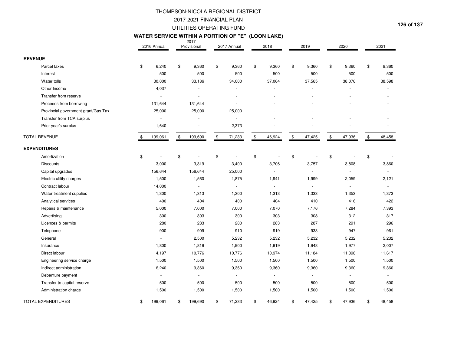### UTILITIES OPERATING FUNDTHOMPSON-NICOLA REGIONAL DISTRICT2017-2021 FINANCIAL PLAN

# 2017 **WATER SERVICE WITHIN A PORTION OF "E" (LOON LAKE)**

|                                     |                | 2016 Annual | 2011<br>Provisional      | 2017 Annual              |      | 2018                     |               | 2019           |      | 2020           | 2021         |
|-------------------------------------|----------------|-------------|--------------------------|--------------------------|------|--------------------------|---------------|----------------|------|----------------|--------------|
| <b>REVENUE</b>                      |                |             |                          |                          |      |                          |               |                |      |                |              |
| Parcel taxes                        | \$             | 6,240       | \$<br>9,360              | \$<br>9,360              | \$   | 9,360                    | \$            | 9,360          | \$   | 9,360          | \$<br>9,360  |
| Interest                            |                | 500         | 500                      | 500                      |      | 500                      |               | 500            |      | 500            | 500          |
| Water tolls                         |                | 30,000      | 33,186                   | 34,000                   |      | 37,064                   |               | 37,565         |      | 38,076         | 38,598       |
| Other Income                        |                | 4,037       |                          |                          |      |                          |               |                |      |                |              |
| Transfer from reserve               |                |             |                          |                          |      |                          |               |                |      |                |              |
| Proceeds from borrowing             |                | 131,644     | 131,644                  | ä,                       |      |                          |               |                |      |                |              |
| Provincial government grant/Gas Tax |                | 25,000      | 25,000                   | 25,000                   |      |                          |               |                |      |                |              |
| Transfer from TCA surplus           |                |             |                          | $\overline{\phantom{a}}$ |      |                          |               |                |      |                |              |
| Prior year's surplus                |                | 1,640       |                          | 2,373                    |      |                          |               |                |      |                |              |
| <b>TOTAL REVENUE</b>                | \$             | 199,061     | \$<br>199,690            | \$<br>71,233             | $\,$ | 46,924                   | \$            | 47,425         | $\,$ | 47,936         | \$<br>48,458 |
| <b>EXPENDITURES</b>                 |                |             |                          |                          |      |                          |               |                |      |                |              |
| Amortization                        | $\mathfrak{S}$ |             | \$                       | \$<br>÷,                 | \$   |                          | \$            |                | \$   |                | \$           |
| <b>Discounts</b>                    |                | 3,000       | 3,319                    | 3,400                    |      | 3,706                    |               | 3,757          |      | 3,808          | 3,860        |
| Capital upgrades                    |                | 156,644     | 156,644                  | 25,000                   |      | $\overline{\phantom{a}}$ |               | $\blacksquare$ |      | $\mathbf{r}$   | ÷            |
| Electric utility charges            |                | 1,500       | 1,560                    | 1,875                    |      | 1,941                    |               | 1,999          |      | 2,059          | 2,121        |
| Contract labour                     |                | 14,000      |                          | $\sim$                   |      | $\overline{a}$           |               |                |      | ä,             |              |
| Water treatment supplies            |                | 1,300       | 1,313                    | 1,300                    |      | 1,313                    |               | 1,333          |      | 1,353          | 1,373        |
| Analytical services                 |                | 400         | 404                      | 400                      |      | 404                      |               | 410            |      | 416            | 422          |
| Repairs & maintenance               |                | 5,000       | 7,000                    | 7,000                    |      | 7,070                    |               | 7,176          |      | 7,284          | 7,393        |
| Advertising                         |                | 300         | 303                      | 300                      |      | 303                      |               | 308            |      | 312            | 317          |
| Licences & permits                  |                | 280         | 283                      | 280                      |      | 283                      |               | 287            |      | 291            | 296          |
| Telephone                           |                | 900         | 909                      | 910                      |      | 919                      |               | 933            |      | 947            | 961          |
| General                             |                |             | 2,500                    | 5,232                    |      | 5,232                    |               | 5,232          |      | 5,232          | 5,232        |
| Insurance                           |                | 1,800       | 1,819                    | 1,900                    |      | 1,919                    |               | 1,948          |      | 1,977          | 2,007        |
| Direct labour                       |                | 4,197       | 10,776                   | 10,776                   |      | 10,974                   |               | 11,184         |      | 11,398         | 11,617       |
| Engineering service charge          |                | 1,500       | 1,500                    | 1,500                    |      | 1,500                    |               | 1,500          |      | 1,500          | 1,500        |
| Indirect administration             |                | 6,240       | 9,360                    | 9,360                    |      | 9,360                    |               | 9,360          |      | 9,360          | 9,360        |
| Debenture payment                   |                |             | $\overline{\phantom{a}}$ | $\omega$                 |      | $\frac{1}{2}$            |               | ÷.             |      | $\blacksquare$ |              |
| Transfer to capital reserve         |                | 500         | 500                      | 500                      |      | 500                      |               | 500            |      | 500            | 500          |
| Administration charge               |                | 1,500       | 1,500                    | 1,500                    |      | 1,500                    |               | 1,500          |      | 1,500          | 1,500        |
| <b>TOTAL EXPENDITURES</b>           | \$             | 199,061     | \$<br>199,690            | \$<br>71,233             | \$   | 46,924                   | $\frac{1}{2}$ | 47,425         | \$   | 47,936         | \$<br>48,458 |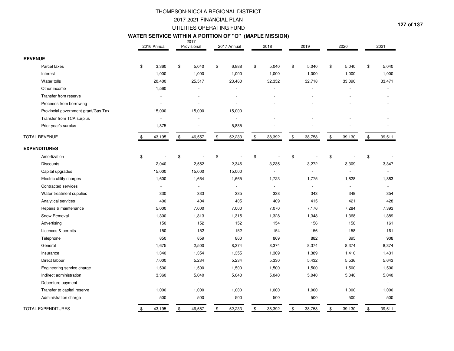#### **WATER SERVICE WITHIN A PORTION OF "O" (MAPLE MISSION)**

|                      |                                     | 2016 Annual  | 2017<br>Provisional |               | 2017 Annual    |               | 2018   | 2019         | 2020         | 2021         |
|----------------------|-------------------------------------|--------------|---------------------|---------------|----------------|---------------|--------|--------------|--------------|--------------|
| <b>REVENUE</b>       |                                     |              |                     |               |                |               |        |              |              |              |
|                      | Parcel taxes                        | \$<br>3,360  | \$<br>5,040         | \$            | 6,888          | \$            | 5,040  | \$<br>5,040  | \$<br>5,040  | \$<br>5,040  |
|                      | Interest                            | 1,000        | 1,000               |               | 1,000          |               | 1,000  | 1,000        | 1,000        | 1,000        |
|                      | Water tolls                         | 20,400       | 25,517              |               | 23,460         |               | 32,352 | 32,718       | 33,090       | 33,471       |
|                      | Other income                        | 1,560        |                     |               |                |               |        |              | ÷.           |              |
|                      | Transfer from reserve               |              |                     |               |                |               |        |              |              |              |
|                      | Proceeds from borrowing             |              |                     |               |                |               |        |              |              |              |
|                      | Provincial government grant/Gas Tax | 15,000       | 15,000              |               | 15,000         |               |        |              |              |              |
|                      | Transfer from TCA surplus           |              |                     |               |                |               |        |              |              |              |
|                      | Prior year's surplus                | 1,875        |                     |               | 5,885          |               |        |              |              |              |
| <b>TOTAL REVENUE</b> |                                     | \$<br>43,195 | \$<br>46,557        | $\frac{1}{2}$ | 52,233         | $\frac{1}{2}$ | 38,392 | \$<br>38,758 | \$<br>39,130 | \$<br>39,511 |
|                      | <b>EXPENDITURES</b>                 |              |                     |               |                |               |        |              |              |              |
|                      | Amortization                        | \$           | \$                  | \$            |                | \$            |        | \$           | \$           | \$           |
|                      | <b>Discounts</b>                    | 2,040        | 2,552               |               | 2,346          |               | 3,235  | 3,272        | 3,309        | 3,347        |
|                      | Capital upgrades                    | 15,000       | 15,000              |               | 15,000         |               |        |              | $\sim$       | $\mathbf{r}$ |
|                      | Electric utility charges            | 1,600        | 1,664               |               | 1,665          |               | 1,723  | 1,775        | 1,828        | 1,883        |
|                      | Contracted services                 | $\sim$       | $\sim$              |               | $\sim$         |               |        | $\sim$       | ÷.           | $\sim$       |
|                      | Water treatment supplies            | 330          | 333                 |               | 335            |               | 338    | 343          | 349          | 354          |
|                      | Analytical services                 | 400          | 404                 |               | 405            |               | 409    | 415          | 421          | 428          |
|                      | Repairs & maintenance               | 5,000        | 7,000               |               | 7,000          |               | 7,070  | 7,176        | 7,284        | 7,393        |
|                      | Snow Removal                        | 1,300        | 1,313               |               | 1,315          |               | 1,328  | 1,348        | 1,368        | 1,389        |
|                      | Advertising                         | 150          | 152                 |               | 152            |               | 154    | 156          | 158          | 161          |
|                      | Licences & permits                  | 150          | 152                 |               | 152            |               | 154    | 156          | 158          | 161          |
|                      | Telephone                           | 850          | 859                 |               | 860            |               | 869    | 882          | 895          | 908          |
|                      | General                             | 1,675        | 2,500               |               | 8,374          |               | 8,374  | 8,374        | 8,374        | 8,374        |
|                      | Insurance                           | 1,340        | 1,354               |               | 1,355          |               | 1,369  | 1,389        | 1,410        | 1,431        |
|                      | Direct labour                       | 7,000        | 5,234               |               | 5,234          |               | 5,330  | 5,432        | 5,536        | 5,643        |
|                      | Engineering service charge          | 1,500        | 1,500               |               | 1,500          |               | 1,500  | 1,500        | 1,500        | 1,500        |
|                      | Indirect administration             | 3,360        | 5,040               |               | 5,040          |               | 5,040  | 5,040        | 5,040        | 5,040        |
|                      | Debenture payment                   |              | $\omega$            |               | $\blacksquare$ |               |        |              | $\sim$       | $\omega$     |
|                      | Transfer to capital reserve         | 1,000        | 1,000               |               | 1,000          |               | 1,000  | 1,000        | 1,000        | 1,000        |
|                      | Administration charge               | 500          | 500                 |               | 500            |               | 500    | 500          | 500          | 500          |
|                      | <b>TOTAL EXPENDITURES</b>           | \$<br>43,195 | \$<br>46,557        | \$            | 52,233         | \$            | 38,392 | \$<br>38,758 | \$<br>39,130 | \$<br>39,511 |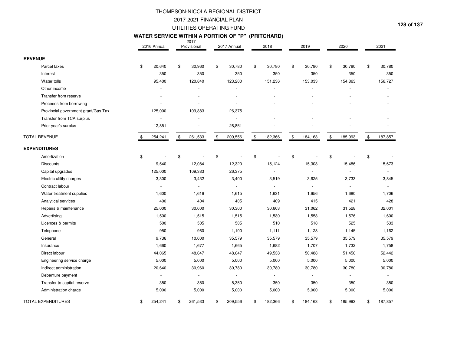### 2017-2021 FINANCIAL PLAN UTILITIES OPERATING FUNDTHOMPSON-NICOLA REGIONAL DISTRICT

# 2017 **WATER SERVICE WITHIN A PORTION OF "P" (PRITCHARD)**

|                                     | 2016 Annual   |               | 20 I <i>I</i><br>Provisional | 2017 Annual    | 2018                     | 2019          | 2020                     |               | 2021    |
|-------------------------------------|---------------|---------------|------------------------------|----------------|--------------------------|---------------|--------------------------|---------------|---------|
| <b>REVENUE</b>                      |               |               |                              |                |                          |               |                          |               |         |
| Parcel taxes                        | \$<br>20,640  | \$            | 30,960                       | \$<br>30,780   | \$<br>30,780             | \$<br>30,780  | \$<br>30,780             | \$            | 30,780  |
| Interest                            | 350           |               | 350                          | 350            | 350                      | 350           | 350                      |               | 350     |
| Water tolls                         | 95,400        |               | 120,840                      | 123,200        | 151,236                  | 153,033       | 154,863                  |               | 156,727 |
| Other income                        |               |               |                              |                |                          |               |                          |               |         |
| Transfer from reserve               |               |               |                              |                |                          |               |                          |               |         |
| Proceeds from borrowing             |               |               |                              | ä,             |                          |               |                          |               |         |
| Provincial government grant/Gas Tax | 125,000       |               | 109,383                      | 26,375         |                          |               |                          |               |         |
| Transfer from TCA surplus           |               |               |                              | $\blacksquare$ |                          |               |                          |               |         |
| Prior year's surplus                | 12,851        |               |                              | 28,851         |                          |               |                          |               |         |
| <b>TOTAL REVENUE</b>                | \$<br>254,241 | $\frac{1}{2}$ | 261,533                      | \$<br>209,556  | \$<br>182,366            | \$<br>184,163 | \$<br>185,993            | $\frac{1}{2}$ | 187,857 |
| <b>EXPENDITURES</b>                 |               |               |                              |                |                          |               |                          |               |         |
| Amortization                        | \$            | \$            |                              | \$             | \$                       | \$            | \$                       | \$            |         |
| <b>Discounts</b>                    | 9,540         |               | 12,084                       | 12,320         | 15,124                   | 15,303        | 15,486                   |               | 15,673  |
| Capital upgrades                    | 125,000       |               | 109,383                      | 26,375         | $\overline{\phantom{a}}$ | $\omega$      | $\sim$                   |               |         |
| Electric utility charges            | 3,300         |               | 3,432                        | 3,400          | 3,519                    | 3,625         | 3,733                    |               | 3,845   |
| Contract labour                     |               |               | ÷.                           | ÷.             | $\sim$                   |               | $\sim$                   |               |         |
| Water treatment supplies            | 1,600         |               | 1,616                        | 1,615          | 1,631                    | 1,656         | 1,680                    |               | 1,706   |
| Analytical services                 | 400           |               | 404                          | 405            | 409                      | 415           | 421                      |               | 428     |
| Repairs & maintenance               | 25,000        |               | 30,000                       | 30,300         | 30,603                   | 31,062        | 31,528                   |               | 32,001  |
| Advertising                         | 1,500         |               | 1,515                        | 1,515          | 1,530                    | 1,553         | 1,576                    |               | 1,600   |
| Licences & permits                  | 500           |               | 505                          | 505            | 510                      | 518           | 525                      |               | 533     |
| Telephone                           | 950           |               | 960                          | 1,100          | 1,111                    | 1,128         | 1,145                    |               | 1,162   |
| General                             | 9,736         |               | 10,000                       | 35,579         | 35,579                   | 35,579        | 35,579                   |               | 35,579  |
| Insurance                           | 1,660         |               | 1,677                        | 1,665          | 1,682                    | 1,707         | 1,732                    |               | 1,758   |
| Direct labour                       | 44,065        |               | 48,647                       | 48,647         | 49,538                   | 50,488        | 51,456                   |               | 52,442  |
| Engineering service charge          | 5,000         |               | 5,000                        | 5,000          | 5,000                    | 5,000         | 5,000                    |               | 5,000   |
| Indirect administration             | 20,640        |               | 30,960                       | 30,780         | 30,780                   | 30,780        | 30,780                   |               | 30,780  |
| Debenture payment                   |               |               | $\blacksquare$               | $\blacksquare$ | ä,                       |               | $\overline{\phantom{a}}$ |               |         |
| Transfer to capital reserve         | 350           |               | 350                          | 5,350          | 350                      | 350           | 350                      |               | 350     |
| Administration charge               | 5,000         |               | 5,000                        | 5,000          | 5,000                    | 5,000         | 5,000                    |               | 5,000   |
| <b>TOTAL EXPENDITURES</b>           | \$<br>254,241 | \$            | 261,533                      | \$<br>209,556  | \$<br>182,366            | \$<br>184,163 | \$<br>185,993            | \$            | 187,857 |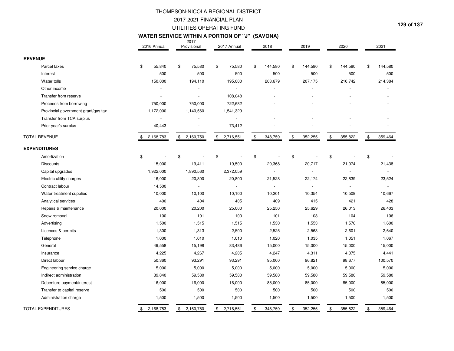#### **129 of 137**

#### **WATER SERVICE WITHIN A PORTION OF "J" (SAVONA)**

|                                     | 2016 Annual     | 2017<br>Provisional      | 2017 Annual     | 2018           | 2019           | 2020                     | 2021                      |
|-------------------------------------|-----------------|--------------------------|-----------------|----------------|----------------|--------------------------|---------------------------|
| <b>REVENUE</b>                      |                 |                          |                 |                |                |                          |                           |
| Parcel taxes                        | \$<br>55,840    | \$<br>75,580             | \$<br>75,580    | \$<br>144,580  | \$<br>144,580  | \$<br>144,580            | \$<br>144,580             |
| Interest                            | 500             | 500                      | 500             | 500            | 500            | 500                      | 500                       |
| Water tolls                         | 150,000         | 194,110                  | 195,000         | 203,679        | 207,175        | 210,742                  | 214,384                   |
| Other income                        |                 |                          | $\sim$          |                |                |                          |                           |
| Transfer from reserve               |                 |                          | 108,048         |                |                |                          |                           |
| Proceeds from borrowing             | 750,000         | 750,000                  | 722,682         |                |                |                          |                           |
| Provincial government grant/gas tax | 1,172,000       | 1,140,560                | 1,541,329       |                |                |                          |                           |
| Transfer from TCA surplus           |                 |                          |                 |                |                |                          |                           |
| Prior year's surplus                | 40,443          |                          | 73,412          |                |                |                          |                           |
| <b>TOTAL REVENUE</b>                | 2,168,783<br>\$ | \$2,160,750              | \$2,716,551     | \$<br>348,759  | \$<br>352,255  | \$<br>355,822            | $\mathfrak{S}$<br>359,464 |
| <b>EXPENDITURES</b>                 |                 |                          |                 |                |                |                          |                           |
| Amortization                        | \$              | \$                       | \$              | \$             | \$             | \$                       | \$                        |
| <b>Discounts</b>                    | 15,000          | 19,411                   | 19,500          | 20,368         | 20,717         | 21,074                   | 21,438                    |
| Capital upgrades                    | 1,922,000       | 1,890,560                | 2,372,059       | $\overline{a}$ | $\blacksquare$ | $\overline{\phantom{a}}$ | $\mathbf{r}$              |
| Electric utility charges            | 16,000          | 20,800                   | 20,800          | 21,528         | 22,174         | 22,839                   | 23,524                    |
| Contract labour                     | 14,500          | $\overline{\phantom{a}}$ | $\sim$          | ÷.             | ÷.             | $\overline{\phantom{a}}$ | $\mathbf{r}$              |
| Water treatment supplies            | 10,000          | 10,100                   | 10,100          | 10,201         | 10,354         | 10,509                   | 10,667                    |
| Analytical services                 | 400             | 404                      | 405             | 409            | 415            | 421                      | 428                       |
| Repairs & maintenance               | 20,000          | 20,200                   | 25,000          | 25,250         | 25,629         | 26,013                   | 26,403                    |
| Snow removal                        | 100             | 101                      | 100             | 101            | 103            | 104                      | 106                       |
| Advertising                         | 1,500           | 1,515                    | 1,515           | 1,530          | 1,553          | 1,576                    | 1,600                     |
| Licences & permits                  | 1,300           | 1,313                    | 2,500           | 2,525          | 2,563          | 2,601                    | 2,640                     |
| Telephone                           | 1,000           | 1,010                    | 1,010           | 1,020          | 1,035          | 1,051                    | 1,067                     |
| General                             | 49,558          | 15,198                   | 83,486          | 15,000         | 15,000         | 15,000                   | 15,000                    |
| Insurance                           | 4,225           | 4,267                    | 4,205           | 4,247          | 4,311          | 4,375                    | 4,441                     |
| Direct labour                       | 50,360          | 93,291                   | 93,291          | 95,000         | 96,821         | 98,677                   | 100,570                   |
| Engineering service charge          | 5,000           | 5,000                    | 5,000           | 5,000          | 5,000          | 5,000                    | 5,000                     |
| Indirect administration             | 39,840          | 59,580                   | 59,580          | 59,580         | 59,580         | 59,580                   | 59,580                    |
| Debenture payment/interest          | 16,000          | 16,000                   | 16,000          | 85,000         | 85,000         | 85,000                   | 85,000                    |
| Transfer to capital reserve         | 500             | 500                      | 500             | 500            | 500            | 500                      | 500                       |
| Administration charge               | 1,500           | 1,500                    | 1,500           | 1,500          | 1,500          | 1,500                    | 1,500                     |
| <b>TOTAL EXPENDITURES</b>           | 2,168,783<br>\$ | \$<br>2,160,750          | \$<br>2,716,551 | 348,759<br>\$  | 352,255<br>\$  | \$<br>355,822            | \$<br>359,464             |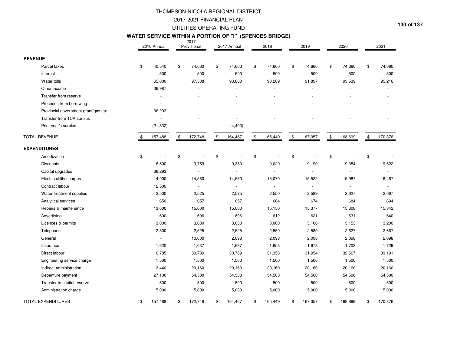# 2017 **WATER SERVICE WITHIN A PORTION OF "I" (SPENCES BRIDGE)**

|                                     | 2016 Annual    | 2017<br>Provisional      | 2017 Annual   |                | 2018    | 2019          | 2020           |               | 2021    |
|-------------------------------------|----------------|--------------------------|---------------|----------------|---------|---------------|----------------|---------------|---------|
| <b>REVENUE</b>                      |                |                          |               |                |         |               |                |               |         |
| Parcel taxes                        | \$<br>40,540   | \$<br>74,660             | \$<br>74,660  | $\mathfrak{S}$ | 74,660  | \$<br>74,660  | \$<br>74,660   | \$            | 74,660  |
| Interest                            | 500            | 500                      | 500           |                | 500     | 500           | 500            |               | 500     |
| Water tolls                         | 65,000         | 97,588                   | 93,800        |                | 90,289  | 91,897        | 93,539         |               | 95,216  |
| Other income                        | 36,987         |                          |               |                |         |               |                |               |         |
| Transfer from reserve               |                |                          |               |                |         |               |                |               |         |
| Proceeds from borrowing             |                |                          |               |                |         |               |                |               |         |
| Provincial government grant/gas tax | 36,293         |                          |               |                |         |               |                |               |         |
| Transfer from TCA surplus           | $\bar{z}$      |                          |               |                |         |               |                |               |         |
| Prior year's surplus                | (21, 832)      |                          | (4, 493)      |                |         |               |                |               |         |
| <b>TOTAL REVENUE</b>                | \$<br>157,488  | \$<br>172,748            | \$<br>164,467 | $\,$           | 165,449 | \$<br>167,057 | \$<br>168,699  | $\frac{1}{2}$ | 170,376 |
| <b>EXPENDITURES</b>                 |                |                          |               |                |         |               |                |               |         |
| Amortization                        | \$             | \$                       | \$            | $\mathfrak{S}$ |         | \$            | \$             | \$            |         |
| <b>Discounts</b>                    | 6,500          | 9,759                    | 9,380         |                | 9,029   | 9,190         | 9,354          |               | 9,522   |
| Capital upgrades                    | 36,293         | $\blacksquare$           | $\sim$        |                |         |               | $\blacksquare$ |               |         |
| Electric utility charges            | 14,000         | 14,560                   | 14,560        |                | 15,070  | 15,522        | 15,987         |               | 16,467  |
| Contract labour                     | 12,500         | $\overline{\phantom{a}}$ | $\sim$        |                |         |               |                |               |         |
| Water treatment supplies            | 2,500          | 2,525                    | 2,525         |                | 2,550   | 2,589         | 2,627          |               | 2,667   |
| Analytical services                 | 650            | 657                      | 657           |                | 664     | 674           | 684            |               | 694     |
| Repairs & maintenance               | 13,000         | 15,000                   | 15,000        |                | 15,150  | 15,377        | 15,608         |               | 15,842  |
| Advertising                         | 600            | 606                      | 606           |                | 612     | 621           | 631            |               | 640     |
| Licences & permits                  | 3,000          | 3,030                    | 3,030         |                | 3,060   | 3,106         | 3,153          |               | 3,200   |
| Telephone                           | 2,500          | 2,525                    | 2,525         |                | 2,550   | 2,589         | 2,627          |               | 2,667   |
| General                             | $\blacksquare$ | 10,000                   | 2,098         |                | 2,098   | 2,098         | 2,098          |               | 2,098   |
| Insurance                           | 1,620          | 1,637                    | 1,637         |                | 1,653   | 1,678         | 1,703          |               | 1,729   |
| Direct labour                       | 16,785         | 30,789                   | 30,789        |                | 31,353  | 31,954        | 32,567         |               | 33,191  |
| Engineering service charge          | 1,500          | 1,500                    | 1,500         |                | 1,500   | 1,500         | 1,500          |               | 1,500   |
| Indirect administration             | 13,440         | 20,160                   | 20,160        |                | 20,160  | 20,160        | 20,160         |               | 20,160  |
| Debenture payment                   | 27,100         | 54,500                   | 54,500        |                | 54,500  | 54,500        | 54,500         |               | 54,500  |
| Transfer to capital reserve         | 500            | 500                      | 500           |                | 500     | 500           | 500            |               | 500     |
| Administration charge               | 5,000          | 5,000                    | 5,000         |                | 5,000   | 5,000         | 5,000          |               | 5,000   |
| <b>TOTAL EXPENDITURES</b>           | \$<br>157,488  | \$<br>172,748            | \$<br>164,467 | \$             | 165,449 | \$<br>167,057 | \$<br>168,699  | \$            | 170,376 |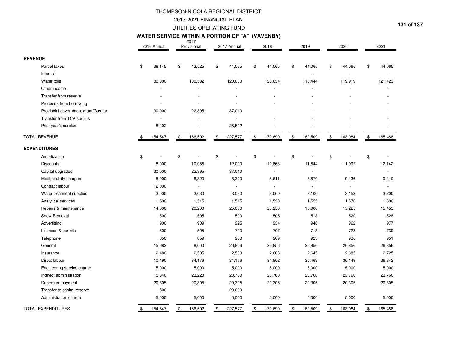### 2017-2021 FINANCIAL PLAN UTILITIES OPERATING FUNDTHOMPSON-NICOLA REGIONAL DISTRICT

#### **131 of 137**

#### **WATER SERVICE WITHIN A PORTION OF "A" (VAVENBY)**

|                                     | 2016 Annual   | 2017<br>Provisional      |               | 2017 Annual    | 2018                     | 2019                           | 2020          | 2021          |
|-------------------------------------|---------------|--------------------------|---------------|----------------|--------------------------|--------------------------------|---------------|---------------|
| <b>REVENUE</b>                      |               |                          |               |                |                          |                                |               |               |
| Parcel taxes                        | \$<br>36,145  | \$<br>43,525             | \$            | 44,065         | \$<br>44,065             | \$<br>44,065                   | \$<br>44,065  | \$<br>44,065  |
| Interest                            |               |                          |               |                |                          |                                |               |               |
| Water tolls                         | 80,000        | 100,582                  |               | 120,000        | 128,634                  | 118,444                        | 119,919       | 121,423       |
| Other income                        |               |                          |               | ÷.             |                          |                                |               |               |
| Transfer from reserve               |               |                          |               |                |                          |                                |               |               |
| Proceeds from borrowing             |               |                          |               | ä,             |                          |                                |               |               |
| Provincial government grant/Gas tax | 30,000        | 22,395                   |               | 37,010         |                          |                                |               |               |
| Transfer from TCA surplus           |               |                          |               |                |                          |                                |               |               |
| Prior year's surplus                | 8,402         |                          |               | 26,502         |                          |                                |               |               |
| <b>TOTAL REVENUE</b>                | \$<br>154,547 | \$<br>166,502            | $\mathfrak s$ | 227,577        | \$<br>172,699            | \$<br>162,509                  | \$<br>163,984 | \$<br>165,488 |
| <b>EXPENDITURES</b>                 |               |                          |               |                |                          |                                |               |               |
| Amortization                        | \$            | \$                       | \$            |                | \$                       | \$<br>$\overline{\phantom{a}}$ | \$            | \$            |
| <b>Discounts</b>                    | 8,000         | 10,058                   |               | 12,000         | 12,863                   | 11,844                         | 11,992        | 12,142        |
| Capital upgrades                    | 30,000        | 22,395                   |               | 37,010         | $\overline{\phantom{a}}$ | $\mathbf{r}$                   | $\sim$        | $\sim$        |
| Electric utility charges            | 8,000         | 8,320                    |               | 8,320          | 8,611                    | 8,870                          | 9,136         | 9,410         |
| Contract labour                     | 12,000        | $\overline{\phantom{a}}$ |               | $\blacksquare$ | $\overline{\phantom{a}}$ | $\sim$                         | $\sim$        | $\sim$        |
| Water treatment supplies            | 3,000         | 3,030                    |               | 3,030          | 3,060                    | 3,106                          | 3,153         | 3,200         |
| Analytical services                 | 1,500         | 1,515                    |               | 1,515          | 1,530                    | 1,553                          | 1,576         | 1,600         |
| Repairs & maintenance               | 14,000        | 20,200                   |               | 25,000         | 25,250                   | 15,000                         | 15,225        | 15,453        |
| Snow Removal                        | 500           | 505                      |               | 500            | 505                      | 513                            | 520           | 528           |
| Advertising                         | 900           | 909                      |               | 925            | 934                      | 948                            | 962           | 977           |
| Licences & permits                  | 500           | 505                      |               | 700            | 707                      | 718                            | 728           | 739           |
| Telephone                           | 850           | 859                      |               | 900            | 909                      | 923                            | 936           | 951           |
| General                             | 15,682        | 8,000                    |               | 26,856         | 26,856                   | 26,856                         | 26,856        | 26,856        |
| Insurance                           | 2,480         | 2,505                    |               | 2,580          | 2,606                    | 2,645                          | 2,685         | 2,725         |
| Direct labour                       | 10,490        | 34,176                   |               | 34,176         | 34,802                   | 35,469                         | 36,149        | 36,842        |
| Engineering service charge          | 5,000         | 5,000                    |               | 5,000          | 5,000                    | 5,000                          | 5,000         | 5,000         |
| Indirect administration             | 15,840        | 23,220                   |               | 23,760         | 23,760                   | 23,760                         | 23,760        | 23,760        |
| Debenture payment                   | 20,305        | 20,305                   |               | 20,305         | 20,305                   | 20,305                         | 20,305        | 20,305        |
| Transfer to capital reserve         | 500           | $\bar{\phantom{a}}$      |               | 20,000         | $\blacksquare$           |                                | ÷,            | $\sim$        |
| Administration charge               | 5,000         | 5,000                    |               | 5,000          | 5,000                    | 5,000                          | 5,000         | 5,000         |
| <b>TOTAL EXPENDITURES</b>           | \$<br>154,547 | \$<br>166,502            | \$            | 227,577        | \$<br>172,699            | \$<br>162,509                  | \$<br>163,984 | \$<br>165,488 |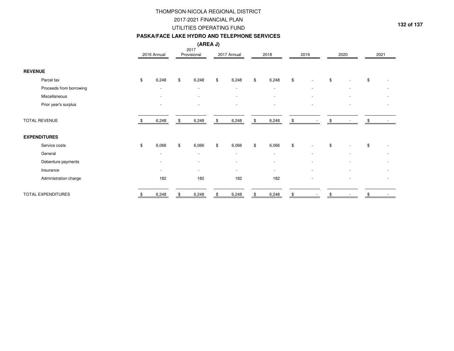#### **PASKA/FACE LAKE HYDRO AND TELEPHONE SERVICES**

| (AREA J)<br>2017          |    |                          |    |                          |             |                          |      |                          |      |  |      |                          |      |  |
|---------------------------|----|--------------------------|----|--------------------------|-------------|--------------------------|------|--------------------------|------|--|------|--------------------------|------|--|
|                           |    | 2016 Annual              |    | Provisional              | 2017 Annual |                          | 2018 |                          | 2019 |  | 2020 |                          | 2021 |  |
| <b>REVENUE</b>            |    |                          |    |                          |             |                          |      |                          |      |  |      |                          |      |  |
| Parcel tax                | \$ | 6,248                    | \$ | 6,248                    | \$          | 6,248                    | \$   | 6,248                    | \$   |  | \$   |                          | \$   |  |
| Proceeds from borrowing   |    | $\overline{\phantom{a}}$ |    | $\sim$                   |             | $\overline{\phantom{a}}$ |      | $\overline{\phantom{a}}$ |      |  |      | $\overline{\phantom{a}}$ |      |  |
| Miscellaneous             |    |                          |    |                          |             |                          |      |                          |      |  |      |                          |      |  |
| Prior year's surplus      |    |                          |    |                          |             |                          |      | $\overline{\phantom{a}}$ |      |  |      | ٠                        |      |  |
| <b>TOTAL REVENUE</b>      | S. | 6,248                    | \$ | 6,248                    | \$          | 6,248                    | \$   | 6,248                    | \$   |  | \$   |                          |      |  |
| <b>EXPENDITURES</b>       |    |                          |    |                          |             |                          |      |                          |      |  |      |                          |      |  |
| Service costs             | \$ | 6,066                    | \$ | 6,066                    | \$          | 6,066                    | \$   | 6,066                    | \$   |  | \$   |                          | \$   |  |
| General                   |    | $\overline{\phantom{a}}$ |    | $\overline{\phantom{a}}$ |             | $\sim$                   |      | $\overline{\phantom{a}}$ |      |  |      |                          |      |  |
| Debenture payments        |    |                          |    |                          |             |                          |      |                          |      |  |      |                          |      |  |
| Insurance                 |    |                          |    | $\overline{\phantom{a}}$ |             | $\overline{\phantom{a}}$ |      | $\blacksquare$           |      |  |      |                          |      |  |
| Administration charge     |    | 182                      |    | 182                      |             | 182                      |      | 182                      |      |  |      | ٠                        |      |  |
| <b>TOTAL EXPENDITURES</b> |    | 6,248                    | \$ | 6,248                    |             | 6,248                    |      | 6,248                    | \$   |  |      |                          |      |  |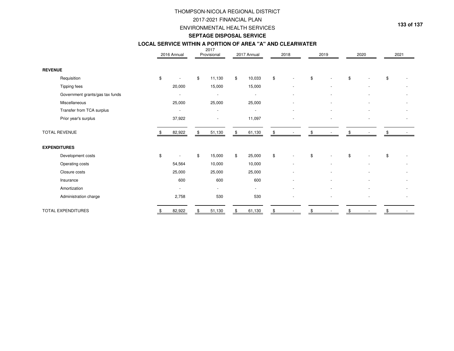### THOMPSON-NICOLA REGIONAL DISTRICT2017-2021 FINANCIAL PLANENVIRONMENTAL HEALTH SERVICES

**133 of 137**

#### **SEPTAGE DISPOSAL SERVICE**

# **LOCAL SERVICE WITHIN A PORTION OF AREA "A" AND CLEARWATER**

|                                 |    |                      | 2017 |                          | 2017 Annual   |        | 2018 |  |      |  |      |  | 2021 |  |
|---------------------------------|----|----------------------|------|--------------------------|---------------|--------|------|--|------|--|------|--|------|--|
|                                 |    | 2016 Annual          |      | Provisional              |               |        |      |  | 2019 |  | 2020 |  |      |  |
| <b>REVENUE</b>                  |    |                      |      |                          |               |        |      |  |      |  |      |  |      |  |
| Requisition                     | \$ |                      | \$   | 11,130                   | \$            | 10,033 | \$   |  | \$   |  | \$   |  | \$   |  |
| Tipping fees                    |    | 20,000               |      | 15,000                   |               | 15,000 |      |  |      |  |      |  |      |  |
| Government grants/gas tax funds |    | $\ddot{\phantom{1}}$ |      | $\overline{\phantom{a}}$ |               |        |      |  |      |  |      |  |      |  |
| Miscellaneous                   |    | 25,000               |      | 25,000                   |               | 25,000 |      |  |      |  |      |  |      |  |
| Transfer from TCA surplus       |    | $\sim$               |      | $\sim$                   |               |        |      |  |      |  |      |  |      |  |
| Prior year's surplus            |    | 37,922               |      |                          |               | 11,097 |      |  |      |  |      |  |      |  |
| TOTAL REVENUE                   |    | 82,922               | \$   | 51,130                   | $\frac{1}{2}$ | 61,130 | \$   |  |      |  |      |  |      |  |
| <b>EXPENDITURES</b>             |    |                      |      |                          |               |        |      |  |      |  |      |  |      |  |
| Development costs               | \$ |                      | \$   | 15,000                   | \$            | 25,000 | \$   |  | \$   |  | \$   |  | \$   |  |
| Operating costs                 |    | 54,564               |      | 10,000                   |               | 10,000 |      |  |      |  |      |  |      |  |
| Closure costs                   |    | 25,000               |      | 25,000                   |               | 25,000 |      |  |      |  |      |  |      |  |
| Insurance                       |    | 600                  |      | 600                      |               | 600    |      |  |      |  |      |  |      |  |
| Amortization                    |    |                      |      | $\sim$                   |               | $\sim$ |      |  |      |  |      |  |      |  |
| Administration charge           |    | 2,758                |      | 530                      |               | 530    |      |  |      |  |      |  |      |  |
| TOTAL EXPENDITURES              |    | 82,922               |      | 51,130                   |               | 61,130 | \$   |  |      |  |      |  |      |  |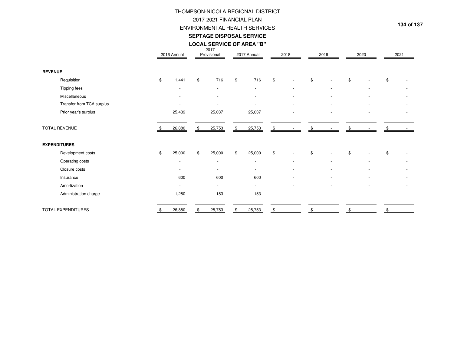## THOMPSON-NICOLA REGIONAL DISTRICT2017-2021 FINANCIAL PLANENVIRONMENTAL HEALTH SERVICES

**134 of 137**

### **LOCAL SERVICE OF AREA "B"SEPTAGE DISPOSAL SERVICE**

2017

|                      |                           | 2016 Annual |        | Provisional |        | 2017 Annual |                          | 2018 |                          | 2019 |                          | 2020 |                          | 2021 |  |
|----------------------|---------------------------|-------------|--------|-------------|--------|-------------|--------------------------|------|--------------------------|------|--------------------------|------|--------------------------|------|--|
|                      |                           |             |        |             |        |             |                          |      |                          |      |                          |      |                          |      |  |
| <b>REVENUE</b>       |                           |             |        |             |        |             |                          |      |                          |      |                          |      |                          |      |  |
|                      | Requisition               | \$          | 1,441  | \$          | 716    | \$          | 716                      | \$   | $\blacksquare$           | \$   |                          | \$   |                          | \$   |  |
|                      | Tipping fees              |             | $\sim$ |             | $\sim$ |             | $\sim$                   |      | $\sim$                   |      | $\overline{\phantom{a}}$ |      | $\overline{\phantom{a}}$ |      |  |
|                      | Miscellaneous             |             |        |             | $\sim$ |             | $\overline{\phantom{a}}$ |      | $\overline{\phantom{a}}$ |      |                          |      |                          |      |  |
|                      | Transfer from TCA surplus |             |        |             |        |             |                          |      |                          |      |                          |      |                          |      |  |
|                      | Prior year's surplus      |             | 25,439 |             | 25,037 |             | 25,037                   |      |                          |      |                          |      |                          |      |  |
|                      |                           |             |        |             |        |             |                          |      |                          |      |                          |      |                          |      |  |
| <b>TOTAL REVENUE</b> |                           |             | 26,880 | \$          | 25,753 | \$          | 25,753                   | \$   |                          | \$   |                          |      |                          |      |  |
| <b>EXPENDITURES</b>  |                           |             |        |             |        |             |                          |      |                          |      |                          |      |                          |      |  |
|                      | Development costs         | \$          | 25,000 | \$          | 25,000 | \$          | 25,000                   | \$   | $\overline{\phantom{a}}$ | \$   |                          | \$   |                          | \$   |  |
|                      | Operating costs           |             | $\sim$ |             | $\sim$ |             | $\sim$                   |      | $\sim$                   |      |                          |      | $\overline{\phantom{a}}$ |      |  |
|                      | Closure costs             |             | $\sim$ |             | $\sim$ |             | $\overline{\phantom{a}}$ |      | $\overline{\phantom{a}}$ |      |                          |      |                          |      |  |
|                      | Insurance                 |             | 600    |             | 600    |             | 600                      |      |                          |      |                          |      |                          |      |  |
|                      | Amortization              |             | $\sim$ |             | $\sim$ |             | $\sim$                   |      |                          |      |                          |      |                          |      |  |
|                      | Administration charge     |             | 1,280  |             | 153    |             | 153                      |      |                          |      |                          |      |                          |      |  |
|                      | TOTAL EXPENDITURES        |             | 26,880 | \$          | 25,753 | \$          | 25,753                   | \$   |                          | \$   |                          | \$   |                          | \$   |  |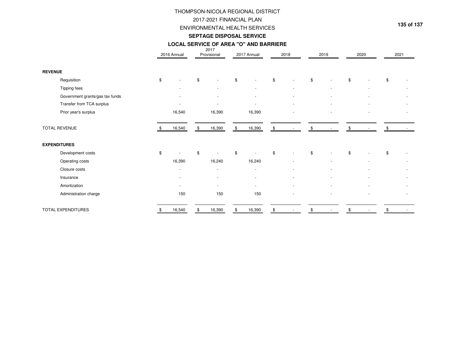### 2017-2021 FINANCIAL PLAN ENVIRONMENTAL HEALTH SERVICESTHOMPSON-NICOLA REGIONAL DISTRICT

**135 of 137**

#### **SEPTAGE DISPOSAL SERVICE**

#### **LOCAL SERVICE OF AREA "O" AND BARRIERE**

|                      |                                 |                          | 2017                     |    |                          |    |        |      |                          |      |                          |     |      |
|----------------------|---------------------------------|--------------------------|--------------------------|----|--------------------------|----|--------|------|--------------------------|------|--------------------------|-----|------|
|                      |                                 | 2016 Annual              | Provisional              |    | 2017 Annual              |    | 2018   | 2019 |                          | 2020 |                          |     | 2021 |
|                      |                                 |                          |                          |    |                          |    |        |      |                          |      |                          |     |      |
| <b>REVENUE</b>       |                                 |                          |                          |    |                          |    |        |      |                          |      |                          |     |      |
|                      | Requisition                     | \$                       | \$                       | \$ |                          | \$ |        | \$   |                          | \$   |                          | \$  |      |
|                      | Tipping fees                    |                          |                          |    |                          |    |        |      |                          |      |                          |     |      |
|                      | Government grants/gas tax funds |                          |                          |    |                          |    |        |      |                          |      |                          |     |      |
|                      | Transfer from TCA surplus       |                          |                          |    |                          |    |        |      |                          |      |                          |     |      |
|                      | Prior year's surplus            | 16,540                   | 16,390                   |    | 16,390                   |    |        |      | $\overline{\phantom{a}}$ |      | $\overline{\phantom{a}}$ |     |      |
|                      |                                 |                          |                          |    |                          |    |        |      |                          |      |                          |     |      |
| <b>TOTAL REVENUE</b> |                                 | 16,540                   | \$<br>16,390             | \$ | 16,390                   | \$ |        | \$   |                          | \$   |                          | \$. |      |
|                      |                                 |                          |                          |    |                          |    |        |      |                          |      |                          |     |      |
| <b>EXPENDITURES</b>  |                                 |                          |                          |    |                          |    |        |      |                          |      |                          |     |      |
|                      | Development costs               | \$                       | \$                       | \$ |                          | \$ |        | \$   |                          | \$   |                          | \$  |      |
|                      | Operating costs                 | 16,390                   | 16,240                   |    | 16,240                   |    |        |      |                          |      |                          |     |      |
|                      | Closure costs                   | $\overline{\phantom{a}}$ | $\sim$                   |    | $\sim$                   |    |        |      |                          |      |                          |     |      |
|                      | Insurance                       | $\overline{\phantom{a}}$ | $\overline{\phantom{a}}$ |    | $\overline{\phantom{a}}$ |    | $\sim$ |      | $\overline{\phantom{a}}$ |      | $\overline{\phantom{a}}$ |     |      |
|                      | Amortization                    | $\overline{a}$           | $\overline{a}$           |    | $\sim$                   |    | ٠      |      |                          |      |                          |     |      |
|                      | Administration charge           | 150                      | 150                      |    | 150                      |    |        |      |                          |      |                          |     |      |
|                      |                                 |                          |                          |    |                          |    |        |      |                          |      |                          |     |      |
|                      | TOTAL EXPENDITURES              | 16,540                   | \$<br>16,390             | \$ | 16,390                   | \$ |        |      |                          | \$   |                          |     |      |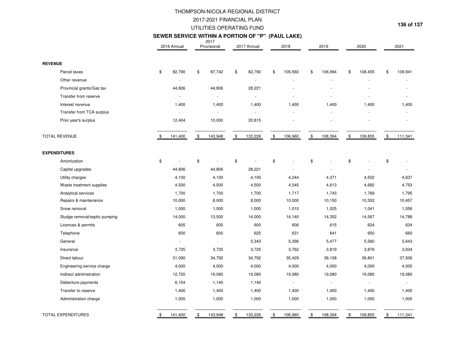### UTILITIES OPERATING FUNDTHOMPSON-NICOLA REGIONAL DISTRICT2017-2021 FINANCIAL PLAN

**136 of 137**

### **SEWER SERVICE WITHIN A PORTION OF "P" (PAUL LAKE)**

|                               | 2016 Annual    |    | 2017<br>Provisional |    | 2017 Annual | 2018           | 2019           | 2020 |         | 2021 |         |  |
|-------------------------------|----------------|----|---------------------|----|-------------|----------------|----------------|------|---------|------|---------|--|
| <b>REVENUE</b>                |                |    |                     |    |             |                |                |      |         |      |         |  |
| Parcel taxes                  | \$<br>82,790   | \$ | 87,742              | \$ | 82,790      | \$<br>105,560  | \$<br>106,994  | \$   | 108,455 | \$   | 109,941 |  |
| Other revenue                 | $\sim$         |    | $\mathbf{r}$        |    | $\sim$      |                | ä,             |      |         |      |         |  |
| Provincial grants/Gas tax     | 44,806         |    | 44,806              |    | 28,221      |                |                |      |         |      |         |  |
| Transfer from reserve         | $\blacksquare$ |    | $\sim$              |    | $\sim$      |                | $\overline{a}$ |      |         |      |         |  |
| Interest revenue              | 1,400          |    | 1,400               |    | 1,400       | 1,400          | 1,400          |      | 1,400   |      | 1,400   |  |
| Transfer from TCA surplus     |                |    |                     |    |             |                |                |      |         |      |         |  |
| Prior year's surplus          | 12,404         |    | 10,000              |    | 20,815      |                |                |      |         |      |         |  |
| <b>TOTAL REVENUE</b>          | \$<br>141,400  | \$ | 143,948             | \$ | 133,226     | \$<br>106,960  | \$<br>108,394  | \$   | 109,855 | \$   | 111,341 |  |
| <b>EXPENDITURES</b>           |                |    |                     |    |             |                |                |      |         |      |         |  |
| Amortization                  | \$             | \$ |                     | \$ |             | \$             | \$             | \$   |         | \$   |         |  |
| Capital upgrades              | 44,806         |    | 44,806              |    | 28,221      |                | ÷.             |      |         |      | ÷.      |  |
| Utility charges               | 4,100          |    | 4,100               |    | 4,100       | 4,244          | 4,371          |      | 4,502   |      | 4,637   |  |
| Waste treatment supplies      | 4,500          |    | 4,500               |    | 4,500       | 4,545          | 4,613          |      | 4,682   |      | 4,753   |  |
| Analytical services           | 1,700          |    | 1,700               |    | 1,700       | 1,717          | 1,743          |      | 1,769   |      | 1,795   |  |
| Repairs & maintenance         | 10,000         |    | 8,000               |    | 8,000       | 10,000         | 10,150         |      | 10,302  |      | 10,457  |  |
| Snow removal                  | 1,000          |    | 1,000               |    | 1,000       | 1,010          | 1,025          |      | 1,041   |      | 1,056   |  |
| Sludge removal/septic pumping | 14,000         |    | 13,500              |    | 14,000      | 14,140         | 14,352         |      | 14,567  |      | 14,786  |  |
| Licences & permits            | 605            |    | 605                 |    | 600         | 606            | 615            |      | 624     |      | 634     |  |
| Telephone                     | 600            |    | 600                 |    | 625         | 631            | 641            |      | 650     |      | 660     |  |
| General                       |                |    | $\sim$              |    | 5,343       | 5,396          | 5,477          |      | 5,560   |      | 5,643   |  |
| Insurance                     | 3,725          |    | 3,725               |    | 3,725       | 3,762          | 3,819          |      | 3,876   |      | 3,934   |  |
| Direct labour                 | 31,090         |    | 34,792              |    | 34,792      | 35,429         | 36,108         |      | 36,801  |      | 37,506  |  |
| Engineering service charge    | 4,000          |    | 4,000               |    | 4,000       | 4,000          | 4,000          |      | 4,000   |      | 4,000   |  |
| Indirect administration       | 12,720         |    | 19,080              |    | 19,080      | 19,080         | 19,080         |      | 19,080  |      | 19,080  |  |
| Debenture payments            | 6,154          |    | 1,140               |    | 1,140       | $\blacksquare$ | $\sim$         |      | $\sim$  |      |         |  |
| Transfer to reserve           | 1,400          |    | 1,400               |    | 1,400       | 1,400          | 1,400          |      | 1,400   |      | 1,400   |  |
| Administration charge         | 1,000          |    | 1,000               |    | 1,000       | 1,000          | 1,000          |      | 1,000   |      | 1,000   |  |
| TOTAL EXPENDITURES            | \$<br>141,400  | \$ | 143,948             | \$ | 133,226     | \$<br>106,960  | \$<br>108,394  | \$   | 109,855 | \$   | 111,341 |  |